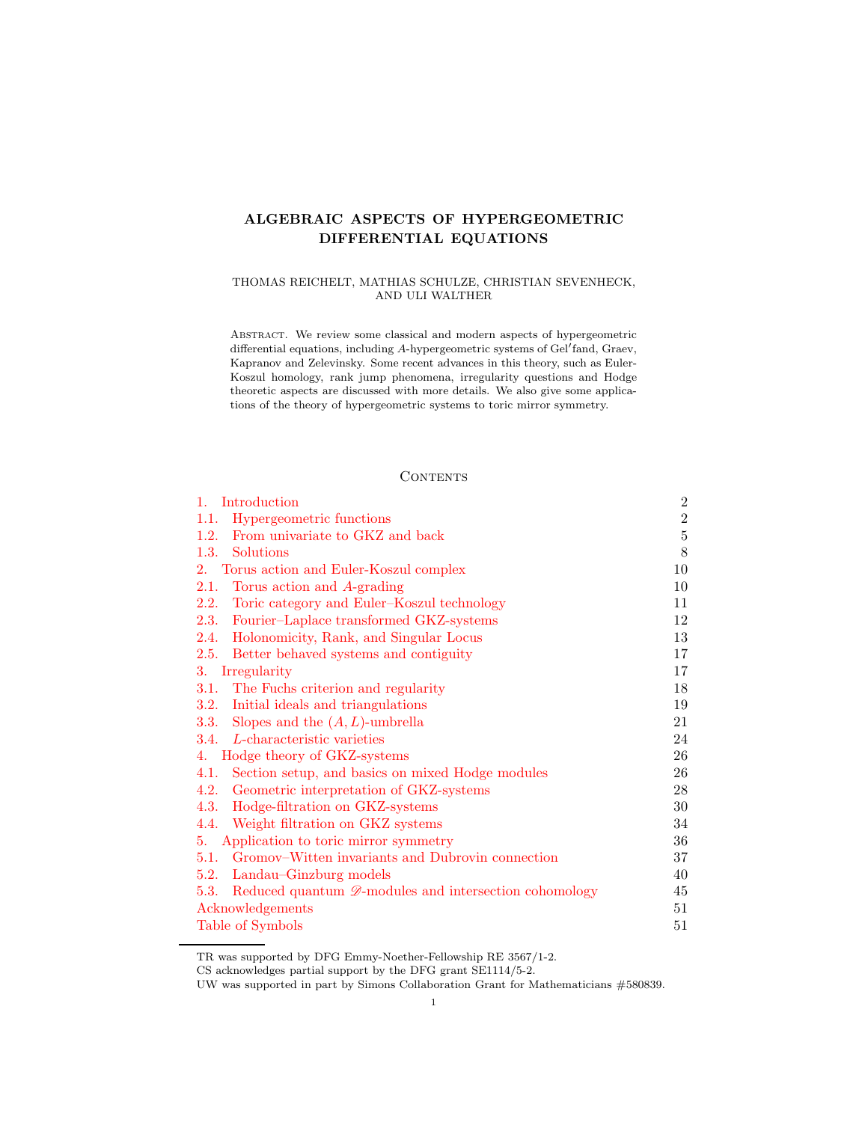# ALGEBRAIC ASPECTS OF HYPERGEOMETRIC DIFFERENTIAL EQUATIONS

# THOMAS REICHELT, MATHIAS SCHULZE, CHRISTIAN SEVENHECK, AND ULI WALTHER

Abstract. We review some classical and modern aspects of hypergeometric differential equations, including A-hypergeometric systems of Gel′ fand, Graev, Kapranov and Zelevinsky. Some recent advances in this theory, such as Euler-Koszul homology, rank jump phenomena, irregularity questions and Hodge theoretic aspects are discussed with more details. We also give some applications of the theory of hypergeometric systems to toric mirror symmetry.

# **CONTENTS**

| Introduction<br>$1_{\cdots}$                                            | $\overline{2}$ |
|-------------------------------------------------------------------------|----------------|
| 1.1. Hypergeometric functions                                           | $\sqrt{2}$     |
| From univariate to GKZ and back<br>1.2.                                 | $\bf 5$        |
| Solutions<br>1.3.                                                       | 8              |
| Torus action and Euler-Koszul complex<br>2.                             | 10             |
| 2.1. Torus action and A-grading                                         | 10             |
| Toric category and Euler-Koszul technology<br>2.2.                      | 11             |
| 2.3. Fourier-Laplace transformed GKZ-systems                            | 12             |
| Holonomicity, Rank, and Singular Locus<br>2.4.                          | 13             |
| 2.5. Better behaved systems and contiguity                              | 17             |
| 3.<br>Irregularity                                                      | 17             |
| 3.1. The Fuchs criterion and regularity                                 | 18             |
| 3.2. Initial ideals and triangulations                                  | 19             |
| 3.3. Slopes and the $(A, L)$ -umbrella                                  | 21             |
| 3.4. L-characteristic varieties                                         | 24             |
| 4. Hodge theory of GKZ-systems                                          | 26             |
| 4.1. Section setup, and basics on mixed Hodge modules                   | 26             |
| 4.2. Geometric interpretation of GKZ-systems                            | 28             |
| 4.3. Hodge-filtration on GKZ-systems                                    | 30             |
| 4.4. Weight filtration on GKZ systems                                   | 34             |
| 5. Application to toric mirror symmetry                                 | 36             |
| 5.1. Gromov–Witten invariants and Dubrovin connection                   | 37             |
| 5.2. Landau–Ginzburg models                                             | 40             |
| 5.3. Reduced quantum $\mathscr{D}$ -modules and intersection cohomology | 45             |
| Acknowledgements                                                        |                |
| Table of Symbols                                                        |                |

TR was supported by DFG Emmy-Noether-Fellowship RE 3567/1-2.

CS acknowledges partial support by the DFG grant SE1114/5-2.

UW was supported in part by Simons Collaboration Grant for Mathematicians #580839.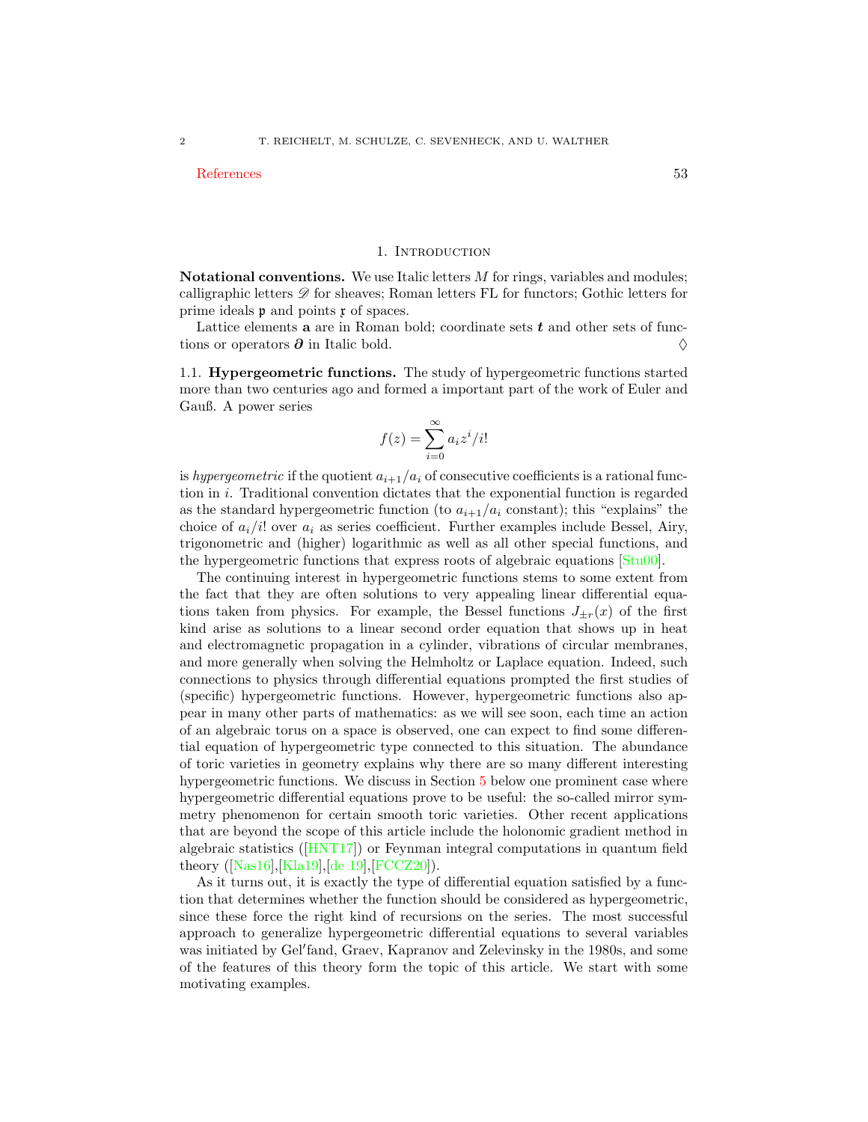#### [References](#page-52-0) 53

#### 1. INTRODUCTION

<span id="page-1-0"></span>**Notational conventions.** We use Italic letters  $M$  for rings, variables and modules; calligraphic letters  $\mathscr{D}$  for sheaves; Roman letters FL for functors; Gothic letters for prime ideals  $\mathfrak p$  and points  $\mathfrak x$  of spaces.

Lattice elements  $a$  are in Roman bold; coordinate sets  $t$  and other sets of functions or operators  $\partial$  in Italic bold.  $\diamondsuit$ 

<span id="page-1-1"></span>1.1. Hypergeometric functions. The study of hypergeometric functions started more than two centuries ago and formed a important part of the work of Euler and Gauß. A power series

$$
f(z) = \sum_{i=0}^{\infty} a_i z^i / i!
$$

is hypergeometric if the quotient  $a_{i+1}/a_i$  of consecutive coefficients is a rational function in i. Traditional convention dictates that the exponential function is regarded as the standard hypergeometric function (to  $a_{i+1}/a_i$  constant); this "explains" the choice of  $a_i/i!$  over  $a_i$  as series coefficient. Further examples include Bessel, Airy, trigonometric and (higher) logarithmic as well as all other special functions, and the hypergeometric functions that express roots of algebraic equations [\[Stu00\]](#page-57-0).

The continuing interest in hypergeometric functions stems to some extent from the fact that they are often solutions to very appealing linear differential equations taken from physics. For example, the Bessel functions  $J_{\pm r}(x)$  of the first kind arise as solutions to a linear second order equation that shows up in heat and electromagnetic propagation in a cylinder, vibrations of circular membranes, and more generally when solving the Helmholtz or Laplace equation. Indeed, such connections to physics through differential equations prompted the first studies of (specific) hypergeometric functions. However, hypergeometric functions also appear in many other parts of mathematics: as we will see soon, each time an action of an algebraic torus on a space is observed, one can expect to find some differential equation of hypergeometric type connected to this situation. The abundance of toric varieties in geometry explains why there are so many different interesting hypergeometric functions. We discuss in Section [5](#page-35-0) below one prominent case where hypergeometric differential equations prove to be useful: the so-called mirror symmetry phenomenon for certain smooth toric varieties. Other recent applications that are beyond the scope of this article include the holonomic gradient method in algebraic statistics([\[HNT17\]](#page-55-0)) or Feynman integral computations in quantum field theory([\[Nas16\]](#page-56-0),[\[Kla19\]](#page-55-1),[\[de 19\]](#page-53-0),[\[FCCZ20\]](#page-54-0)).

As it turns out, it is exactly the type of differential equation satisfied by a function that determines whether the function should be considered as hypergeometric, since these force the right kind of recursions on the series. The most successful approach to generalize hypergeometric differential equations to several variables was initiated by Gel′ fand, Graev, Kapranov and Zelevinsky in the 1980s, and some of the features of this theory form the topic of this article. We start with some motivating examples.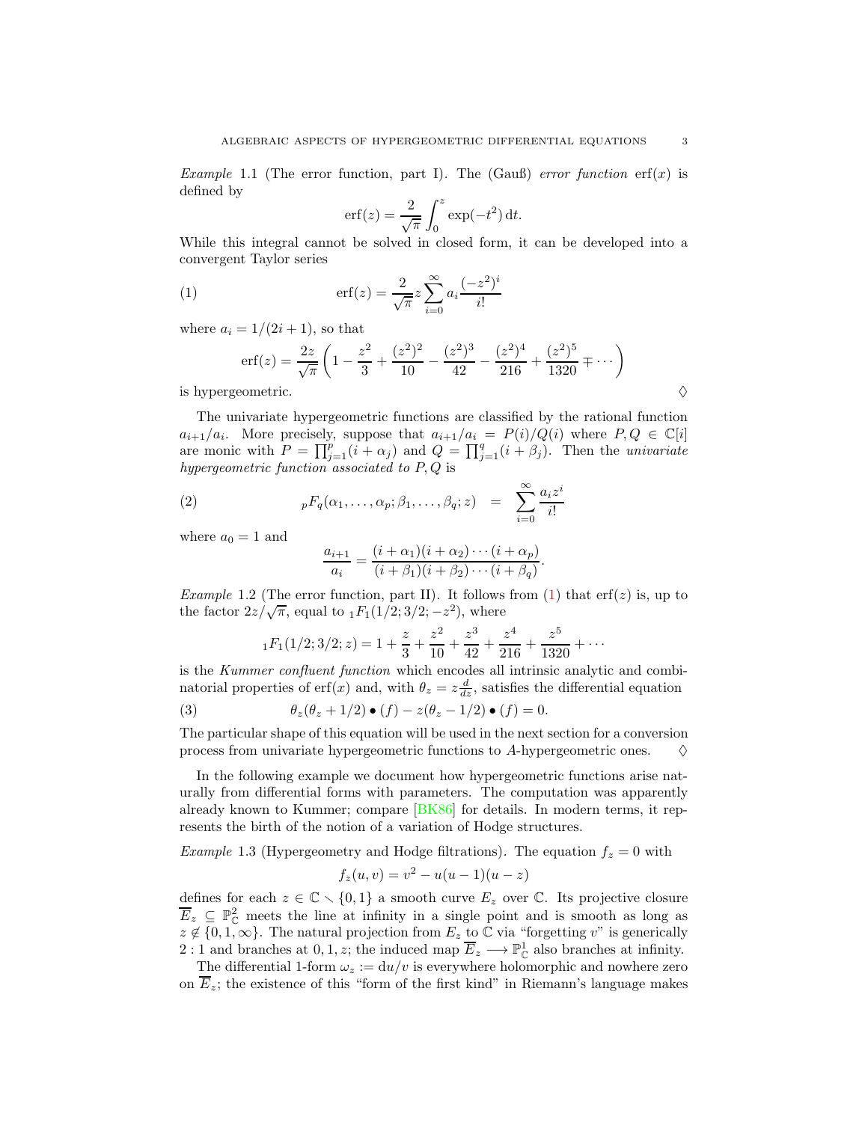Example 1.1 (The error function, part I). The (Gauß) error function  $erf(x)$  is defined by

<span id="page-2-0"></span>
$$
\operatorname{erf}(z) = \frac{2}{\sqrt{\pi}} \int_0^z \exp(-t^2) \, \mathrm{d}t.
$$

While this integral cannot be solved in closed form, it can be developed into a convergent Taylor series

(1) 
$$
\mathrm{erf}(z) = \frac{2}{\sqrt{\pi}} z \sum_{i=0}^{\infty} a_i \frac{(-z^2)^i}{i!}
$$

where  $a_i = 1/(2i + 1)$ , so that

$$
\text{erf}(z) = \frac{2z}{\sqrt{\pi}} \left( 1 - \frac{z^2}{3} + \frac{(z^2)^2}{10} - \frac{(z^2)^3}{42} - \frac{(z^2)^4}{216} + \frac{(z^2)^5}{1320} + \cdots \right)
$$
\nis hypergeometric.

The univariate hypergeometric functions are classified by the rational function  $a_{i+1}/a_i$ . More precisely, suppose that  $a_{i+1}/a_i = P(i)/Q(i)$  where  $P,Q \in \mathbb{C}[i]$ are monic with  $P = \prod_{j=1}^p (i + \alpha_j)$  and  $Q = \prod_{j=1}^q (i + \beta_j)$ . Then the *univariate* hypergeometric function associated to  $P, Q$  is

(2) 
$$
{}_{p}F_{q}(\alpha_{1},\ldots,\alpha_{p};\beta_{1},\ldots,\beta_{q};z) = \sum_{i=0}^{\infty} \frac{a_{i}z^{i}}{i!}
$$

where  $a_0 = 1$  and

<span id="page-2-1"></span>
$$
\frac{a_{i+1}}{a_i} = \frac{(i+\alpha_1)(i+\alpha_2)\cdots(i+\alpha_p)}{(i+\beta_1)(i+\beta_2)\cdots(i+\beta_q)}.
$$

*Example 1.2* (The error function, part II). It follows from [\(1\)](#page-2-0) that erf(z) is, up to the factor  $2z/\sqrt{\pi}$ , equal to  $_1F_1(1/2; 3/2; -z^2)$ , where

<span id="page-2-3"></span>
$$
{}_1F_1(1/2; 3/2; z) = 1 + \frac{z}{3} + \frac{z^2}{10} + \frac{z^3}{42} + \frac{z^4}{216} + \frac{z^5}{1320} + \cdots
$$

is the Kummer confluent function which encodes all intrinsic analytic and combinatorial properties of erf(x) and, with  $\theta_z = z \frac{d}{dz}$ , satisfies the differential equation

(3) 
$$
\theta_z(\theta_z + 1/2) \bullet (f) - z(\theta_z - 1/2) \bullet (f) = 0.
$$

The particular shape of this equation will be used in the next section for a conversion process from univariate hypergeometric functions to A-hypergeometric ones.  $\Diamond$ 

In the following example we document how hypergeometric functions arise naturally from differential forms with parameters. The computation was apparently already known to Kummer; compare [\[BK86\]](#page-53-1) for details. In modern terms, it represents the birth of the notion of a variation of Hodge structures.

<span id="page-2-2"></span>*Example* 1.3 (Hypergeometry and Hodge filtrations). The equation  $f_z = 0$  with

$$
f_z(u, v) = v^2 - u(u - 1)(u - z)
$$

defines for each  $z \in \mathbb{C} \setminus \{0,1\}$  a smooth curve  $E_z$  over  $\mathbb{C}$ . Its projective closure  $\overline{E}_z \subseteq \mathbb{P}_{\mathbb{C}}^2$  meets the line at infinity in a single point and is smooth as long as  $z \notin \{0, 1, \infty\}$ . The natural projection from  $E_z$  to  $\mathbb C$  via "forgetting v" is generically 2 : 1 and branches at 0, 1, z; the induced map  $\overline{E}_z \longrightarrow \mathbb{P}^1_{\mathbb{C}}$  also branches at infinity.

The differential 1-form  $\omega_z := du/v$  is everywhere holomorphic and nowhere zero on  $\overline{E}_z$ ; the existence of this "form of the first kind" in Riemann's language makes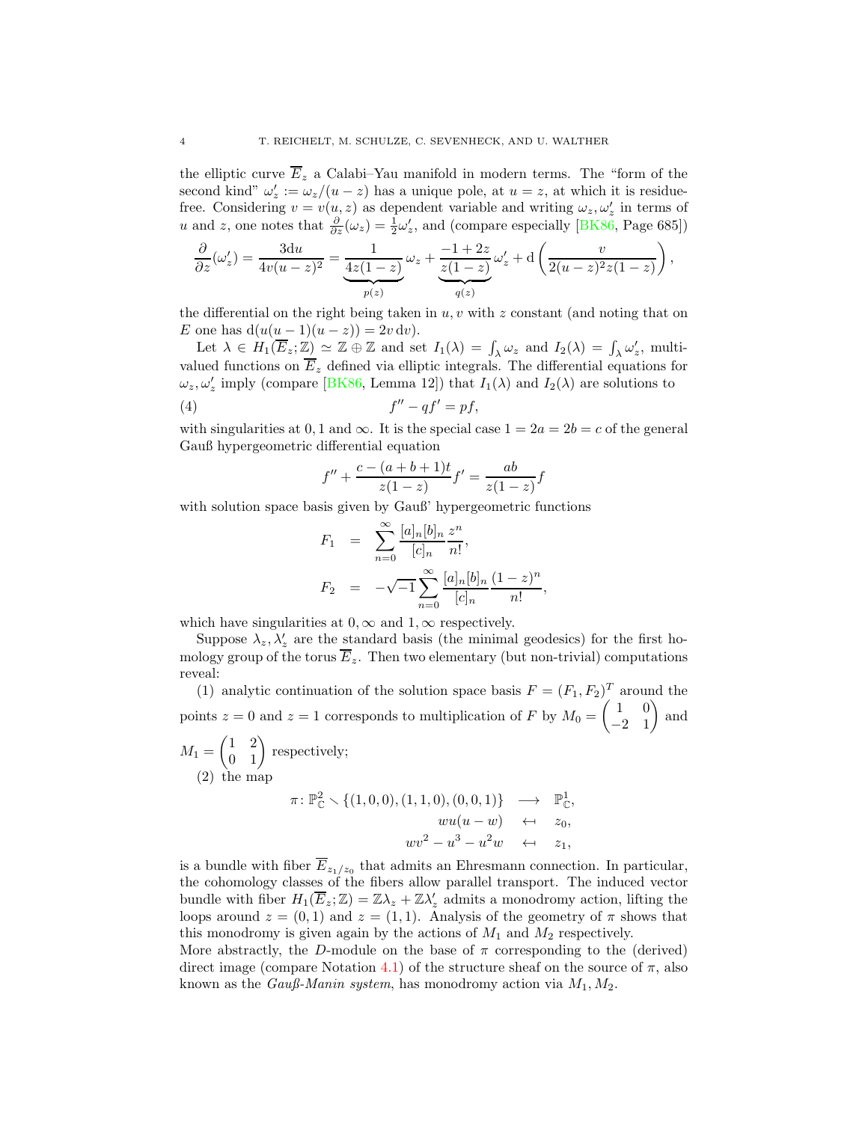the elliptic curve  $\overline{E}_z$  a Calabi–Yau manifold in modern terms. The "form of the second kind"  $\omega'_z := \omega_z/(u-z)$  has a unique pole, at  $u = z$ , at which it is residuefree. Considering  $v = v(u, z)$  as dependent variable and writing  $\omega_z, \omega_z$  in terms of u and z, one notes that  $\frac{\partial}{\partial z}(\omega_z) = \frac{1}{2}\omega_z'$ , and (compare especially [\[BK86,](#page-53-1) Page 685])

$$
\frac{\partial}{\partial z}(\omega_z')=\frac{3\mathrm{d}u}{4v(u-z)^2}=\underbrace{\frac{1}{4z(1-z)}}_{p(z)}\omega_z+\underbrace{\frac{-1+2z}{z(1-z)}}_{q(z)}\omega_z'+\mathrm{d}\left(\frac{v}{2(u-z)^2z(1-z)}\right),
$$

the differential on the right being taken in  $u, v$  with z constant (and noting that on E one has  $d(u(u-1)(u-z)) = 2v dv$ .

Let  $\lambda \in H_1(\overline{E}_z; \mathbb{Z}) \simeq \mathbb{Z} \oplus \mathbb{Z}$  and set  $I_1(\lambda) = \int_{\lambda} \omega_z$  and  $I_2(\lambda) = \int_{\lambda} \omega'_z$ , multivalued functions on  $\overline{E}_z$  defined via elliptic integrals. The differential equations for  $\omega_z, \omega'_z$  imply (compare [\[BK86,](#page-53-1) Lemma 12]) that  $I_1(\lambda)$  and  $I_2(\lambda)$  are solutions to

$$
(4) \t f'' - qf' = pf,
$$

with singularities at 0, 1 and  $\infty$ . It is the special case  $1 = 2a = 2b = c$  of the general Gauß hypergeometric differential equation

<span id="page-3-0"></span>
$$
f'' + \frac{c - (a+b+1)t}{z(1-z)}f' = \frac{ab}{z(1-z)}f
$$

with solution space basis given by Gauß' hypergeometric functions

$$
F_1 = \sum_{n=0}^{\infty} \frac{[a]_n [b]_n}{[c]_n} \frac{z^n}{n!},
$$
  

$$
F_2 = -\sqrt{-1} \sum_{n=0}^{\infty} \frac{[a]_n [b]_n}{[c]_n} \frac{(1-z)^n}{n!},
$$

which have singularities at  $0, \infty$  and  $1, \infty$  respectively.

Suppose  $\lambda_z, \lambda_z'$  are the standard basis (the minimal geodesics) for the first homology group of the torus  $\overline{E}_z$ . Then two elementary (but non-trivial) computations reveal:

(1) analytic continuation of the solution space basis  $F = (F_1, F_2)^T$  around the points  $z = 0$  and  $z = 1$  corresponds to multiplication of F by  $M_0 =$  $\begin{pmatrix} 1 & 0 \\ -2 & 1 \end{pmatrix}$ and

 $M_1 =$  $\begin{pmatrix} 1 & 2 \\ 0 & 1 \end{pmatrix}$  respectively;  $(2)$  the map

$$
\pi \colon \mathbb{P}_{\mathbb{C}}^2 \setminus \{ (1,0,0), (1,1,0), (0,0,1) \} \longrightarrow \mathbb{P}_{\mathbb{C}}^1,
$$
  
\n
$$
wu(u-w) \leftarrow z_0,
$$
  
\n
$$
wv^2 - u^3 - u^2w \leftarrow z_1,
$$

is a bundle with fiber  $E_{z_1/z_0}$  that admits an Ehresmann connection. In particular, the cohomology classes of the fibers allow parallel transport. The induced vector bundle with fiber  $H_1(\overline{E}_z;\mathbb{Z}) = \mathbb{Z}\lambda_z + \mathbb{Z}\lambda'_z$  admits a monodromy action, lifting the loops around  $z = (0, 1)$  and  $z = (1, 1)$ . Analysis of the geometry of  $\pi$  shows that this monodromy is given again by the actions of  $M_1$  and  $M_2$  respectively.

More abstractly, the D-module on the base of  $\pi$  corresponding to the (derived) direct image (compare Notation [4.1\)](#page-25-2) of the structure sheaf on the source of  $\pi$ , also known as the *Gauß-Manin system*, has monodromy action via  $M_1, M_2$ .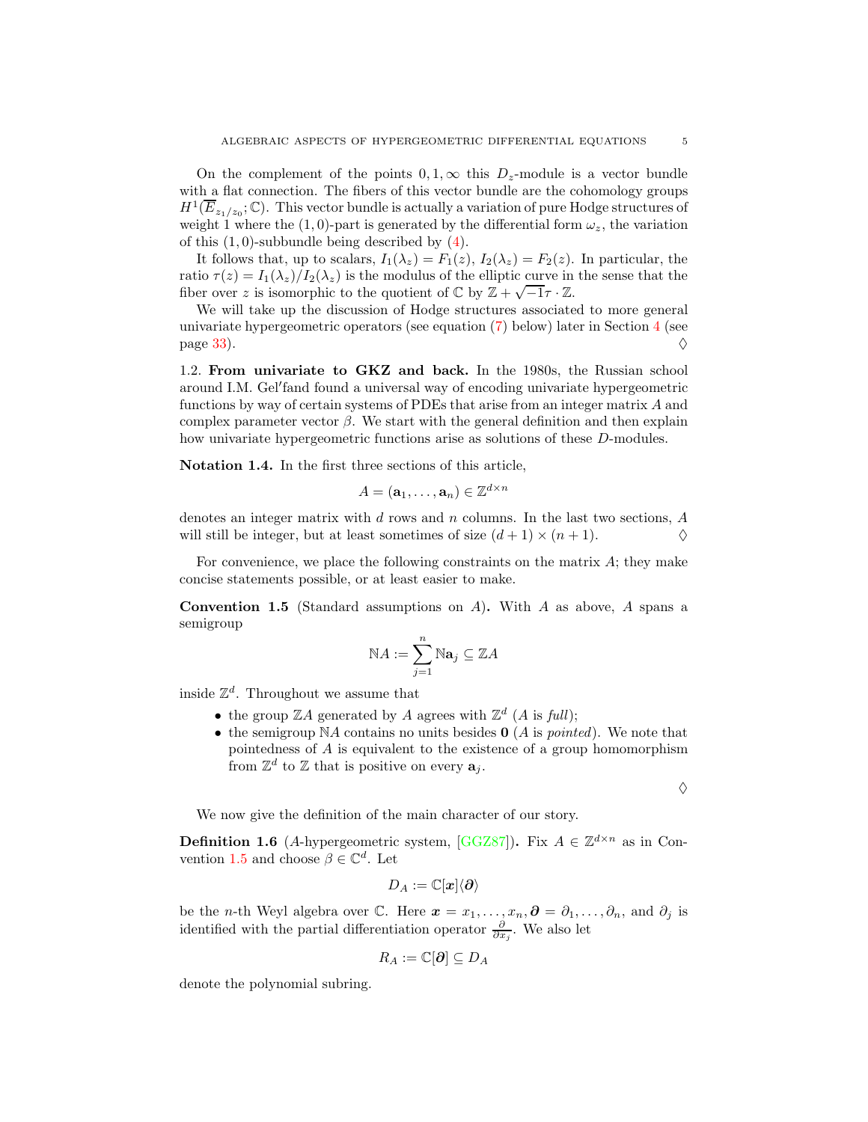On the complement of the points  $0, 1, \infty$  this  $D_z$ -module is a vector bundle with a flat connection. The fibers of this vector bundle are the cohomology groups  $H^1(\overline{E}_{z_1/z_0};\mathbb{C})$ . This vector bundle is actually a variation of pure Hodge structures of weight 1 where the (1,0)-part is generated by the differential form  $\omega_z$ , the variation of this  $(1, 0)$ -subbundle being described by  $(4)$ .

It follows that, up to scalars,  $I_1(\lambda_z) = F_1(z)$ ,  $I_2(\lambda_z) = F_2(z)$ . In particular, the ratio  $\tau(z) = I_1(\lambda_z)/I_2(\lambda_z)$  is the modulus of the elliptic curve in the sense that the fiber over z is isomorphic to the quotient of  $\mathbb{C}$  by  $\mathbb{Z} + \sqrt{-1}\tau \cdot \mathbb{Z}$ .

We will take up the discussion of Hodge structures associated to more general univariate hypergeometric operators (see equation [\(7\)](#page-6-0) below) later in Section [4](#page-25-0) (see page [33\)](#page-32-0).  $\Diamond$ 

<span id="page-4-0"></span>1.2. From univariate to GKZ and back. In the 1980s, the Russian school around I.M. Gel′ fand found a universal way of encoding univariate hypergeometric functions by way of certain systems of PDEs that arise from an integer matrix A and complex parameter vector  $\beta$ . We start with the general definition and then explain how univariate hypergeometric functions arise as solutions of these D-modules.

Notation 1.4. In the first three sections of this article,

$$
A=(\mathbf{a}_1,\ldots,\mathbf{a}_n)\in\mathbb{Z}^{d\times n}
$$

denotes an integer matrix with  $d$  rows and  $n$  columns. In the last two sections,  $A$ will still be integer, but at least sometimes of size  $(d+1) \times (n+1)$ .

For convenience, we place the following constraints on the matrix  $A$ ; they make concise statements possible, or at least easier to make.

<span id="page-4-1"></span>**Convention 1.5** (Standard assumptions on  $A$ ). With  $A$  as above,  $A$  spans a semigroup

$$
\mathbb{N}A:=\sum_{j=1}^n\mathbb{N}\mathbf{a}_j\subseteq\mathbb{Z}A
$$

inside  $\mathbb{Z}^d$ . Throughout we assume that

- the group  $\mathbb{Z}A$  generated by A agrees with  $\mathbb{Z}^d$  (A is full);
- the semigroup  $NA$  contains no units besides **0** (A is *pointed*). We note that pointedness of A is equivalent to the existence of a group homomorphism from  $\mathbb{Z}^d$  to  $\mathbb Z$  that is positive on every  $\mathbf{a}_j$ .

♦

We now give the definition of the main character of our story.

<span id="page-4-2"></span>**Definition 1.6** (A-hypergeometric system, [\[GGZ87\]](#page-54-1)). Fix  $A \in \mathbb{Z}^{d \times n}$  as in Con-vention [1.5](#page-4-1) and choose  $\beta \in \mathbb{C}^d$ . Let

$$
D_A:=\mathbb{C}[\boldsymbol{x}]\langle\boldsymbol{\partial}\rangle
$$

be the *n*-th Weyl algebra over  $\mathbb{C}$ . Here  $\mathbf{x} = x_1, \ldots, x_n, \mathbf{\partial} = \partial_1, \ldots, \partial_n$ , and  $\partial_j$  is identified with the partial differentiation operator  $\frac{\partial}{\partial x_j}$ . We also let

$$
R_A:=\mathbb{C}[\boldsymbol{\partial}]\subseteq D_A
$$

denote the polynomial subring.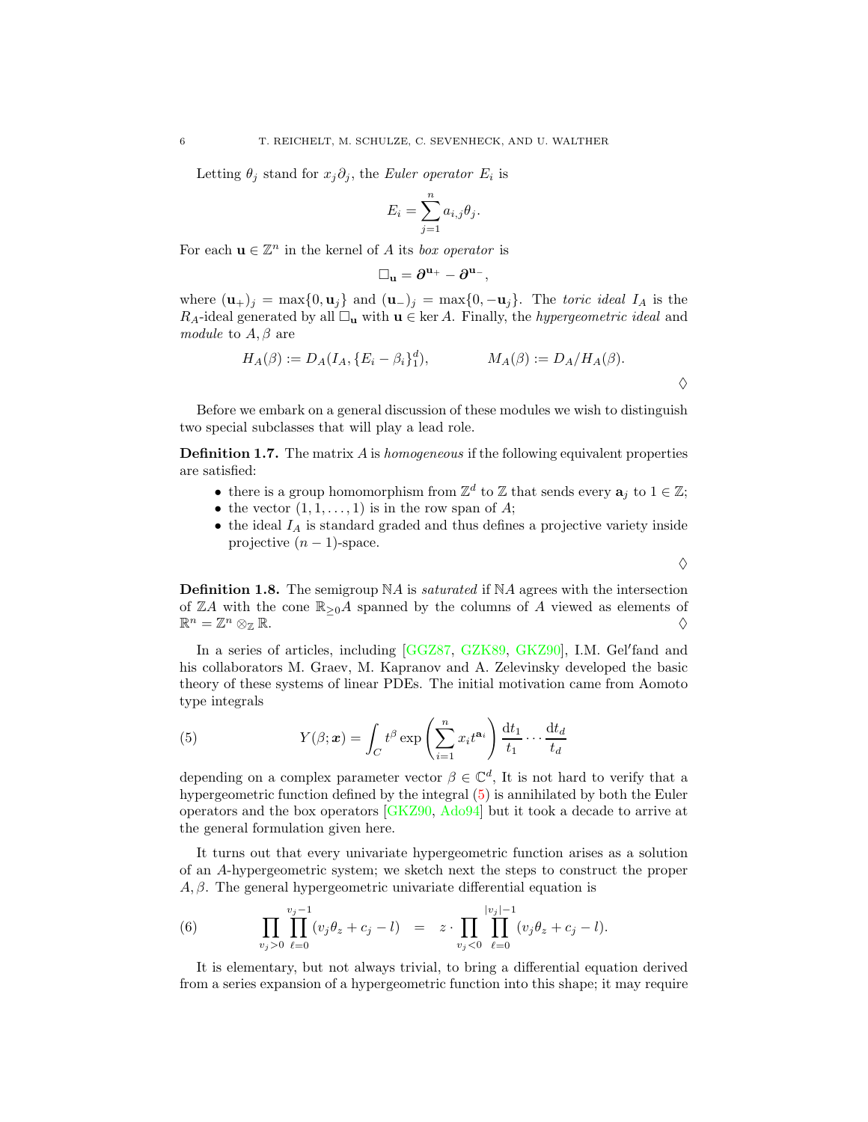Letting  $\theta_j$  stand for  $x_j \partial_j$ , the Euler operator  $E_i$  is

$$
E_i = \sum_{j=1}^n a_{i,j} \theta_j.
$$

For each  $\mathbf{u} \in \mathbb{Z}^n$  in the kernel of A its *box operator* is

$$
\Box_u=\partial^{u_+}-\partial^{u_-},
$$

where  $(\mathbf{u}_{+})_j = \max\{0, \mathbf{u}_j\}$  and  $(\mathbf{u}_{-})_j = \max\{0, -\mathbf{u}_j\}$ . The toric ideal  $I_A$  is the  $R_A$ -ideal generated by all  $\Box_{\mathbf{u}}$  with  $\mathbf{u} \in \text{ker } A$ . Finally, the *hypergeometric ideal* and module to  $A, \beta$  are

$$
H_A(\beta) := D_A(I_A, \{E_i - \beta_i\}_1^d), \qquad M_A(\beta) := D_A/H_A(\beta).
$$

 $\Diamond$ 

 $\diamond$ 

Before we embark on a general discussion of these modules we wish to distinguish two special subclasses that will play a lead role.

<span id="page-5-2"></span>**Definition 1.7.** The matrix  $\vec{A}$  is homogeneous if the following equivalent properties are satisfied:

- there is a group homomorphism from  $\mathbb{Z}^d$  to  $\mathbb Z$  that sends every  $\mathbf{a}_j$  to  $1 \in \mathbb{Z}$ ;
- the vector  $(1, 1, \ldots, 1)$  is in the row span of A;
- $\bullet\,$  the ideal  $I_A$  is standard graded and thus defines a projective variety inside projective  $(n-1)$ -space.

<span id="page-5-3"></span>**Definition 1.8.** The semigroup  $NA$  is *saturated* if  $NA$  agrees with the intersection of  $\mathbb{Z}A$  with the cone  $\mathbb{R}_{\geq 0}A$  spanned by the columns of A viewed as elements of  $\mathbb{R}^n=\mathbb{Z}$  $n \otimes_{\mathbb{Z}} \mathbb{R}$ .

In a series of articles, including [\[GGZ87,](#page-54-1) [GZK89,](#page-55-2) [GKZ90\]](#page-54-2), I.M. Gel'fand and his collaborators M. Graev, M. Kapranov and A. Zelevinsky developed the basic theory of these systems of linear PDEs. The initial motivation came from Aomoto type integrals

<span id="page-5-0"></span>(5) 
$$
Y(\beta; \mathbf{x}) = \int_C t^{\beta} \exp\left(\sum_{i=1}^n x_i t^{a_i}\right) \frac{dt_1}{t_1} \cdots \frac{dt_d}{t_d}
$$

depending on a complex parameter vector  $\beta \in \mathbb{C}^d$ , It is not hard to verify that a hypergeometric function defined by the integral [\(5\)](#page-5-0) is annihilated by both the Euler operators and the box operators [\[GKZ90,](#page-54-2) [Ado94\]](#page-52-1) but it took a decade to arrive at the general formulation given here.

It turns out that every univariate hypergeometric function arises as a solution of an A-hypergeometric system; we sketch next the steps to construct the proper  $A, \beta$ . The general hypergeometric univariate differential equation is

<span id="page-5-1"></span>(6) 
$$
\prod_{v_j>0}\prod_{\ell=0}^{v_j-1}(v_j\theta_z+c_j-l) = z \cdot \prod_{v_j<0}\prod_{\ell=0}^{|v_j|-1}(v_j\theta_z+c_j-l).
$$

It is elementary, but not always trivial, to bring a differential equation derived from a series expansion of a hypergeometric function into this shape; it may require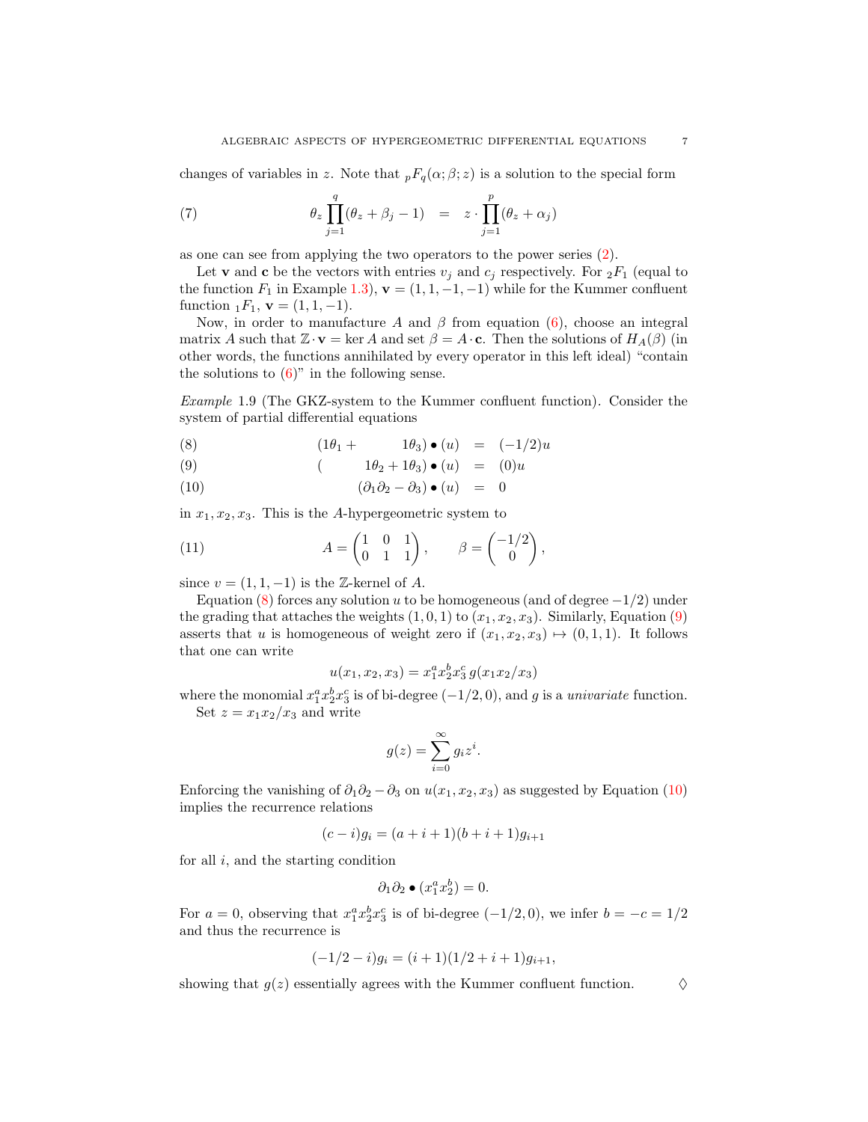changes of variables in z. Note that  ${}_{p}F_{q}(\alpha;\beta;z)$  is a solution to the special form

<span id="page-6-0"></span>(7) 
$$
\theta_z \prod_{j=1}^q (\theta_z + \beta_j - 1) = z \cdot \prod_{j=1}^p (\theta_z + \alpha_j)
$$

as one can see from applying the two operators to the power series [\(2\)](#page-2-1).

Let **v** and **c** be the vectors with entries  $v_j$  and  $c_j$  respectively. For  ${}_2F_1$  (equal to the function  $F_1$  in Example [1.3\)](#page-2-2),  $\mathbf{v} = (1, 1, -1, -1)$  while for the Kummer confluent function  $_1F_1$ ,  $\mathbf{v} = (1, 1, -1)$ .

Now, in order to manufacture A and  $\beta$  from equation [\(6\)](#page-5-1), choose an integral matrix A such that  $\mathbb{Z}\cdot\mathbf{v} = \ker A$  and set  $\beta = A\cdot\mathbf{c}$ . Then the solutions of  $H_A(\beta)$  (in other words, the functions annihilated by every operator in this left ideal) "contain the solutions to  $(6)$ " in the following sense.

Example 1.9 (The GKZ-system to the Kummer confluent function). Consider the system of partial differential equations

<span id="page-6-1"></span>(8) 
$$
(1\theta_1 + 1\theta_3) \bullet (u) = (-1/2)u
$$

(9) 
$$
(1\theta_2 + 1\theta_3) \bullet (u) = (0)u
$$

$$
(10) \qquad \qquad (\partial_1 \partial_2 - \partial_3) \bullet (u) = 0
$$

in  $x_1, x_2, x_3$ . This is the A-hypergeometric system to

(11) 
$$
A = \begin{pmatrix} 1 & 0 & 1 \\ 0 & 1 & 1 \end{pmatrix}, \qquad \beta = \begin{pmatrix} -1/2 \\ 0 \end{pmatrix}
$$

since  $v = (1, 1, -1)$  is the Z-kernel of A.

Equation [\(8\)](#page-6-1) forces any solution u to be homogeneous (and of degree  $-1/2$ ) under the grading that attaches the weights  $(1, 0, 1)$  to  $(x_1, x_2, x_3)$ . Similarly, Equation [\(9\)](#page-6-1) asserts that u is homogeneous of weight zero if  $(x_1, x_2, x_3) \mapsto (0, 1, 1)$ . It follows that one can write

,

$$
u(x_1, x_2, x_3) = x_1^a x_2^b x_3^c g(x_1 x_2 / x_3)
$$

where the monomial  $x_1^a x_2^b x_3^c$  is of bi-degree (-1/2,0), and g is a univariate function. Set  $z = x_1 x_2 / x_3$  and write

$$
g(z) = \sum_{i=0}^{\infty} g_i z^i.
$$

Enforcing the vanishing of  $\partial_1 \partial_2 - \partial_3$  on  $u(x_1, x_2, x_3)$  as suggested by Equation [\(10\)](#page-6-1) implies the recurrence relations

$$
(c-i)g_i = (a+i+1)(b+i+1)g_{i+1}
$$

for all  $i$ , and the starting condition

$$
\partial_1 \partial_2 \bullet (x_1^a x_2^b) = 0.
$$

For  $a = 0$ , observing that  $x_1^a x_2^b x_3^c$  is of bi-degree  $(-1/2, 0)$ , we infer  $b = -c = 1/2$ and thus the recurrence is

$$
(-1/2 - i)g_i = (i + 1)(1/2 + i + 1)g_{i+1},
$$

showing that  $g(z)$  essentially agrees with the Kummer confluent function.  $\Diamond$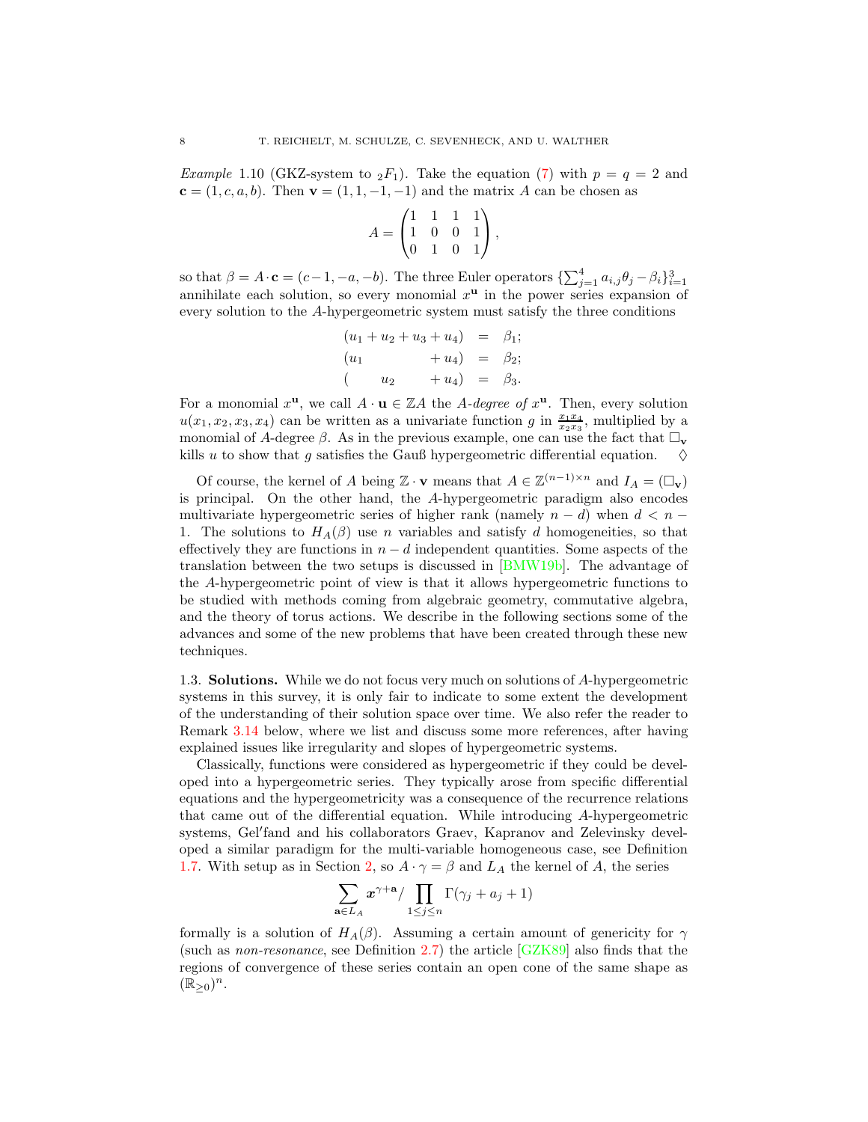<span id="page-7-1"></span>*Example* 1.10 (GKZ-system to  ${}_2F_1$ ). Take the equation [\(7\)](#page-6-0) with  $p = q = 2$  and  ${\bf c} = (1, c, a, b)$ . Then  ${\bf v} = (1, 1, -1, -1)$  and the matrix A can be chosen as

$$
A = \begin{pmatrix} 1 & 1 & 1 & 1 \\ 1 & 0 & 0 & 1 \\ 0 & 1 & 0 & 1 \end{pmatrix},
$$

so that  $\beta = A \cdot \mathbf{c} = (c-1, -a, -b)$ . The three Euler operators  $\{\sum_{j=1}^{4} a_{i,j} \theta_j - \beta_i\}_{i=1}^3$  annihilate each solution, so every monomial  $x^{\mathbf{u}}$  in the power series expansion of every solution to the A-hypergeometric system must satisfy the three conditions

$$
(u_1 + u_2 + u_3 + u_4) = \beta_1; (u_1 + u_4) = \beta_2; (u_2 + u_4) = \beta_3.
$$

For a monomial  $x^{\mathbf{u}}$ , we call  $A \cdot \mathbf{u} \in \mathbb{Z}A$  the A-degree of  $x^{\mathbf{u}}$ . Then, every solution  $u(x_1, x_2, x_3, x_4)$  can be written as a univariate function g in  $\frac{x_1x_4}{x_2x_3}$ , multiplied by a monomial of A-degree  $\beta$ . As in the previous example, one can use the fact that  $\Box_{\mathbf{v}}$ kills u to show that g satisfies the Gauß hypergeometric differential equation.  $\diamond$ 

Of course, the kernel of A being  $\mathbb{Z} \cdot \mathbf{v}$  means that  $A \in \mathbb{Z}^{(n-1)\times n}$  and  $I_A = (\Box_{\mathbf{v}})$ is principal. On the other hand, the A-hypergeometric paradigm also encodes multivariate hypergeometric series of higher rank (namely  $n - d$ ) when  $d < n -$ 1. The solutions to  $H_A(\beta)$  use n variables and satisfy d homogeneities, so that effectively they are functions in  $n - d$  independent quantities. Some aspects of the translation between the two setups is discussed in [\[BMW19b\]](#page-53-2). The advantage of the A-hypergeometric point of view is that it allows hypergeometric functions to be studied with methods coming from algebraic geometry, commutative algebra, and the theory of torus actions. We describe in the following sections some of the advances and some of the new problems that have been created through these new techniques.

<span id="page-7-0"></span>1.3. Solutions. While we do not focus very much on solutions of A-hypergeometric systems in this survey, it is only fair to indicate to some extent the development of the understanding of their solution space over time. We also refer the reader to Remark [3.14](#page-24-0) below, where we list and discuss some more references, after having explained issues like irregularity and slopes of hypergeometric systems.

Classically, functions were considered as hypergeometric if they could be developed into a hypergeometric series. They typically arose from specific differential equations and the hypergeometricity was a consequence of the recurrence relations that came out of the differential equation. While introducing A-hypergeometric systems, Gel′ fand and his collaborators Graev, Kapranov and Zelevinsky developed a similar paradigm for the multi-variable homogeneous case, see Definition [1.7.](#page-5-2) With setup as in Section [2,](#page-9-0) so  $A \cdot \gamma = \beta$  and  $L_A$  the kernel of A, the series

$$
\sum_{\mathbf{a}\in L_A} x^{\gamma+\mathbf{a}} / \prod_{1\leq j\leq n} \Gamma(\gamma_j+a_j+1)
$$

formally is a solution of  $H_A(\beta)$ . Assuming a certain amount of genericity for  $\gamma$ (such as non-resonance, see Definition [2.7\)](#page-12-1) the article [\[GZK89\]](#page-55-2) also finds that the regions of convergence of these series contain an open cone of the same shape as  $(\mathbb{R}_{\geq 0})^n$ .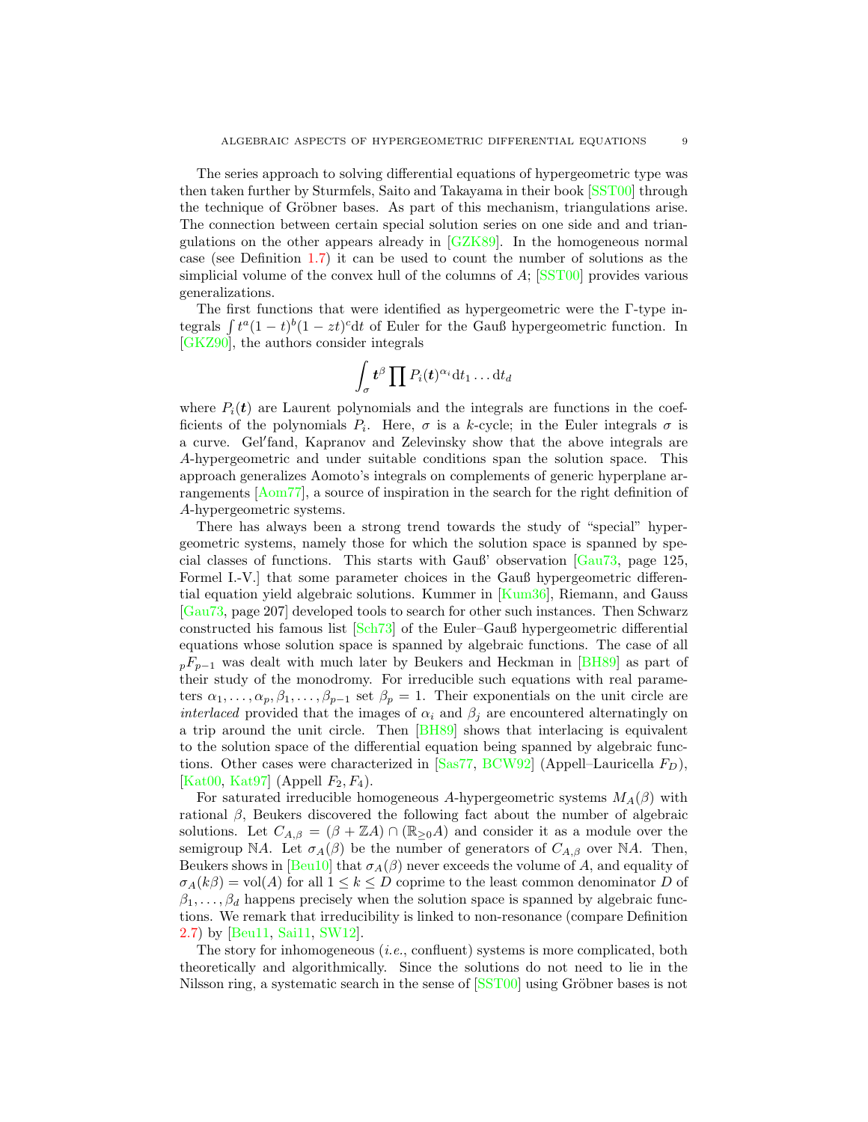The series approach to solving differential equations of hypergeometric type was then taken further by Sturmfels, Saito and Takayama in their book [\[SST00\]](#page-57-1) through the technique of Gröbner bases. As part of this mechanism, triangulations arise. The connection between certain special solution series on one side and and triangulations on the other appears already in [\[GZK89\]](#page-55-2). In the homogeneous normal case (see Definition [1.7\)](#page-5-2) it can be used to count the number of solutions as the simplicial volume of the convex hull of the columns of  $A$ ; [\[SST00\]](#page-57-1) provides various generalizations.

The first functions that were identified as hypergeometric were the Γ-type integrals  $\int t^a (1-t)^b (1-zt)^c dt$  of Euler for the Gauß hypergeometric function. In [\[GKZ90\]](#page-54-2), the authors consider integrals

$$
\int_{\sigma} \boldsymbol{t}^{\beta} \prod P_i(\boldsymbol{t})^{\alpha_i} \mathrm{d} t_1 \ldots \mathrm{d} t_d
$$

where  $P_i(t)$  are Laurent polynomials and the integrals are functions in the coefficients of the polynomials  $P_i$ . Here,  $\sigma$  is a k-cycle; in the Euler integrals  $\sigma$  is a curve. Gel′ fand, Kapranov and Zelevinsky show that the above integrals are A-hypergeometric and under suitable conditions span the solution space. This approach generalizes Aomoto's integrals on complements of generic hyperplane arrangements [\[Aom77\]](#page-52-2), a source of inspiration in the search for the right definition of A-hypergeometric systems.

There has always been a strong trend towards the study of "special" hypergeometric systems, namely those for which the solution space is spanned by special classes of functions. This starts with Gauß' observation [\[Gau73,](#page-54-3) page 125, Formel I.-V.] that some parameter choices in the Gauß hypergeometric differential equation yield algebraic solutions. Kummer in [\[Kum36\]](#page-55-3), Riemann, and Gauss [\[Gau73,](#page-54-3) page 207] developed tools to search for other such instances. Then Schwarz constructed his famous list [\[Sch73\]](#page-56-1) of the Euler–Gauß hypergeometric differential equations whose solution space is spanned by algebraic functions. The case of all  $pF_{p-1}$  was dealt with much later by Beukers and Heckman in [\[BH89\]](#page-52-3) as part of their study of the monodromy. For irreducible such equations with real parameters  $\alpha_1, \ldots, \alpha_p, \beta_1, \ldots, \beta_{p-1}$  set  $\beta_p = 1$ . Their exponentials on the unit circle are *interlaced* provided that the images of  $\alpha_i$  and  $\beta_j$  are encountered alternatingly on a trip around the unit circle. Then [\[BH89\]](#page-52-3) shows that interlacing is equivalent to the solution space of the differential equation being spanned by algebraic functions. Other cases were characterized in  $[Sas77, BCW92]$  $[Sas77, BCW92]$  (Appell–Lauricella  $F_D$ ), [\[Kat00,](#page-55-4) [Kat97\]](#page-55-5) (Appell  $F_2, F_4$ ).

For saturated irreducible homogeneous A-hypergeometric systems  $M_A(\beta)$  with rational  $\beta$ , Beukers discovered the following fact about the number of algebraic solutions. Let  $C_{A,\beta} = (\beta + \mathbb{Z}A) \cap (\mathbb{R}_{\geq 0}A)$  and consider it as a module over the semigroup NA. Let  $\sigma_A(\beta)$  be the number of generators of  $C_{A,\beta}$  over NA. Then, Beukers shows in [\[Beu10\]](#page-52-5) that  $\sigma_A(\beta)$  never exceeds the volume of A, and equality of  $\sigma_A(k\beta) = \text{vol}(A)$  for all  $1 \leq k \leq D$  coprime to the least common denominator D of  $\beta_1, \ldots, \beta_d$  happens precisely when the solution space is spanned by algebraic functions. We remark that irreducibility is linked to non-resonance (compare Definition [2.7\)](#page-12-1) by [\[Beu11,](#page-52-6) [Sai11,](#page-56-3) [SW12\]](#page-57-2).

The story for inhomogeneous (i.e., confluent) systems is more complicated, both theoretically and algorithmically. Since the solutions do not need to lie in the Nilsson ring, a systematic search in the sense of  $[SST00]$  using Gröbner bases is not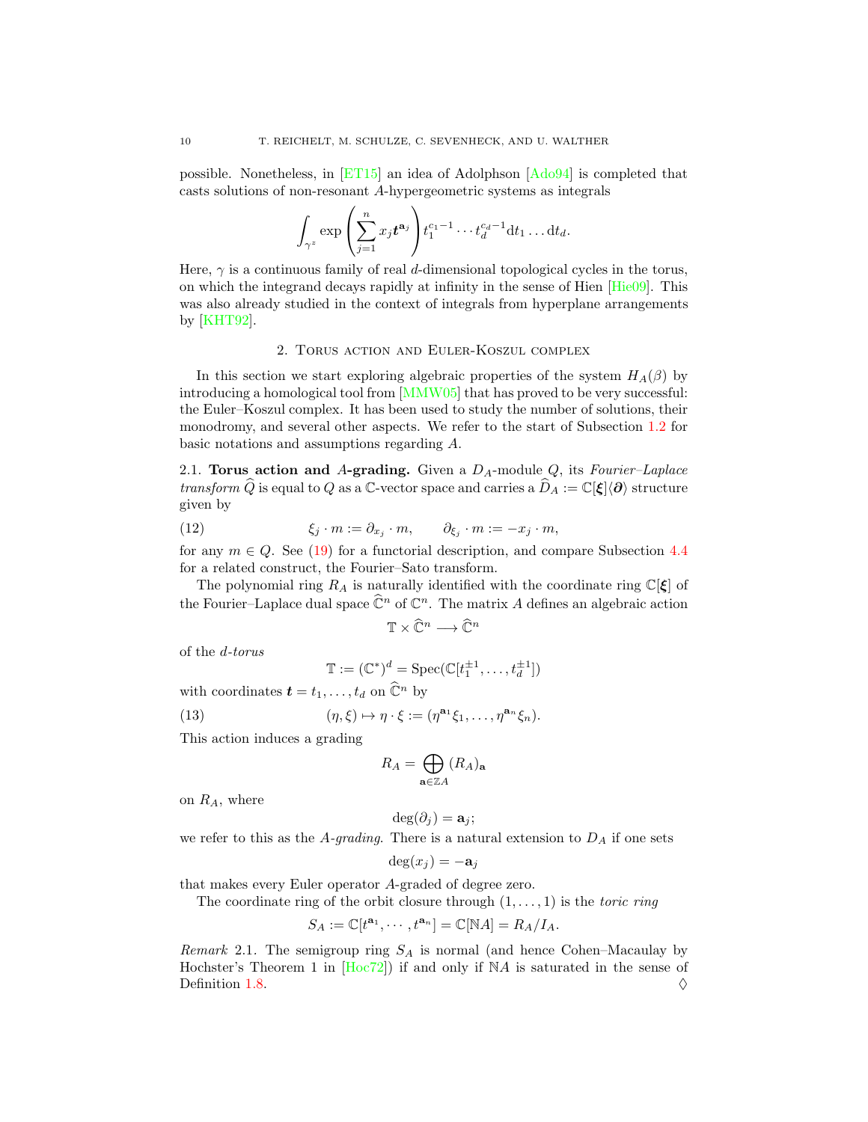possible. Nonetheless, in [\[ET15\]](#page-54-4) an idea of Adolphson [\[Ado94\]](#page-52-1) is completed that casts solutions of non-resonant A-hypergeometric systems as integrals

$$
\int_{\gamma^z} \exp\left(\sum_{j=1}^n x_j t^{\mathbf{a}_j}\right) t_1^{c_1-1} \cdots t_d^{c_d-1} dt_1 \ldots dt_d.
$$

Here,  $\gamma$  is a continuous family of real d-dimensional topological cycles in the torus, on which the integrand decays rapidly at infinity in the sense of Hien [\[Hie09\]](#page-55-6). This was also already studied in the context of integrals from hyperplane arrangements by [\[KHT92\]](#page-55-7).

## 2. Torus action and Euler-Koszul complex

<span id="page-9-0"></span>In this section we start exploring algebraic properties of the system  $H_A(\beta)$  by introducing a homological tool from [\[MMW05\]](#page-56-4) that has proved to be very successful: the Euler–Koszul complex. It has been used to study the number of solutions, their monodromy, and several other aspects. We refer to the start of Subsection [1.2](#page-4-0) for basic notations and assumptions regarding A.

<span id="page-9-1"></span>2.1. Torus action and A-grading. Given a  $D_A$ -module  $Q$ , its Fourier–Laplace transform  $\widehat{Q}$  is equal to Q as a C-vector space and carries a  $\widehat{D}_A := \mathbb{C}[\xi]\langle\partial\rangle$  structure given by

(12) 
$$
\xi_j \cdot m := \partial_{x_j} \cdot m, \qquad \partial_{\xi_j} \cdot m := -x_j \cdot m,
$$

for any  $m \in Q$ . See [\(19\)](#page-27-1) for a functorial description, and compare Subsection [4.4](#page-33-0) for a related construct, the Fourier–Sato transform.

The polynomial ring  $R_A$  is naturally identified with the coordinate ring  $\mathbb{C}[\xi]$  of the Fourier–Laplace dual space  $\widehat{\mathbb{C}}^n$  of  $\mathbb{C}^n$ . The matrix A defines an algebraic action

<span id="page-9-2"></span>
$$
\mathbb{T}\times\widehat{\mathbb{C}}^n\longrightarrow\widehat{\mathbb{C}}^n
$$

of the d-torus

$$
\mathbb{T} := (\mathbb{C}^*)^d = \operatorname{Spec}(\mathbb{C}[t_1^{\pm 1}, \dots, t_d^{\pm 1}])
$$

with coordinates  $\mathbf{t} = t_1, \ldots, t_d$  on  $\widehat{\mathbb{C}}^n$  by

(13) 
$$
(\eta,\xi) \mapsto \eta \cdot \xi := (\eta^{\mathbf{a}_1} \xi_1, \dots, \eta^{\mathbf{a}_n} \xi_n).
$$

This action induces a grading

$$
R_A = \bigoplus_{\mathbf{a} \in \mathbb{Z}A} (R_A)_{\mathbf{a}}
$$

on  $R_A$ , where

$$
\deg(\partial_j) = \mathbf{a}_j;
$$

we refer to this as the A-grading. There is a natural extension to  $D_A$  if one sets

$$
\deg(x_j) = -\mathbf{a}_j
$$

that makes every Euler operator A-graded of degree zero.

The coordinate ring of the orbit closure through  $(1, \ldots, 1)$  is the *toric ring* 

$$
S_A := \mathbb{C}[t^{\mathbf{a}_1}, \cdots, t^{\mathbf{a}_n}] = \mathbb{C}[\mathbb{N}A] = R_A/I_A.
$$

<span id="page-9-3"></span>Remark 2.1. The semigroup ring  $S_A$  is normal (and hence Cohen–Macaulay by Hochster's Theorem 1 in [\[Hoc72\]](#page-55-8)) if and only if NA is saturated in the sense of Definition [1.8.](#page-5-3)  $\Diamond$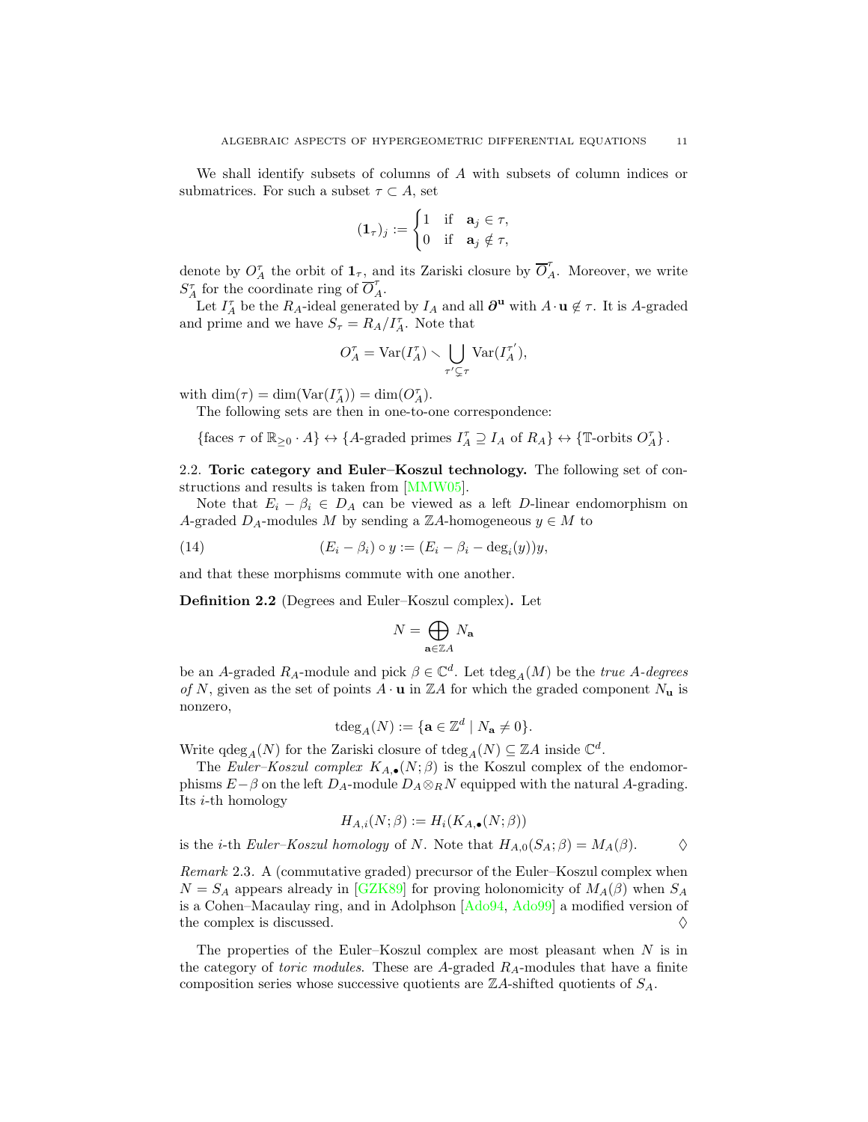We shall identify subsets of columns of A with subsets of column indices or submatrices. For such a subset  $\tau \subset A$ , set

$$
(\mathbf{1}_{\tau})_j := \begin{cases} 1 & \text{if} \quad \mathbf{a}_j \in \tau, \\ 0 & \text{if} \quad \mathbf{a}_j \notin \tau, \end{cases}
$$

denote by  $O_A^{\tau}$  the orbit of  $\mathbf{1}_{\tau}$ , and its Zariski closure by  $\overline{O}_A^{\tau}$ . Moreover, we write  $S_A^{\tau}$  for the coordinate ring of  $\overline{O}_A^{\tau}$ .

Let  $I_A^{\tau}$  be the  $R_A$ -ideal generated by  $I_A$  and all  $\partial^{\mathbf{u}}$  with  $A \cdot \mathbf{u} \notin \tau$ . It is A-graded and prime and we have  $S_{\tau} = R_A / I_A^{\tau}$ . Note that

$$
O_A^\tau = \text{Var}(I_A^\tau) \smallsetminus \bigcup_{\tau' \subsetneq \tau} \text{Var}(I_A^{\tau'}),
$$

with  $\dim(\tau) = \dim(\text{Var}(I_A^{\tau})) = \dim(O_A^{\tau}).$ 

The following sets are then in one-to-one correspondence:

 $\{\text{faces } \tau \text{ of } \mathbb{R}_{\geq 0} \cdot A\} \leftrightarrow \{A\text{-graded primes } I_A^{\tau} \supseteq I_A \text{ of } R_A \} \leftrightarrow \{\mathbb{T}\text{-orbits } O_A^{\tau}\}.$ 

<span id="page-10-0"></span>2.2. Toric category and Euler–Koszul technology. The following set of constructions and results is taken from [\[MMW05\]](#page-56-4).

Note that  $E_i - \beta_i \in D_A$  can be viewed as a left D-linear endomorphism on A-graded  $D_A$ -modules M by sending a ZA-homogeneous  $y \in M$  to

(14) 
$$
(E_i - \beta_i) \circ y := (E_i - \beta_i - \deg_i(y))y,
$$

and that these morphisms commute with one another.

<span id="page-10-2"></span>Definition 2.2 (Degrees and Euler–Koszul complex). Let

<span id="page-10-1"></span>
$$
N=\bigoplus_{\mathbf{a}\in\mathbb{Z} A}N_\mathbf{a}
$$

be an A-graded  $R_A$ -module and pick  $\beta \in \mathbb{C}^d$ . Let  $\text{tdeg}_A(M)$  be the *true A-degrees* of N, given as the set of points  $A \cdot \mathbf{u}$  in ZA for which the graded component  $N_{\mathbf{u}}$  is nonzero,

$$
\operatorname{tdeg}_A(N) := \{ \mathbf{a} \in \mathbb{Z}^d \mid N_\mathbf{a} \neq 0 \}.
$$

Write  $\deg_A(N)$  for the Zariski closure of  $\deg_A(N) \subseteq \mathbb{Z}A$  inside  $\mathbb{C}^d$ .

The Euler–Koszul complex  $K_{A,\bullet}(N;\beta)$  is the Koszul complex of the endomorphisms  $E-\beta$  on the left  $D_A$ -module  $D_A \otimes_R N$  equipped with the natural A-grading. Its i-th homology

$$
H_{A,i}(N;\beta) := H_i(K_{A,\bullet}(N;\beta))
$$

is the *i*-th Euler–Koszul homology of N. Note that  $H_{A,0}(S_A;\beta) = M_A(\beta)$ .  $\Diamond$ 

<span id="page-10-3"></span>Remark 2.3. A (commutative graded) precursor of the Euler–Koszul complex when  $N = S_A$  appears already in [\[GZK89\]](#page-55-2) for proving holonomicity of  $M_A(\beta)$  when  $S_A$ is a Cohen–Macaulay ring, and in Adolphson [\[Ado94,](#page-52-1) [Ado99\]](#page-52-7) a modified version of the complex is discussed.  $\Diamond$ 

The properties of the Euler–Koszul complex are most pleasant when  $N$  is in the category of *toric modules*. These are A-graded  $R_A$ -modules that have a finite composition series whose successive quotients are  $\mathbb{Z}A$ -shifted quotients of  $S_A$ .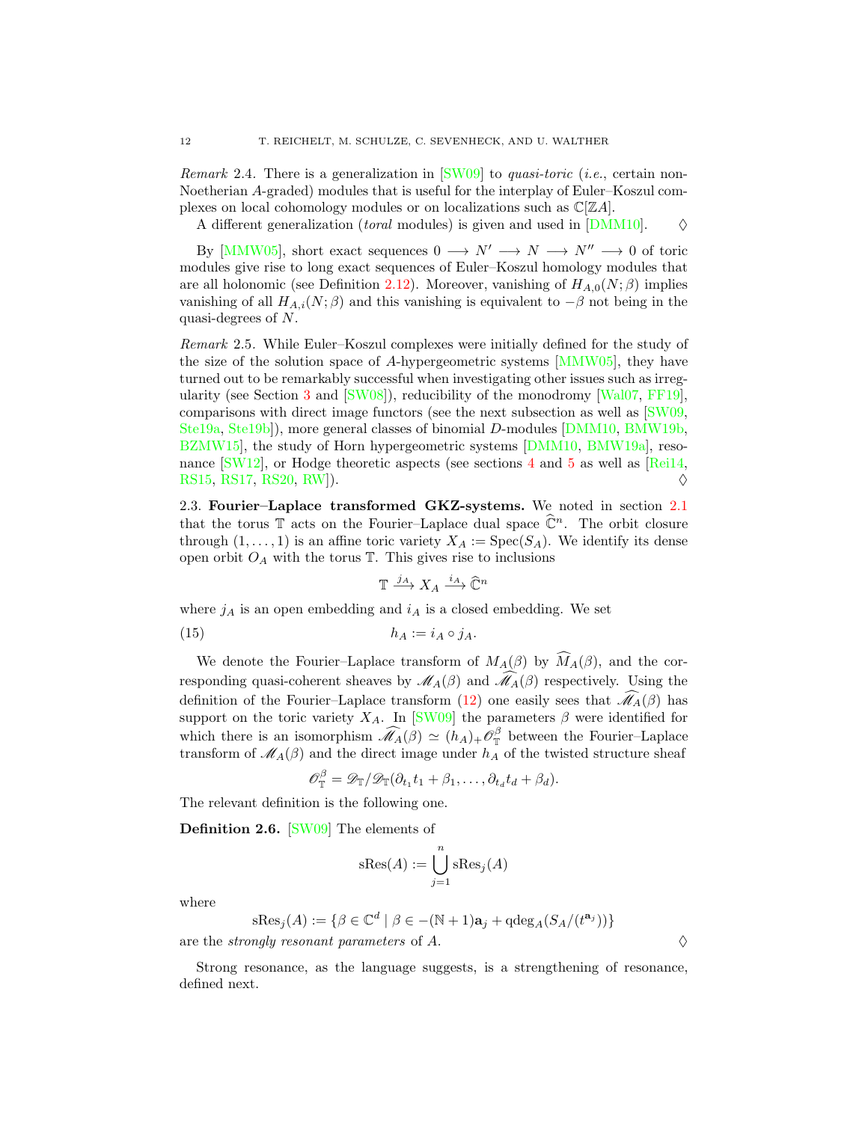<span id="page-11-4"></span>Remark 2.4. There is a generalization in  $\text{[SW09]}$  to *quasi-toric* (*i.e.*, certain non-Noetherian A-graded) modules that is useful for the interplay of Euler–Koszul complexes on local cohomology modules or on localizations such as  $\mathbb{C}[\mathbb{Z}A]$ .

A different generalization (*toral* modules) is given and used in  $[DMM10]$ .  $\diamond$ 

By [\[MMW05\]](#page-56-4), short exact sequences  $0 \longrightarrow N' \longrightarrow N \longrightarrow N'' \longrightarrow 0$  of toric modules give rise to long exact sequences of Euler–Koszul homology modules that are all holonomic (see Definition [2.12\)](#page-13-0). Moreover, vanishing of  $H_{A,0}(N;\beta)$  implies vanishing of all  $H_{A,i}(N;\beta)$  and this vanishing is equivalent to  $-\beta$  not being in the quasi-degrees of N.

<span id="page-11-3"></span>Remark 2.5. While Euler–Koszul complexes were initially defined for the study of the size of the solution space of A-hypergeometric systems [\[MMW05\]](#page-56-4), they have turned out to be remarkably successful when investigating other issues such as irregularity (see Section [3](#page-16-1) and [\[SW08\]](#page-57-4)), reducibility of the monodromy [\[Wal07,](#page-57-5) [FF19\]](#page-54-6), comparisons with direct image functors (see the next subsection as well as [\[SW09,](#page-57-3) [Ste19a,](#page-57-6) [Ste19b\]](#page-57-7)), more general classes of binomial D-modules [\[DMM10,](#page-54-5) [BMW19b,](#page-53-2) [BZMW15\]](#page-53-3), the study of Horn hypergeometric systems [\[DMM10,](#page-54-5) [BMW19a\]](#page-53-4), resonance  $\text{[SW12]}$ , or Hodge theoretic aspects (see sections [4](#page-25-0) and [5](#page-35-0) as well as  $\text{[Rei14]}$ , [RS15,](#page-56-6) [RS17,](#page-56-7) [RS20,](#page-56-8) [RW\]](#page-56-9)).  $\diamond$ 

<span id="page-11-0"></span>2.3. Fourier–Laplace transformed GKZ-systems. We noted in section [2.1](#page-9-1) that the torus  $\mathbb T$  acts on the Fourier–Laplace dual space  $\widehat{\mathbb C}^n$ . The orbit closure through  $(1, \ldots, 1)$  is an affine toric variety  $X_A := \text{Spec}(S_A)$ . We identify its dense open orbit  $O_A$  with the torus  $\mathbb T$ . This gives rise to inclusions

$$
\mathbb{T} \xrightarrow{j_A} X_A \xrightarrow{i_A} \widehat{\mathbb{C}}^n
$$

where  $j_A$  is an open embedding and  $i_A$  is a closed embedding. We set

<span id="page-11-1"></span>
$$
(15) \t\t\t\t\t h_A := i_A \circ j_A.
$$

We denote the Fourier–Laplace transform of  $M_A(\beta)$  by  $\widehat{M}_A(\beta)$ , and the corresponding quasi-coherent sheaves by  $\mathcal{M}_A(\beta)$  and  $\widehat{\mathcal{M}}_A(\beta)$  respectively. Using the definition of the Fourier–Laplace transform [\(12\)](#page-9-2) one easily sees that  $\widehat{\mathcal{M}}_A(\beta)$  has support on the toric variety  $X_A$ . In [\[SW09\]](#page-57-3) the parameters  $\beta$  were identified for which there is an isomorphism  $\widehat{\mathcal{M}}_A(\beta) \simeq (h_A)_+ \mathcal{O}_{\mathbb{T}}^{\beta}$  $\frac{1}{\mathbb{T}}$  between the Fourier–Laplace transform of  $\mathscr{M}_{A}(\beta)$  and the direct image under  $h_{A}$  of the twisted structure sheaf

$$
\mathscr{O}_{\mathbb{T}}^{\beta} = \mathscr{D}_{\mathbb{T}}/\mathscr{D}_{\mathbb{T}}(\partial_{t_1}t_1 + \beta_1,\ldots,\partial_{t_d}t_d + \beta_d).
$$

The relevant definition is the following one.

<span id="page-11-2"></span>Definition 2.6. [\[SW09\]](#page-57-3) The elements of

$$
sRes(A) := \bigcup_{j=1}^{n} sRes_{j}(A)
$$

where

$$
\mathrm{sRes}_j(A) := \{ \beta \in \mathbb{C}^d \mid \beta \in -(\mathbb{N}+1) \mathbf{a}_j + \mathrm{qdeg}_A(S_A/(t^{\mathbf{a}_j})) \}
$$

are the *strongly resonant parameters* of  $A$ .

Strong resonance, as the language suggests, is a strengthening of resonance, defined next.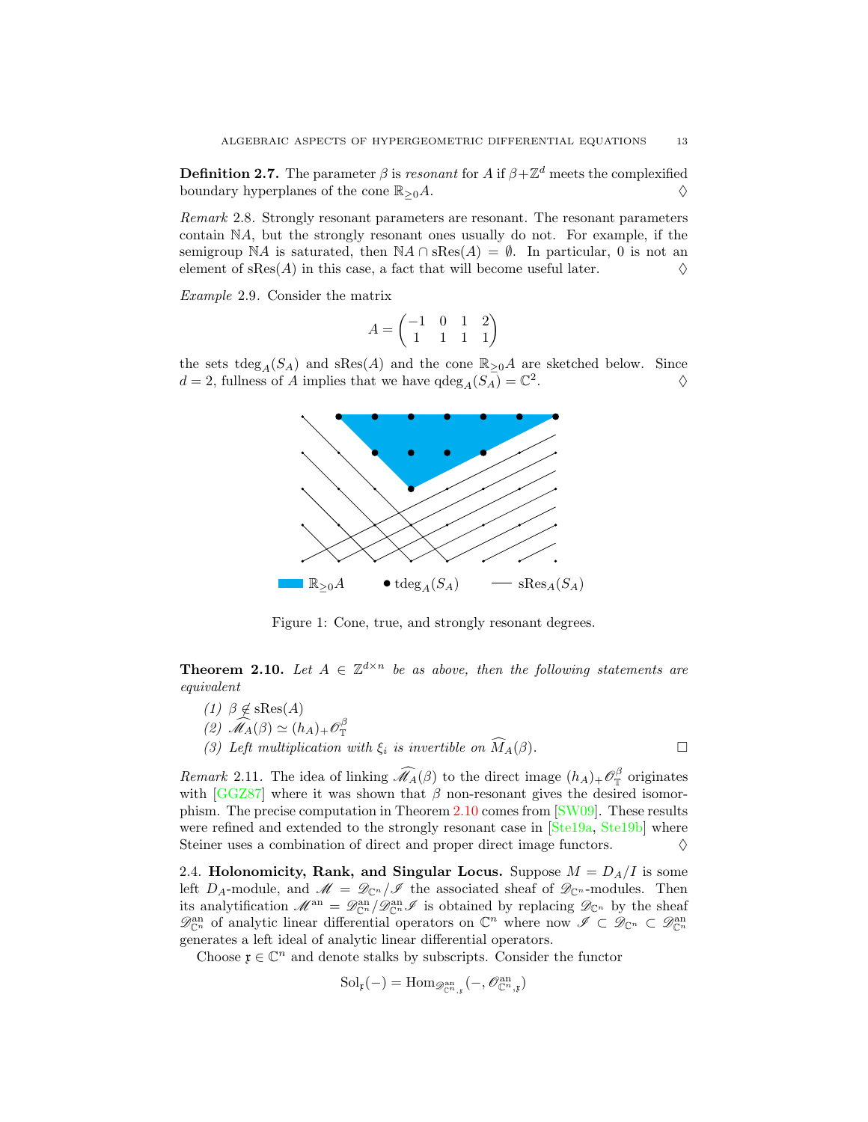<span id="page-12-1"></span>**Definition 2.7.** The parameter  $\beta$  is resonant for A if  $\beta + \mathbb{Z}^d$  meets the complexified boundary hyperplanes of the cone  $\mathbb{R}_{\geq 0}A$ .  $\diamondsuit$ 

Remark 2.8. Strongly resonant parameters are resonant. The resonant parameters contain NA, but the strongly resonant ones usually do not. For example, if the semigroup NA is saturated, then NA ∩ sRes(A) =  $\emptyset$ . In particular, 0 is not an element of sRes(A) in this case, a fact that will become useful later. element of  $sRes(A)$  in this case, a fact that will become useful later.

Example 2.9. Consider the matrix

$$
A=\begin{pmatrix} -1&0&1&2\\1&1&1&1 \end{pmatrix}
$$

the sets tdeg<sub>A</sub>(S<sub>A</sub>) and sRes(A) and the cone  $\mathbb{R}_{\geq 0}A$  are sketched below. Since  $d = 2$ , fullness of A implies that we have  $q \deg_A(S_A) = \mathbb{C}^2$ .  $\Diamond$ 



Figure 1: Cone, true, and strongly resonant degrees.

<span id="page-12-2"></span>**Theorem 2.10.** Let  $A \in \mathbb{Z}^{d \times n}$  be as above, then the following statements are equivalent

(1)  $\beta \notin \text{sRes}(A)$ (2)  $\widehat{\mathscr{M}}_A(\beta) \simeq (h_A)_+ \mathscr{O}_{\mathbb{T}}^{\beta}$ (2)  $\mathcal{M}_{A}(\beta) = (n_{A}) + \mathcal{O}_{\mathbb{T}}$ <br>(3) Left multiplication with  $\xi_i$  is invertible on  $\widehat{M}_A(\beta)$ .

<span id="page-12-3"></span>Remark 2.11. The idea of linking  $\widehat{\mathcal{M}}_A(\beta)$  to the direct image  $(h_A)_+\mathcal{O}_{\mathbb{T}}^{\beta}$  $\int_{\mathbb{T}}^{\infty}$  originates with  $[GGZ87]$  where it was shown that  $\beta$  non-resonant gives the desired isomorphism. The precise computation in Theorem [2.10](#page-12-2) comes from [\[SW09\]](#page-57-3). These results were refined and extended to the strongly resonant case in [\[Ste19a,](#page-57-6) [Ste19b\]](#page-57-7) where Steiner uses a combination of direct and proper direct image functors.  $\Diamond$ 

<span id="page-12-0"></span>2.4. Holonomicity, Rank, and Singular Locus. Suppose  $M = D_A/I$  is some left  $D_A$ -module, and  $\mathscr{M} = \mathscr{D}_{\mathbb{C}^n}/\mathscr{I}$  the associated sheaf of  $\mathscr{D}_{\mathbb{C}^n}$ -modules. Then its analytification  $\mathscr{M}^{\rm an} = \mathscr{D}^{\rm an}_{\mathbb{C}^n}/\mathscr{D}^{\rm an}_{\mathbb{C}^n}$  is obtained by replacing  $\mathscr{D}_{\mathbb{C}^n}$  by the sheaf  $\mathscr{D}_{\mathbb{C}^n}^{\rm an}$  of analytic linear differential operators on  $\mathbb{C}^n$  where now  $\mathscr{I} \subset \mathscr{D}_{\mathbb{C}^n} \subset \mathscr{D}_{\mathbb{C}^n}^{\rm an}$ generates a left ideal of analytic linear differential operators.

Choose  $\mathfrak{x}\in \mathbb{C}^n$  and denote stalks by subscripts. Consider the functor

$$
Sol_{\mathfrak{x}}(-) = \mathrm{Hom}_{\mathscr{D}^{\mathrm{an}}_{\mathbb{C}^n, \mathfrak{x}}}(-, \mathscr{O}^{\mathrm{an}}_{\mathbb{C}^n, \mathfrak{x}})
$$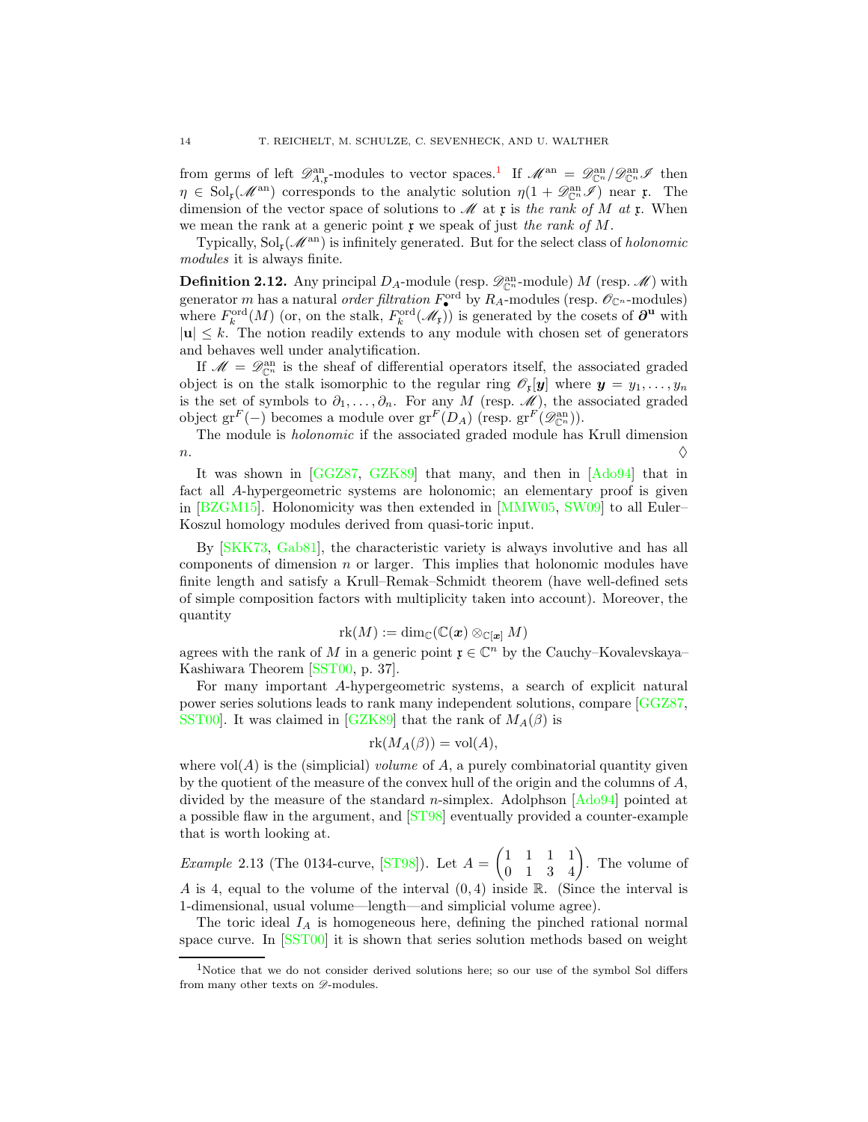from germs of left  $\mathscr{D}_{A,\mathfrak{x}}^{\text{an}}$ -modules to vector spaces.<sup>[1](#page-13-1)</sup> If  $\mathscr{M}^{\text{an}} = \mathscr{D}_{\mathbb{C}^n}^{\text{an}} / \mathscr{D}_{\mathbb{C}^n}^{\text{an}} \mathscr{I}$  then  $\eta \in Sol_{\mathfrak{r}}(\mathcal{M}^{\text{an}})$  corresponds to the analytic solution  $\eta(1+\mathscr{D}_{\mathbb{C}^n}^{\text{an}}\mathscr{I})$  near  $\mathfrak{r}$ . The dimension of the vector space of solutions to  $\mathcal{M}$  at x is the rank of M at x. When we mean the rank at a generic point  $\mathfrak x$  we speak of just the rank of M.

Typically,  $Sol<sub>r</sub>(M<sup>an</sup>)$  is infinitely generated. But for the select class of *holonomic* modules it is always finite.

<span id="page-13-0"></span>**Definition 2.12.** Any principal  $D_A$ -module (resp.  $\mathscr{D}_{\mathbb{C}^n}^{an}$ -module) M (resp.  $\mathscr{M}$ ) with generator m has a natural *order filtration*  $F_{\bullet}^{\text{ord}}$  by  $R_A$ -modules (resp.  $\mathscr{O}_{\mathbb{C}^n}$ -modules) where  $F_k^{\text{ord}}(M)$  (or, on the stalk,  $F_k^{\text{ord}}(\mathcal{M}_k)$ ) is generated by the cosets of  $\partial^{\mathbf{u}}$  with  $|u| \leq k$ . The notion readily extends to any module with chosen set of generators and behaves well under analytification.

If  $\mathcal{M} = \mathcal{D}_{\mathbb{C}^n}^{\text{an}}$  is the sheaf of differential operators itself, the associated graded object is on the stalk isomorphic to the regular ring  $\mathscr{O}_r[\boldsymbol{y}]$  where  $\boldsymbol{y} = y_1, \ldots, y_n$ is the set of symbols to  $\partial_1, \ldots, \partial_n$ . For any M (resp. M), the associated graded object  $gr^F(-)$  becomes a module over  $gr^F(D_A)$  (resp.  $gr^F(\mathscr{D}_{\mathbb{C}^n}^{an})$ ).

The module is holonomic if the associated graded module has Krull dimension n.  $\Diamond$ 

It was shown in [\[GGZ87,](#page-54-1) [GZK89\]](#page-55-2) that many, and then in [\[Ado94\]](#page-52-1) that in fact all A-hypergeometric systems are holonomic; an elementary proof is given in [\[BZGM15\]](#page-53-5). Holonomicity was then extended in [\[MMW05,](#page-56-4) [SW09\]](#page-57-3) to all Euler– Koszul homology modules derived from quasi-toric input.

By [\[SKK73,](#page-57-8) [Gab81\]](#page-54-7), the characteristic variety is always involutive and has all components of dimension  $n$  or larger. This implies that holonomic modules have finite length and satisfy a Krull–Remak–Schmidt theorem (have well-defined sets of simple composition factors with multiplicity taken into account). Moreover, the quantity

$$
\mathrm{rk}(M):=\dim_\mathbb{C}(\mathbb{C}(\bm{x})\otimes_{\mathbb{C}[\bm{x}]}M)
$$

agrees with the rank of M in a generic point  $\mathfrak{x} \in \mathbb{C}^n$  by the Cauchy–Kovalevskaya– Kashiwara Theorem [\[SST00,](#page-57-1) p. 37].

For many important A-hypergeometric systems, a search of explicit natural power series solutions leads to rank many independent solutions, compare [\[GGZ87,](#page-54-1) [SST00\]](#page-57-1). It was claimed in [\[GZK89\]](#page-55-2) that the rank of  $M_A(\beta)$  is

$$
rk(M_A(\beta)) = vol(A),
$$

where  $vol(A)$  is the (simplicial) *volume* of A, a purely combinatorial quantity given by the quotient of the measure of the convex hull of the origin and the columns of A, divided by the measure of the standard *n*-simplex. Adolphson  $[Ad_094]$  pointed at a possible flaw in the argument, and [\[ST98\]](#page-57-9) eventually provided a counter-example that is worth looking at.

<span id="page-13-2"></span>*Example* 2.13 (The 0134-curve,  $ST98$ ). Let  $A =$  $\begin{pmatrix} 1 & 1 & 1 & 1 \\ 0 & 1 & 3 & 4 \end{pmatrix}$ . The volume of A is 4, equal to the volume of the interval  $(0, 4)$  inside R. (Since the interval is 1-dimensional, usual volume—length—and simplicial volume agree).

The toric ideal  $I_A$  is homogeneous here, defining the pinched rational normal space curve. In [\[SST00\]](#page-57-1) it is shown that series solution methods based on weight

<span id="page-13-1"></span><sup>1</sup>Notice that we do not consider derived solutions here; so our use of the symbol Sol differs from many other texts on  $\mathscr{D}\text{-modules.}$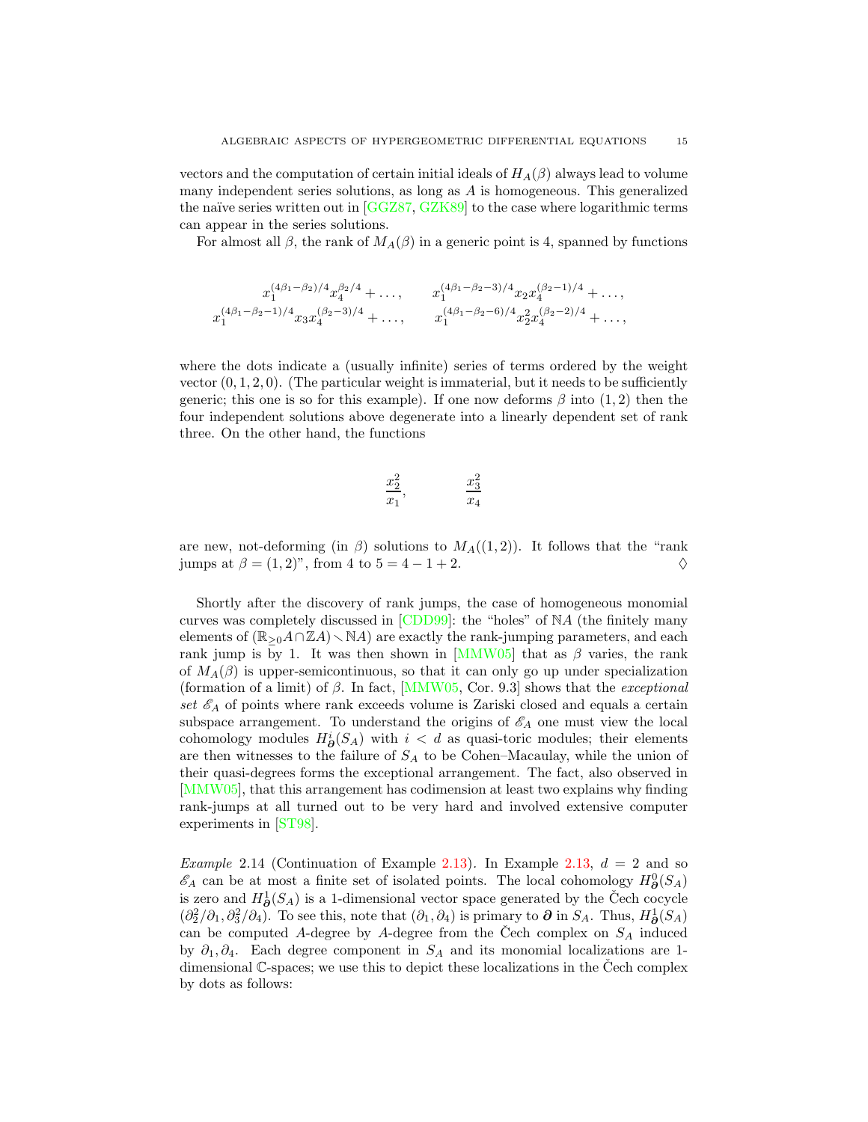vectors and the computation of certain initial ideals of  $H_A(\beta)$  always lead to volume many independent series solutions, as long as  $A$  is homogeneous. This generalized the naïve series written out in  $[GGZ87, GZK89]$  $[GGZ87, GZK89]$  to the case where logarithmic terms can appear in the series solutions.

For almost all  $\beta$ , the rank of  $M_A(\beta)$  in a generic point is 4, spanned by functions

$$
x_1^{(4\beta_1-\beta_2)/4}x_4^{\beta_2/4} + \dots, \t x_1^{(4\beta_1-\beta_2-3)/4}x_2x_4^{(\beta_2-1)/4} + \dots,
$$
  

$$
x_1^{(4\beta_1-\beta_2-1)/4}x_3x_4^{(\beta_2-3)/4} + \dots, \t x_1^{(4\beta_1-\beta_2-6)/4}x_2^{2}x_4^{(\beta_2-2)/4} + \dots,
$$

where the dots indicate a (usually infinite) series of terms ordered by the weight vector  $(0, 1, 2, 0)$ . (The particular weight is immaterial, but it needs to be sufficiently generic; this one is so for this example). If one now deforms  $\beta$  into  $(1, 2)$  then the four independent solutions above degenerate into a linearly dependent set of rank three. On the other hand, the functions

$$
\frac{x_2^2}{x_1}, \qquad \frac{x_3^2}{x_4}
$$

are new, not-deforming (in  $\beta$ ) solutions to  $M_A((1, 2))$ . It follows that the "rank jumps at  $\beta = (1, 2)$ ", from 4 to  $5 = 4 - 1 + 2$ .

Shortly after the discovery of rank jumps, the case of homogeneous monomial curves was completely discussed in [\[CDD99\]](#page-53-6): the "holes" of NA (the finitely many elements of  $(\mathbb{R}_{\geq 0}A\cap \mathbb{Z}A)\setminus \mathbb{N}A$  are exactly the rank-jumping parameters, and each rank jump is by 1. It was then shown in [\[MMW05\]](#page-56-4) that as  $\beta$  varies, the rank of  $M_A(\beta)$  is upper-semicontinuous, so that it can only go up under specialization (formation of a limit) of  $\beta$ . In fact, [\[MMW05,](#page-56-4) Cor. 9.3] shows that the *exceptional* set  $\mathscr{E}_A$  of points where rank exceeds volume is Zariski closed and equals a certain subspace arrangement. To understand the origins of  $\mathscr{E}_A$  one must view the local cohomology modules  $H^i_{\partial}(S_A)$  with  $i < d$  as quasi-toric modules; their elements are then witnesses to the failure of  $S_A$  to be Cohen–Macaulay, while the union of their quasi-degrees forms the exceptional arrangement. The fact, also observed in [\[MMW05\]](#page-56-4), that this arrangement has codimension at least two explains why finding rank-jumps at all turned out to be very hard and involved extensive computer experiments in [\[ST98\]](#page-57-9).

Example 2.14 (Continuation of Example [2.13\)](#page-13-2). In Example [2.13,](#page-13-2)  $d = 2$  and so  $\mathscr{E}_A$  can be at most a finite set of isolated points. The local cohomology  $H^0_{\boldsymbol{\partial}}(S_A)$ is zero and  $H^1_{\mathfrak{D}}(S_A)$  is a 1-dimensional vector space generated by the Čech cocycle  $(\partial_2^2/\partial_1, \partial_3^2/\partial_4)$ . To see this, note that  $(\partial_1, \partial_4)$  is primary to  $\partial$  in  $S_A$ . Thus,  $H^1_{\partial}(S_A)$ can be computed A-degree by A-degree from the Čech complex on  $S_A$  induced by  $\partial_1, \partial_4$ . Each degree component in  $S_A$  and its monomial localizations are 1dimensional  $\mathbb{C}$ -spaces; we use this to depict these localizations in the Cech complex by dots as follows: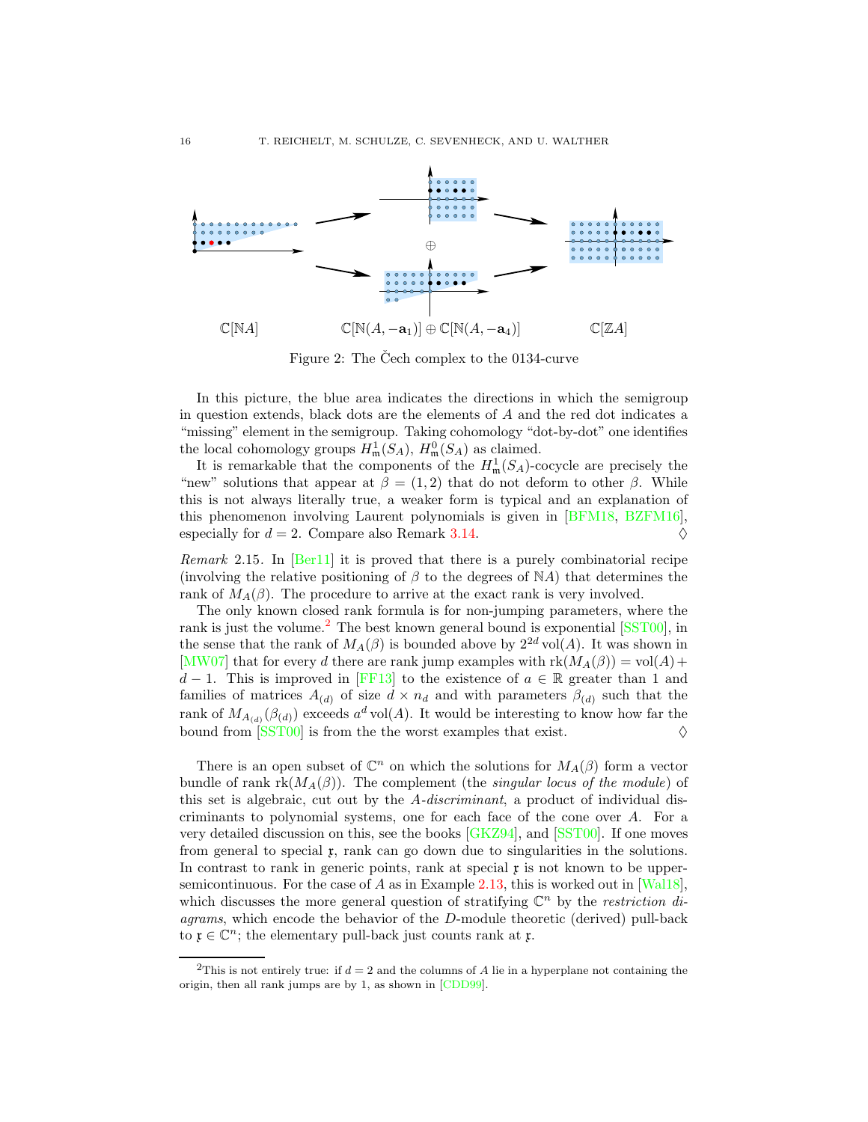<span id="page-15-2"></span>

Figure 2: The Cech complex to the  $0134$ -curve

In this picture, the blue area indicates the directions in which the semigroup in question extends, black dots are the elements of  $A$  and the red dot indicates a "missing" element in the semigroup. Taking cohomology "dot-by-dot" one identifies the local cohomology groups  $H^1_{\mathfrak{m}}(S_A)$ ,  $H^0_{\mathfrak{m}}(S_A)$  as claimed.

It is remarkable that the components of the  $H^1_{\mathfrak{m}}(S_A)$ -cocycle are precisely the "new" solutions that appear at  $\beta = (1, 2)$  that do not deform to other  $\beta$ . While this is not always literally true, a weaker form is typical and an explanation of this phenomenon involving Laurent polynomials is given in [\[BFM18,](#page-52-8) [BZFM16\]](#page-53-7), especially for  $d = 2$ . Compare also Remark [3.14.](#page-24-0)

<span id="page-15-1"></span>Remark 2.15. In [\[Ber11\]](#page-52-9) it is proved that there is a purely combinatorial recipe (involving the relative positioning of  $\beta$  to the degrees of NA) that determines the rank of  $M_A(\beta)$ . The procedure to arrive at the exact rank is very involved.

The only known closed rank formula is for non-jumping parameters, where the rank is just the volume.<sup>[2](#page-15-0)</sup> The best known general bound is exponential  $[SST00]$ , in the sense that the rank of  $M_A(\beta)$  is bounded above by  $2^{2d}$  vol(A). It was shown in [\[MW07\]](#page-56-10) that for every d there are rank jump examples with  $rk(M_A(\beta)) = vol(A) +$  $d-1$ . This is improved in [\[FF13\]](#page-54-8) to the existence of  $a \in \mathbb{R}$  greater than 1 and families of matrices  $A_{(d)}$  of size  $d \times n_d$  and with parameters  $\beta_{(d)}$  such that the rank of  $M_{A_{(d)}}(\beta_{(d)})$  exceeds  $a^d \text{vol}(A)$ . It would be interesting to know how far the bound from  $[SST00]$  is from the the worst examples that exist.

There is an open subset of  $\mathbb{C}^n$  on which the solutions for  $M_A(\beta)$  form a vector bundle of rank  $rk(M_A(\beta))$ . The complement (the *singular locus of the module*) of this set is algebraic, cut out by the A-discriminant, a product of individual discriminants to polynomial systems, one for each face of the cone over A. For a very detailed discussion on this, see the books [\[GKZ94\]](#page-54-9), and [\[SST00\]](#page-57-1). If one moves from general to special  $x$ , rank can go down due to singularities in the solutions. In contrast to rank in generic points, rank at special  $x$  is not known to be upper-semicontinuous. For the case of A as in Example [2.13,](#page-13-2) this is worked out in  $[Wall8]$ , which discusses the more general question of stratifying  $\mathbb{C}^n$  by the *restriction di*agrams, which encode the behavior of the D-module theoretic (derived) pull-back to  $\mathfrak{x} \in \mathbb{C}^n$ ; the elementary pull-back just counts rank at  $\mathfrak{x}$ .

<span id="page-15-0"></span><sup>&</sup>lt;sup>2</sup>This is not entirely true: if  $d = 2$  and the columns of A lie in a hyperplane not containing the origin, then all rank jumps are by 1, as shown in [\[CDD99\]](#page-53-6).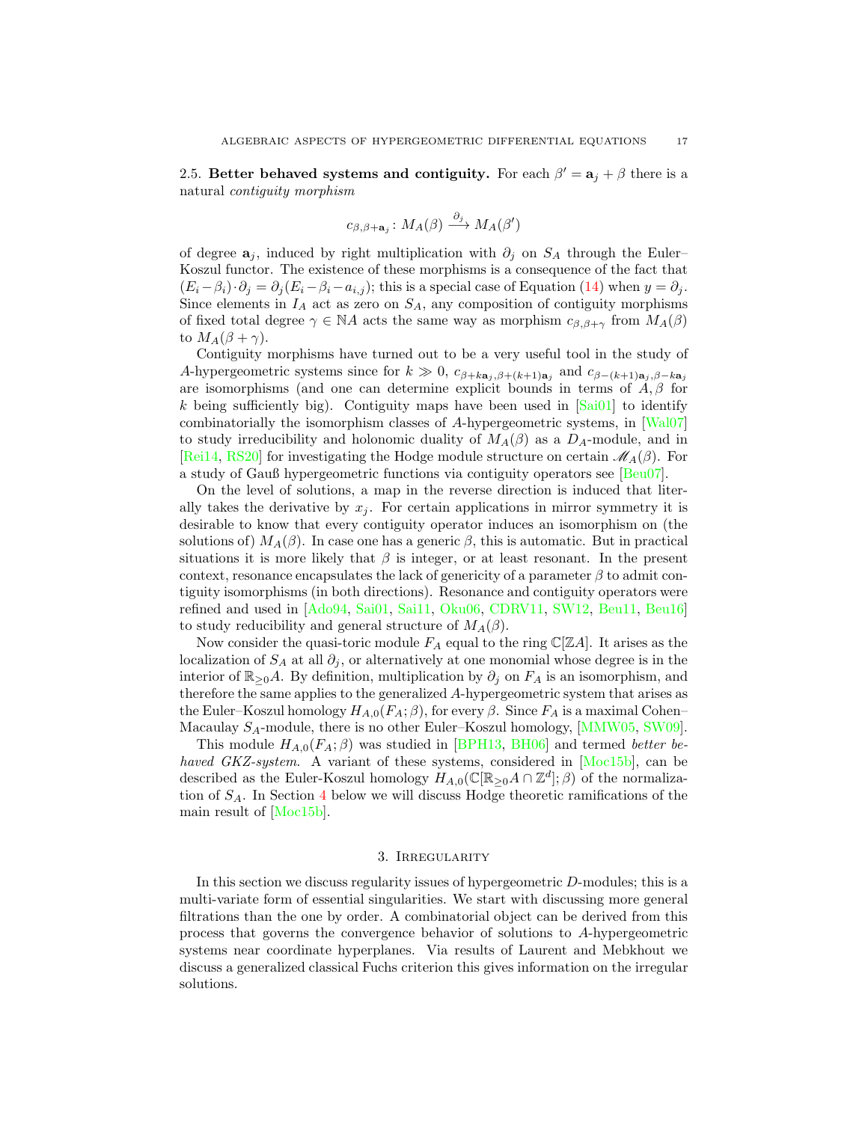<span id="page-16-0"></span>2.5. Better behaved systems and contiguity. For each  $\beta' = a_j + \beta$  there is a natural contiguity morphism

$$
c_{\beta,\beta+\mathbf{a}_j} \colon M_A(\beta) \xrightarrow{\partial_j} M_A(\beta')
$$

of degree  $a_j$ , induced by right multiplication with  $\partial_j$  on  $S_A$  through the Euler– Koszul functor. The existence of these morphisms is a consequence of the fact that  $(E_i-\beta_i)\cdot\partial_j=\partial_j(E_i-\beta_i-a_{i,j});$  this is a special case of Equation [\(14\)](#page-10-1) when  $y=\partial_j$ . Since elements in  $I_A$  act as zero on  $S_A$ , any composition of contiguity morphisms of fixed total degree  $\gamma \in \mathbb{N}A$  acts the same way as morphism  $c_{\beta,\beta+\gamma}$  from  $M_A(\beta)$ to  $M_A(\beta + \gamma)$ .

Contiguity morphisms have turned out to be a very useful tool in the study of A-hypergeometric systems since for  $k \gg 0$ ,  $c_{\beta+k\mathbf{a}_j,\beta+(k+1)\mathbf{a}_j}$  and  $c_{\beta-(k+1)\mathbf{a}_j,\beta-k\mathbf{a}_j}$ are isomorphisms (and one can determine explicit bounds in terms of  $A, \beta$  for k being sufficiently big). Contiguity maps have been used in  $[Si01]$  to identify combinatorially the isomorphism classes of A-hypergeometric systems, in [\[Wal07\]](#page-57-5) to study irreducibility and holonomic duality of  $M_A(\beta)$  as a  $D_A$ -module, and in [\[Rei14,](#page-56-5) [RS20\]](#page-56-8) for investigating the Hodge module structure on certain  $\mathcal{M}_A(\beta)$ . For a study of Gauß hypergeometric functions via contiguity operators see [\[Beu07\]](#page-52-10).

On the level of solutions, a map in the reverse direction is induced that literally takes the derivative by  $x_j$ . For certain applications in mirror symmetry it is desirable to know that every contiguity operator induces an isomorphism on (the solutions of)  $M_A(\beta)$ . In case one has a generic  $\beta$ , this is automatic. But in practical situations it is more likely that  $\beta$  is integer, or at least resonant. In the present context, resonance encapsulates the lack of genericity of a parameter  $\beta$  to admit contiguity isomorphisms (in both directions). Resonance and contiguity operators were refined and used in [\[Ado94,](#page-52-1) [Sai01,](#page-56-11) [Sai11,](#page-56-3) [Oku06,](#page-56-12) [CDRV11,](#page-53-8) [SW12,](#page-57-2) [Beu11,](#page-52-6) [Beu16\]](#page-52-11) to study reducibility and general structure of  $M_A(\beta)$ .

Now consider the quasi-toric module  $F_A$  equal to the ring  $\mathbb{C}[\mathbb{Z}A]$ . It arises as the localization of  $S_A$  at all  $\partial_j$ , or alternatively at one monomial whose degree is in the interior of  $\mathbb{R}_{\geq 0}A$ . By definition, multiplication by  $\partial_j$  on  $F_A$  is an isomorphism, and therefore the same applies to the generalized A-hypergeometric system that arises as the Euler–Koszul homology  $H_{A,0}(F_A;\beta)$ , for every  $\beta$ . Since  $F_A$  is a maximal Cohen– Macaulay  $S_A$ -module, there is no other Euler–Koszul homology, [\[MMW05,](#page-56-4) [SW09\]](#page-57-3).

This module  $H_{A,0}(F_A;\beta)$  was studied in [\[BPH13,](#page-53-9) [BH06\]](#page-53-10) and termed *better be*-haved GKZ-system. A variant of these systems, considered in [\[Moc15b\]](#page-56-13), can be described as the Euler-Koszul homology  $H_{A,0}(\mathbb{C}[\mathbb{R}_{\geq 0} A \cap \mathbb{Z}^d];\beta)$  of the normalization of  $S_A$ . In Section [4](#page-25-0) below we will discuss Hodge theoretic ramifications of the main result of [\[Moc15b\]](#page-56-13).

## 3. Irregularity

<span id="page-16-1"></span>In this section we discuss regularity issues of hypergeometric D-modules; this is a multi-variate form of essential singularities. We start with discussing more general filtrations than the one by order. A combinatorial object can be derived from this process that governs the convergence behavior of solutions to A-hypergeometric systems near coordinate hyperplanes. Via results of Laurent and Mebkhout we discuss a generalized classical Fuchs criterion this gives information on the irregular solutions.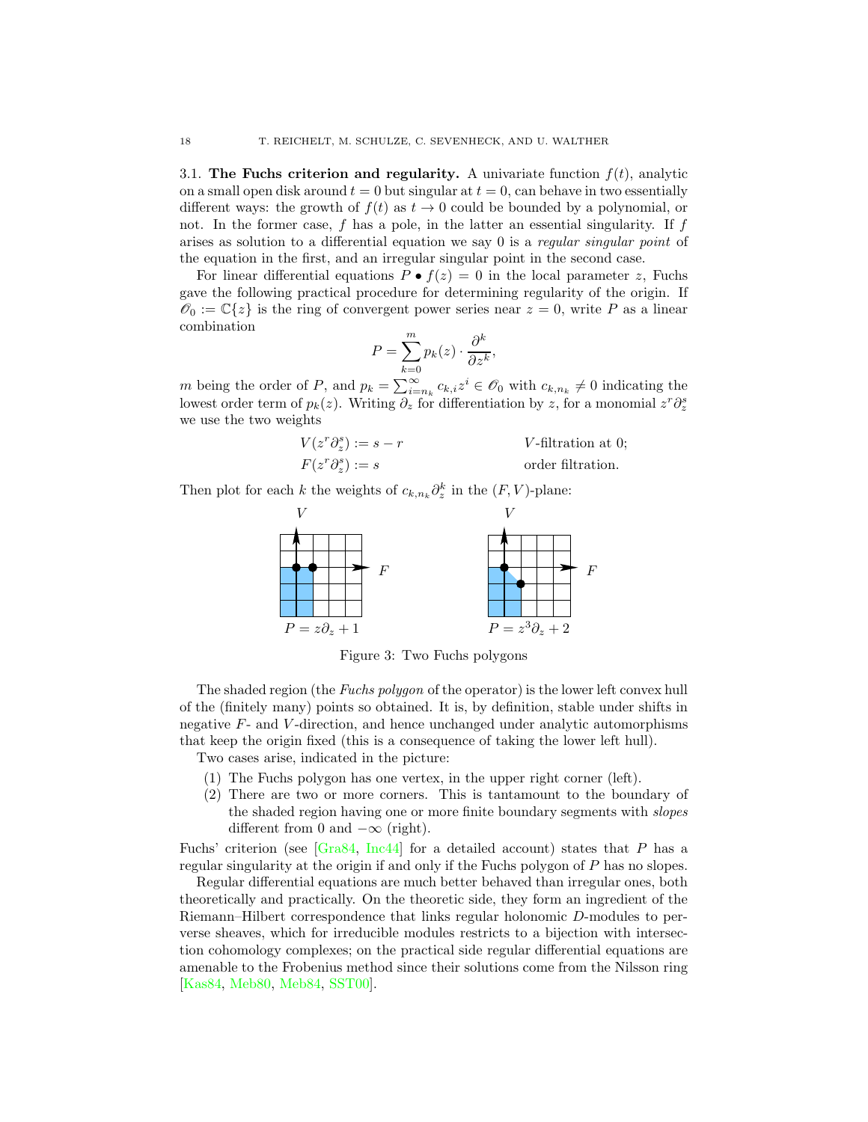<span id="page-17-0"></span>3.1. The Fuchs criterion and regularity. A univariate function  $f(t)$ , analytic on a small open disk around  $t = 0$  but singular at  $t = 0$ , can behave in two essentially different ways: the growth of  $f(t)$  as  $t \to 0$  could be bounded by a polynomial, or not. In the former case,  $f$  has a pole, in the latter an essential singularity. If  $f$ arises as solution to a differential equation we say 0 is a *regular singular point* of the equation in the first, and an irregular singular point in the second case.

For linear differential equations  $P \bullet f(z) = 0$  in the local parameter z, Fuchs gave the following practical procedure for determining regularity of the origin. If  $\mathscr{O}_0 := \mathbb{C}\{z\}$  is the ring of convergent power series near  $z = 0$ , write P as a linear combination

$$
P = \sum_{k=0}^{m} p_k(z) \cdot \frac{\partial^k}{\partial z^k},
$$

m being the order of P, and  $p_k = \sum_{i=n_k}^{\infty} c_{k,i} z^i \in \mathscr{O}_0$  with  $c_{k,n_k} \neq 0$  indicating the lowest order term of  $p_k(z)$ . Writing  $\partial_z$  for differentiation by z, for a monomial  $z^r \partial_z^s$ we use the two weights

$$
V(z^r \partial_z^s) := s - r
$$
  
\n
$$
F(z^r \partial_z^s) := s
$$
  
\n
$$
V\text{-filtration at 0;}
$$
  
\n
$$
\text{order filtration.}
$$

Then plot for each k the weights of  $c_{k,n_k}\partial_z^k$  in the  $(F, V)$ -plane:



Figure 3: Two Fuchs polygons

The shaded region (the *Fuchs polygon* of the operator) is the lower left convex hull of the (finitely many) points so obtained. It is, by definition, stable under shifts in negative F- and V -direction, and hence unchanged under analytic automorphisms that keep the origin fixed (this is a consequence of taking the lower left hull).

Two cases arise, indicated in the picture:

- <span id="page-17-1"></span>(1) The Fuchs polygon has one vertex, in the upper right corner (left).
- (2) There are two or more corners. This is tantamount to the boundary of the shaded region having one or more finite boundary segments with *slopes* different from 0 and  $-\infty$  (right).

Fuchs' criterion (see  $\left[\text{Gra84}, \text{Inc44}\right]$  for a detailed account) states that P has a regular singularity at the origin if and only if the Fuchs polygon of P has no slopes.

Regular differential equations are much better behaved than irregular ones, both theoretically and practically. On the theoretic side, they form an ingredient of the Riemann–Hilbert correspondence that links regular holonomic D-modules to perverse sheaves, which for irreducible modules restricts to a bijection with intersection cohomology complexes; on the practical side regular differential equations are amenable to the Frobenius method since their solutions come from the Nilsson ring [\[Kas84,](#page-55-10) [Meb80,](#page-55-11) [Meb84,](#page-56-14) [SST00\]](#page-57-1).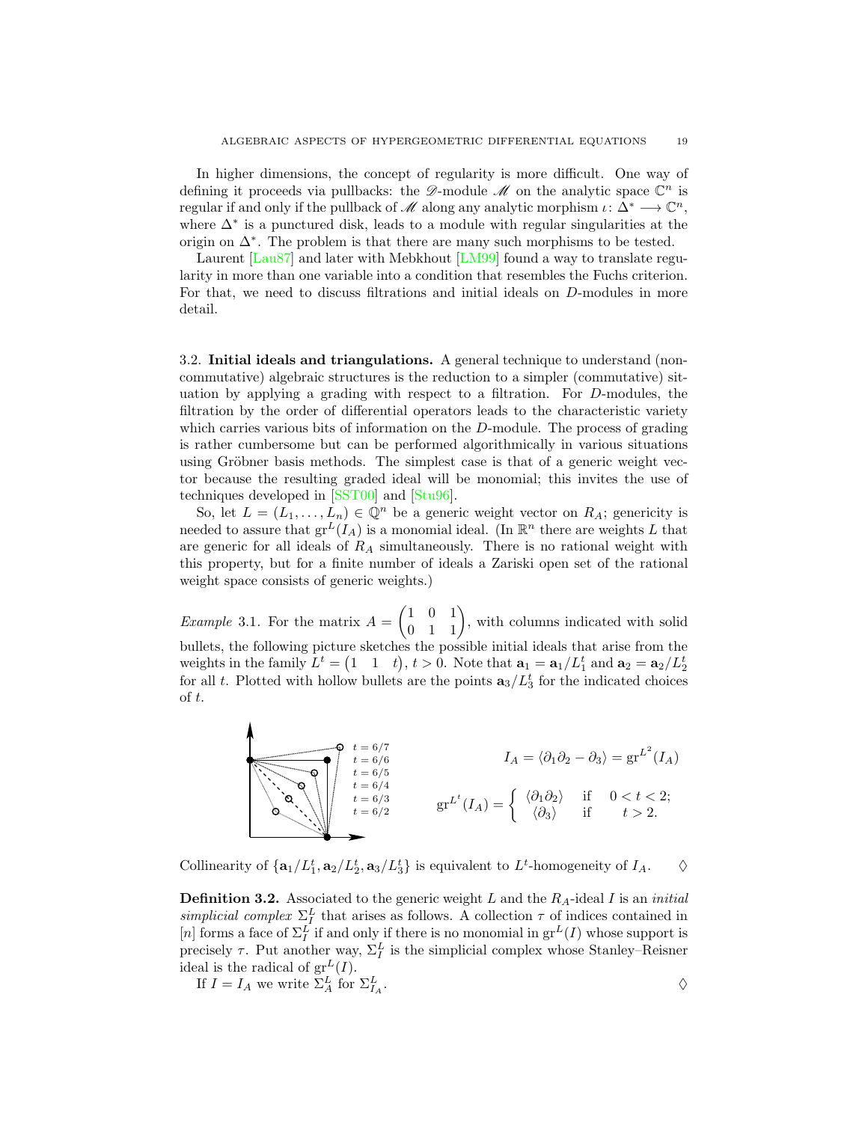In higher dimensions, the concept of regularity is more difficult. One way of defining it proceeds via pullbacks: the  $\mathscr{D}$ -module  $\mathscr{M}$  on the analytic space  $\mathbb{C}^n$  is regular if and only if the pullback of  $\mathscr M$  along any analytic morphism  $\iota: \Delta^* \longrightarrow \mathbb{C}^n$ , where ∆<sup>∗</sup> is a punctured disk, leads to a module with regular singularities at the origin on ∆<sup>∗</sup> . The problem is that there are many such morphisms to be tested.

Laurent [\[Lau87\]](#page-55-12) and later with Mebkhout [\[LM99\]](#page-55-13) found a way to translate regularity in more than one variable into a condition that resembles the Fuchs criterion. For that, we need to discuss filtrations and initial ideals on D-modules in more detail.

<span id="page-18-0"></span>3.2. Initial ideals and triangulations. A general technique to understand (noncommutative) algebraic structures is the reduction to a simpler (commutative) situation by applying a grading with respect to a filtration. For D-modules, the filtration by the order of differential operators leads to the characteristic variety which carries various bits of information on the D-module. The process of grading is rather cumbersome but can be performed algorithmically in various situations using Gröbner basis methods. The simplest case is that of a generic weight vector because the resulting graded ideal will be monomial; this invites the use of techniques developed in [\[SST00\]](#page-57-1) and [\[Stu96\]](#page-57-11).

So, let  $L = (L_1, \ldots, L_n) \in \mathbb{Q}^n$  be a generic weight vector on  $R_A$ ; genericity is needed to assure that  $gr^L(I_A)$  is a monomial ideal. (In  $\mathbb{R}^n$  there are weights L that are generic for all ideals of  $R_A$  simultaneously. There is no rational weight with this property, but for a finite number of ideals a Zariski open set of the rational weight space consists of generic weights.)

<span id="page-18-1"></span>*Example* 3.1. For the matrix  $A =$  $\begin{pmatrix} 1 & 0 & 1 \\ 0 & 1 & 1 \end{pmatrix}$ , with columns indicated with solid bullets, the following picture sketches the possible initial ideals that arise from the weights in the family  $L^t = (1 \ 1 \ t), t > 0$ . Note that  $\mathbf{a}_1 = \mathbf{a}_1 / L_1^t$  and  $\mathbf{a}_2 = \mathbf{a}_2 / L_2^t$ for all t. Plotted with hollow bullets are the points  $\mathbf{a}_3/L_3^t$  for the indicated choices of t.



Collinearity of  $\{a_1/L_1^t, a_2/L_2^t, a_3/L_3^t\}$  is equivalent to  $L^t$ -homogeneity of  $I_A$ .  $\diamond$ 

<span id="page-18-2"></span>**Definition 3.2.** Associated to the generic weight L and the  $R_A$ -ideal I is an *initial* simplicial complex  $\Sigma_I^L$  that arises as follows. A collection  $\tau$  of indices contained in [n] forms a face of  $\Sigma_I^L$  if and only if there is no monomial in  $\mathrm{gr}^L(I)$  whose support is precisely  $\tau$ . Put another way,  $\Sigma_I^L$  is the simplicial complex whose Stanley–Reisner ideal is the radical of  $gr<sup>L</sup>(I)$ .

If 
$$
I = I_A
$$
 we write  $\Sigma_A^L$  for  $\Sigma_{I_A}^L$ .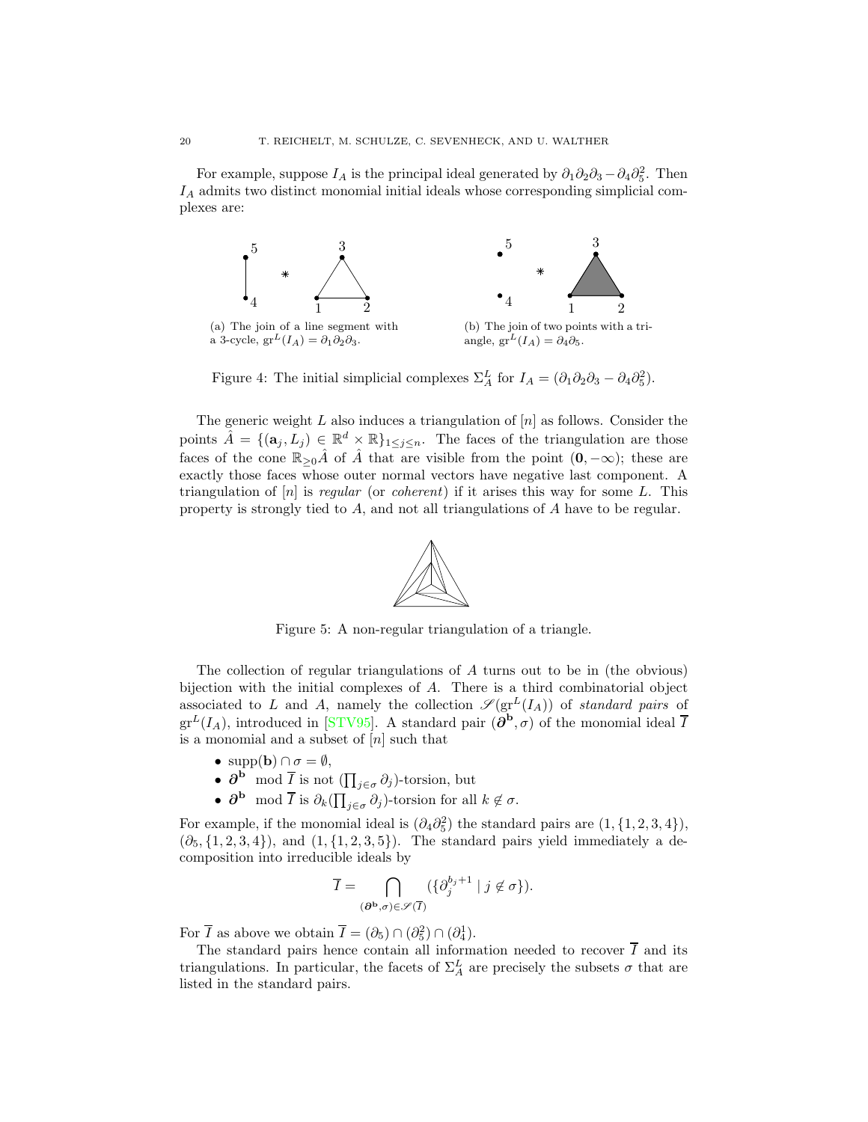For example, suppose  $I_A$  is the principal ideal generated by  $\partial_1 \partial_2 \partial_3 - \partial_4 \partial_5^2$ . Then  $I_A$  admits two distinct monomial initial ideals whose corresponding simplicial complexes are:



Figure 4: The initial simplicial complexes  $\Sigma^L_A$  for  $I_A = (\partial_1 \partial_2 \partial_3 - \partial_4 \partial_5^2)$ .

<span id="page-19-0"></span>The generic weight  $L$  also induces a triangulation of  $[n]$  as follows. Consider the points  $\hat{A} = \{(\mathbf{a}_j, L_j) \in \mathbb{R}^d \times \mathbb{R}\}_{1 \leq j \leq n}$ . The faces of the triangulation are those faces of the cone  $\mathbb{R}_{\geq 0}\hat{A}$  of  $\hat{A}$  that are visible from the point  $(0, -\infty)$ ; these are exactly those faces whose outer normal vectors have negative last component. A triangulation of  $[n]$  is regular (or coherent) if it arises this way for some L. This property is strongly tied to A, and not all triangulations of A have to be regular.



Figure 5: A non-regular triangulation of a triangle.

The collection of regular triangulations of A turns out to be in (the obvious) bijection with the initial complexes of A. There is a third combinatorial object associated to L and A, namely the collection  $\mathscr{S}(\mathrm{gr}^L(I_A))$  of standard pairs of  $gr^L(I_A)$ , introduced in [\[STV95\]](#page-57-12). A standard pair  $(\partial^{\mathbf{b}}, \sigma)$  of the monomial ideal  $\overline{I}$ is a monomial and a subset of  $[n]$  such that

- supp(**b**)  $\cap \sigma = \emptyset$ ,
- $\partial^{\mathbf{b}}$  mod  $\overline{I}$  is not  $(\prod_{j\in\sigma}\partial_j)$ -torsion, but
- $\partial^{\mathbf{b}} \mod \overline{I}$  is  $\partial_k \left( \prod_{j \in \sigma} \partial_j \right)$ -torsion for all  $k \notin \sigma$ .

For example, if the monomial ideal is  $(\partial_4 \partial_5^2)$  the standard pairs are  $(1, \{1, 2, 3, 4\})$ ,  $(\partial_5, \{1, 2, 3, 4\})$ , and  $(1, \{1, 2, 3, 5\})$ . The standard pairs yield immediately a decomposition into irreducible ideals by

$$
\overline{I} = \bigcap_{(\partial^{\mathbf{b}}, \sigma) \in \mathscr{S}(\overline{I})} (\{\partial_j^{b_j+1} \mid j \notin \sigma\}).
$$

For  $\overline{I}$  as above we obtain  $\overline{I} = (\partial_5) \cap (\partial_5^2) \cap (\partial_4^1)$ .

The standard pairs hence contain all information needed to recover  $\overline{I}$  and its triangulations. In particular, the facets of  $\Sigma^L_A$  are precisely the subsets  $\sigma$  that are listed in the standard pairs.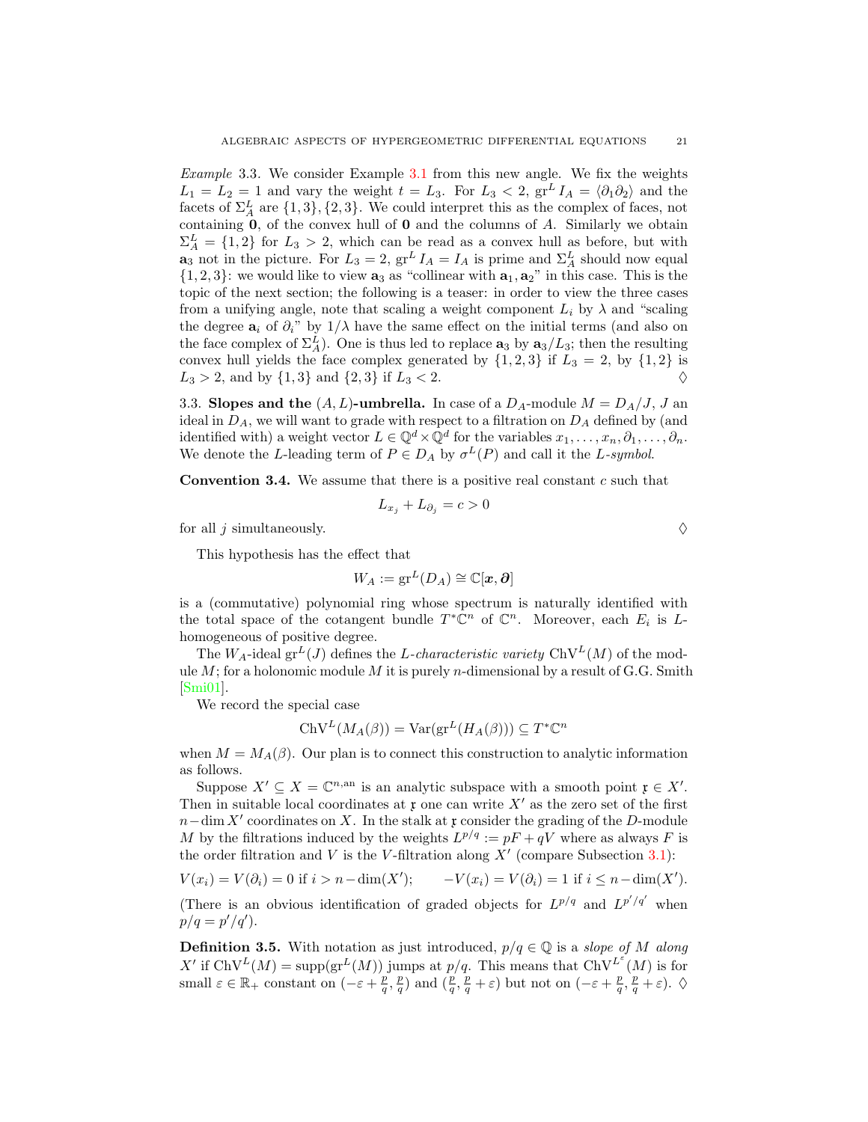<span id="page-20-1"></span>Example 3.3. We consider Example [3.1](#page-18-1) from this new angle. We fix the weights  $L_1 = L_2 = 1$  and vary the weight  $t = L_3$ . For  $L_3 < 2$ ,  $gr<sup>L</sup> I<sub>A</sub> = \langle \partial_1 \partial_2 \rangle$  and the facets of  $\Sigma^L_A$  are  $\{1,3\},\{2,3\}$ . We could interpret this as the complex of faces, not containing  $0$ , of the convex hull of  $0$  and the columns of  $A$ . Similarly we obtain  $\Sigma_A^L = \{1, 2\}$  for  $L_3 > 2$ , which can be read as a convex hull as before, but with  $\mathbf{a}_3$  not in the picture. For  $L_3 = 2$ ,  $\operatorname{gr}^L I_A = I_A$  is prime and  $\Sigma_A^L$  should now equal  $\{1,2,3\}$ : we would like to view  $a_3$  as "collinear with  $a_1, a_2$ " in this case. This is the topic of the next section; the following is a teaser: in order to view the three cases from a unifying angle, note that scaling a weight component  $L_i$  by  $\lambda$  and "scaling" the degree  $a_i$  of  $\partial_i$ " by  $1/\lambda$  have the same effect on the initial terms (and also on the face complex of  $\Sigma_A^L$ ). One is thus led to replace  $\mathbf{a}_3$  by  $\mathbf{a}_3/L_3$ ; then the resulting convex hull yields the face complex generated by  $\{1, 2, 3\}$  if  $L_3 = 2$ , by  $\{1, 2\}$  is  $L_3 > 2$ , and by  $\{1,3\}$  and  $\{2,3\}$  if  $L_3 < 2$ .

<span id="page-20-0"></span>3.3. Slopes and the  $(A, L)$ -umbrella. In case of a  $D_A$ -module  $M = D_A/J$ , J an ideal in  $D_A$ , we will want to grade with respect to a filtration on  $D_A$  defined by (and identified with) a weight vector  $L \in \mathbb{Q}^d \times \mathbb{Q}^d$  for the variables  $x_1, \ldots, x_n, \partial_1, \ldots, \partial_n$ . We denote the L-leading term of  $P \in D_A$  by  $\sigma^L(P)$  and call it the L-symbol.

<span id="page-20-3"></span>**Convention 3.4.** We assume that there is a positive real constant  $c$  such that

$$
L_{x_j} + L_{\partial_j} = c > 0
$$

for all j simultaneously.  $\Diamond$ 

This hypothesis has the effect that

$$
W_A:=\mathrm{gr}^L(D_A)\cong \mathbb{C}[\boldsymbol{x},\boldsymbol{\partial}]
$$

is a (commutative) polynomial ring whose spectrum is naturally identified with the total space of the cotangent bundle  $T^*\mathbb{C}^n$  of  $\mathbb{C}^n$ . Moreover, each  $E_i$  is Lhomogeneous of positive degree.

The  $W_A$ -ideal gr<sup>L</sup>(J) defines the L-characteristic variety ChV<sup>L</sup>(M) of the module  $M$ ; for a holonomic module  $M$  it is purely n-dimensional by a result of G.G. Smith [\[Smi01\]](#page-57-13).

We record the special case

$$
ChV^L(M_A(\beta)) = Var(gr^L(H_A(\beta))) \subseteq T^*{\mathbb{C}}^n
$$

when  $M = M_A(\beta)$ . Our plan is to connect this construction to analytic information as follows.

Suppose  $X' \subseteq X = \mathbb{C}^{n, \text{an}}$  is an analytic subspace with a smooth point  $\mathfrak{x} \in X'$ . Then in suitable local coordinates at  $x$  one can write  $X'$  as the zero set of the first  $n-\dim X'$  coordinates on X. In the stalk at x consider the grading of the D-module M by the filtrations induced by the weights  $L^{p/q} := pF + qV$  where as always F is the order filtration and  $V$  is the V-filtration along  $X'$  (compare Subsection [3.1\)](#page-17-0):

$$
V(x_i) = V(\partial_i) = 0 \text{ if } i > n - \dim(X'); \qquad -V(x_i) = V(\partial_i) = 1 \text{ if } i \leq n - \dim(X').
$$

(There is an obvious identification of graded objects for  $L^{p/q}$  and  $L^{p'/q'}$  when  $p/q = p'/q'.$ 

<span id="page-20-2"></span>**Definition 3.5.** With notation as just introduced,  $p/q \in \mathbb{Q}$  is a slope of M along X' if  $ChV^L(M) = \text{supp}(\text{gr}^L(M))$  jumps at  $p/q$ . This means that  $ChV^{L^{\varepsilon}}(M)$  is for small  $\varepsilon \in \mathbb{R}_+$  constant on  $(-\varepsilon + \frac{p}{q}, \frac{p}{q})$  and  $(\frac{p}{q}, \frac{p}{q} + \varepsilon)$  but not on  $(-\varepsilon + \frac{p}{q}, \frac{p}{q} + \varepsilon)$ .  $\diamondsuit$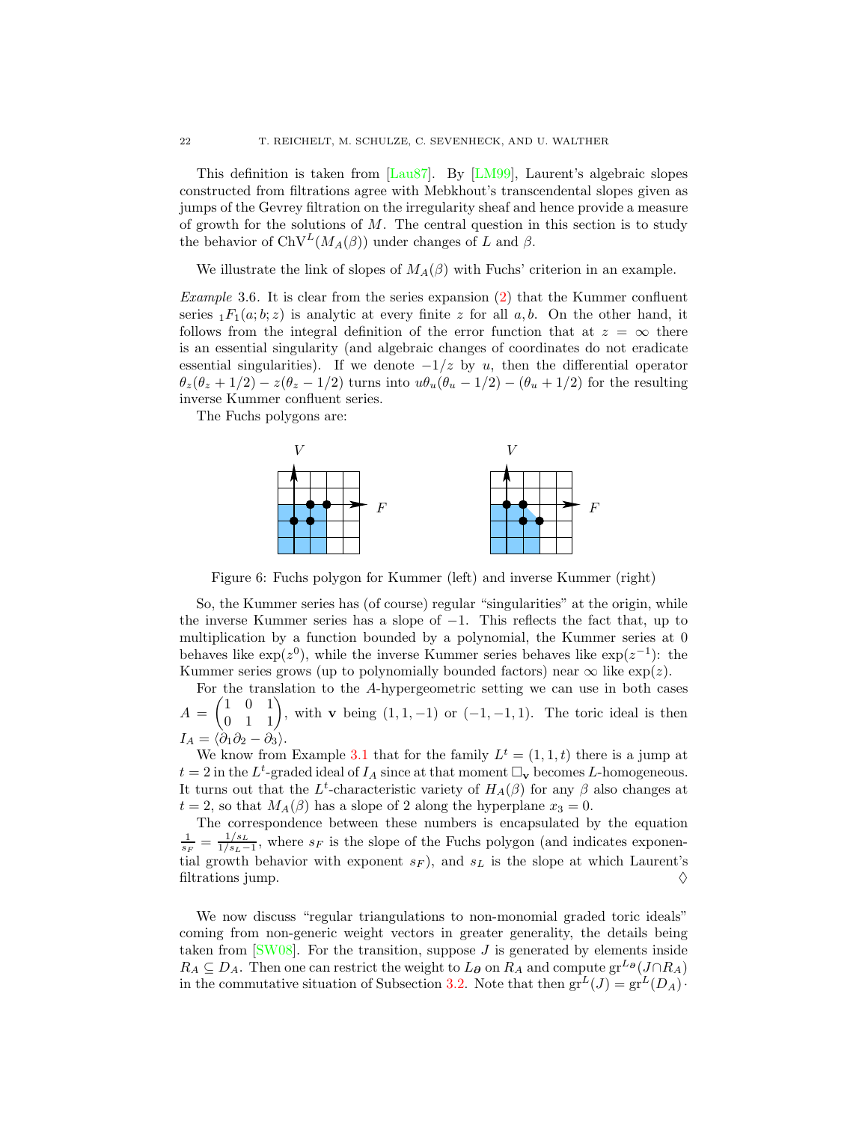This definition is taken from [\[Lau87\]](#page-55-12). By [\[LM99\]](#page-55-13), Laurent's algebraic slopes constructed from filtrations agree with Mebkhout's transcendental slopes given as jumps of the Gevrey filtration on the irregularity sheaf and hence provide a measure of growth for the solutions of  $M$ . The central question in this section is to study the behavior of  $ChV^L(M_A(\beta))$  under changes of L and  $\beta$ .

We illustrate the link of slopes of  $M_A(\beta)$  with Fuchs' criterion in an example.

Example 3.6. It is clear from the series expansion  $(2)$  that the Kummer confluent series  $_1F_1(a;b;z)$  is analytic at every finite z for all a, b. On the other hand, it follows from the integral definition of the error function that at  $z = \infty$  there is an essential singularity (and algebraic changes of coordinates do not eradicate essential singularities). If we denote  $-1/z$  by u, then the differential operator  $\theta_z(\theta_z + 1/2) - z(\theta_z - 1/2)$  turns into  $u\theta_u(\theta_u - 1/2) - (\theta_u + 1/2)$  for the resulting inverse Kummer confluent series.

<span id="page-21-0"></span>The Fuchs polygons are:



Figure 6: Fuchs polygon for Kummer (left) and inverse Kummer (right)

So, the Kummer series has (of course) regular "singularities" at the origin, while the inverse Kummer series has a slope of  $-1$ . This reflects the fact that, up to multiplication by a function bounded by a polynomial, the Kummer series at 0 behaves like  $\exp(z^0)$ , while the inverse Kummer series behaves like  $\exp(z^{-1})$ : the Kummer series grows (up to polynomially bounded factors) near  $\infty$  like  $\exp(z)$ .

For the translation to the A-hypergeometric setting we can use in both cases  $A =$  $\begin{pmatrix} 1 & 0 & 1 \\ 0 & 1 & 1 \end{pmatrix}$ , with **v** being  $(1, 1, -1)$  or  $(-1, -1, 1)$ . The toric ideal is then  $I_A = \langle \dot{\partial}_1 \partial_2 - \partial_3 \rangle.$ 

We know from Example [3.1](#page-18-1) that for the family  $L^t = (1, 1, t)$  there is a jump at  $t = 2$  in the  $L^t$ -graded ideal of  $I_A$  since at that moment  $\Box_{\mathbf{v}}$  becomes L-homogeneous. It turns out that the L<sup>t</sup>-characteristic variety of  $H_A(\beta)$  for any  $\beta$  also changes at  $t = 2$ , so that  $M_A(\beta)$  has a slope of 2 along the hyperplane  $x_3 = 0$ .

The correspondence between these numbers is encapsulated by the equation  $\frac{1}{s_F} = \frac{1/s_L}{1/s_L -}$  $\frac{1/s_L}{1/s_L-1}$ , where s<sub>F</sub> is the slope of the Fuchs polygon (and indicates exponential growth behavior with exponent  $s_F$ ), and  $s_L$  is the slope at which Laurent's filtrations jump.  $\Diamond$ 

We now discuss "regular triangulations to non-monomial graded toric ideals" coming from non-generic weight vectors in greater generality, the details being taken from  $[SW08]$ . For the transition, suppose  $J$  is generated by elements inside  $R_A \subseteq D_A$ . Then one can restrict the weight to  $L_{\partial}$  on  $R_A$  and compute  $gr^{L_{\partial}}(J \cap R_A)$ in the commutative situation of Subsection [3.2.](#page-18-0) Note that then  $gr^L(J) = gr^L(D_A)$ .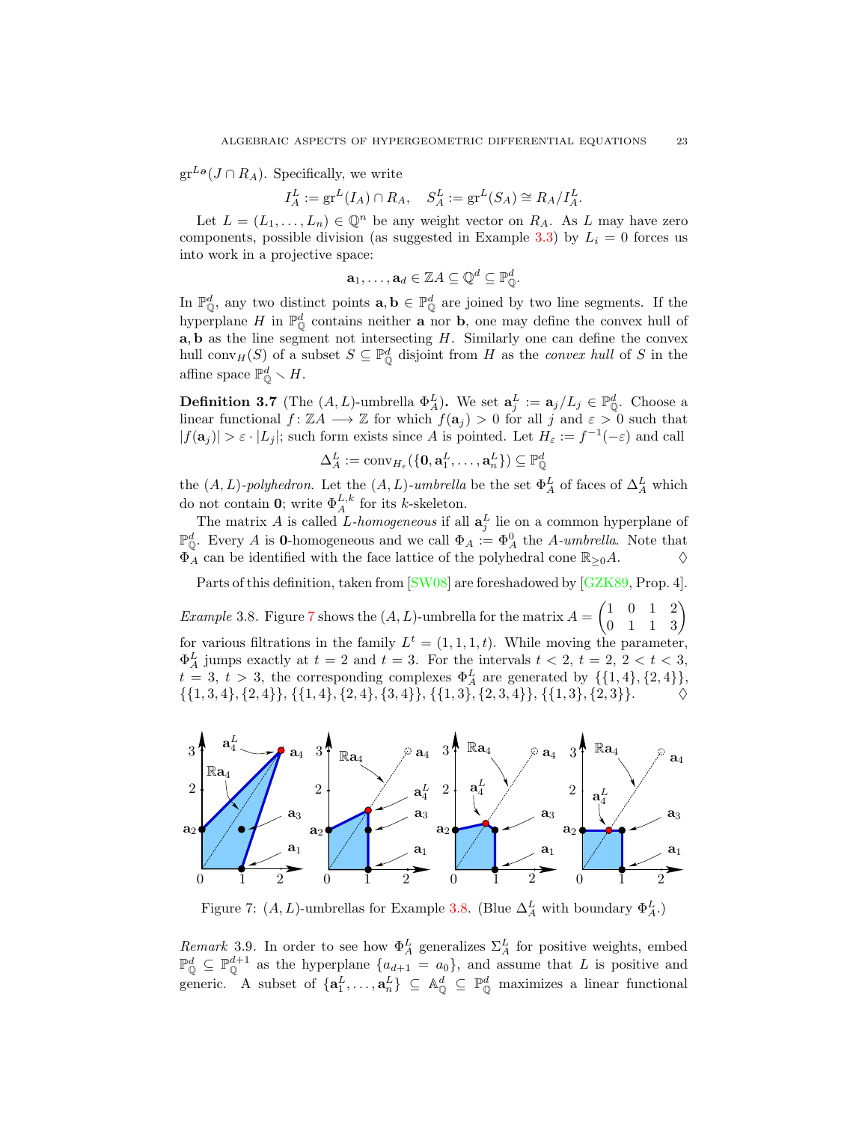$gr^{L\phi}(J \cap R_A)$ . Specifically, we write

$$
I_A^L := \operatorname{gr}^L(I_A) \cap R_A, \quad S_A^L := \operatorname{gr}^L(S_A) \cong R_A / I_A^L.
$$

Let  $L = (L_1, \ldots, L_n) \in \mathbb{Q}^n$  be any weight vector on  $R_A$ . As L may have zero components, possible division (as suggested in Example [3.3\)](#page-20-1) by  $L<sub>i</sub> = 0$  forces us into work in a projective space:

$$
\mathbf{a}_1,\ldots,\mathbf{a}_d\in\mathbb{Z} A\subseteq\mathbb{Q}^d\subseteq\mathbb{P}_{\mathbb{Q}}^d.
$$

In  $\mathbb{P}_\mathbb{Q}^d$ , any two distinct points  $\mathbf{a}, \mathbf{b} \in \mathbb{P}_\mathbb{Q}^d$  are joined by two line segments. If the hyperplane H in  $\mathbb{P}^d_{\mathbb{Q}}$  contains neither **a** nor **b**, one may define the convex hull of  $a, b$  as the line segment not intersecting  $H$ . Similarly one can define the convex hull conv<sub>H</sub>(S) of a subset  $S \subseteq \mathbb{P}_{\mathbb{Q}}^d$  disjoint from H as the *convex hull* of S in the affine space  $\mathbb{P}^d_{\mathbb{Q}} \setminus H$ .

<span id="page-22-2"></span>**Definition 3.7** (The  $(A, L)$ -umbrella  $\Phi_A^L$ ). We set  $\mathbf{a}_j^L := \mathbf{a}_j / L_j \in \mathbb{P}_{\mathbb{Q}}^d$ . Choose a linear functional  $f: \mathbb{Z}A \longrightarrow \mathbb{Z}$  for which  $f(\mathbf{a}_j) > 0$  for all j and  $\varepsilon > 0$  such that  $|f(\mathbf{a}_j)| > \varepsilon \cdot |L_j|$ ; such form exists since A is pointed. Let  $H_{\varepsilon} := f^{-1}(-\varepsilon)$  and call

$$
\Delta_A^L:=\mathrm{conv}_{H_{\varepsilon}}(\{\mathbf{0},\mathbf{a}^L_1,\ldots,\mathbf{a}^L_n\})\subseteq \mathbb{P}_{\mathbb{Q}}^d
$$

the  $(A, L)$ -polyhedron. Let the  $(A, L)$ -umbrella be the set  $\Phi_A^L$  of faces of  $\Delta_A^L$  which do not contain **0**; write  $\Phi_A^{L,k}$  for its k-skeleton.

The matrix A is called L-homogeneous if all  $a_j^L$  lie on a common hyperplane of  $\mathbb{P}^d_{\mathbb{Q}}$ . Every A is **0**-homogeneous and we call  $\Phi_A := \Phi_A^0$  the A-umbrella. Note that  $\Phi_A$  can be identified with the face lattice of the polyhedral cone  $\mathbb{R}_{\geq 0}A$ .

Parts of this definition, taken from [\[SW08\]](#page-57-4) are foreshadowed by [\[GZK89,](#page-55-2) Prop. 4].

<span id="page-22-1"></span>*Example* 3.8. Figure [7](#page-22-0) shows the  $(A, L)$ -umbrella for the matrix  $A =$  $\begin{pmatrix} 1 & 0 & 1 & 2 \\ 0 & 1 & 1 & 3 \end{pmatrix}$ for various filtrations in the family  $L^t = (1, 1, 1, t)$ . While moving the parameter,  $\Phi_A^L$  jumps exactly at  $t = 2$  and  $t = 3$ . For the intervals  $t < 2$ ,  $t = 2$ ,  $t < 3$ ,  $t = 3, t > 3$ , the corresponding complexes  $\Phi_A^L$  are generated by  $\{\{1,4\},\{2,4\}\},$  $\{\{1,3,4\},\{2,4\}\}, \{\{1,4\},\{2,4\},\{3,4\}\}, \{\{1,3\},\{2,3,4\}\}, \{\{1,3\},\{2,3\}\}.$ 

<span id="page-22-0"></span>

Figure 7:  $(A, L)$ -umbrellas for Example [3.8.](#page-22-1) (Blue  $\Delta_A^L$  with boundary  $\Phi_A^L$ .)

Remark 3.9. In order to see how  $\Phi_A^L$  generalizes  $\Sigma_A^L$  for positive weights, embed  $\mathbb{P}_{\mathbb{Q}}^{d} \subseteq \mathbb{P}_{\mathbb{Q}}^{d+1}$  as the hyperplane  $\{a_{d+1} = a_0\}$ , and assume that L is positive and generic. A subset of  $\{a_1^L, \ldots, a_n^L\} \subseteq \mathbb{A}_{\mathbb{Q}}^d \subseteq \mathbb{P}_{\mathbb{Q}}^d$  maximizes a linear functional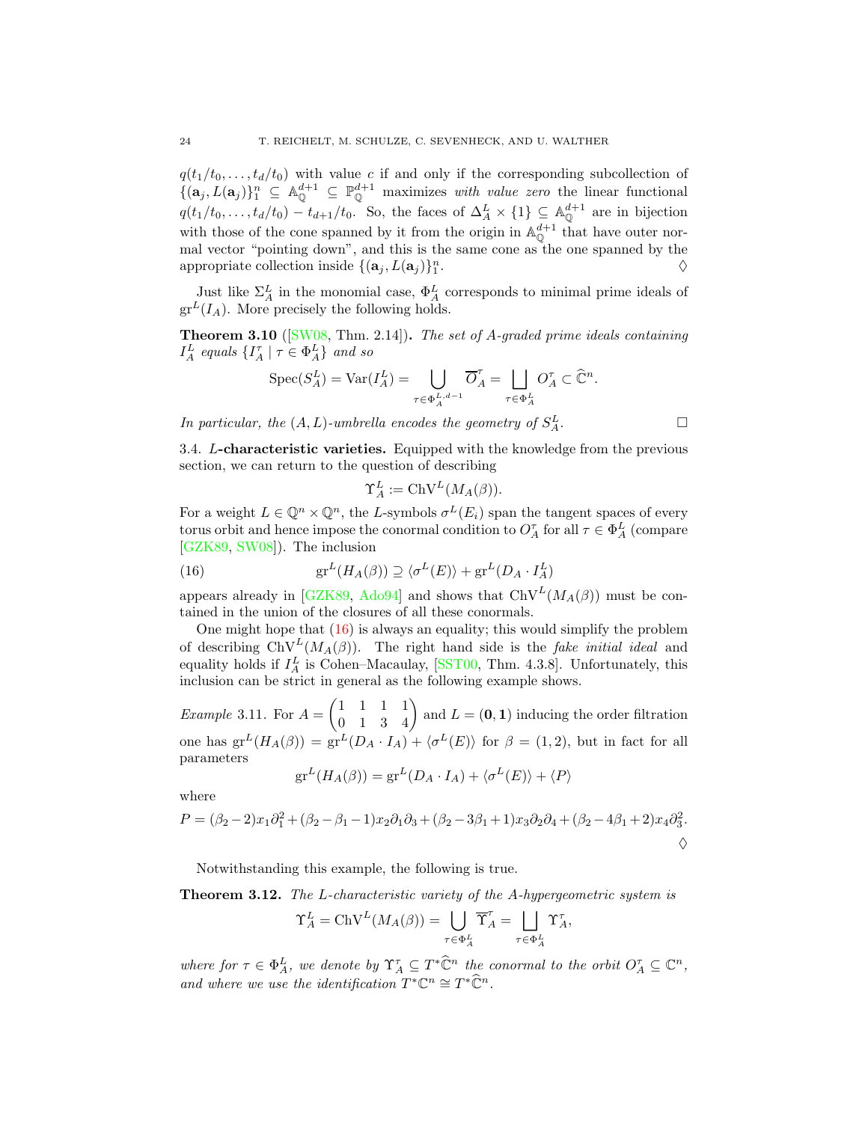$q(t_1/t_0, \ldots, t_d/t_0)$  with value c if and only if the corresponding subcollection of  $\{(\mathbf{a}_j, L(\mathbf{a}_j)\}_{1}^{n} \subseteq \mathbb{A}_{\mathbb{Q}}^{d+1} \subseteq \mathbb{P}_{\mathbb{Q}}^{d+1}$  maximizes with value zero the linear functional  $q(t_1/t_0, \ldots, t_d/t_0) - t_{d+1}/t_0$ . So, the faces of  $\Delta_A^L \times \{1\} \subseteq \mathbb{A}_{\mathbb{Q}}^{d+1}$  are in bijection with those of the cone spanned by it from the origin in  $\mathbb{A}_{\mathbb{Q}}^{d+1}$  that have outer normal vector "pointing down", and this is the same cone as the one spanned by the appropriate collection inside  $\{(\mathbf{a}_j, L(\mathbf{a}_j)\}_1^n$ .  $\Diamond$ 

Just like  $\Sigma^L_A$  in the monomial case,  $\Phi^L_A$  corresponds to minimal prime ideals of  $gr<sup>L</sup>(I<sub>A</sub>)$ . More precisely the following holds.

<span id="page-23-3"></span>**Theorem 3.10** ( $[SW08, Thm. 2.14]$  $[SW08, Thm. 2.14]$ ). The set of A-graded prime ideals containing  $I_A^L$  equals  $\{I_A^{\tau} | \tau \in \Phi_A^L\}$  and so

$$
\operatorname{Spec}(S_A^L) = \operatorname{Var}(I_A^L) = \bigcup_{\tau \in \Phi_A^L} \overline{O}_A^{\tau} = \bigsqcup_{\tau \in \Phi_A^L} O_A^{\tau} \subset \widehat{\mathbb{C}}^n.
$$

<span id="page-23-0"></span>In particular, the  $(A, L)$ -umbrella encodes the geometry of  $S_A^L$  $A^L$ .

3.4. L-characteristic varieties. Equipped with the knowledge from the previous section, we can return to the question of describing

<span id="page-23-1"></span>
$$
\Upsilon_A^L := \mathrm{ChV}^L(M_A(\beta)).
$$

For a weight  $L \in \mathbb{Q}^n \times \mathbb{Q}^n$ , the L-symbols  $\sigma^L(E_i)$  span the tangent spaces of every torus orbit and hence impose the conormal condition to  $O_A^{\tau}$  for all  $\tau \in \Phi_A^L$  (compare [\[GZK89,](#page-55-2) [SW08\]](#page-57-4)). The inclusion

(16) 
$$
\mathrm{gr}^L(H_A(\beta)) \supseteq \langle \sigma^L(E) \rangle + \mathrm{gr}^L(D_A \cdot I_A^L)
$$

appears already in [\[GZK89,](#page-55-2) [Ado94\]](#page-52-1) and shows that  $ChV^L(M_A(\beta))$  must be contained in the union of the closures of all these conormals.

One might hope that  $(16)$  is always an equality; this would simplify the problem of describing  $ChV^L(M_A(\beta))$ . The right hand side is the *fake initial ideal* and equality holds if  $I_A^L$  is Cohen–Macaulay, [\[SST00,](#page-57-1) Thm. 4.3.8]. Unfortunately, this inclusion can be strict in general as the following example shows.

*Example* 3.11. For  $A =$  $\begin{pmatrix} 1 & 1 & 1 & 1 \\ 0 & 1 & 3 & 4 \end{pmatrix}$  and  $L = (0, 1)$  inducing the order filtration one has  $gr^L(H_A(\beta)) = gr^L(D_A \cdot I_A) + \langle \sigma^L(E) \rangle$  for  $\beta = (1, 2)$ , but in fact for all parameters

$$
\mathrm{gr}^L(H_A(\beta)) = \mathrm{gr}^L(D_A \cdot I_A) + \langle \sigma^L(E) \rangle + \langle P \rangle
$$

where

$$
P = (\beta_2 - 2)x_1\partial_1^2 + (\beta_2 - \beta_1 - 1)x_2\partial_1\partial_3 + (\beta_2 - 3\beta_1 + 1)x_3\partial_2\partial_4 + (\beta_2 - 4\beta_1 + 2)x_4\partial_3^2.
$$

Notwithstanding this example, the following is true.

<span id="page-23-2"></span>**Theorem 3.12.** The L-characteristic variety of the A-hypergeometric system is

$$
\Upsilon^L_A = {\rm ChV}^L(M_A(\beta)) = \bigcup_{\tau \in \Phi_A^L} \overline{\Upsilon}^{\tau}_A = \bigsqcup_{\tau \in \Phi_A^L} \Upsilon^{\tau}_A,
$$

where for  $\tau \in \Phi_A^L$ , we denote by  $\Upsilon_A^{\tau} \subseteq T^* \widehat{\mathbb{C}}^n$  the conormal to the orbit  $O_A^{\tau} \subseteq \mathbb{C}^n$ , and where we use the identification  $T^*\mathbb{C}^n \cong T^*\hat{\mathbb{C}}^n$ .

$$
\Box
$$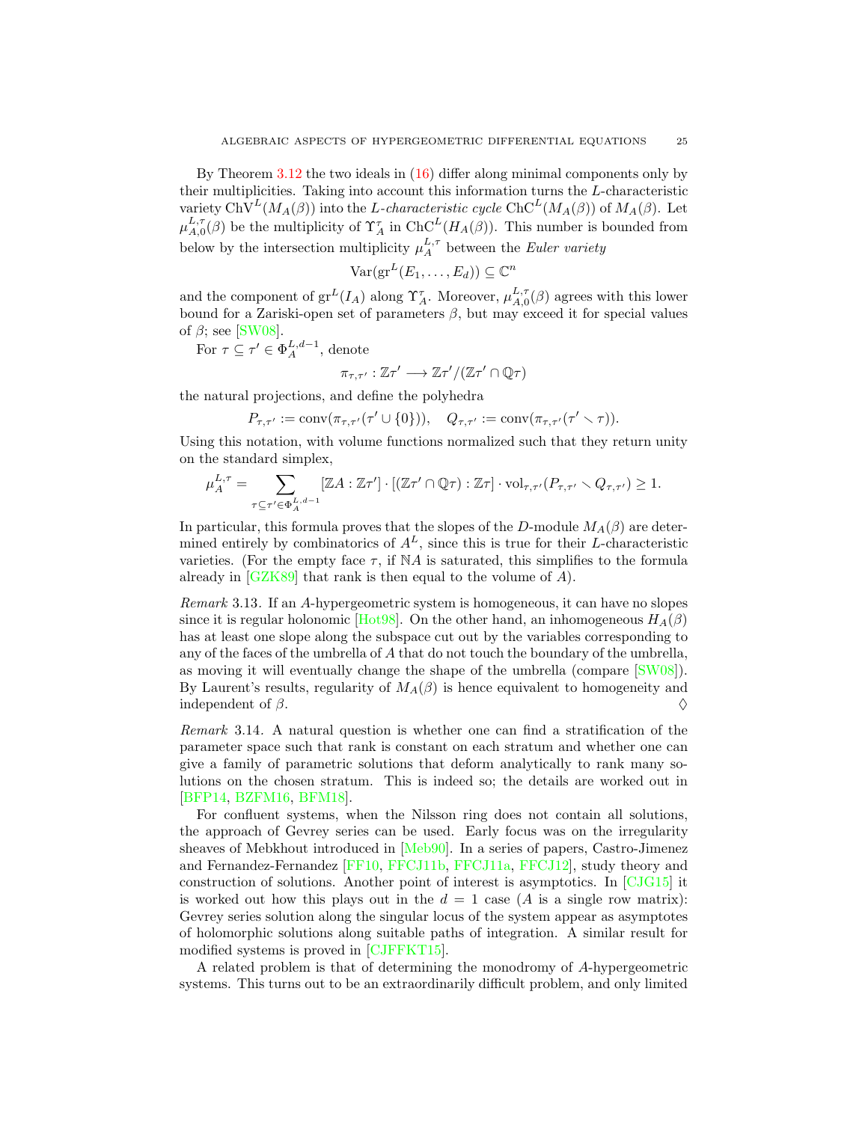By Theorem [3.12](#page-23-2) the two ideals in [\(16\)](#page-23-1) differ along minimal components only by their multiplicities. Taking into account this information turns the L-characteristic variety ChV<sup>L</sup>( $M_A(\beta)$ ) into the L-characteristic cycle ChC<sup>L</sup>( $M_A(\beta)$ ) of  $M_A(\beta)$ . Let  $\mu_{A,0}^{L,\tau}(\beta)$  be the multiplicity of  $\Upsilon_A^{\tau}$  in  $ChC^L(H_A(\beta))$ . This number is bounded from below by the intersection multiplicity  $\mu_A^{L,\tau}$  between the Euler variety

$$
\text{Var}(\mathrm{gr}^L(E_1,\ldots,E_d))\subseteq\mathbb{C}^n
$$

and the component of  $gr^L(I_A)$  along  $\Upsilon_A^{\tau}$ . Moreover,  $\mu_{A,0}^{L,\tau}(\beta)$  agrees with this lower bound for a Zariski-open set of parameters  $\beta$ , but may exceed it for special values of  $\beta$ ; see [\[SW08\]](#page-57-4).

For 
$$
\tau \subseteq \tau' \in \Phi_A^{L,d-1}
$$
, denote

$$
\pi_{\tau,\tau'}:\mathbb{Z}\tau'\longrightarrow\mathbb{Z}\tau'/(\mathbb{Z}\tau'\cap\mathbb{Q}\tau)
$$

the natural projections, and define the polyhedra

 $P_{\tau,\tau'} := \text{conv}(\pi_{\tau,\tau'}(\tau' \cup \{0\})), \quad Q_{\tau,\tau'} := \text{conv}(\pi_{\tau,\tau'}(\tau' \setminus \tau)).$ 

Using this notation, with volume functions normalized such that they return unity on the standard simplex,

$$
\mu^{L,\tau}_A = \sum_{\tau \subseteq \tau' \in \Phi_A^{L,d-1}} [\mathbb{Z} A : \mathbb{Z} \tau'] \cdot [(\mathbb{Z} \tau' \cap \mathbb{Q} \tau) : \mathbb{Z} \tau] \cdot \mathrm{vol}_{\tau,\tau'}(P_{\tau,\tau'} \smallsetminus Q_{\tau,\tau'}) \ge 1.
$$

In particular, this formula proves that the slopes of the D-module  $M_A(\beta)$  are determined entirely by combinatorics of  $A<sup>L</sup>$ , since this is true for their L-characteristic varieties. (For the empty face  $\tau$ , if NA is saturated, this simplifies to the formula already in  $[GZK89]$  that rank is then equal to the volume of A).

<span id="page-24-1"></span>Remark 3.13. If an A-hypergeometric system is homogeneous, it can have no slopes since it is regular holonomic [\[Hot98\]](#page-55-14). On the other hand, an inhomogeneous  $H_A(\beta)$ has at least one slope along the subspace cut out by the variables corresponding to any of the faces of the umbrella of A that do not touch the boundary of the umbrella, as moving it will eventually change the shape of the umbrella (compare [\[SW08\]](#page-57-4)). By Laurent's results, regularity of  $M_A(\beta)$  is hence equivalent to homogeneity and independent of  $\beta$ .

<span id="page-24-0"></span>Remark 3.14. A natural question is whether one can find a stratification of the parameter space such that rank is constant on each stratum and whether one can give a family of parametric solutions that deform analytically to rank many solutions on the chosen stratum. This is indeed so; the details are worked out in [\[BFP14,](#page-52-12) [BZFM16,](#page-53-7) [BFM18\]](#page-52-8).

For confluent systems, when the Nilsson ring does not contain all solutions, the approach of Gevrey series can be used. Early focus was on the irregularity sheaves of Mebkhout introduced in [\[Meb90\]](#page-56-15). In a series of papers, Castro-Jimenez and Fernandez-Fernandez [\[FF10,](#page-54-11) [FFCJ11b,](#page-54-12) [FFCJ11a,](#page-54-13) [FFCJ12\]](#page-54-14), study theory and construction of solutions. Another point of interest is asymptotics. In [\[CJG15\]](#page-53-11) it is worked out how this plays out in the  $d = 1$  case (A is a single row matrix): Gevrey series solution along the singular locus of the system appear as asymptotes of holomorphic solutions along suitable paths of integration. A similar result for modified systems is proved in [\[CJFFKT15\]](#page-53-12).

A related problem is that of determining the monodromy of A-hypergeometric systems. This turns out to be an extraordinarily difficult problem, and only limited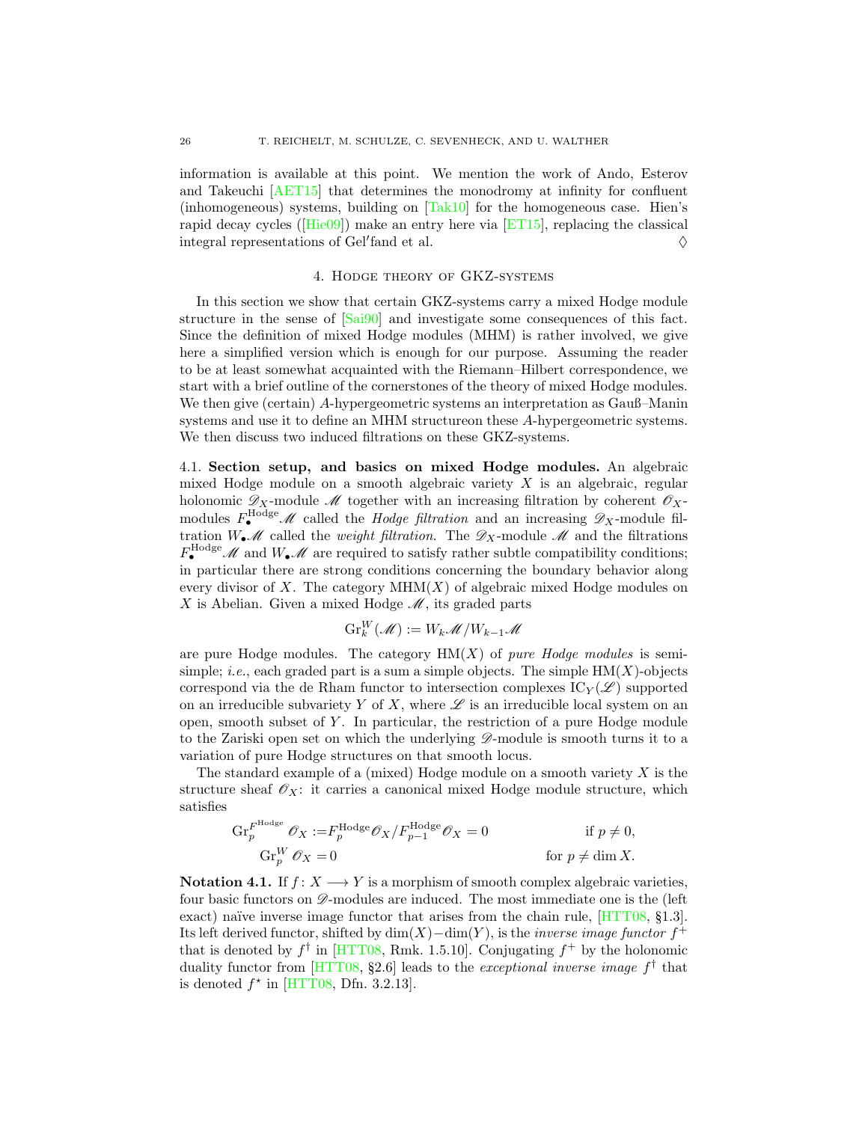information is available at this point. We mention the work of Ando, Esterov and Takeuchi [\[AET15\]](#page-52-13) that determines the monodromy at infinity for confluent (inhomogeneous) systems, building on [\[Tak10\]](#page-57-14) for the homogeneous case. Hien's rapid decay cycles([\[Hie09\]](#page-55-6)) make an entry here via [\[ET15\]](#page-54-4), replacing the classical integral representations of Gel'fand et al.  $\Diamond$ 

#### 4. Hodge theory of GKZ-systems

<span id="page-25-0"></span>In this section we show that certain GKZ-systems carry a mixed Hodge module structure in the sense of [\[Sai90\]](#page-56-16) and investigate some consequences of this fact. Since the definition of mixed Hodge modules (MHM) is rather involved, we give here a simplified version which is enough for our purpose. Assuming the reader to be at least somewhat acquainted with the Riemann–Hilbert correspondence, we start with a brief outline of the cornerstones of the theory of mixed Hodge modules. We then give (certain) A-hypergeometric systems an interpretation as Gauß–Manin systems and use it to define an MHM structureon these A-hypergeometric systems. We then discuss two induced filtrations on these GKZ-systems.

<span id="page-25-1"></span>4.1. Section setup, and basics on mixed Hodge modules. An algebraic mixed Hodge module on a smooth algebraic variety X is an algebraic, regular holonomic  $\mathscr{D}_X$ -module  $\mathscr{M}$  together with an increasing filtration by coherent  $\mathscr{O}_X$ modules  $F_{\bullet}^{\text{Hodge}}$  *M* called the *Hodge filtration* and an increasing  $\mathscr{D}_X$ -module filtration  $W_{\bullet} \mathcal{M}$  called the *weight filtration*. The  $\mathcal{D}_X$ -module  $\mathcal{M}$  and the filtrations  $F_{\bullet}^{\text{Hodge}}$  *M* and  $W_{\bullet}$  *M* are required to satisfy rather subtle compatibility conditions; in particular there are strong conditions concerning the boundary behavior along every divisor of X. The category  $MHM(X)$  of algebraic mixed Hodge modules on X is Abelian. Given a mixed Hodge  $\mathcal{M}$ , its graded parts

$$
\operatorname{Gr}_{k}^{W}(\mathcal{M}) := W_{k}\mathcal{M}/W_{k-1}\mathcal{M}
$$

are pure Hodge modules. The category  $HM(X)$  of *pure Hodge modules* is semisimple; *i.e.*, each graded part is a sum a simple objects. The simple  $HM(X)$ -objects correspond via the de Rham functor to intersection complexes  $\mathrm{IC}_Y(\mathscr{L})$  supported on an irreducible subvariety Y of X, where  $\mathscr L$  is an irreducible local system on an open, smooth subset of  $Y$ . In particular, the restriction of a pure Hodge module to the Zariski open set on which the underlying  $\mathscr{D}$ -module is smooth turns it to a variation of pure Hodge structures on that smooth locus.

The standard example of a (mixed) Hodge module on a smooth variety  $X$  is the structure sheaf  $\mathscr{O}_X$ : it carries a canonical mixed Hodge module structure, which satisfies

$$
\operatorname{Gr}_{p}^{F^{\text{Hodge}}} \mathscr{O}_{X} := F_{p}^{\text{Hodge}} \mathscr{O}_{X} / F_{p-1}^{\text{Hodge}} \mathscr{O}_{X} = 0 \quad \text{if } p \neq 0,
$$
  
\n
$$
\operatorname{Gr}_{p}^{W} \mathscr{O}_{X} = 0 \quad \text{for } p \neq \dim X.
$$

<span id="page-25-2"></span>Notation 4.1. If  $f: X \longrightarrow Y$  is a morphism of smooth complex algebraic varieties, four basic functors on  $\mathscr{D}$ -modules are induced. The most immediate one is the (left exact) naïve inverse image functor that arises from the chain rule,  $[HTT08, §1.3]$ . Its left derived functor, shifted by  $\dim(X) - \dim(Y)$ , is the *inverse image functor*  $f^+$ that is denoted by  $f^{\dagger}$  in [\[HTT08,](#page-55-15) Rmk. 1.5.10]. Conjugating  $f^+$  by the holonomic duality functor from [\[HTT08,](#page-55-15) §2.6] leads to the *exceptional inverse image*  $f^{\dagger}$  that is denoted  $f^*$  in [\[HTT08,](#page-55-15) Dfn. 3.2.13].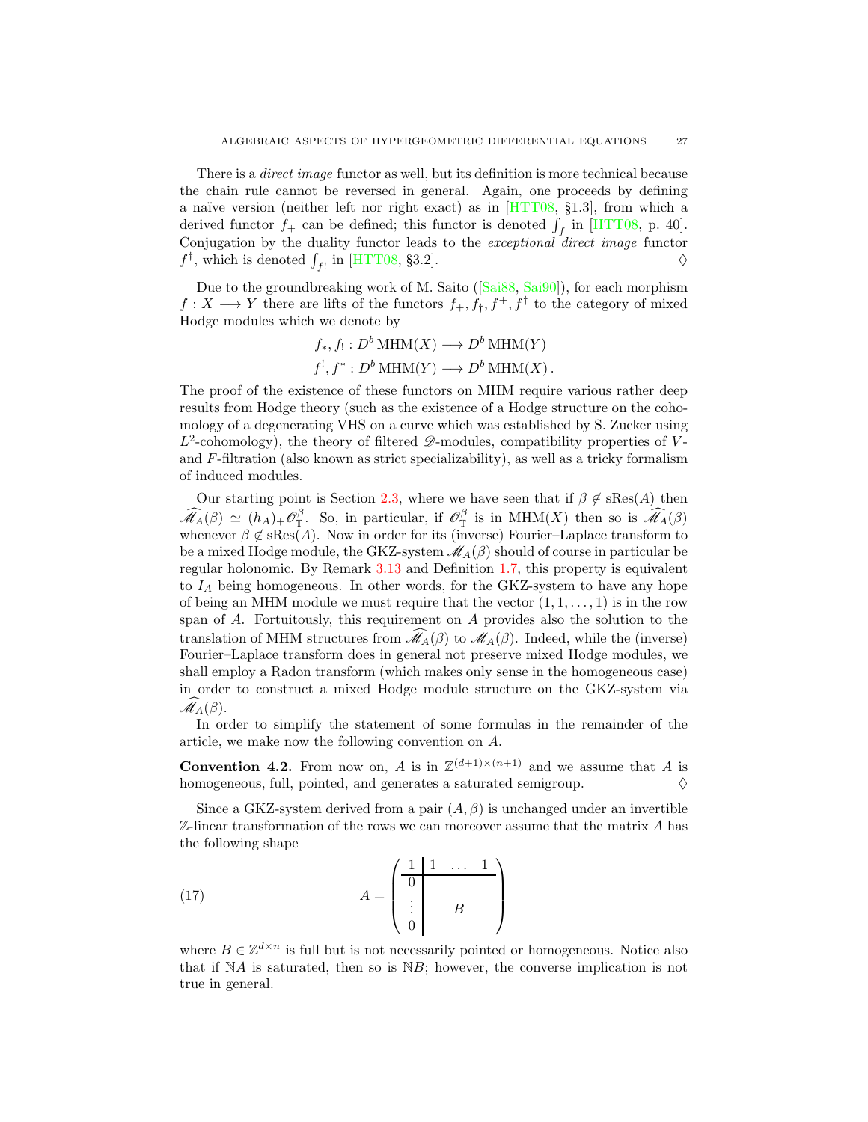There is a *direct image* functor as well, but its definition is more technical because the chain rule cannot be reversed in general. Again, one proceeds by defining a naïve version (neither left nor right exact) as in  $[HTT08, §1.3]$ , from which a derived functor  $f_+$  can be defined; this functor is denoted  $\int_f$  in [\[HTT08,](#page-55-15) p. 40]. Conjugation by the duality functor leads to the exceptional direct image functor  $f^{\dagger}$ , which is denoted  $\int_{f!}$  in [\[HTT08,](#page-55-15) §3.2].

Dueto the groundbreaking work of M. Saito ([\[Sai88,](#page-56-17) [Sai90\]](#page-56-16)), for each morphism  $f: X \longrightarrow Y$  there are lifts of the functors  $f_+, f_+, f^+, f^{\dagger}$  to the category of mixed Hodge modules which we denote by

$$
f_*, f_! : D^b \text{MHM}(X) \longrightarrow D^b \text{MHM}(Y)
$$
  
 $f^!, f^* : D^b \text{MHM}(Y) \longrightarrow D^b \text{MHM}(X)$ .

The proof of the existence of these functors on MHM require various rather deep results from Hodge theory (such as the existence of a Hodge structure on the cohomology of a degenerating VHS on a curve which was established by S. Zucker using  $L^2$ -cohomology), the theory of filtered  $\mathscr{D}$ -modules, compatibility properties of Vand  $F$ -filtration (also known as strict specializability), as well as a tricky formalism of induced modules.

Our starting point is Section [2.3,](#page-11-0) where we have seen that if  $\beta \notin \text{sRes}(A)$  then  $\widehat{\mathscr{M}}_A(\beta) \simeq (h_A)_+\mathscr{O}_{\mathbb{T}}^{\beta}$  $\int_{\mathbb{T}}^{\beta}$ . So, in particular, if  $\mathscr{O}_{\mathbb{T}}^{\beta}$  $\mathcal{M}_{\mathbb{T}}$  is in MHM(X) then so is  $\mathcal{M}_{A}(\beta)$ whenever  $\beta \notin \text{sRes}(A)$ . Now in order for its (inverse) Fourier–Laplace transform to be a mixed Hodge module, the GKZ-system  $\mathcal{M}_{A}(\beta)$  should of course in particular be regular holonomic. By Remark [3.13](#page-24-1) and Definition [1.7,](#page-5-2) this property is equivalent to  $I_A$  being homogeneous. In other words, for the GKZ-system to have any hope of being an MHM module we must require that the vector  $(1, 1, \ldots, 1)$  is in the row span of A. Fortuitously, this requirement on A provides also the solution to the translation of MHM structures from  $\widehat{\mathcal{M}}_A(\beta)$  to  $\mathcal{M}_A(\beta)$ . Indeed, while the (inverse) Fourier–Laplace transform does in general not preserve mixed Hodge modules, we shall employ a Radon transform (which makes only sense in the homogeneous case) in order to construct a mixed Hodge module structure on the GKZ-system via  $\mathscr{M}_{A}(\beta)$ .

In order to simplify the statement of some formulas in the remainder of the article, we make now the following convention on A.

<span id="page-26-0"></span>**Convention 4.2.** From now on, A is in  $\mathbb{Z}^{(d+1)\times(n+1)}$  and we assume that A is homogeneous, full, pointed, and generates a saturated semigroup.  $\Diamond$ 

Since a GKZ-system derived from a pair  $(A, \beta)$  is unchanged under an invertible  $\mathbb{Z}$ -linear transformation of the rows we can moreover assume that the matrix A has the following shape

<span id="page-26-1"></span>(17) 
$$
A = \begin{pmatrix} \frac{1}{1} & \cdots & 1 \\ \frac{1}{1} & & \cdots & 1 \\ \vdots & & B & \cdots \end{pmatrix}
$$

where  $B \in \mathbb{Z}^{d \times n}$  is full but is not necessarily pointed or homogeneous. Notice also that if  $NA$  is saturated, then so is  $NB$ ; however, the converse implication is not true in general.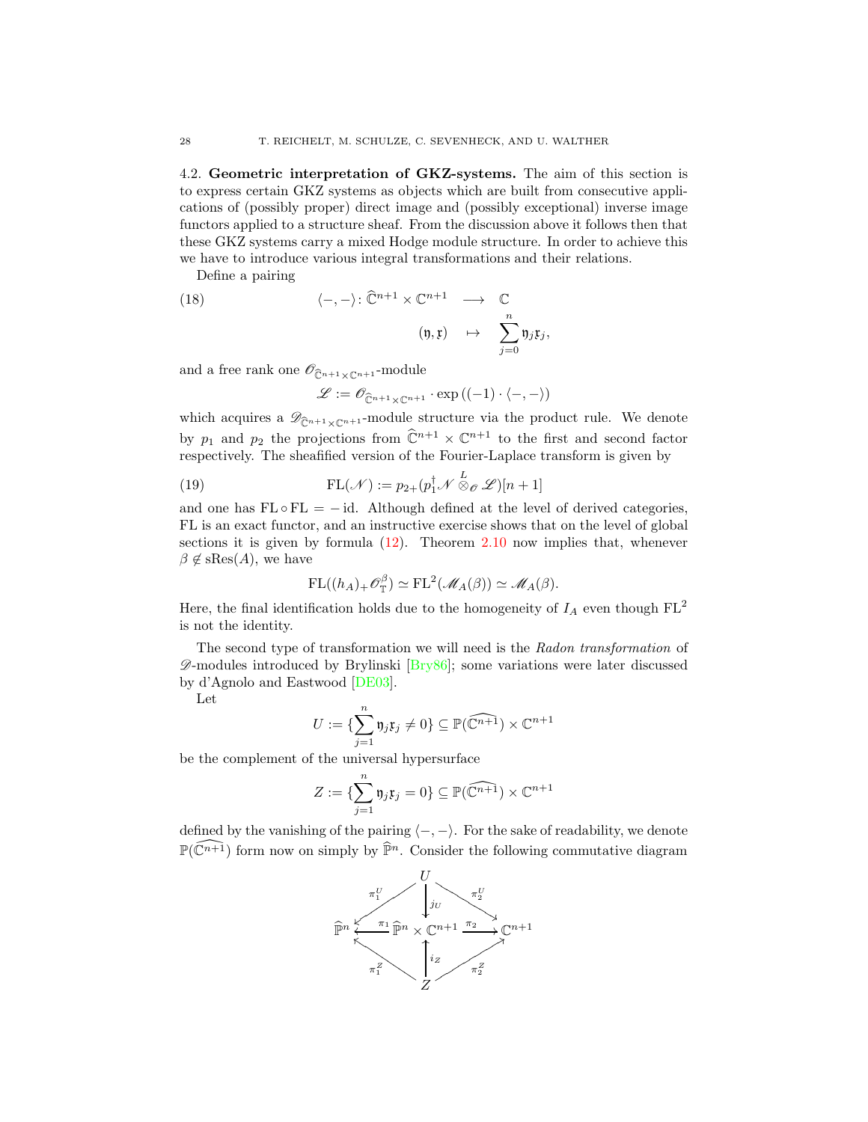<span id="page-27-0"></span>4.2. Geometric interpretation of GKZ-systems. The aim of this section is to express certain GKZ systems as objects which are built from consecutive applications of (possibly proper) direct image and (possibly exceptional) inverse image functors applied to a structure sheaf. From the discussion above it follows then that these GKZ systems carry a mixed Hodge module structure. In order to achieve this we have to introduce various integral transformations and their relations.

Define a pairing

(18) 
$$
\langle -, - \rangle \colon \widehat{\mathbb{C}}^{n+1} \times \mathbb{C}^{n+1} \longrightarrow \mathbb{C}
$$
  
 $(\mathfrak{y}, \mathfrak{x}) \mapsto \sum_{j=0}^{n} \mathfrak{y}_j \mathfrak{x}_j,$ 

and a free rank one  $\mathscr{O}_{\widehat{\mathcal{C}}^{n+1}\times\mathbb{C}^{n+1}}$ -module

<span id="page-27-2"></span><span id="page-27-1"></span>
$$
\mathscr{L}:=\mathscr{O}_{\widehat{\mathbb{C}}^{n+1}\times \mathbb{C}^{n+1}}\cdot \exp\left((-1)\cdot\langle -, -\rangle\right)
$$

which acquires a  $\mathscr{D}_{\widehat{C}^{n+1}\times\mathbb{C}^{n+1}}$ -module structure via the product rule. We denote by  $p_1$  and  $p_2$  the projections from  $\mathbb{C}^{n+1} \times \mathbb{C}^{n+1}$  to the first and second factor respectively. The sheafified version of the Fourier-Laplace transform is given by

(19) 
$$
\mathrm{FL}(\mathcal{N}) := p_{2+}(p_1^{\dagger} \mathcal{N} \otimes_{\mathcal{O}} \mathcal{L})[n+1]
$$

and one has  $FL \circ FL = -id$ . Although defined at the level of derived categories, FL is an exact functor, and an instructive exercise shows that on the level of global sections it is given by formula  $(12)$ . Theorem [2.10](#page-12-2) now implies that, whenever  $\beta \notin \text{sRes}(A)$ , we have

$$
\mathrm{FL}((h_A)_+\mathscr{O}_{\mathbb{T}}^{\beta})\simeq \mathrm{FL}^2(\mathscr{M}_A(\beta))\simeq \mathscr{M}_A(\beta).
$$

Here, the final identification holds due to the homogeneity of  $I_A$  even though  $FL^2$ is not the identity.

The second type of transformation we will need is the Radon transformation of  $\mathscr{D}$ -modules introduced by Brylinski [\[Bry86\]](#page-53-13); some variations were later discussed by d'Agnolo and Eastwood [\[DE03\]](#page-53-14).

Let

$$
U:=\{\sum_{j=1}^n \mathfrak{y}_j\mathfrak{x}_j\neq 0\}\subseteq \mathbb{P}(\widehat{\mathbb{C}^{n+1}})\times \mathbb{C}^{n+1}
$$

be the complement of the universal hypersurface

$$
Z := \{\sum_{j=1}^n \mathfrak{y}_j \mathfrak{x}_j = 0\} \subseteq \mathbb{P}(\widehat{\mathbb{C}^{n+1}}) \times \mathbb{C}^{n+1}
$$

defined by the vanishing of the pairing  $\langle -, - \rangle$ . For the sake of readability, we denote  $\mathbb{P}(\widehat{\mathbb{C}^{n+1}})$  form now on simply by  $\widehat{\mathbb{P}}^n$ . Consider the following commutative diagram

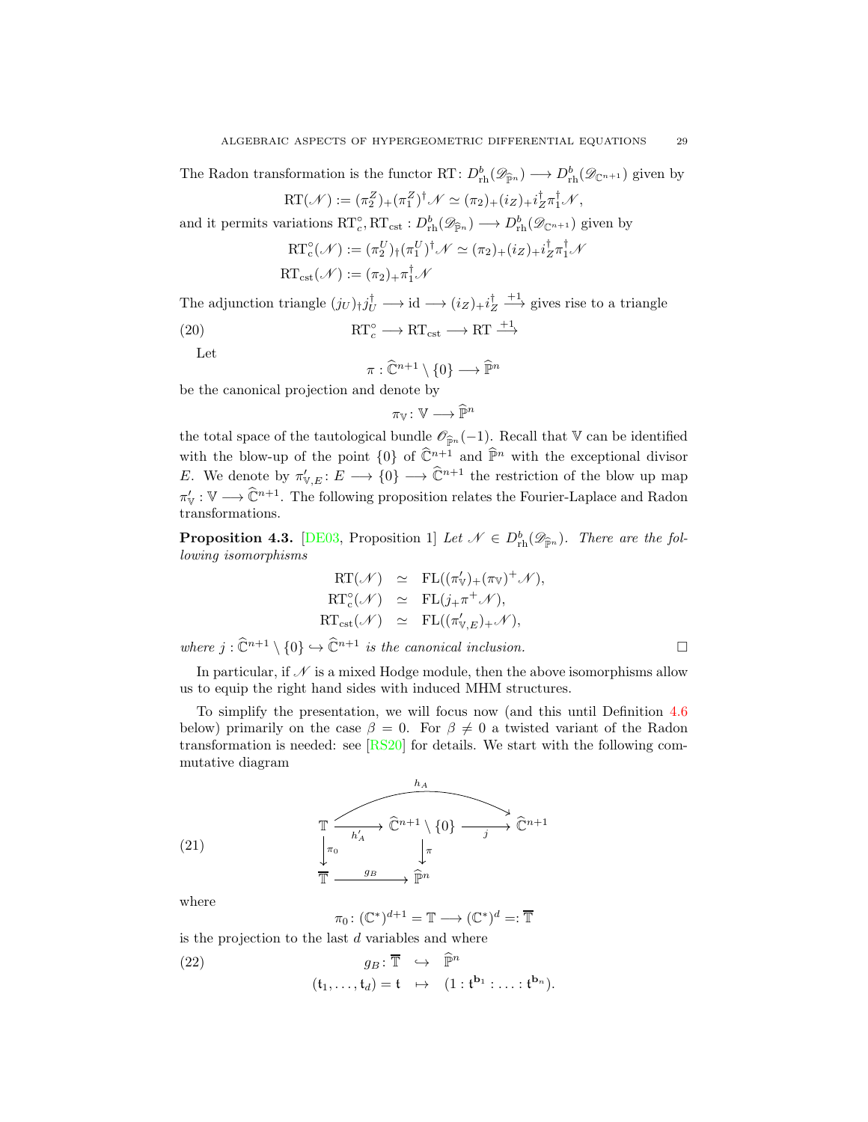The Radon transformation is the functor RT:  $D_{\text{rh}}^b(\mathscr{D}_{\widehat{\mathbb{P}}^n}) \longrightarrow D_{\text{rh}}^b(\mathscr{D}_{\mathbb{C}^{n+1}})$  given by

RT
$$
(\mathcal{N}) := (\pi_2^Z)_+(\pi_1^Z)^{\dagger} \mathcal{N} \simeq (\pi_2)_+(i_Z)_+i_Z^{\dagger} \pi_1^{\dagger} \mathcal{N},
$$

and it permits variations  $\mathrm{RT}_c^{\circ}, \mathrm{RT}_{\mathrm{cst}} : D^b_{\mathrm{rh}}(\mathscr{D}_{\widehat{\mathbb{P}}^n}) \longrightarrow D^b_{\mathrm{rh}}(\mathscr{D}_{\mathbb{C}^{n+1}})$  given by

$$
RT_c^{\circ}(\mathcal{N}) := (\pi_2^U)_\dagger (\pi_1^U)^\dagger \mathcal{N} \simeq (\pi_2)_+ (i_Z)_+ i_Z^\dagger \pi_1^\dagger \mathcal{N}
$$
  

$$
RT_{cst}(\mathcal{N}) := (\pi_2)_+ \pi_1^\dagger \mathcal{N}
$$

The adjunction triangle  $(j_U)_\dagger j_U^\dagger \longrightarrow id \longrightarrow (i_Z)_+ i_Z^\dagger \longrightarrow \text{gives rise to a triangle}$ 

(20) 
$$
RT_c^{\circ} \longrightarrow RT_{\text{cst}} \longrightarrow RT \xrightarrow{+1}
$$

Let

<span id="page-28-1"></span>
$$
\pi : \widehat{\mathbb{C}}^{n+1} \setminus \{0\} \longrightarrow \widehat{\mathbb{P}}^n
$$

be the canonical projection and denote by

$$
\pi_{\mathbb{V}}\colon \mathbb{V}\longrightarrow \widehat{\mathbb{P}}^n
$$

the total space of the tautological bundle  $\mathcal{O}_{\widehat{P}n}(-1)$ . Recall that V can be identified with the blow-up of the point  $\{0\}$  of  $\widehat{\mathbb{C}}^{n+1}$  and  $\widehat{\mathbb{P}}^n$  with the exceptional divisor E. We denote by  $\pi'_{\mathbb{V},E} : E \longrightarrow \{0\} \longrightarrow \mathbb{C}^{n+1}$  the restriction of the blow up map  $\pi'_{\mathbb{V}} : \mathbb{V} \longrightarrow \mathbb{C}^{n+1}$ . The following proposition relates the Fourier-Laplace and Radon transformations.

<span id="page-28-0"></span>**Proposition 4.3.** [\[DE03,](#page-53-14) Proposition 1] Let  $\mathcal{N} \in D^b_{\text{rh}}(\mathscr{D}_{\widehat{\mathbb{P}}^n})$ . There are the following isomorphisms

$$
RT(\mathcal{N}) \simeq FL((\pi'_{V})_{+}(\pi_{V})^{+}\mathcal{N}),
$$
  
\n
$$
RT_{c}^{c}(\mathcal{N}) \simeq FL(j_{+}\pi^{+}\mathcal{N}),
$$
  
\n
$$
RT_{cst}(\mathcal{N}) \simeq FL((\pi'_{V,E})_{+}\mathcal{N}),
$$

where  $j : \hat{\mathbb{C}}^{n+1} \setminus \{0\} \hookrightarrow \hat{\mathbb{C}}^{n+1}$  is the canonical inclusion.

In particular, if  $\mathcal N$  is a mixed Hodge module, then the above isomorphisms allow us to equip the right hand sides with induced MHM structures.

To simplify the presentation, we will focus now (and this until Definition [4.6](#page-31-0) below) primarily on the case  $\beta = 0$ . For  $\beta \neq 0$  a twisted variant of the Radon transformation is needed: see  $[RS20]$  for details. We start with the following commutative diagram

<span id="page-28-3"></span>(21) 
$$
\begin{array}{ccc}\n & h_A \\
\hline\n & h'_A & \\
\downarrow \pi_0 & & \downarrow \pi \\
\hline\n\overline{\mathbb{T}} & \xrightarrow{g_B} & \widehat{\mathbb{P}}^n\n\end{array}
$$

where

<span id="page-28-2"></span>
$$
\pi_0 \colon (\mathbb{C}^*)^{d+1} = \mathbb{T} \longrightarrow (\mathbb{C}^*)^d = \mathbb{F}
$$

is the projection to the last  $d$  variables and where

(22) 
$$
g_B: \overline{\mathbb{T}} \hookrightarrow \widehat{\mathbb{P}}^n (\mathfrak{t}_1, \ldots, \mathfrak{t}_d) = \mathfrak{t} \mapsto (1 : \mathfrak{t}^{\mathbf{b}_1} : \ldots : \mathfrak{t}^{\mathbf{b}_n}).
$$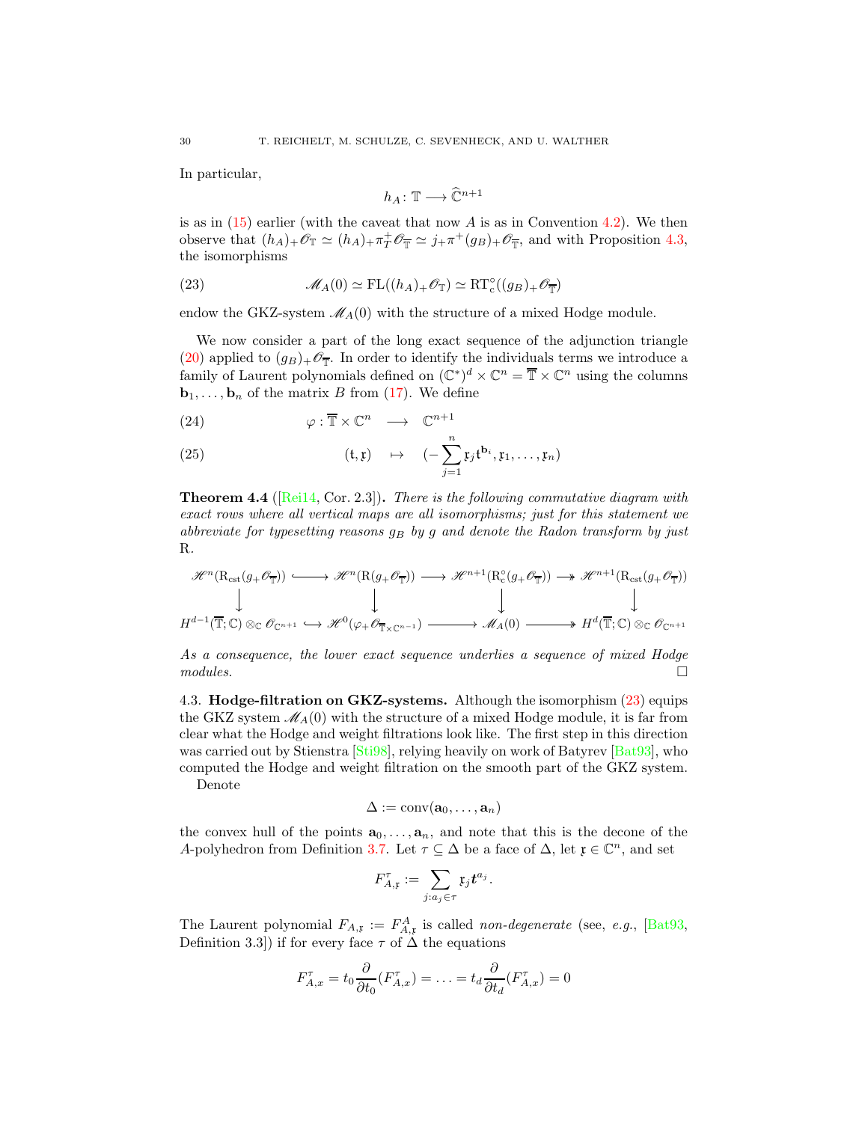In particular,

<span id="page-29-1"></span>
$$
h_A\colon \mathbb{T}\longrightarrow \widehat{\mathbb{C}}^{n+1}
$$

is as in  $(15)$  earlier (with the caveat that now A is as in Convention [4.2\)](#page-26-0). We then observe that  $(h_A)_+\mathscr{O}_{\mathbb{T}} \simeq (h_A)_+\pi^+_\mathscr{T}\mathscr{O}_{\overline{\mathbb{T}}} \simeq j_+\pi^+(g_B)_+\mathscr{O}_{\overline{\mathbb{T}}}$ , and with Proposition [4.3,](#page-28-0) the isomorphisms

(23) 
$$
\mathscr{M}_A(0) \simeq \mathrm{FL}((h_A)_+ \mathscr{O}_{\mathbb{T}}) \simeq \mathrm{RT}_{\mathrm{c}}^{\circ}((g_B)_+ \mathscr{O}_{\overline{\mathbb{T}}})
$$

endow the GKZ-system  $\mathcal{M}_A(0)$  with the structure of a mixed Hodge module.

We now consider a part of the long exact sequence of the adjunction triangle [\(20\)](#page-28-1) applied to  $(g_B)_+\mathscr{O}_{\overline{T}}$ . In order to identify the individuals terms we introduce a family of Laurent polynomials defined on  $(\mathbb{C}^*)^d \times \mathbb{C}^n = \overline{\mathbb{T}} \times \mathbb{C}^n$  using the columns  **of the matrix B from [\(17\)](#page-26-1). We define** 

<span id="page-29-2"></span>(24) 
$$
\varphi : \overline{\mathbb{T}} \times \mathbb{C}^n \longrightarrow \mathbb{C}^{n+1}
$$

(25) 
$$
(\mathfrak{t}, \mathfrak{x}) \rightarrow (-\sum_{j=1}^{n} \mathfrak{x}_j \mathfrak{t}^{\mathbf{b}_i}, \mathfrak{x}_1, \dots, \mathfrak{x}_n)
$$

<span id="page-29-3"></span>**Theorem 4.4** ( $[Rei14, Cor. 2.3]$  $[Rei14, Cor. 2.3]$ ). There is the following commutative diagram with exact rows where all vertical maps are all isomorphisms; just for this statement we abbreviate for typesetting reasons  $q_B$  by g and denote the Radon transform by just R.

$$
\mathcal{H}^{n}(\mathrm{R}_{\mathrm{cst}}(g_{+}\mathscr{O}_{\overline{\mathbb{T}}})) \longrightarrow \mathcal{H}^{n}(\mathrm{R}(g_{+}\mathscr{O}_{\overline{\mathbb{T}}})) \longrightarrow \mathcal{H}^{n+1}(\mathrm{R}_{\mathrm{c}}^{\circ}(g_{+}\mathscr{O}_{\overline{\mathbb{T}}})) \longrightarrow \mathcal{H}^{n+1}(\mathrm{R}_{\mathrm{cst}}(g_{+}\mathscr{O}_{\overline{\mathbb{T}}}))
$$
  
\n
$$
\downarrow \qquad \qquad \downarrow \qquad \qquad \downarrow \qquad \qquad \downarrow
$$
  
\n
$$
H^{d-1}(\overline{\mathbb{T}};\mathbb{C}) \otimes_{\mathbb{C}} \mathscr{O}_{\mathbb{C}^{n+1}} \longrightarrow \mathcal{H}^{0}(\varphi_{+}\mathscr{O}_{\overline{\mathbb{T}} \times \mathbb{C}^{n-1}}) \longrightarrow \mathcal{M}_{A}(0) \longrightarrow H^{d}(\overline{\mathbb{T}};\mathbb{C}) \otimes_{\mathbb{C}} \mathscr{O}_{\mathbb{C}^{n+1}}
$$

As a consequence, the lower exact sequence underlies a sequence of mixed Hodge  $modules.$ 

<span id="page-29-0"></span>4.3. Hodge-filtration on GKZ-systems. Although the isomorphism  $(23)$  equips the GKZ system  $\mathcal{M}_A(0)$  with the structure of a mixed Hodge module, it is far from clear what the Hodge and weight filtrations look like. The first step in this direction was carried out by Stienstra [\[Sti98\]](#page-57-15), relying heavily on work of Batyrev [\[Bat93\]](#page-52-14), who computed the Hodge and weight filtration on the smooth part of the GKZ system.

Denote

$$
\Delta:=\mathrm{conv}(\mathbf{a}_0,\ldots,\mathbf{a}_n)
$$

the convex hull of the points  $a_0, \ldots, a_n$ , and note that this is the decone of the A-polyhedron from Definition [3.7.](#page-22-2) Let  $\tau \subseteq \Delta$  be a face of  $\Delta$ , let  $\mathfrak{x} \in \mathbb{C}^n$ , and set

$$
F_{A,\mathfrak{x}}^{\tau} := \sum_{j:a_j \in \tau} \mathfrak{x}_j t^{a_j}.
$$

The Laurent polynomial  $F_{A,\mathfrak{x}} := F_{A,\mathfrak{x}}^A$  is called non-degenerate (see, e.g., [\[Bat93,](#page-52-14) Definition 3.3]) if for every face  $\tau$  of  $\tilde{\Delta}$  the equations

$$
F_{A,x}^{\tau} = t_0 \frac{\partial}{\partial t_0} (F_{A,x}^{\tau}) = \ldots = t_d \frac{\partial}{\partial t_d} (F_{A,x}^{\tau}) = 0
$$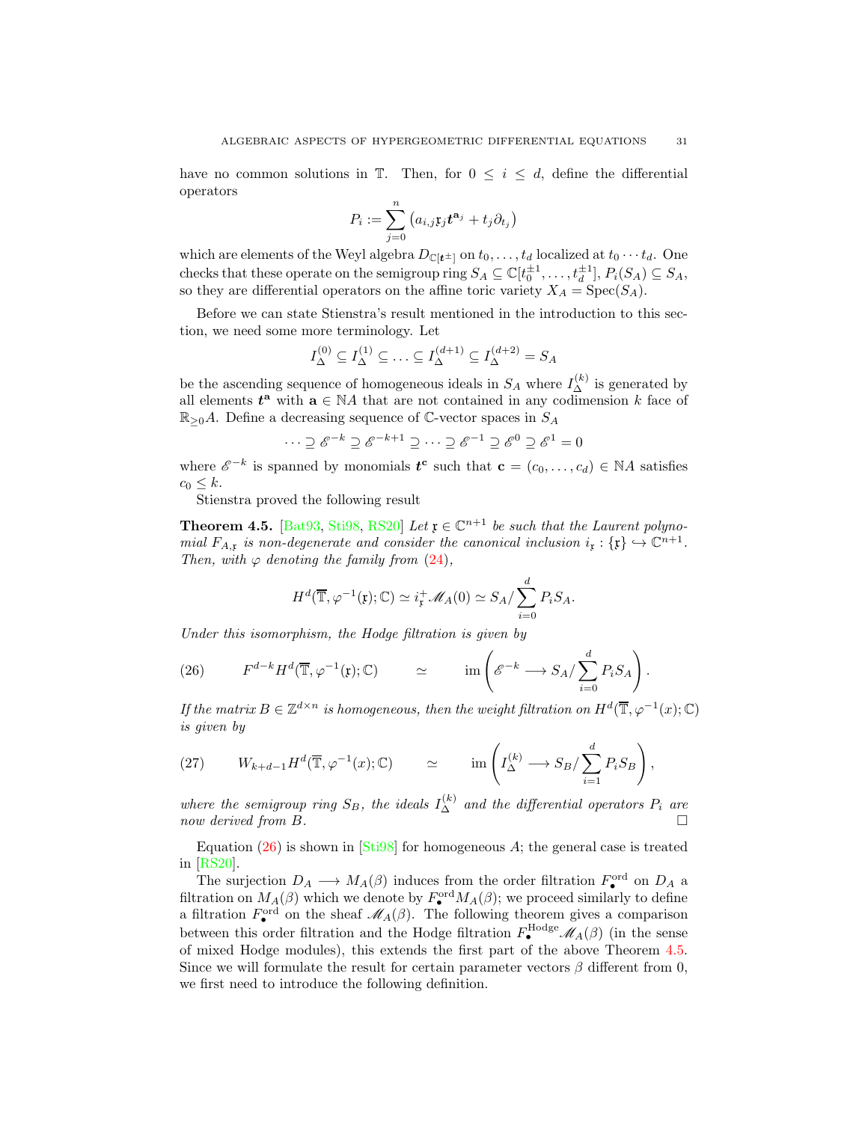have no common solutions in  $\mathbb{T}$ . Then, for  $0 \leq i \leq d$ , define the differential operators

$$
P_i := \sum_{j=0}^n \left( a_{i,j} \mathfrak{x}_j t^{\mathbf{a}_j} + t_j \partial_{t_j} \right)
$$

which are elements of the Weyl algebra  $D_{\mathbb{C}[t^{\pm}]}$  on  $t_0, \ldots, t_d$  localized at  $t_0 \cdots t_d$ . One checks that these operate on the semigroup ring  $S_A \subseteq \mathbb{C}[t_0^{\pm 1}, \dots, t_d^{\pm 1}], P_i(S_A) \subseteq S_A$ , so they are differential operators on the affine toric variety  $X_A = \text{Spec}(S_A)$ .

Before we can state Stienstra's result mentioned in the introduction to this section, we need some more terminology. Let

$$
I_{\Delta}^{(0)} \subseteq I_{\Delta}^{(1)} \subseteq \ldots \subseteq I_{\Delta}^{(d+1)} \subseteq I_{\Delta}^{(d+2)} = S_A
$$

be the ascending sequence of homogeneous ideals in  $S_A$  where  $I_{\Delta}^{(k)}$  is generated by all elements  $t^{\mathbf{a}}$  with  $\mathbf{a} \in \mathbb{N}A$  that are not contained in any codimension k face of  $\mathbb{R}_{\geq 0}A$ . Define a decreasing sequence of C-vector spaces in  $S_A$ 

$$
\cdots \supseteq \mathscr{E}^{-k} \supseteq \mathscr{E}^{-k+1} \supseteq \cdots \supseteq \mathscr{E}^{-1} \supseteq \mathscr{E}^{0} \supseteq \mathscr{E}^{1} = 0
$$

where  $\mathscr{E}^{-k}$  is spanned by monomials  $\mathbf{t}^{\mathbf{c}}$  such that  $\mathbf{c} = (c_0, \ldots, c_d) \in \mathbb{N}A$  satisfies  $c_0 \leq k$ .

Stienstra proved the following result

<span id="page-30-1"></span>**Theorem 4.5.** [\[Bat93,](#page-52-14) [Sti98,](#page-57-15) [RS20\]](#page-56-8) Let  $\mathfrak{x} \in \mathbb{C}^{n+1}$  be such that the Laurent polynomial  $F_{A,\mathfrak{x}}$  is non-degenerate and consider the canonical inclusion  $i_{\mathfrak{x}} : {\{\mathfrak{x}\}} \hookrightarrow \mathbb{C}^{n+1}$ . Then, with  $\varphi$  denoting the family from [\(24\)](#page-29-2),

$$
H^{d}(\overline{\mathbb{T}},\varphi^{-1}(\mathfrak{x});\mathbb{C})\simeq i_{\mathfrak{x}}^{+}\mathscr{M}_{A}(0)\simeq S_{A}/\sum_{i=0}^{d}P_{i}S_{A}.
$$

Under this isomorphism, the Hodge filtration is given by

<span id="page-30-0"></span>(26) 
$$
F^{d-k}H^d(\overline{\mathbb{T}},\varphi^{-1}(\mathfrak{x});\mathbb{C}) \simeq \text{im}\left(\mathscr{E}^{-k}\longrightarrow S_A/\sum_{i=0}^d P_iS_A\right).
$$

If the matrix  $B \in \mathbb{Z}^{d \times n}$  is homogeneous, then the weight filtration on  $H^d(\overline{\mathbb{T}}, \varphi^{-1}(x); \mathbb{C})$ is given by

<span id="page-30-2"></span>(27) 
$$
W_{k+d-1}H^d(\overline{\mathbb{T}},\varphi^{-1}(x);\mathbb{C}) \simeq \text{im}\left(I_{\Delta}^{(k)}\longrightarrow S_B/\sum_{i=1}^d P_iS_B\right),
$$

where the semigroup ring  $S_B$ , the ideals  $I_{\Delta}^{(k)}$  and the differential operators  $P_i$  are now derived from B.

Equation  $(26)$  is shown in [\[Sti98\]](#page-57-15) for homogeneous A; the general case is treated in [\[RS20\]](#page-56-8).

The surjection  $D_A \longrightarrow M_A(\beta)$  induces from the order filtration  $F_{\bullet}^{\text{ord}}$  on  $D_A$  a filtration on  $M_A(\beta)$  which we denote by  $F^{\text{ord}}_{\bullet} M_A(\beta)$ ; we proceed similarly to define a filtration  $F_{\bullet}^{\text{ord}}$  on the sheaf  $\mathcal{M}_A(\beta)$ . The following theorem gives a comparison between this order filtration and the Hodge filtration  $F_{\bullet}^{\text{Hodge}}(A(\beta))$  (in the sense of mixed Hodge modules), this extends the first part of the above Theorem [4.5.](#page-30-1) Since we will formulate the result for certain parameter vectors  $\beta$  different from 0, we first need to introduce the following definition.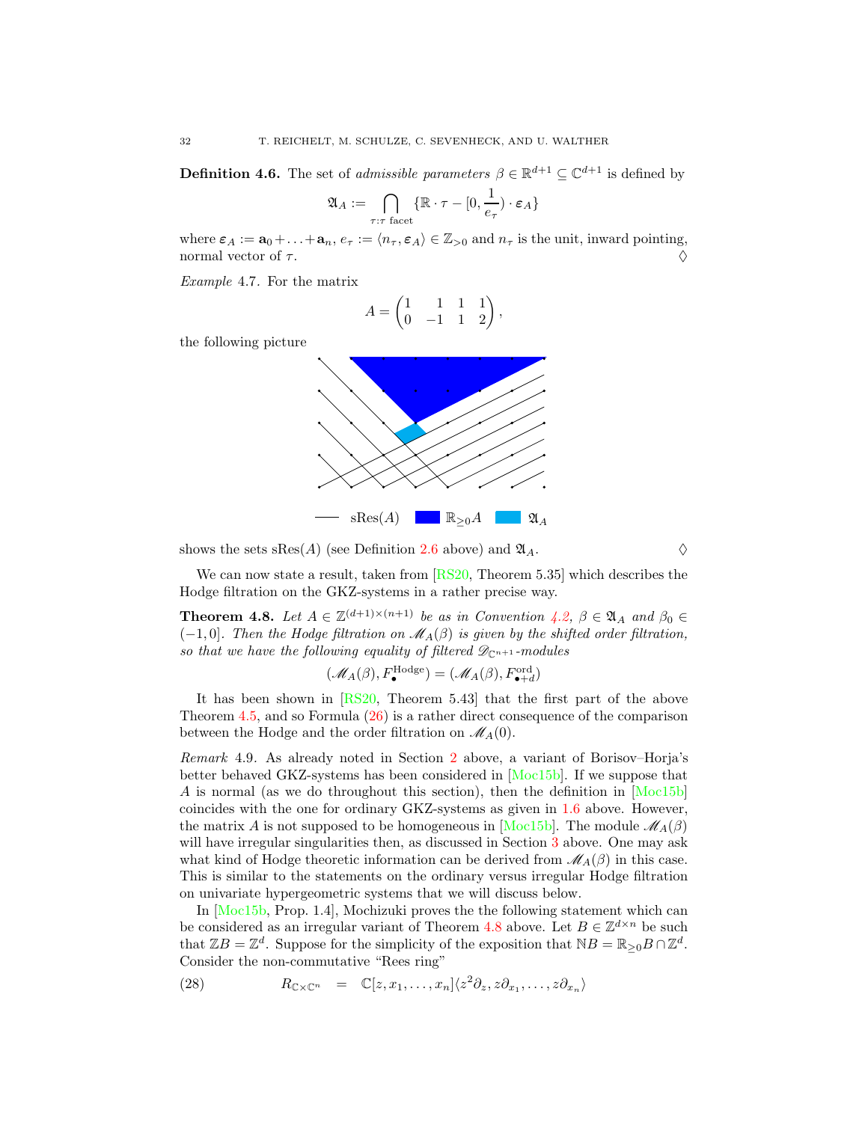<span id="page-31-0"></span>**Definition 4.6.** The set of *admissible parameters*  $\beta \in \mathbb{R}^{d+1} \subseteq \mathbb{C}^{d+1}$  is defined by

$$
\mathfrak{A}_A := \bigcap_{\tau: \tau \text{ facet}} \{\mathbb{R} \cdot \tau - [0, \frac{1}{e_\tau}) \cdot \varepsilon_A\}
$$

where  $\varepsilon_A := \mathbf{a}_0 + \ldots + \mathbf{a}_n$ ,  $e_\tau := \langle n_\tau, \varepsilon_A \rangle \in \mathbb{Z}_{>0}$  and  $n_\tau$  is the unit, inward pointing, normal vector of  $\tau$ .

<span id="page-31-4"></span>Example 4.7. For the matrix

$$
A = \begin{pmatrix} 1 & 1 & 1 & 1 \\ 0 & -1 & 1 & 2 \end{pmatrix},
$$

the following picture



shows the sets  $sRes(A)$  (see Definition [2.6](#page-11-2) above) and  $\mathfrak{A}_A$ .

We can now state a result, taken from  $[RS20, Theorem 5.35]$  which describes the Hodge filtration on the GKZ-systems in a rather precise way.

<span id="page-31-1"></span>**Theorem 4.8.** Let  $A \in \mathbb{Z}^{(d+1)\times(n+1)}$  be as in Convention [4.2,](#page-26-0)  $\beta \in \mathfrak{A}_A$  and  $\beta_0 \in$  $(-1, 0]$ . Then the Hodge filtration on  $\mathcal{M}_{A}(\beta)$  is given by the shifted order filtration, so that we have the following equality of filtered  $\mathscr{D}_{\mathbb{C}^{n+1}}$ -modules

$$
(\mathcal{M}_A(\beta), F^{\text{Hodge}}_{\bullet}) = (\mathcal{M}_A(\beta), F^{\text{ord}}_{\bullet+d})
$$

It has been shown in [\[RS20,](#page-56-8) Theorem 5.43] that the first part of the above Theorem [4.5,](#page-30-1) and so Formula [\(26\)](#page-30-0) is a rather direct consequence of the comparison between the Hodge and the order filtration on  $\mathcal{M}_{A}(0)$ .

<span id="page-31-3"></span>Remark 4.9. As already noted in Section [2](#page-9-0) above, a variant of Borisov–Horja's better behaved GKZ-systems has been considered in [\[Moc15b\]](#page-56-13). If we suppose that A is normal (as we do throughout this section), then the definition in [\[Moc15b\]](#page-56-13) coincides with the one for ordinary GKZ-systems as given in [1.6](#page-4-2) above. However, the matrix A is not supposed to be homogeneous in [\[Moc15b\]](#page-56-13). The module  $\mathcal{M}_{A}(\beta)$ will have irregular singularities then, as discussed in Section [3](#page-16-1) above. One may ask what kind of Hodge theoretic information can be derived from  $\mathcal{M}_{A}(\beta)$  in this case. This is similar to the statements on the ordinary versus irregular Hodge filtration on univariate hypergeometric systems that we will discuss below.

In [\[Moc15b,](#page-56-13) Prop. 1.4], Mochizuki proves the the following statement which can be considered as an irregular variant of Theorem [4.8](#page-31-1) above. Let  $B \in \mathbb{Z}^{d \times n}$  be such that  $\mathbb{Z}B = \mathbb{Z}^d$ . Suppose for the simplicity of the exposition that  $NB = \mathbb{R}_{\geq 0}B \cap \mathbb{Z}^d$ . Consider the non-commutative "Rees ring"

<span id="page-31-2"></span>(28) 
$$
R_{\mathbb{C}\times\mathbb{C}^n} = \mathbb{C}[z, x_1, \dots, x_n] \langle z^2 \partial_z, z \partial_{x_1}, \dots, z \partial_{x_n} \rangle
$$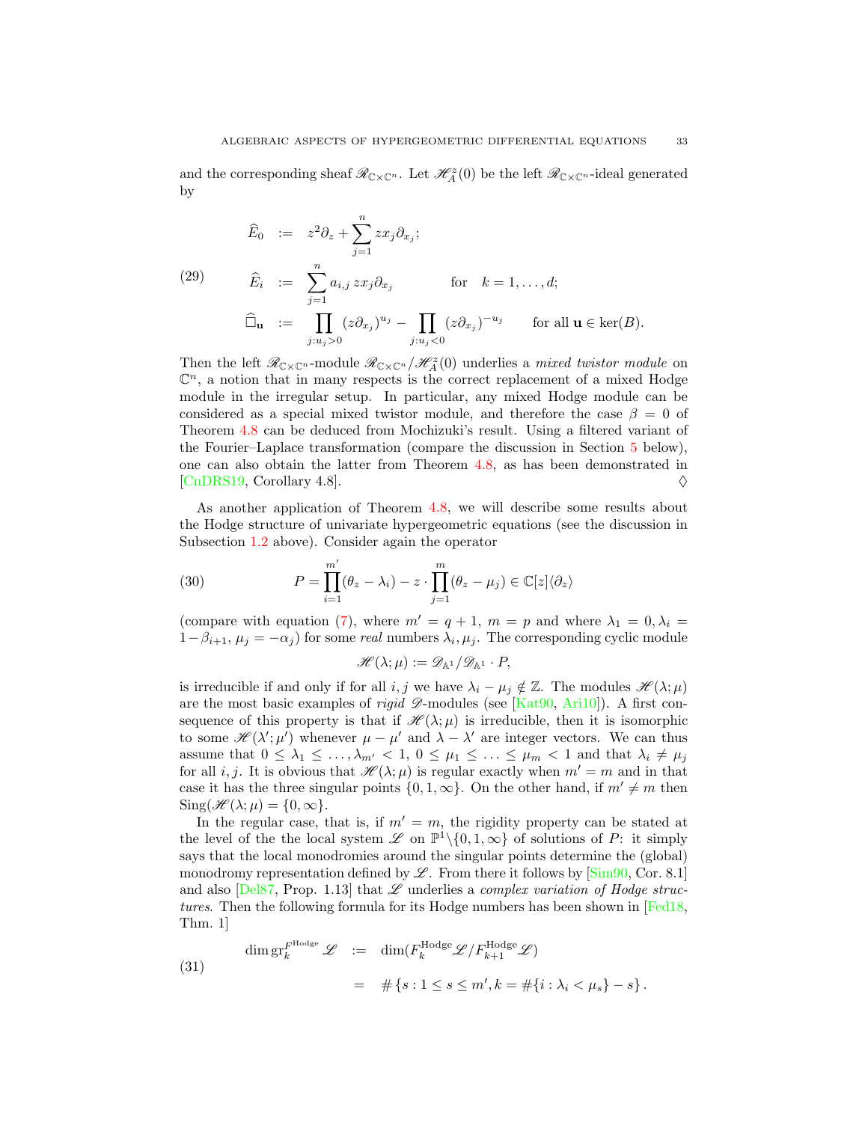and the corresponding sheaf  $\mathcal{R}_{\mathbb{C}\times\mathbb{C}^n}$ . Let  $\mathcal{H}_A^z(0)$  be the left  $\mathcal{R}_{\mathbb{C}\times\mathbb{C}^n}$ -ideal generated by

<span id="page-32-2"></span>
$$
\widehat{E}_0 := z^2 \partial_z + \sum_{j=1}^n z x_j \partial_{x_j};
$$
\n
$$
(29) \qquad \widehat{E}_i := \sum_{j=1}^n a_{i,j} z x_j \partial_{x_j} \qquad \text{for} \quad k = 1, ..., d;
$$
\n
$$
\widehat{\Box}_{\mathbf{u}} := \prod_{j: u_j > 0} (z \partial_{x_j})^{u_j} - \prod_{j: u_j < 0} (z \partial_{x_j})^{-u_j} \qquad \text{for all } \mathbf{u} \in \text{ker}(B).
$$

Then the left  $\mathscr{R}_{C\times \mathbb{C}^n}$ -module  $\mathscr{R}_{C\times \mathbb{C}^n}/\mathscr{H}_{A}^z(0)$  underlies a mixed twistor module on  $\mathbb{C}^n$ , a notion that in many respects is the correct replacement of a mixed Hodge module in the irregular setup. In particular, any mixed Hodge module can be considered as a special mixed twistor module, and therefore the case  $\beta = 0$  of Theorem [4.8](#page-31-1) can be deduced from Mochizuki's result. Using a filtered variant of the Fourier–Laplace transformation (compare the discussion in Section [5](#page-35-0) below), one can also obtain the latter from Theorem [4.8,](#page-31-1) as has been demonstrated in [\[CnDRS19,](#page-53-15) Corollary 4.8].  $\diamond$ 

As another application of Theorem [4.8,](#page-31-1) we will describe some results about the Hodge structure of univariate hypergeometric equations (see the discussion in Subsection [1.2](#page-4-0) above). Consider again the operator

(30) 
$$
P = \prod_{i=1}^{m'} (\theta_z - \lambda_i) - z \cdot \prod_{j=1}^{m} (\theta_z - \mu_j) \in \mathbb{C}[z] \langle \partial_z \rangle
$$

(compare with equation [\(7\)](#page-6-0), where  $m' = q + 1$ ,  $m = p$  and where  $\lambda_1 = 0$ ,  $\lambda_i =$  $1-\beta_{i+1}, \mu_j = -\alpha_j$ ) for some *real* numbers  $\lambda_i, \mu_j$ . The corresponding cyclic module

<span id="page-32-0"></span>
$$
\mathscr{H}(\lambda;\mu):=\mathscr{D}_{\mathbb{A}^1}/\mathscr{D}_{\mathbb{A}^1}\cdot P,
$$

is irreducible if and only if for all i, j we have  $\lambda_i - \mu_j \notin \mathbb{Z}$ . The modules  $\mathscr{H}(\lambda; \mu)$ are the most basic examples of *rigid*  $\mathscr{D}$ -modules (see [\[Kat90,](#page-55-16) [Ari10\]](#page-52-15)). A first consequence of this property is that if  $\mathcal{H}(\lambda;\mu)$  is irreducible, then it is isomorphic to some  $\mathscr{H}(\lambda';\mu')$  whenever  $\mu - \mu'$  and  $\lambda - \lambda'$  are integer vectors. We can thus assume that  $0 \leq \lambda_1 \leq \ldots, \lambda_{m'} < 1, 0 \leq \mu_1 \leq \ldots \leq \mu_m < 1$  and that  $\lambda_i \neq \mu_j$ for all *i*, *j*. It is obvious that  $\mathcal{H}(\lambda; \mu)$  is regular exactly when  $m' = m$  and in that case it has the three singular points  $\{0, 1, \infty\}$ . On the other hand, if  $m' \neq m$  then  $\text{Sing}(\mathscr{H}(\lambda;\mu) = \{0,\infty\}.$ 

In the regular case, that is, if  $m' = m$ , the rigidity property can be stated at the level of the the local system  $\mathscr L$  on  $\mathbb P^1\setminus\{0, 1, \infty\}$  of solutions of P: it simply says that the local monodromies around the singular points determine the (global) monodromy representation defined by  $\mathscr{L}$ . From there it follows by  $[\text{Sim90}, \text{Cor. 8.1}]$ and also [\[Del87,](#page-53-16) Prop. 1.13] that  $\mathscr L$  underlies a *complex variation of Hodge struc*tures. Then the following formula for its Hodge numbers has been shown in [\[Fed18,](#page-54-15) Thm. 1]

<span id="page-32-1"></span>(31)  
\n
$$
\dim \operatorname{gr}^{F^{\text{Hodge}}}_{k} \mathscr{L} := \dim(F^{\text{Hodge}}_{k} \mathscr{L}/F^{\text{Hodge}}_{k+1} \mathscr{L})
$$
\n
$$
= \# \{s : 1 \le s \le m', k = \#\{i : \lambda_i < \mu_s\} - s\}.
$$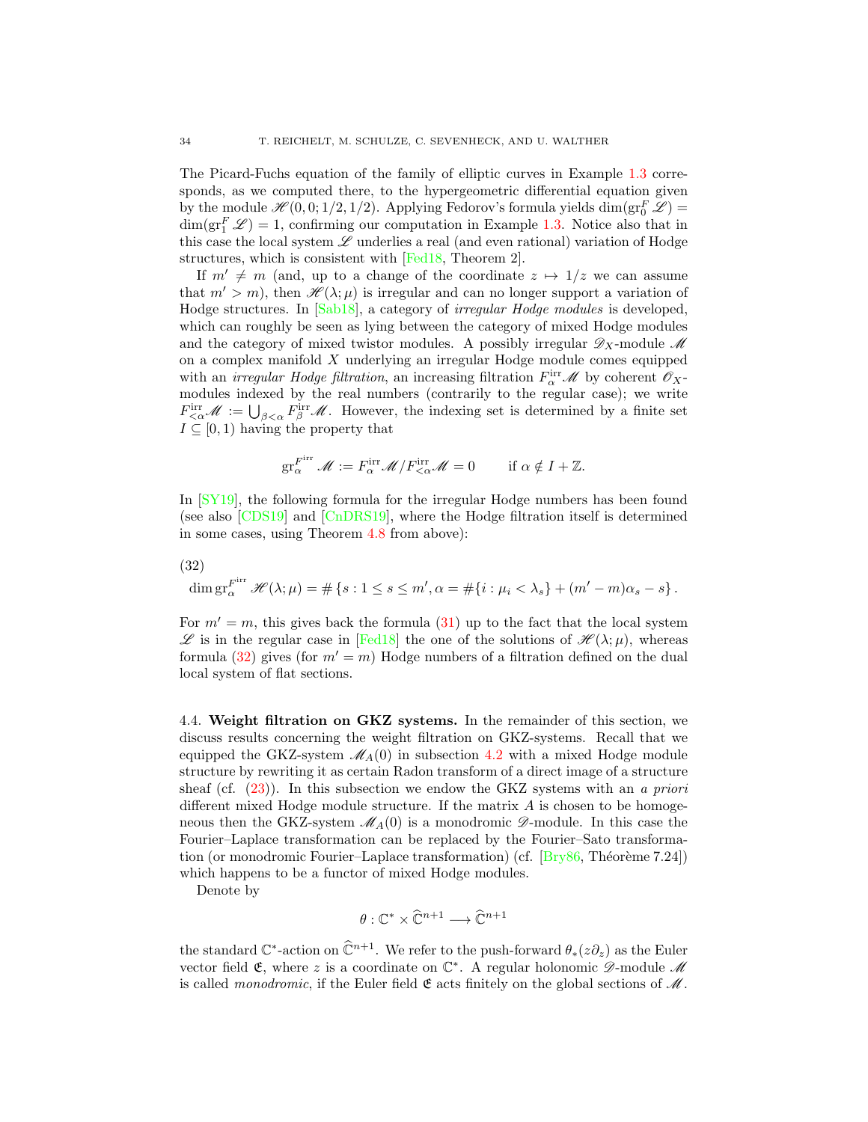The Picard-Fuchs equation of the family of elliptic curves in Example [1.3](#page-2-2) corresponds, as we computed there, to the hypergeometric differential equation given by the module  $\mathscr{H}(0,0;1/2,1/2)$ . Applying Fedorov's formula yields  $\dim(\text{gr}^F_0\mathscr{L})=$  $\dim(\text{gr}_{1}^{F}\mathscr{L})=1$ , confirming our computation in Example [1.3.](#page-2-2) Notice also that in this case the local system  $\mathscr L$  underlies a real (and even rational) variation of Hodge structures, which is consistent with [\[Fed18,](#page-54-15) Theorem 2].

If  $m' \neq m$  (and, up to a change of the coordinate  $z \mapsto 1/z$  we can assume that  $m' > m$ , then  $\mathcal{H}(\lambda; \mu)$  is irregular and can no longer support a variation of Hodge structures. In [\[Sab18\]](#page-56-18), a category of irregular Hodge modules is developed, which can roughly be seen as lying between the category of mixed Hodge modules and the category of mixed twistor modules. A possibly irregular  $\mathscr{D}_X$ -module  $\mathscr{M}$ on a complex manifold X underlying an irregular Hodge module comes equipped with an *irregular Hodge filtration*, an increasing filtration  $F_\alpha^{\text{irr}}$  *M* by coherent  $\mathscr{O}_X$ modules indexed by the real numbers (contrarily to the regular case); we write  $F^{\text{irr}}_{\leq \alpha} \mathscr{M} := \bigcup_{\beta < \alpha} F^{\text{irr}}_{\beta} \mathscr{M}$ . However, the indexing set is determined by a finite set  $I \subseteq [0, 1)$  having the property that

$$
\operatorname{gr}_{\alpha}^{F^{\mathrm{irr}}} \mathscr{M} := F^{\mathrm{irr}}_{\alpha} \mathscr{M} / F^{\mathrm{irr}}_{<\alpha} \mathscr{M} = 0 \quad \text{if } \alpha \notin I + \mathbb{Z}.
$$

In [\[SY19\]](#page-57-17), the following formula for the irregular Hodge numbers has been found (see also [\[CDS19\]](#page-53-17) and [\[CnDRS19\]](#page-53-15), where the Hodge filtration itself is determined in some cases, using Theorem [4.8](#page-31-1) from above):

<span id="page-33-1"></span>(32)

$$
\dim \mathrm{gr}_{\alpha}^{F^{\mathrm{irr}}} \mathscr{H}(\lambda; \mu) = \# \left\{ s : 1 \le s \le m', \alpha = \# \{ i : \mu_i < \lambda_s \} + (m' - m)\alpha_s - s \right\}.
$$

For  $m' = m$ , this gives back the formula [\(31\)](#page-32-1) up to the fact that the local system  $\mathscr{L}$  is in the regular case in [\[Fed18\]](#page-54-15) the one of the solutions of  $\mathscr{H}(\lambda;\mu)$ , whereas formula [\(32\)](#page-33-1) gives (for  $m' = m$ ) Hodge numbers of a filtration defined on the dual local system of flat sections.

<span id="page-33-0"></span>4.4. Weight filtration on GKZ systems. In the remainder of this section, we discuss results concerning the weight filtration on GKZ-systems. Recall that we equipped the GKZ-system  $\mathcal{M}_{A}(0)$  in subsection [4.2](#page-27-0) with a mixed Hodge module structure by rewriting it as certain Radon transform of a direct image of a structure sheaf (cf.  $(23)$ ). In this subsection we endow the GKZ systems with an a priori different mixed Hodge module structure. If the matrix  $A$  is chosen to be homogeneous then the GKZ-system  $\mathcal{M}_{A}(0)$  is a monodromic  $\mathcal{D}$ -module. In this case the Fourier–Laplace transformation can be replaced by the Fourier–Sato transformation (or monodromic Fourier–Laplace transformation) (cf.  $[By86, Théorème 7.24]$ ) which happens to be a functor of mixed Hodge modules.

Denote by

$$
\theta: \mathbb{C}^* \times \widehat{\mathbb{C}}^{n+1} \longrightarrow \widehat{\mathbb{C}}^{n+1}
$$

the standard  $\mathbb{C}^*$ -action on  $\widehat{\mathbb{C}}^{n+1}$ . We refer to the push-forward  $\theta_*(z\partial_z)$  as the Euler vector field  $\mathfrak{E}$ , where z is a coordinate on  $\mathbb{C}^*$ . A regular holonomic  $\mathscr{D}$ -module  $\mathscr{M}$ is called *monodromic*, if the Euler field  $\mathfrak E$  acts finitely on the global sections of  $\mathcal M$ .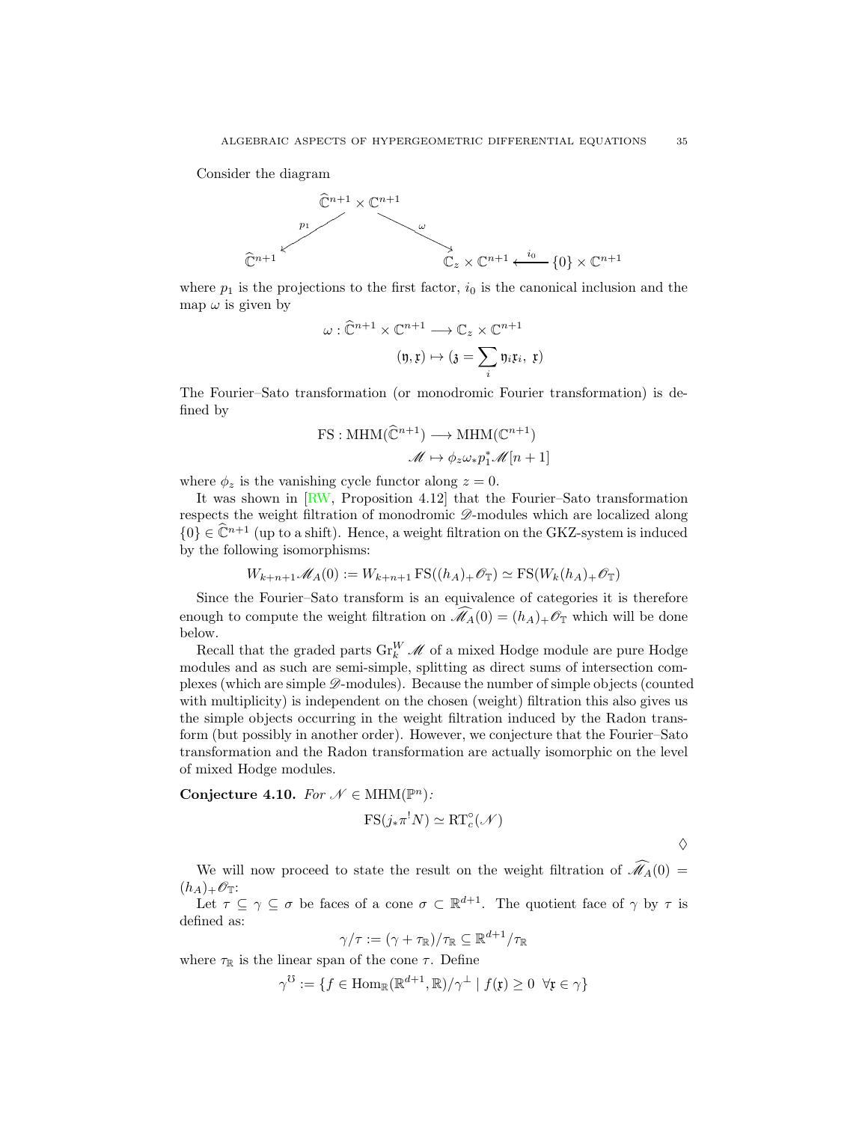Consider the diagram



where  $p_1$  is the projections to the first factor,  $i_0$  is the canonical inclusion and the map  $\omega$  is given by

$$
\omega : \widehat{\mathbb{C}}^{n+1} \times \mathbb{C}^{n+1} \longrightarrow \mathbb{C}_z \times \mathbb{C}^{n+1}
$$

$$
(\mathfrak{y}, \mathfrak{x}) \mapsto (\mathfrak{z} = \sum_i \mathfrak{y}_i \mathfrak{x}_i, \mathfrak{x})
$$

The Fourier–Sato transformation (or monodromic Fourier transformation) is defined by

$$
\text{FS}: \text{MHM}(\widehat{\mathbb{C}}^{n+1}) \longrightarrow \text{MHM}(\mathbb{C}^{n+1})
$$

$$
\mathscr{M} \mapsto \phi_z \omega_* p_1^* \mathscr{M}[n+1]
$$

where  $\phi_z$  is the vanishing cycle functor along  $z = 0$ .

It was shown in [\[RW,](#page-56-9) Proposition 4.12] that the Fourier–Sato transformation respects the weight filtration of monodromic  $\mathscr{D}$ -modules which are localized along  $\{0\} \in \widehat{\mathbb{C}}^{n+1}$  (up to a shift). Hence, a weight filtration on the GKZ-system is induced by the following isomorphisms:

$$
W_{k+n+1} \mathcal{M}_A(0) := W_{k+n+1} \operatorname{FS}((h_A)_+ \mathcal{O}_\mathbb{T}) \simeq \operatorname{FS}(W_k(h_A)_+ \mathcal{O}_\mathbb{T})
$$

Since the Fourier–Sato transform is an equivalence of categories it is therefore enough to compute the weight filtration on  $\widehat{\mathcal{M}}_A(0) = (h_A)_+ \mathcal{O}_{\mathbb{T}}$  which will be done below.

Recall that the graded parts  $\text{Gr}_{k}^{W}$   $\mathscr{M}$  of a mixed Hodge module are pure Hodge modules and as such are semi-simple, splitting as direct sums of intersection complexes (which are simple  $\mathscr{D}$ -modules). Because the number of simple objects (counted with multiplicity) is independent on the chosen (weight) filtration this also gives us the simple objects occurring in the weight filtration induced by the Radon transform (but possibly in another order). However, we conjecture that the Fourier–Sato transformation and the Radon transformation are actually isomorphic on the level of mixed Hodge modules.

Conjecture 4.10. For  $\mathcal{N} \in \text{MHM}(\mathbb{P}^n)$ :

$$
FS(j_*\pi^!N)\simeq RT_c^{\circ}(\mathcal{N})
$$

 $\Diamond$ 

We will now proceed to state the result on the weight filtration of  $\widehat{\mathcal{M}}_A(0)$  =  $(h_A)_+\mathscr{O}_{\mathbb{T}}$ :

Let  $\tau \subseteq \gamma \subseteq \sigma$  be faces of a cone  $\sigma \subset \mathbb{R}^{d+1}$ . The quotient face of  $\gamma$  by  $\tau$  is defined as:

$$
\gamma/\tau:=(\gamma+\tau_{\mathbb{R}})/\tau_{\mathbb{R}}\subseteq\mathbb{R}^{d+1}/\tau_{\mathbb{R}}
$$

where  $\tau_{\mathbb{R}}$  is the linear span of the cone  $\tau$ . Define

$$
\gamma^{\mathcal{O}} := \{ f \in \text{Hom}_{\mathbb{R}}(\mathbb{R}^{d+1}, \mathbb{R}) / \gamma^{\perp} \mid f(\mathfrak{x}) \ge 0 \ \forall \mathfrak{x} \in \gamma \}
$$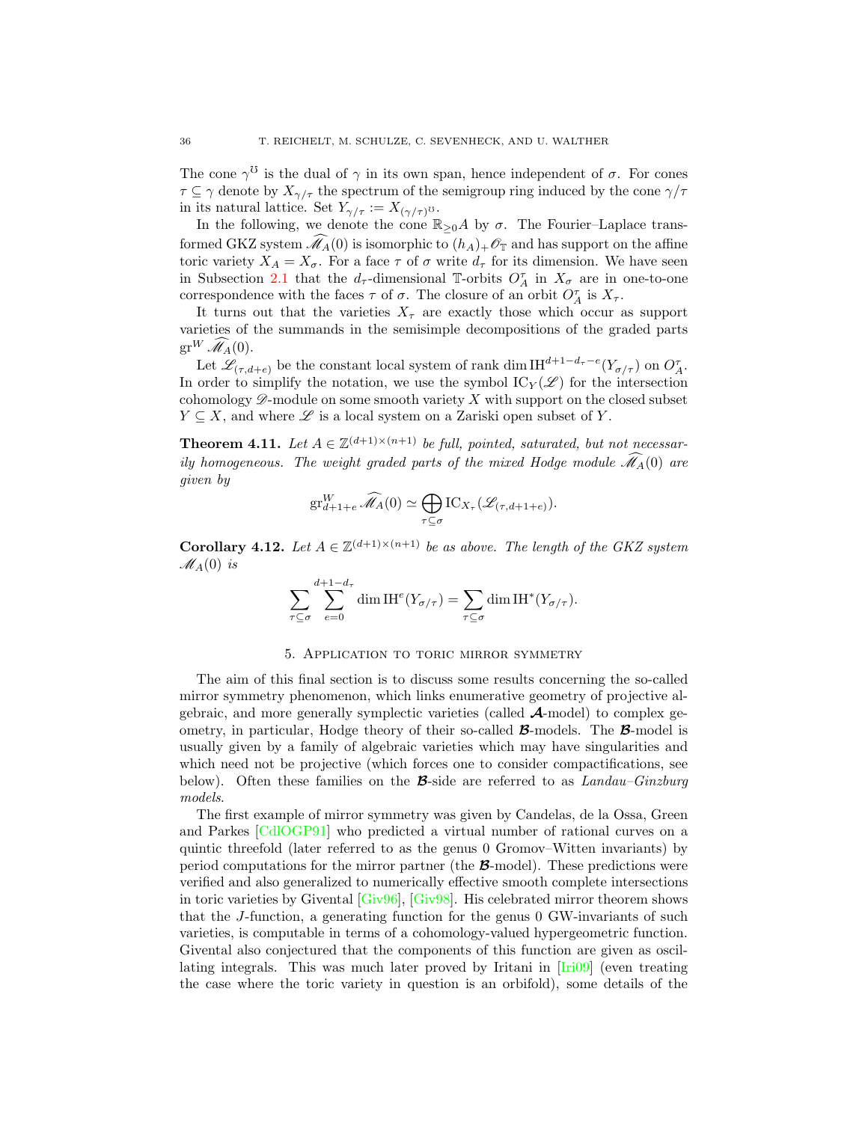The cone  $\gamma^{\mathcal{O}}$  is the dual of  $\gamma$  in its own span, hence independent of  $\sigma$ . For cones  $\tau \subseteq \gamma$  denote by  $X_{\gamma/\tau}$  the spectrum of the semigroup ring induced by the cone  $\gamma/\tau$ in its natural lattice. Set  $Y_{\gamma/\tau} := X_{(\gamma/\tau)^{\mathcal{O}}}$ .

In the following, we denote the cone  $\mathbb{R}_{>0}A$  by  $\sigma$ . The Fourier–Laplace transformed GKZ system  $\widehat{\mathcal{M}}_A(0)$  is isomorphic to  $(h_A)_+\mathcal{O}_{\mathbb{T}}$  and has support on the affine toric variety  $X_A = X_{\sigma}$ . For a face  $\tau$  of  $\sigma$  write  $d_{\tau}$  for its dimension. We have seen in Subsection [2.1](#page-9-1) that the  $d_{\tau}$ -dimensional T-orbits  $O_{A}^{\tau}$  in  $X_{\sigma}$  are in one-to-one correspondence with the faces  $\tau$  of  $\sigma$ . The closure of an orbit  $O_A^{\tau}$  is  $X_{\tau}$ .

It turns out that the varieties  $X_\tau$  are exactly those which occur as support varieties of the summands in the semisimple decompositions of the graded parts  $gr^W \widehat{\mathscr{M}}_A(0)$ .

Let  $\mathscr{L}_{(\tau,d+e)}$  be the constant local system of rank dim IH<sup>d+1−d<sub>τ</sub>−e</sup>( $Y_{\sigma/\tau}$ ) on  $O_{A}^{\tau}$ . In order to simplify the notation, we use the symbol  $\mathrm{IC}_Y(\mathscr{L})$  for the intersection cohomology  $\mathscr{D}$ -module on some smooth variety X with support on the closed subset  $Y \subseteq X$ , and where  $\mathscr L$  is a local system on a Zariski open subset of Y.

**Theorem 4.11.** Let  $A \in \mathbb{Z}^{(d+1)\times(n+1)}$  be full, pointed, saturated, but not necessarily homogeneous. The weight graded parts of the mixed Hodge module  $\widehat{\mathcal{M}}_A(0)$  are given by

$$
\operatorname{gr}_{d+1+e}^W\widehat{\mathscr{M}}_A(0)\simeq \bigoplus_{\tau\subseteq\sigma}\operatorname{IC}_{X_\tau}(\mathscr{L}_{(\tau,d+1+e)}).
$$

**Corollary 4.12.** Let  $A \in \mathbb{Z}^{(d+1)\times(n+1)}$  be as above. The length of the GKZ system  $\mathscr{M}_{A}(0)$  is

$$
\sum_{\tau \subseteq \sigma} \sum_{e=0}^{d+1-d_{\tau}} \dim \mathrm{IH}^e(Y_{\sigma/\tau}) = \sum_{\tau \subseteq \sigma} \dim \mathrm{IH}^*(Y_{\sigma/\tau}).
$$

#### 5. Application to toric mirror symmetry

<span id="page-35-0"></span>The aim of this final section is to discuss some results concerning the so-called mirror symmetry phenomenon, which links enumerative geometry of projective algebraic, and more generally symplectic varieties (called  $\mathcal{A}\text{-model}$ ) to complex geometry, in particular, Hodge theory of their so-called  $\mathcal{B}\text{-models}$ . The  $\mathcal{B}\text{-model}$  is usually given by a family of algebraic varieties which may have singularities and which need not be projective (which forces one to consider compactifications, see below). Often these families on the **B**-side are referred to as  $Landau-Ginzburg$ models.

The first example of mirror symmetry was given by Candelas, de la Ossa, Green and Parkes [\[CdlOGP91\]](#page-53-18) who predicted a virtual number of rational curves on a quintic threefold (later referred to as the genus 0 Gromov–Witten invariants) by period computations for the mirror partner (the B-model). These predictions were verified and also generalized to numerically effective smooth complete intersections in toric varieties by Givental [\[Giv96\]](#page-54-16), [\[Giv98\]](#page-54-17). His celebrated mirror theorem shows that the J-function, a generating function for the genus 0 GW-invariants of such varieties, is computable in terms of a cohomology-valued hypergeometric function. Givental also conjectured that the components of this function are given as oscillating integrals. This was much later proved by Iritani in [\[Iri09\]](#page-55-17) (even treating the case where the toric variety in question is an orbifold), some details of the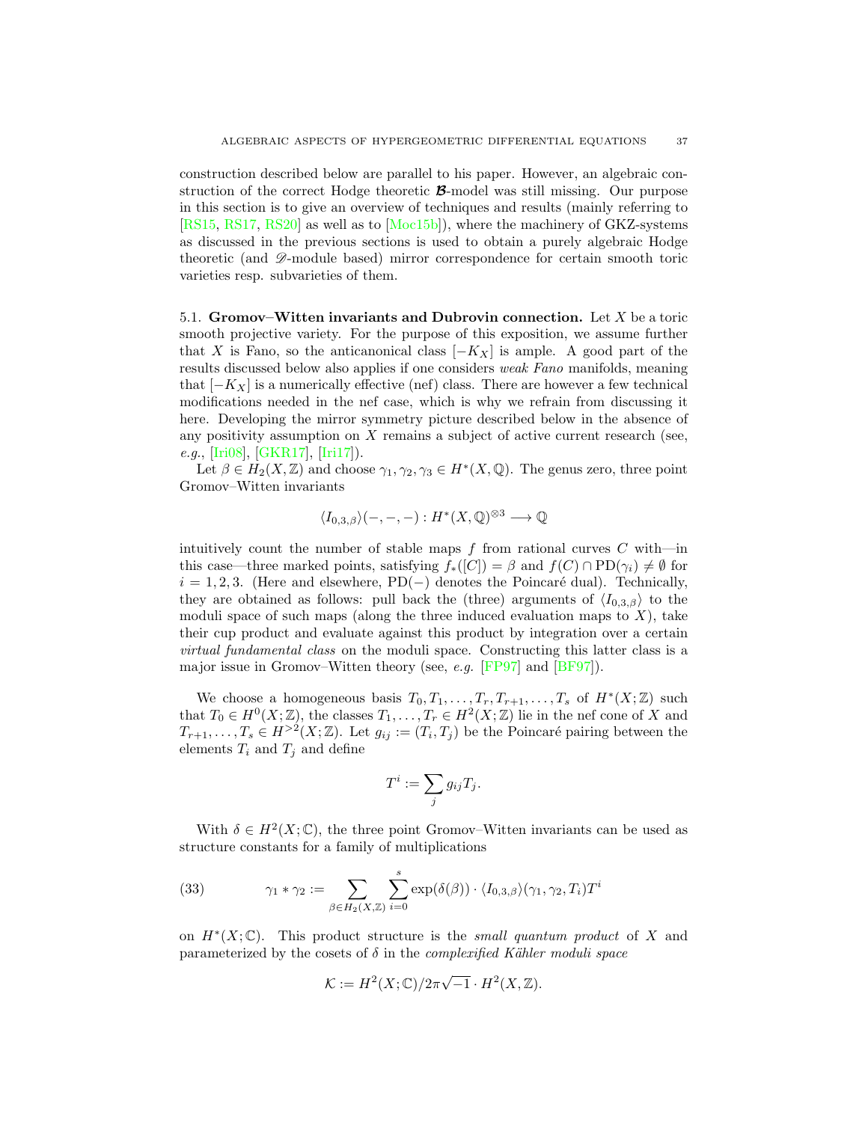construction described below are parallel to his paper. However, an algebraic construction of the correct Hodge theoretic  $\mathcal{B}\text{-model}$  was still missing. Our purpose in this section is to give an overview of techniques and results (mainly referring to [\[RS15,](#page-56-6) [RS17,](#page-56-7) [RS20\]](#page-56-8) as well as to [\[Moc15b\]](#page-56-13)), where the machinery of GKZ-systems as discussed in the previous sections is used to obtain a purely algebraic Hodge theoretic (and  $\mathscr{D}$ -module based) mirror correspondence for certain smooth toric varieties resp. subvarieties of them.

<span id="page-36-0"></span>5.1. Gromov–Witten invariants and Dubrovin connection. Let  $X$  be a toric smooth projective variety. For the purpose of this exposition, we assume further that X is Fano, so the anticanonical class  $[-K_X]$  is ample. A good part of the results discussed below also applies if one considers weak Fano manifolds, meaning that  $[-K_X]$  is a numerically effective (nef) class. There are however a few technical modifications needed in the nef case, which is why we refrain from discussing it here. Developing the mirror symmetry picture described below in the absence of any positivity assumption on X remains a subject of active current research (see, e.g., [\[Iri08\]](#page-55-18), [\[GKR17\]](#page-54-18), [\[Iri17\]](#page-55-19)).

Let  $\beta \in H_2(X, \mathbb{Z})$  and choose  $\gamma_1, \gamma_2, \gamma_3 \in H^*(X, \mathbb{Q})$ . The genus zero, three point Gromov–Witten invariants

$$
\langle I_{0,3,\beta}\rangle(-,-,-):H^*(X,\mathbb{Q})^{\otimes 3}\longrightarrow\mathbb{Q}
$$

intuitively count the number of stable maps  $f$  from rational curves  $C$  with—in this case—three marked points, satisfying  $f_*([C]) = \beta$  and  $f(C) \cap \text{PD}(\gamma_i) \neq \emptyset$  for  $i = 1, 2, 3$ . (Here and elsewhere, PD(−) denotes the Poincaré dual). Technically, they are obtained as follows: pull back the (three) arguments of  $\langle I_{0,3,\beta} \rangle$  to the moduli space of such maps (along the three induced evaluation maps to  $X$ ), take their cup product and evaluate against this product by integration over a certain virtual fundamental class on the moduli space. Constructing this latter class is a major issue in Gromov–Witten theory (see, e.g. [\[FP97\]](#page-54-19) and [\[BF97\]](#page-52-16)).

We choose a homogeneous basis  $T_0, T_1, \ldots, T_r, T_{r+1}, \ldots, T_s$  of  $H^*(X; \mathbb{Z})$  such that  $T_0 \in H^0(X; \mathbb{Z})$ , the classes  $T_1, \ldots, T_r \in H^2(X; \mathbb{Z})$  lie in the nef cone of X and  $T_{r+1}, \ldots, T_s \in H^{>2}(X;\mathbb{Z})$ . Let  $g_{ij} := (T_i, T_j)$  be the Poincaré pairing between the elements  $T_i$  and  $T_j$  and define

$$
T^i := \sum_j g_{ij} T_j.
$$

With  $\delta \in H^2(X; \mathbb{C})$ , the three point Gromov–Witten invariants can be used as structure constants for a family of multiplications

<span id="page-36-1"></span>(33) 
$$
\gamma_1 * \gamma_2 := \sum_{\beta \in H_2(X,\mathbb{Z})} \sum_{i=0}^s \exp(\delta(\beta)) \cdot \langle I_{0,3,\beta} \rangle (\gamma_1, \gamma_2, T_i) T^i
$$

on  $H^*(X;\mathbb{C})$ . This product structure is the small quantum product of X and parameterized by the cosets of  $\delta$  in the *complexified Kähler moduli space* 

$$
\mathcal{K} := H^2(X;\mathbb{C})/2\pi\sqrt{-1}\cdot H^2(X,\mathbb{Z}).
$$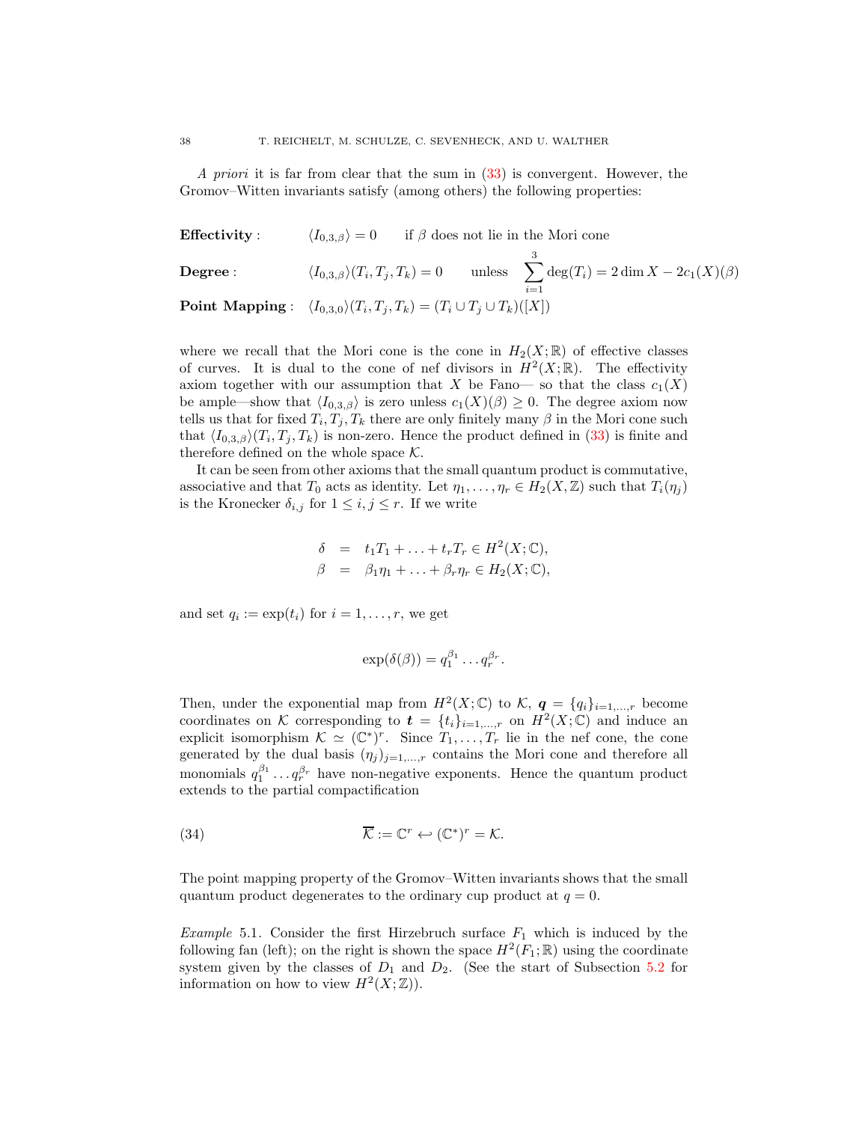A priori it is far from clear that the sum in  $(33)$  is convergent. However, the Gromov–Witten invariants satisfy (among others) the following properties:

**Effectivity** :  $\langle I_{0,3,\beta}\rangle = 0$  if  $\beta$  does not lie in the Mori cone

**Degree :** 
$$
\langle I_{0,3,\beta}\rangle(T_i,T_j,T_k) = 0
$$
 unless  $\sum_{i=1}^3 \deg(T_i) = 2 \dim X - 2c_1(X)(\beta)$   
**Point Mapping :**  $\langle I_{0,3,0}\rangle(T_i,T_j,T_k) = (T_i \cup T_j \cup T_k)([X])$ 

where we recall that the Mori cone is the cone in  $H_2(X;\mathbb{R})$  of effective classes of curves. It is dual to the cone of nef divisors in  $H^2(X;\mathbb{R})$ . The effectivity axiom together with our assumption that X be Fano— so that the class  $c_1(X)$ be ample—show that  $\langle I_{0,3,\beta}\rangle$  is zero unless  $c_1(X)(\beta) \geq 0$ . The degree axiom now tells us that for fixed  $T_i, T_j, T_k$  there are only finitely many  $\beta$  in the Mori cone such that  $\langle I_{0,3,\beta}\rangle(T_i,T_j,T_k)$  is non-zero. Hence the product defined in [\(33\)](#page-36-1) is finite and therefore defined on the whole space  $K$ .

It can be seen from other axioms that the small quantum product is commutative, associative and that  $T_0$  acts as identity. Let  $\eta_1, \ldots, \eta_r \in H_2(X, \mathbb{Z})$  such that  $T_i(\eta_j)$ is the Kronecker  $\delta_{i,j}$  for  $1 \leq i,j \leq r$ . If we write

$$
\delta = t_1 T_1 + \ldots + t_r T_r \in H^2(X; \mathbb{C}),
$$
  

$$
\beta = \beta_1 \eta_1 + \ldots + \beta_r \eta_r \in H_2(X; \mathbb{C}),
$$

and set  $q_i := \exp(t_i)$  for  $i = 1, \ldots, r$ , we get

<span id="page-37-0"></span>
$$
\exp(\delta(\beta)) = q_1^{\beta_1} \dots q_r^{\beta_r}.
$$

Then, under the exponential map from  $H^2(X;\mathbb{C})$  to  $\mathcal{K}, q = \{q_i\}_{i=1,\dots,r}$  become coordinates on K corresponding to  $\boldsymbol{t} = \{t_i\}_{i=1,\dots,r}$  on  $H^2(X;\mathbb{C})$  and induce an explicit isomorphism  $\mathcal{K} \simeq (\mathbb{C}^*)^r$ . Since  $T_1, \ldots, T_r$  lie in the nef cone, the cone generated by the dual basis  $(\eta_j)_{j=1,\dots,r}$  contains the Mori cone and therefore all monomials  $q_1^{\beta_1} \dots q_r^{\beta_r}$  have non-negative exponents. Hence the quantum product extends to the partial compactification

(34) 
$$
\overline{\mathcal{K}} := \mathbb{C}^r \hookleftarrow (\mathbb{C}^*)^r = \mathcal{K}.
$$

The point mapping property of the Gromov–Witten invariants shows that the small quantum product degenerates to the ordinary cup product at  $q = 0$ .

<span id="page-37-1"></span>*Example* 5.1. Consider the first Hirzebruch surface  $F_1$  which is induced by the following fan (left); on the right is shown the space  $H^2(F_1; \mathbb{R})$  using the coordinate system given by the classes of  $D_1$  and  $D_2$ . (See the start of Subsection [5.2](#page-39-0) for information on how to view  $H^2(X; \mathbb{Z})$ .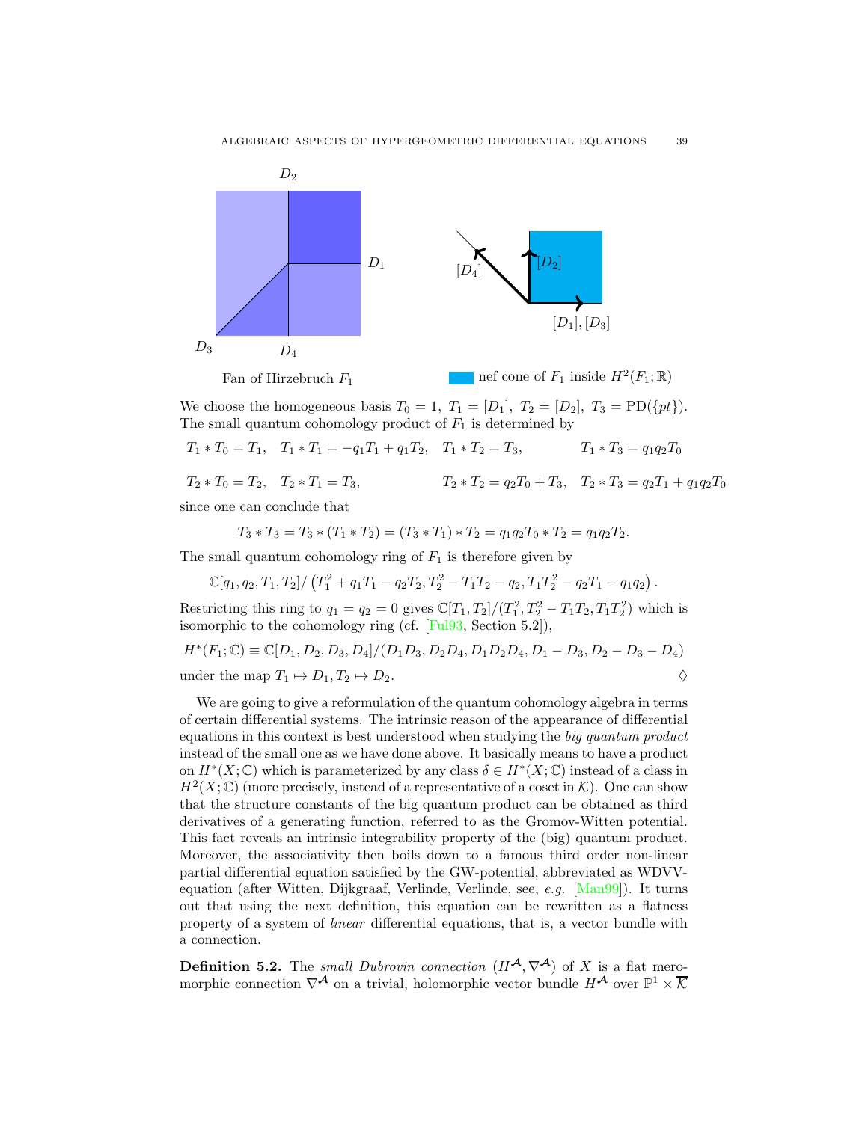

We choose the homogeneous basis  $T_0 = 1$ ,  $T_1 = [D_1]$ ,  $T_2 = [D_2]$ ,  $T_3 = \text{PD}(\{pt\}).$ The small quantum cohomology product of  $F_1$  is determined by

$$
T_1 * T_0 = T_1
$$
,  $T_1 * T_1 = -q_1 T_1 + q_1 T_2$ ,  $T_1 * T_2 = T_3$ ,  $T_1 * T_3 = q_1 q_2 T_0$ 

$$
T_2 * T_0 = T_2, \quad T_2 * T_1 = T_3, \qquad T_2 * T_2 = q_2 T_0 + T_3, \quad T_2 * T_3 = q_2 T_1 + q_1 q_2 T_0
$$

since one can conclude that

$$
T_3 * T_3 = T_3 * (T_1 * T_2) = (T_3 * T_1) * T_2 = q_1 q_2 T_0 * T_2 = q_1 q_2 T_2.
$$

The small quantum cohomology ring of  $F_1$  is therefore given by

$$
\mathbb{C}[q_1, q_2, T_1, T_2] / (T_1^2 + q_1 T_1 - q_2 T_2, T_2^2 - T_1 T_2 - q_2, T_1 T_2^2 - q_2 T_1 - q_1 q_2).
$$

Restricting this ring to  $q_1 = q_2 = 0$  gives  $\mathbb{C}[T_1, T_2]/(T_1^2, T_2^2 - T_1T_2, T_1T_2^2)$  which is isomorphic to the cohomology ring (cf. [\[Ful93,](#page-54-20) Section 5.2]),

$$
H^*(F_1; \mathbb{C}) \equiv \mathbb{C}[D_1, D_2, D_3, D_4]/(D_1D_3, D_2D_4, D_1D_2D_4, D_1 - D_3, D_2 - D_3 - D_4)
$$
  
under the map  $T_1 \mapsto D_1, T_2 \mapsto D_2$ .

We are going to give a reformulation of the quantum cohomology algebra in terms of certain differential systems. The intrinsic reason of the appearance of differential equations in this context is best understood when studying the big quantum product instead of the small one as we have done above. It basically means to have a product on  $H^*(X; \mathbb{C})$  which is parameterized by any class  $\delta \in H^*(X; \mathbb{C})$  instead of a class in  $H^2(X;\mathbb{C})$  (more precisely, instead of a representative of a coset in K). One can show that the structure constants of the big quantum product can be obtained as third derivatives of a generating function, referred to as the Gromov-Witten potential. This fact reveals an intrinsic integrability property of the (big) quantum product. Moreover, the associativity then boils down to a famous third order non-linear partial differential equation satisfied by the GW-potential, abbreviated as WDVVequation (after Witten, Dijkgraaf, Verlinde, Verlinde, see, e.g. [\[Man99\]](#page-55-20)). It turns out that using the next definition, this equation can be rewritten as a flatness property of a system of linear differential equations, that is, a vector bundle with a connection.

**Definition 5.2.** The *small Dubrovin connection*  $(H^{\mathcal{A}}, \nabla^{\mathcal{A}})$  of X is a flat meromorphic connection  $\nabla^{\mathcal{A}}$  on a trivial, holomorphic vector bundle  $H^{\mathcal{A}}$  over  $\mathbb{P}^1 \times \overline{\mathcal{K}}$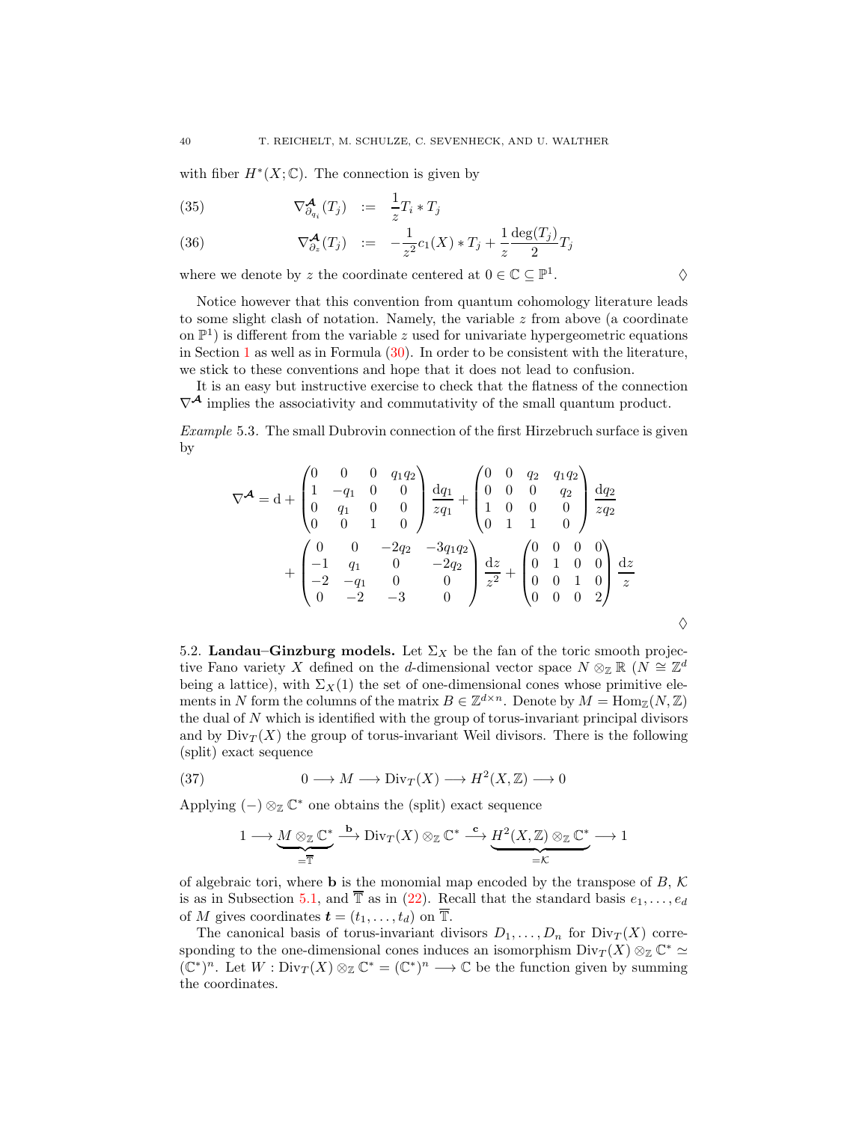with fiber  $H^*(X; \mathbb{C})$ . The connection is given by

<span id="page-39-2"></span>(35) 
$$
\nabla^{\mathcal{A}}_{\partial_{q_i}}(T_j) \quad := \quad \frac{1}{z} T_i * T_j
$$

(36) 
$$
\nabla_{\partial_z}^{\mathcal{A}}(T_j) := -\frac{1}{z^2}c_1(X) * T_j + \frac{1}{z}\frac{\deg(T_j)}{2}T_j
$$

where we denote by z the coordinate centered at  $0\in\mathbb{C}\subseteq\mathbb{P}^1$ 

Notice however that this convention from quantum cohomology literature leads to some slight clash of notation. Namely, the variable  $z$  from above (a coordinate on  $\mathbb{P}^1$ ) is different from the variable z used for univariate hypergeometric equations in Section [1](#page-1-0) as well as in Formula  $(30)$ . In order to be consistent with the literature, we stick to these conventions and hope that it does not lead to confusion.

.  $\Diamond$ 

It is an easy but instructive exercise to check that the flatness of the connection  $\nabla^{\mathcal{A}}$  implies the associativity and commutativity of the small quantum product.

Example 5.3. The small Dubrovin connection of the first Hirzebruch surface is given by

$$
\nabla^{\mathcal{A}} = d + \begin{pmatrix} 0 & 0 & 0 & q_1 q_2 \\ 1 & -q_1 & 0 & 0 \\ 0 & q_1 & 0 & 0 \\ 0 & 0 & 1 & 0 \end{pmatrix} \frac{dq_1}{zq_1} + \begin{pmatrix} 0 & 0 & q_2 & q_1 q_2 \\ 0 & 0 & 0 & q_2 \\ 1 & 0 & 0 & 0 \\ 0 & 1 & 1 & 0 \end{pmatrix} \frac{dq_2}{zq_2} + \begin{pmatrix} 0 & 0 & 0 & 0 \\ -1 & q_1 & 0 & -2q_2 \\ -2 & -q_1 & 0 & 0 \\ 0 & -2 & -3 & 0 \end{pmatrix} \frac{dz}{z^2} + \begin{pmatrix} 0 & 0 & 0 & 0 \\ 0 & 1 & 0 & 0 \\ 0 & 0 & 1 & 0 \\ 0 & 0 & 0 & 2 \end{pmatrix} \frac{dz}{z}
$$

 $\overline{a}$ 

<span id="page-39-0"></span>5.2. Landau–Ginzburg models. Let  $\Sigma_X$  be the fan of the toric smooth projective Fano variety X defined on the d-dimensional vector space  $N \otimes_{\mathbb{Z}} \mathbb{R}$  ( $N \cong \mathbb{Z}^d$ being a lattice), with  $\Sigma_X(1)$  the set of one-dimensional cones whose primitive elements in N form the columns of the matrix  $B \in \mathbb{Z}^{d \times n}$ . Denote by  $M = \text{Hom}_{\mathbb{Z}}(N, \mathbb{Z})$ the dual of N which is identified with the group of torus-invariant principal divisors and by  $Div_T(X)$  the group of torus-invariant Weil divisors. There is the following (split) exact sequence

(37) 
$$
0 \longrightarrow M \longrightarrow \text{Div}_T(X) \longrightarrow H^2(X, \mathbb{Z}) \longrightarrow 0
$$

Applying  $(-) \otimes_{\mathbb{Z}} \mathbb{C}^*$  one obtains the (split) exact sequence

<span id="page-39-1"></span>
$$
1 \longrightarrow \underbrace{M \otimes_{\mathbb{Z}} \mathbb{C}^*}_{=\overline{\mathbb{T}}} \xrightarrow{\mathbf{b}} \mathrm{Div}_T(X) \otimes_{\mathbb{Z}} \mathbb{C}^* \xrightarrow{\mathbf{c}} \underbrace{H^2(X,\mathbb{Z}) \otimes_{\mathbb{Z}} \mathbb{C}^*}_{=\mathcal{K}} \longrightarrow 1
$$

of algebraic tori, where **b** is the monomial map encoded by the transpose of  $B, K$ is as in Subsection [5.1,](#page-36-0) and  $\overline{T}$  as in [\(22\)](#page-28-2). Recall that the standard basis  $e_1, \ldots, e_d$ of M gives coordinates  $\mathbf{t} = (t_1, \ldots, t_d)$  on  $\overline{\mathbb{T}}$ .

The canonical basis of torus-invariant divisors  $D_1, \ldots, D_n$  for  $\text{Div}_T(X)$  corresponding to the one-dimensional cones induces an isomorphism  $\text{Div}_T(X) \otimes_{\mathbb{Z}} \mathbb{C}^* \simeq$  $(\mathbb{C}^*)^n$ . Let  $W: \text{Div}_T(X) \otimes_{\mathbb{Z}} \mathbb{C}^* = (\mathbb{C}^*)^n \longrightarrow \mathbb{C}$  be the function given by summing the coordinates.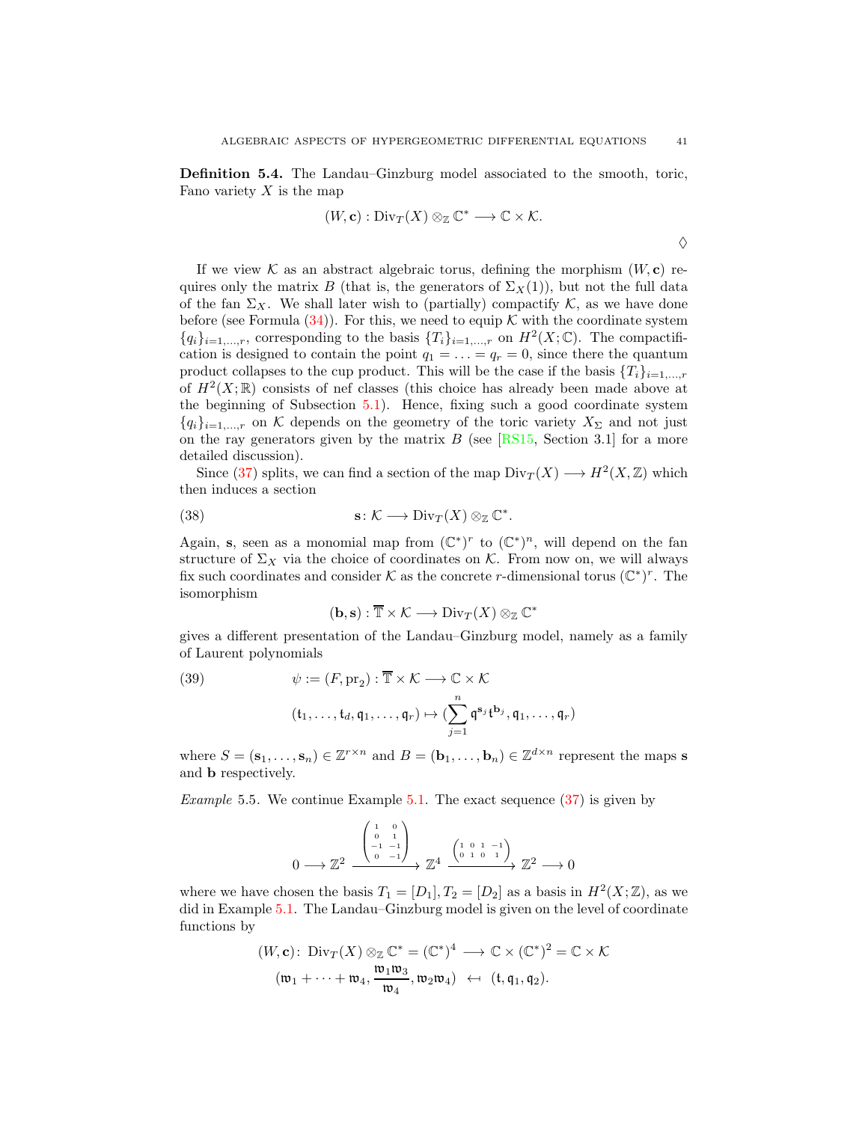<span id="page-40-2"></span>Definition 5.4. The Landau–Ginzburg model associated to the smooth, toric, Fano variety  $X$  is the map

$$
(W, \mathbf{c}): \text{Div}_T(X) \otimes_{\mathbb{Z}} \mathbb{C}^* \longrightarrow \mathbb{C} \times \mathcal{K}.
$$

If we view K as an abstract algebraic torus, defining the morphism  $(W, c)$  requires only the matrix B (that is, the generators of  $\Sigma_X(1)$ ), but not the full data of the fan  $\Sigma_X$ . We shall later wish to (partially) compactify K, as we have done before (see Formula  $(34)$ ). For this, we need to equip K with the coordinate system  ${q_i}_{i=1,\ldots,r}$ , corresponding to the basis  ${T_i}_{i=1,\ldots,r}$  on  $H^2(X;\mathbb{C})$ . The compactification is designed to contain the point  $q_1 = \ldots = q_r = 0$ , since there the quantum product collapses to the cup product. This will be the case if the basis  ${T_i}_{i=1,\ldots,r}$ of  $H^2(X;\mathbb{R})$  consists of nef classes (this choice has already been made above at the beginning of Subsection [5.1\)](#page-36-0). Hence, fixing such a good coordinate system  ${q_i}_{i=1,\dots,r}$  on K depends on the geometry of the toric variety  $X_{\Sigma}$  and not just on the ray generators given by the matrix  $B$  (see [\[RS15,](#page-56-6) Section 3.1] for a more detailed discussion).

Since [\(37\)](#page-39-1) splits, we can find a section of the map  $\text{Div}_T(X) \longrightarrow H^2(X, \mathbb{Z})$  which then induces a section

<span id="page-40-0"></span>(38) 
$$
\mathbf{s} \colon \mathcal{K} \longrightarrow \text{Div}_T(X) \otimes_{\mathbb{Z}} \mathbb{C}^*.
$$

Again, s, seen as a monomial map from  $(\mathbb{C}^*)^r$  to  $(\mathbb{C}^*)^n$ , will depend on the fan structure of  $\Sigma_X$  via the choice of coordinates on K. From now on, we will always fix such coordinates and consider K as the concrete r-dimensional torus  $(\mathbb{C}^*)^r$ . The isomorphism

$$
(\mathbf{b},\mathbf{s}):\overline{\mathbb{T}}\times\mathcal{K}\longrightarrow\mathrm{Div}_T(X)\otimes_{\mathbb{Z}}\mathbb{C}^*
$$

gives a different presentation of the Landau–Ginzburg model, namely as a family of Laurent polynomials

<span id="page-40-1"></span>(39) 
$$
\psi := (F, \text{pr}_2) : \overline{\mathbb{T}} \times \mathcal{K} \longrightarrow \mathbb{C} \times \mathcal{K}
$$

$$
(\mathfrak{t}_1, \dots, \mathfrak{t}_d, \mathfrak{q}_1, \dots, \mathfrak{q}_r) \mapsto (\sum_{j=1}^n \mathfrak{q}^{\mathbf{s}_j} \mathfrak{t}^{\mathbf{b}_j}, \mathfrak{q}_1, \dots, \mathfrak{q}_r)
$$

where  $S = (\mathbf{s}_1, \dots, \mathbf{s}_n) \in \mathbb{Z}^{r \times n}$  and  $B = (\mathbf{b}_1, \dots, \mathbf{b}_n) \in \mathbb{Z}^{d \times n}$  represent the maps **s** and b respectively.

<span id="page-40-3"></span>*Example* 5.5. We continue Example [5.1.](#page-37-1) The exact sequence  $(37)$  is given by

$$
0 \longrightarrow \mathbb{Z}^2 \xrightarrow{\begin{pmatrix} 1 & 0 \\ 0 & 1 \\ -1 & -1 \\ 0 & -1 \end{pmatrix}} \mathbb{Z}^4 \xrightarrow{\begin{pmatrix} 1 & 0 & 1 & -1 \\ 0 & 1 & 0 & 1 \end{pmatrix}} \mathbb{Z}^2 \longrightarrow 0
$$

where we have chosen the basis  $T_1 = [D_1], T_2 = [D_2]$  as a basis in  $H^2(X; \mathbb{Z})$ , as we did in Example [5.1.](#page-37-1) The Landau–Ginzburg model is given on the level of coordinate functions by

$$
(W, \mathbf{c}): \text{Div}_T(X) \otimes_{\mathbb{Z}} \mathbb{C}^* = (\mathbb{C}^*)^4 \longrightarrow \mathbb{C} \times (\mathbb{C}^*)^2 = \mathbb{C} \times \mathcal{K}
$$

$$
(\mathfrak{w}_1 + \dots + \mathfrak{w}_4, \frac{\mathfrak{w}_1 \mathfrak{w}_3}{\mathfrak{w}_4}, \mathfrak{w}_2 \mathfrak{w}_4) \leftrightarrow (\mathfrak{t}, \mathfrak{q}_1, \mathfrak{q}_2).
$$

 $\Diamond$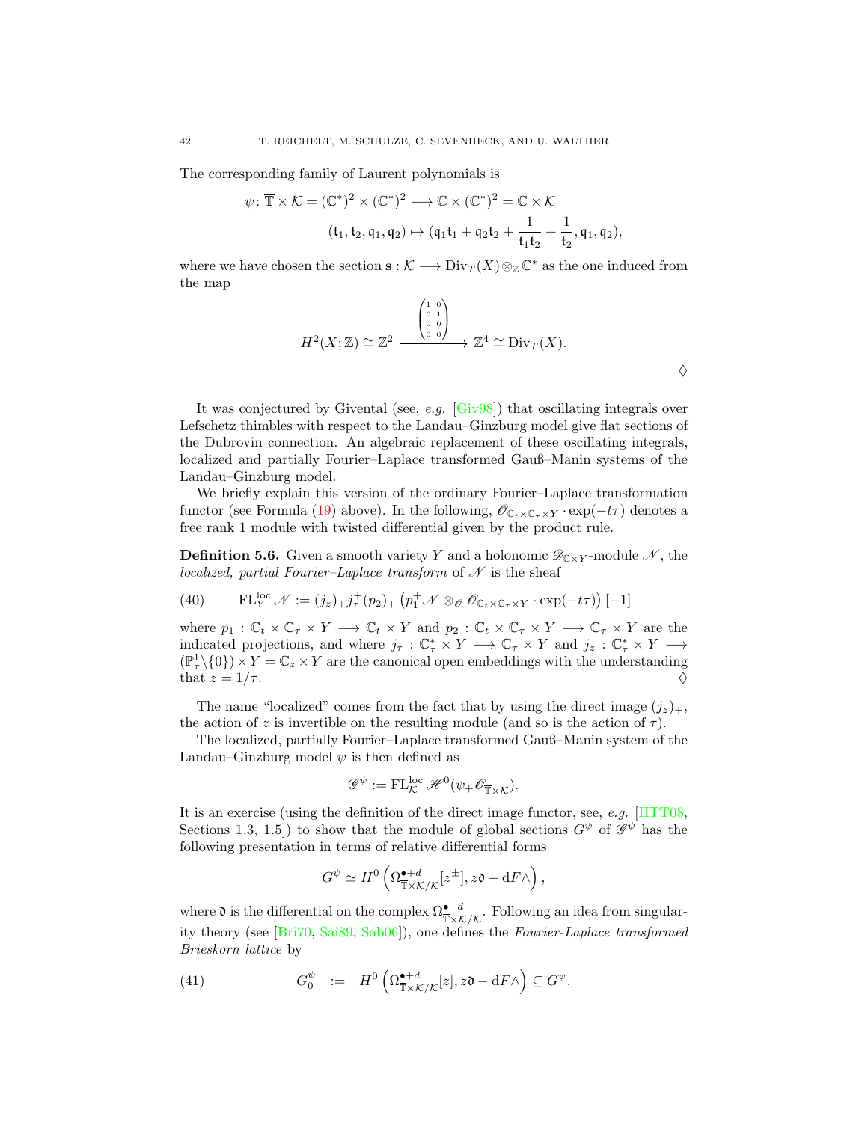The corresponding family of Laurent polynomials is

$$
\psi \colon \overline{\mathbb{T}} \times \mathcal{K} = (\mathbb{C}^*)^2 \times (\mathbb{C}^*)^2 \longrightarrow \mathbb{C} \times (\mathbb{C}^*)^2 = \mathbb{C} \times \mathcal{K}
$$

$$
(\mathfrak{t}_1, \mathfrak{t}_2, \mathfrak{q}_1, \mathfrak{q}_2) \mapsto (\mathfrak{q}_1 \mathfrak{t}_1 + \mathfrak{q}_2 \mathfrak{t}_2 + \frac{1}{\mathfrak{t}_1 \mathfrak{t}_2} + \frac{1}{\mathfrak{t}_2}, \mathfrak{q}_1, \mathfrak{q}_2),
$$

where we have chosen the section  $s : \mathcal{K} \longrightarrow Div_T(X)\otimes_{\mathbb{Z}} \mathbb{C}^*$  as the one induced from the map

$$
H^2(X;\mathbb{Z}) \cong \mathbb{Z}^2 \xrightarrow{\begin{pmatrix} 1 & 0 \\ 0 & 1 \\ 0 & 0 \end{pmatrix}} \mathbb{Z}^4 \cong \text{Div}_T(X).
$$

 $\Diamond$ 

It was conjectured by Givental (see, e.g.  $[Giv98]$ ) that oscillating integrals over Lefschetz thimbles with respect to the Landau–Ginzburg model give flat sections of the Dubrovin connection. An algebraic replacement of these oscillating integrals, localized and partially Fourier–Laplace transformed Gauß–Manin systems of the Landau–Ginzburg model.

We briefly explain this version of the ordinary Fourier–Laplace transformation functor (see Formula [\(19\)](#page-27-1) above). In the following,  $\mathscr{O}_{C_t \times C_\tau \times Y} \cdot \exp(-t\tau)$  denotes a free rank 1 module with twisted differential given by the product rule.

**Definition 5.6.** Given a smooth variety Y and a holonomic  $\mathscr{D}_{C\times Y}$ -module N, the localized, partial Fourier–Laplace transform of  $\mathcal N$  is the sheaf

<span id="page-41-0"></span>(40) 
$$
\mathrm{FL}_{Y}^{\mathrm{loc}} \mathscr{N} := (j_{z})_{+} j_{\tau}^{+}(p_{2})_{+} (p_{1}^{+} \mathscr{N} \otimes_{\mathscr{O}} \mathscr{O}_{\mathbb{C}_{t} \times \mathbb{C}_{\tau} \times Y} \cdot \exp(-t\tau)) [-1]
$$

where  $p_1: \mathbb{C}_t \times \mathbb{C}_\tau \times Y \longrightarrow \mathbb{C}_t \times Y$  and  $p_2: \mathbb{C}_t \times \mathbb{C}_\tau \times Y \longrightarrow \mathbb{C}_\tau \times Y$  are the indicated projections, and where  $j_{\tau}: \mathbb{C}_{\tau}^{*} \times Y \longrightarrow \mathbb{C}_{\tau} \times Y$  and  $j_{z}: \mathbb{C}_{\tau}^{*} \times Y \longrightarrow$  $(\mathbb{P}^1_\tau \setminus \{0\}) \times Y = \mathbb{C}_z \times Y$  are the canonical open embeddings with the understanding that  $z = 1/\tau$ .

The name "localized" comes from the fact that by using the direct image  $(j_z)_+,$ the action of z is invertible on the resulting module (and so is the action of  $\tau$ ).

The localized, partially Fourier–Laplace transformed Gauß–Manin system of the Landau–Ginzburg model  $\psi$  is then defined as

$$
\mathscr{G}^{\psi} := \mathrm{FL}_{\mathcal{K}}^{\mathrm{loc}} \mathscr{H}^{0}(\psi_{+} \mathscr{O}_{\overline{\mathbb{T}} \times \mathcal{K}}).
$$

It is an exercise (using the definition of the direct image functor, see, e.g. [\[HTT08,](#page-55-15) Sections 1.3, 1.5]) to show that the module of global sections  $G^{\psi}$  of  $\mathscr{G}^{\psi}$  has the following presentation in terms of relative differential forms

<span id="page-41-1"></span>
$$
G^{\psi} \simeq H^0 \left( \Omega^{\bullet + d}_{\overline{\mathbb{T}} \times \mathcal{K}/\mathcal{K}}[z^{\pm}], z\mathfrak{d} - \mathrm{d} F \wedge \right),
$$

where  $\mathfrak d$  is the differential on the complex  $\Omega_{\overline{X}\times\mathcal K/\mathcal K}^{\bullet+d}$ . Following an idea from singularity theory (see [\[Bri70,](#page-53-19) [Sai89,](#page-56-19) [Sab06\]](#page-56-20)), one defines the Fourier-Laplace transformed Brieskorn lattice by

(41) 
$$
G_0^{\psi} := H^0\left(\Omega^{\bullet+d}_{\mathbb{T}\times\mathcal{K}/\mathcal{K}}[z], z\mathfrak{d} - \mathrm{d}F\wedge\right) \subseteq G^{\psi}.
$$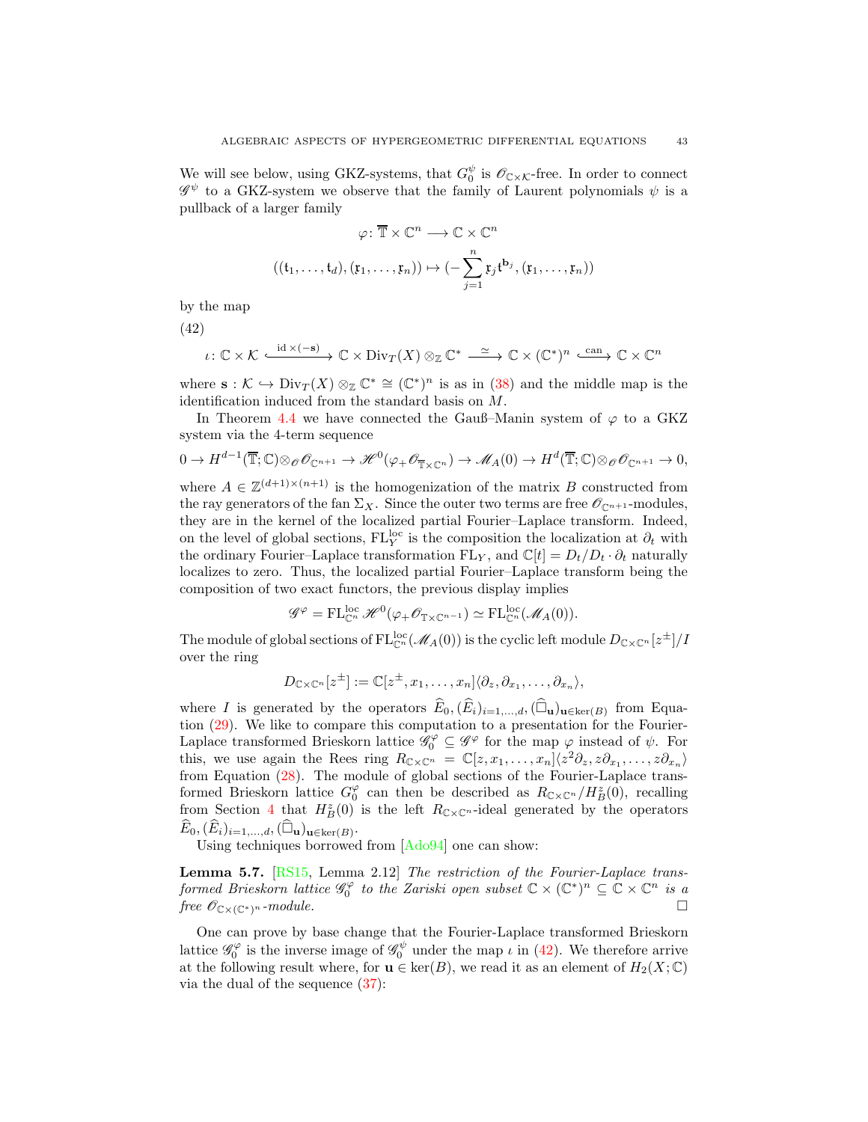We will see below, using GKZ-systems, that  $G_0^{\psi}$  is  $\mathscr{O}_{\mathbb{C}\times\mathcal{K}}$ -free. In order to connect  $\mathscr{G}^\psi$  to a GKZ-system we observe that the family of Laurent polynomials  $\psi$  is a pullback of a larger family

$$
\varphi \colon \overline{\mathbb{T}} \times \mathbb{C}^n \longrightarrow \mathbb{C} \times \mathbb{C}^n
$$

$$
((\mathfrak{t}_1, \dots, \mathfrak{t}_d), (\mathfrak{x}_1, \dots, \mathfrak{x}_n)) \mapsto (-\sum_{j=1}^n \mathfrak{x}_j \mathfrak{t}^{\mathbf{b}_j}, (\mathfrak{x}_1, \dots, \mathfrak{x}_n))
$$

by the map

<span id="page-42-0"></span>(42)

$$
\iota\colon \mathbb{C}\times \mathcal{K} \xrightarrow{\mathrm{id}\times (-\mathbf{s})} \mathbb{C}\times \mathrm{Div}_T(X)\otimes_{\mathbb{Z}}\mathbb{C}^* \xrightarrow{\simeq} \mathbb{C}\times (\mathbb{C}^*)^n \xrightarrow{\text{can}} \mathbb{C}\times \mathbb{C}^n
$$

where  $\mathbf{s}: \mathcal{K} \hookrightarrow \text{Div}_T(X) \otimes_{\mathbb{Z}} \mathbb{C}^* \cong (\mathbb{C}^*)^n$  is as in [\(38\)](#page-40-0) and the middle map is the identification induced from the standard basis on M.

In Theorem [4.4](#page-29-3) we have connected the Gauß–Manin system of  $\varphi$  to a GKZ system via the 4-term sequence

$$
0 \to H^{d-1}(\overline{\mathbb{T}};\mathbb{C}) \otimes_{\mathscr{O}} \mathscr{O}_{\mathbb{C}^{n+1}} \to \mathscr{H}^0(\varphi_+ \mathscr{O}_{\overline{\mathbb{T}} \times \mathbb{C}^n}) \to \mathscr{M}_A(0) \to H^d(\overline{\mathbb{T}};\mathbb{C}) \otimes_{\mathscr{O}} \mathscr{O}_{\mathbb{C}^{n+1}} \to 0,
$$

where  $A \in \mathbb{Z}^{(d+1)\times(n+1)}$  is the homogenization of the matrix B constructed from the ray generators of the fan  $\Sigma_X$ . Since the outer two terms are free  $\mathscr{O}_{\mathbb{C}^{n+1}}$ -modules, they are in the kernel of the localized partial Fourier–Laplace transform. Indeed, on the level of global sections,  $FL_Y^{loc}$  is the composition the localization at  $\partial_t$  with the ordinary Fourier–Laplace transformation  $FL_Y$ , and  $\mathbb{C}[t] = D_t/D_t \cdot \partial_t$  naturally localizes to zero. Thus, the localized partial Fourier–Laplace transform being the composition of two exact functors, the previous display implies

$$
\mathscr{G}^{\varphi} = \mathrm{FL}_{\mathbb{C}^n}^{\mathrm{loc}} \mathscr{H}^0(\varphi_+ \mathscr{O}_{\mathbb{T} \times \mathbb{C}^{n-1}}) \simeq \mathrm{FL}_{\mathbb{C}^n}^{\mathrm{loc}}(\mathscr{M}_A(0)).
$$

The module of global sections of  $\mathrm{FL}^{\mathrm{loc}}_{\mathbb{C}^n}(\mathscr{M}_A(0))$  is the cyclic left module  $D_{\mathbb{C}\times\mathbb{C}^n}[z^{\pm}]/I$ over the ring

$$
D_{\mathbb{C}\times\mathbb{C}^n}[z^{\pm}] := \mathbb{C}[z^{\pm}, x_1, \ldots, x_n] \langle \partial_z, \partial_{x_1}, \ldots, \partial_{x_n} \rangle,
$$

where I is generated by the operators  $E_0$ ,  $(E_i)_{i=1,\dots,d}$ ,  $(\Box_{\mathbf{u}})_{\mathbf{u}\in\text{ker}(B)}$  from Equation [\(29\)](#page-32-2). We like to compare this computation to a presentation for the Fourier-Laplace transformed Brieskorn lattice  $\mathscr{G}_0^{\varphi} \subseteq \mathscr{G}^{\varphi}$  for the map  $\varphi$  instead of  $\psi$ . For this, we use again the Rees ring  $R_{\mathbb{C}\times\mathbb{C}^n} = \mathbb{C}[z, x_1, \ldots, x_n] \langle z^2 \partial_z, z \partial_{x_1}, \ldots, z \partial_{x_n} \rangle$ from Equation [\(28\)](#page-31-2). The module of global sections of the Fourier-Laplace transformed Brieskorn lattice  $G_0^{\varphi}$  can then be described as  $R_{\mathbb{C}\times\mathbb{C}^n}/H_B^z(0)$ , recalling from Section [4](#page-25-0) that  $H_B^z(0)$  is the left  $R_{\mathbb{C}\times\mathbb{C}^n}$ -ideal generated by the operators  $\widehat{E}_0, (\widehat{E}_i)_{i=1,\ldots,d}, (\widehat{\Box}_{\mathbf u})_{\mathbf u \in \ker(B)}.$ 

Using techniques borrowed from [\[Ado94\]](#page-52-1) one can show:

<span id="page-42-1"></span>Lemma 5.7. [\[RS15,](#page-56-6) Lemma 2.12] The restriction of the Fourier-Laplace transformed Brieskorn lattice  $\mathscr{G}_0^{\varphi}$  to the Zariski open subset  $\mathbb{C} \times (\mathbb{C}^*)^n \subseteq \mathbb{C} \times \mathbb{C}^n$  is a free  $\mathscr{O}_{\mathbb{C}\times(\mathbb{C}^*)^n}$ -module.

One can prove by base change that the Fourier-Laplace transformed Brieskorn lattice  $\mathscr{G}_0^{\varphi}$  is the inverse image of  $\mathscr{G}_0^{\psi}$  under the map  $\iota$  in [\(42\)](#page-42-0). We therefore arrive at the following result where, for  $\mathbf{u} \in \text{ker}(B)$ , we read it as an element of  $H_2(X; \mathbb{C})$ via the dual of the sequence [\(37\)](#page-39-1):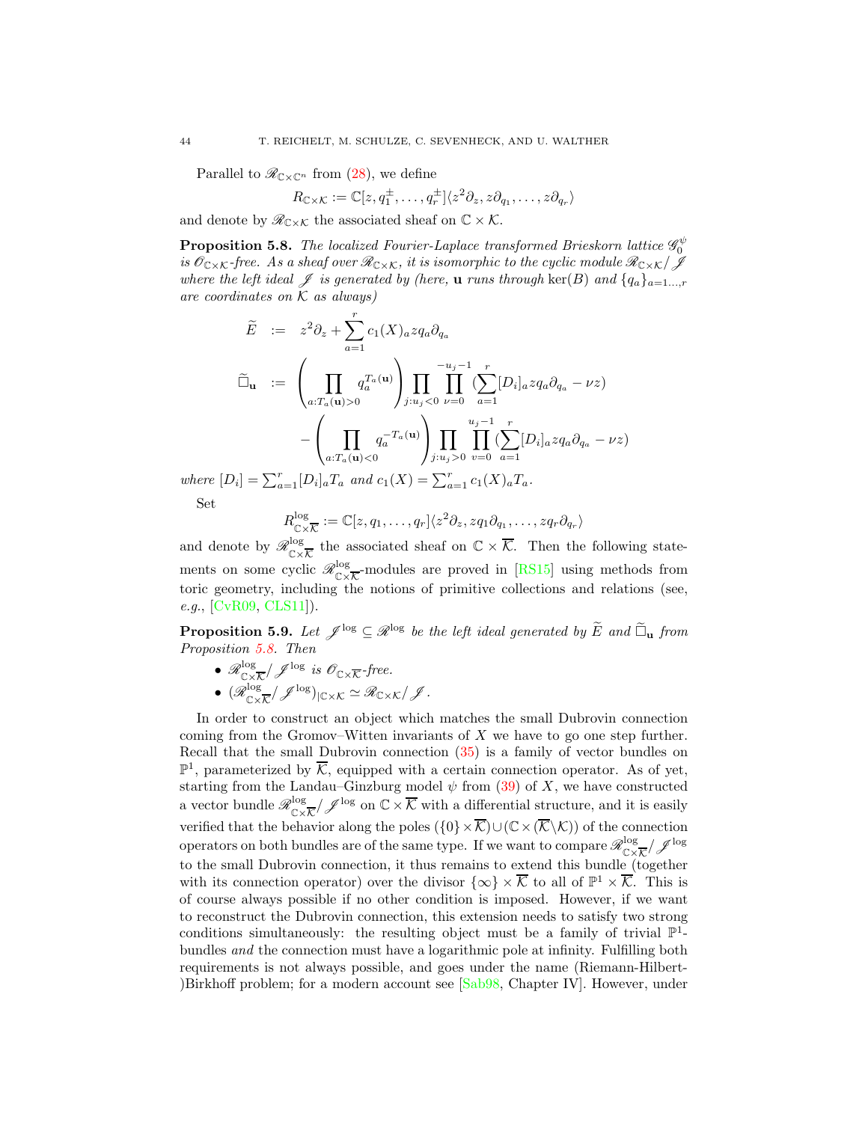Parallel to  $\mathcal{R}_{\mathbb{C}\times\mathbb{C}^n}$  from [\(28\)](#page-31-2), we define

$$
R_{\mathbb{C}\times\mathcal{K}}:=\mathbb{C}[z,q_1^{\pm},\ldots,q_r^{\pm}]\langle z^2\partial_z,z\partial_{q_1},\ldots,z\partial_{q_r}\rangle
$$

and denote by  $\mathscr{R}_{\mathbb{C}\times\mathcal{K}}$  the associated sheaf on  $\mathbb{C}\times\mathcal{K}$ .

<span id="page-43-0"></span>**Proposition 5.8.** The localized Fourier-Laplace transformed Brieskorn lattice  $\mathscr{G}_0^{\psi}$ is  $\mathscr{O}_{C\times K}$ -free. As a sheaf over  $\mathscr{R}_{C\times K}$ , it is isomorphic to the cyclic module  $\mathscr{R}_{C\times K}/\mathscr{J}$ where the left ideal  $\mathscr J$  is generated by (here, **u** runs through ker(B) and  $\{q_a\}_{a=1...,r}$ are coordinates on  $K$  as always)

$$
\widetilde{E} := z^2 \partial_z + \sum_{a=1}^r c_1(X)_{a} z q_a \partial_{q_a}
$$
\n
$$
\widetilde{\Box}_{\mathbf{u}} := \left( \prod_{a: T_a(\mathbf{u}) > 0} q_a^{T_a(\mathbf{u})} \right) \prod_{j: u_j < 0} \prod_{\nu=0}^{-u_j - 1} \left( \sum_{a=1}^r [D_i]_a z q_a \partial_{q_a} - \nu z \right)
$$
\n
$$
- \left( \prod_{a: T_a(\mathbf{u}) < 0} q_a^{-T_a(\mathbf{u})} \right) \prod_{j: u_j > 0} \prod_{\nu=0}^{u_j - 1} \left( \sum_{a=1}^r [D_i]_a z q_a \partial_{q_a} - \nu z \right)
$$

where  $[D_i] = \sum_{a=1}^{r} [D_i]_a T_a$  and  $c_1(X) = \sum_{a=1}^{r} c_1(X)_a T_a$ . Set

$$
R_{\mathbb{C}\times\overline{\mathcal{K}}}^{\log} := \mathbb{C}[z,q_1,\ldots,q_r]\langle z^2\partial_z,zq_1\partial_{q_1},\ldots,zq_r\partial_{q_r}\rangle
$$

and denote by  $\mathscr{R}^{\log}_{\mathbb{C}\times\mathbb{C}}$  $\frac{\log}{\log \kappa}$  the associated sheaf on  $\mathbb{C} \times \overline{\mathcal{K}}$ . Then the following statements on some cyclic  $\mathscr{R}^{\log}_{\mathbb{C}\times\mathbb{C}}$  $\frac{\log \mathcal{L}}{\mathcal{C} \times \mathcal{K}}$ -modules are proved in [\[RS15\]](#page-56-6) using methods from toric geometry, including the notions of primitive collections and relations (see, e.g., [\[CvR09,](#page-53-20) [CLS11\]](#page-53-21)).

<span id="page-43-1"></span>**Proposition 5.9.** Let  $\mathscr{J}^{\text{log}} \subseteq \mathscr{R}^{\text{log}}$  be the left ideal generated by  $\widetilde{E}$  and  $\widetilde{\Box}_{\mathbf{u}}$  from Proposition [5.8.](#page-43-0) Then

 $\bullet$   $\mathscr{R}^{\log}_{\mathbb{C}\times}$  $\int_{\mathbb{C}\times\overline{\mathcal{K}}}^{log}/\mathscr{J}^{log}$  is  $\mathscr{O}_{\mathbb{C}\times\overline{\mathcal{K}}}$ -free.

$$
\bullet \ (\mathscr{R}_{\mathbb{C}\times \overline{\mathcal{K}}}^{\log}/\mathscr{J}^{\log})_{|\mathbb{C}\times \mathcal{K}} \simeq \mathscr{R}_{\mathbb{C}\times \mathcal{K}}/\mathscr{J}.
$$

In order to construct an object which matches the small Dubrovin connection coming from the Gromov–Witten invariants of  $X$  we have to go one step further. Recall that the small Dubrovin connection [\(35\)](#page-39-2) is a family of vector bundles on  $\mathbb{P}^1$ , parameterized by  $\overline{\mathcal{K}}$ , equipped with a certain connection operator. As of yet, starting from the Landau–Ginzburg model  $\psi$  from [\(39\)](#page-40-1) of X, we have constructed a vector bundle  $\mathscr{R}^{\log}_{\subsetfty}$  $\frac{\log \log n}{\log \log \log n}$  on  $\mathbb{C} \times \overline{\mathcal{K}}$  with a differential structure, and it is easily verified that the behavior along the poles  $(\{0\}\times\overline{\mathcal{K}})\cup(\mathbb{C}\times(\overline{\mathcal{K}}\setminus\mathcal{K}))$  of the connection operators on both bundles are of the same type. If we want to compare  $\mathscr{R}^{\log}_{\subsetfty}$  $\frac{\log}{\mathbb{C}\times \overline{\mathcal{K}}}/\mathscr{J}^{\text{log}}$ to the small Dubrovin connection, it thus remains to extend this bundle (together with its connection operator) over the divisor  $\{\infty\} \times \overline{\mathcal{K}}$  to all of  $\mathbb{P}^1 \times \overline{\mathcal{K}}$ . This is of course always possible if no other condition is imposed. However, if we want to reconstruct the Dubrovin connection, this extension needs to satisfy two strong conditions simultaneously: the resulting object must be a family of trivial  $\mathbb{P}^1$ bundles and the connection must have a logarithmic pole at infinity. Fulfilling both requirements is not always possible, and goes under the name (Riemann-Hilbert- )Birkhoff problem; for a modern account see [\[Sab98,](#page-56-21) Chapter IV]. However, under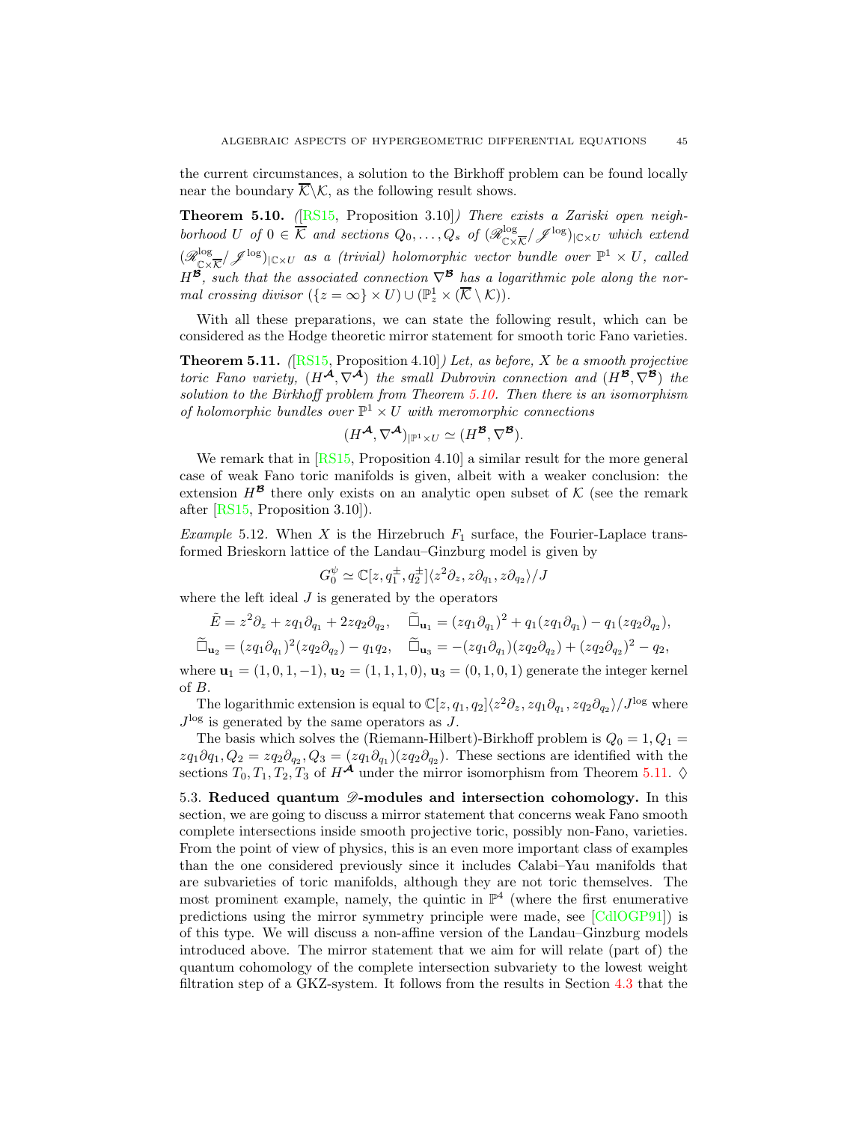the current circumstances, a solution to the Birkhoff problem can be found locally near the boundary  $\overline{\mathcal{K}}\backslash\mathcal{K}$ , as the following result shows.

<span id="page-44-1"></span>**Theorem 5.10.** ( $[RS15,$  Proposition 3.10]) There exists a Zariski open neighborhood U of  $0 \in \overline{\mathcal{K}}$  and sections  $Q_0, \ldots, Q_s$  of  $(\mathscr{R}_{\mathbb{C}\times\mathbb{C}}^{\log})$  $\frac{\log_{\text{C}}\times\text{C}}{\text{C}\times\text{C}}$   $\mathscr{I}^{\log_{\text{C}}\times\text{C}}$  which extend  $(\mathscr{R}^{\log}_{\cap}$  $\frac{\log_{100}(\text{C})}{\log_{10}(\text{C})}$  (*C* as a (trivial) holomorphic vector bundle over  $\mathbb{P}^1 \times U$ , called  $H^{\mathcal{B}}$ , such that the associated connection  $\nabla^{\mathcal{B}}$  has a logarithmic pole along the normal crossing divisor  $({z = \infty} \times U) \cup (\mathbb{P}_z^1 \times (\overline{\mathcal{K}} \setminus \mathcal{K}))$ .

With all these preparations, we can state the following result, which can be considered as the Hodge theoretic mirror statement for smooth toric Fano varieties.

<span id="page-44-2"></span>**Theorem 5.11.** ( $[RS15,$  Proposition 4.10]) Let, as before, X be a smooth projective toric Fano variety,  $(H^{\mathcal{A}}, \nabla^{\mathcal{A}})$  the small Dubrovin connection and  $(H^{\mathcal{B}}, \nabla^{\mathcal{B}})$  the solution to the Birkhoff problem from Theorem [5.10.](#page-44-1) Then there is an isomorphism of holomorphic bundles over  $\mathbb{P}^1 \times U$  with meromorphic connections

$$
(H^{\mathcal{A}},\nabla^{\mathcal{A}})_{|\mathbb{P}^1\times U}\simeq (H^{\mathcal{B}},\nabla^{\mathcal{B}}).
$$

We remark that in [\[RS15,](#page-56-6) Proposition 4.10] a similar result for the more general case of weak Fano toric manifolds is given, albeit with a weaker conclusion: the extension  $H^{\mathcal{B}}$  there only exists on an analytic open subset of K (see the remark after [\[RS15,](#page-56-6) Proposition 3.10]).

*Example* 5.12. When X is the Hirzebruch  $F_1$  surface, the Fourier-Laplace transformed Brieskorn lattice of the Landau–Ginzburg model is given by

$$
G_0^{\psi} \simeq \mathbb{C}[z, q_1^{\pm}, q_2^{\pm}] \langle z^2 \partial_z, z \partial_{q_1}, z \partial_{q_2} \rangle / J
$$

where the left ideal  $J$  is generated by the operators

$$
\tilde{E} = z^2 \partial_z + z q_1 \partial_{q_1} + 2 z q_2 \partial_{q_2}, \quad \tilde{\Box}_{\mathbf{u}_1} = (z q_1 \partial_{q_1})^2 + q_1 (z q_1 \partial_{q_1}) - q_1 (z q_2 \partial_{q_2}), \n\tilde{\Box}_{\mathbf{u}_2} = (z q_1 \partial_{q_1})^2 (z q_2 \partial_{q_2}) - q_1 q_2, \quad \tilde{\Box}_{\mathbf{u}_3} = -(z q_1 \partial_{q_1}) (z q_2 \partial_{q_2}) + (z q_2 \partial_{q_2})^2 - q_2,
$$

where  $\mathbf{u}_1 = (1, 0, 1, -1), \mathbf{u}_2 = (1, 1, 1, 0), \mathbf{u}_3 = (0, 1, 0, 1)$  generate the integer kernel of B.

The logarithmic extension is equal to  $\mathbb{C}[z,q_1,q_2]\langle z^2\partial_z, zq_1\partial_{q_1}, zq_2\partial_{q_2}\rangle/J^{\log}$  where  $J^{\log}$  is generated by the same operators as J.

The basis which solves the (Riemann-Hilbert)-Birkhoff problem is  $Q_0 = 1, Q_1 =$  $zq_1\partial q_1, Q_2 = zq_2\partial_{q_2}, Q_3 = (zq_1\partial_{q_1})(zq_2\partial_{q_2}).$  These sections are identified with the sections  $T_0, T_1, T_2, T_3$  of  $H^{\mathcal{A}}$  under the mirror isomorphism from Theorem [5.11.](#page-44-2)  $\diamond$ 

<span id="page-44-0"></span>5.3. Reduced quantum  $\mathscr{D}$ -modules and intersection cohomology. In this section, we are going to discuss a mirror statement that concerns weak Fano smooth complete intersections inside smooth projective toric, possibly non-Fano, varieties. From the point of view of physics, this is an even more important class of examples than the one considered previously since it includes Calabi–Yau manifolds that are subvarieties of toric manifolds, although they are not toric themselves. The most prominent example, namely, the quintic in  $\mathbb{P}^4$  (where the first enumerative predictions using the mirror symmetry principle were made, see [\[CdlOGP91\]](#page-53-18)) is of this type. We will discuss a non-affine version of the Landau–Ginzburg models introduced above. The mirror statement that we aim for will relate (part of) the quantum cohomology of the complete intersection subvariety to the lowest weight filtration step of a GKZ-system. It follows from the results in Section [4.3](#page-29-0) that the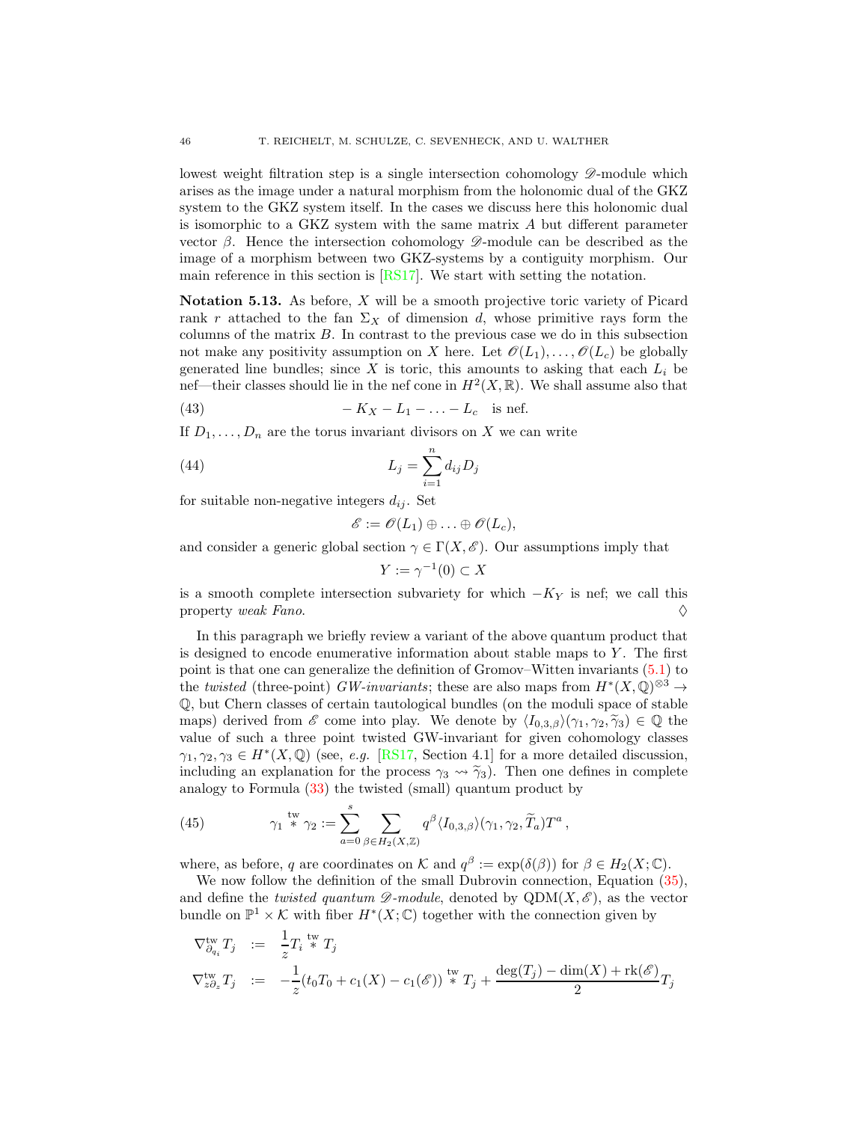lowest weight filtration step is a single intersection cohomology  $\mathscr{D}$ -module which arises as the image under a natural morphism from the holonomic dual of the GKZ system to the GKZ system itself. In the cases we discuss here this holonomic dual is isomorphic to a GKZ system with the same matrix  $A$  but different parameter vector  $\beta$ . Hence the intersection cohomology  $\mathscr{D}$ -module can be described as the image of a morphism between two GKZ-systems by a contiguity morphism. Our main reference in this section is [\[RS17\]](#page-56-7). We start with setting the notation.

<span id="page-45-1"></span>Notation 5.13. As before,  $X$  will be a smooth projective toric variety of Picard rank r attached to the fan  $\Sigma_X$  of dimension d, whose primitive rays form the columns of the matrix  $B$ . In contrast to the previous case we do in this subsection not make any positivity assumption on X here. Let  $\mathscr{O}(L_1), \ldots, \mathscr{O}(L_c)$  be globally generated line bundles; since X is toric, this amounts to asking that each  $L_i$  be nef—their classes should lie in the nef cone in  $H^2(X,\mathbb{R})$ . We shall assume also that

(43) 
$$
-K_X - L_1 - \ldots - L_c \text{ is nef.}
$$

If  $D_1, \ldots, D_n$  are the torus invariant divisors on X we can write

(44) 
$$
L_j = \sum_{i=1}^n d_{ij} D_j
$$

for suitable non-negative integers  $d_{ij}$ . Set

<span id="page-45-0"></span>
$$
\mathscr{E}:=\mathscr{O}(L_1)\oplus\ldots\oplus\mathscr{O}(L_c),
$$

and consider a generic global section  $\gamma \in \Gamma(X, \mathscr{E})$ . Our assumptions imply that

$$
Y := \gamma^{-1}(0) \subset X
$$

is a smooth complete intersection subvariety for which  $-K_Y$  is nef; we call this property *weak Fano*. property weak Fano.

In this paragraph we briefly review a variant of the above quantum product that is designed to encode enumerative information about stable maps to  $Y$ . The first point is that one can generalize the definition of Gromov–Witten invariants [\(5.1\)](#page-36-0) to the *twisted* (three-point) *GW-invariants*; these are also maps from  $H^*(X, \mathbb{Q})^{\otimes 3} \to$ Q, but Chern classes of certain tautological bundles (on the moduli space of stable maps) derived from  $\mathscr E$  come into play. We denote by  $\langle I_{0,3,\beta}\rangle(\gamma_1, \gamma_2, \tilde{\gamma}_3) \in \mathbb Q$  the value of such a three point twisted GW-invariant for given cohomology classes  $\gamma_1, \gamma_2, \gamma_3 \in H^*(X, \mathbb{Q})$  (see, e.g. [\[RS17,](#page-56-7) Section 4.1] for a more detailed discussion, including an explanation for the process  $\gamma_3 \rightsquigarrow \tilde{\gamma}_3$ ). Then one defines in complete analogy to Formula [\(33\)](#page-36-1) the twisted (small) quantum product by

<span id="page-45-2"></span>(45) 
$$
\gamma_1 \stackrel{\text{tw}}{\ast} \gamma_2 := \sum_{a=0}^s \sum_{\beta \in H_2(X,\mathbb{Z})} q^{\beta} \langle I_{0,3,\beta} \rangle (\gamma_1, \gamma_2, \widetilde{T}_a) T^a,
$$

where, as before, q are coordinates on K and  $q^{\beta} := \exp(\delta(\beta))$  for  $\beta \in H_2(X; \mathbb{C})$ .

We now follow the definition of the small Dubrovin connection, Equation  $(35)$ , and define the *twisted quantum*  $\mathscr{D}\text{-module}$ *, denoted by*  $QDM(X, \mathscr{E})$ *, as the vector* bundle on  $\mathbb{P}^1 \times \mathcal{K}$  with fiber  $H^*(X; \mathbb{C})$  together with the connection given by

$$
\nabla_{\partial_{q_i}}^{\text{tw}} T_j := \frac{1}{z} T_i \stackrel{\text{tw}}{*}{} T_j
$$
\n
$$
\nabla_{z\partial_z}^{\text{tw}} T_j := -\frac{1}{z} (t_0 T_0 + c_1(X) - c_1(\mathscr{E})) \stackrel{\text{tw}}{*}{} T_j + \frac{\deg(T_j) - \dim(X) + \text{rk}(\mathscr{E})}{2} T_j
$$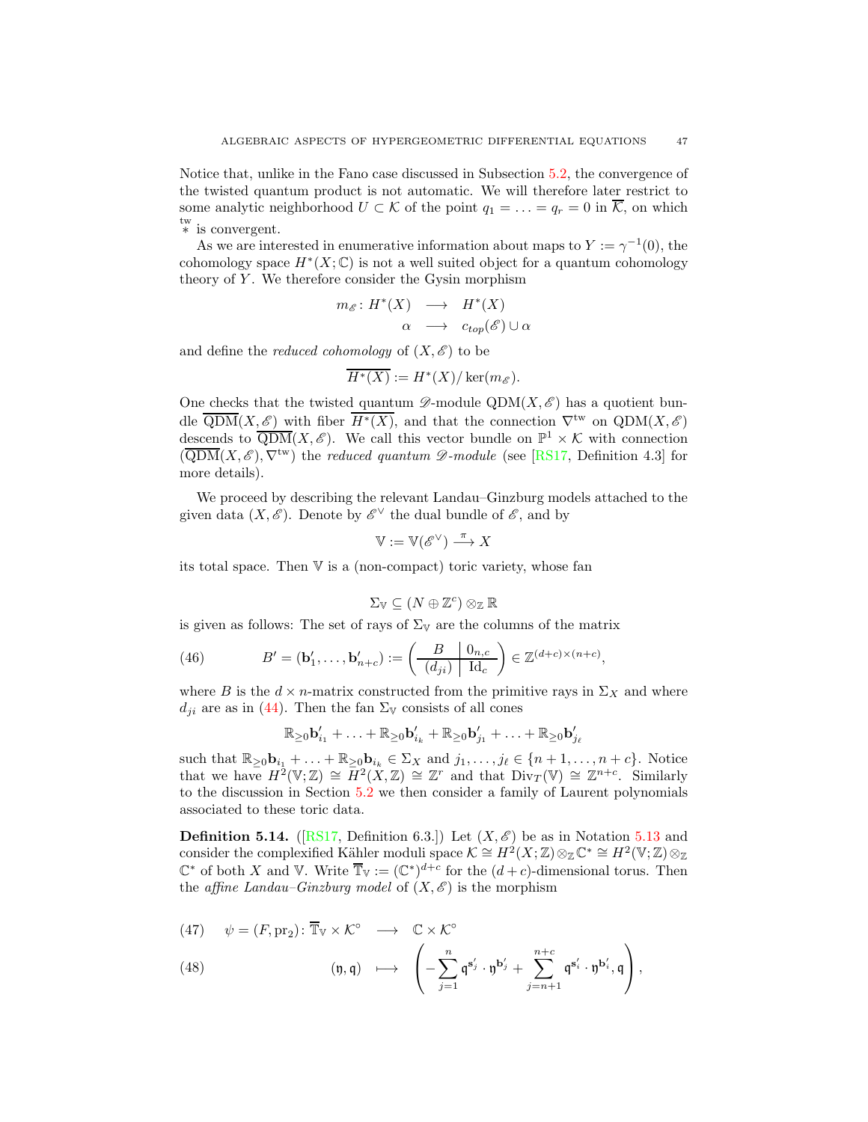Notice that, unlike in the Fano case discussed in Subsection [5.2,](#page-39-0) the convergence of the twisted quantum product is not automatic. We will therefore later restrict to some analytic neighborhood  $U \subset \mathcal{K}$  of the point  $q_1 = \ldots = q_r = 0$  in  $\overline{\mathcal{K}}$ , on which tw ∗ is convergent.

As we are interested in enumerative information about maps to  $Y := \gamma^{-1}(0)$ , the cohomology space  $H^*(X; \mathbb{C})$  is not a well suited object for a quantum cohomology theory of  $Y$ . We therefore consider the Gysin morphism

$$
m_{\mathscr{E}}: H^*(X) \longrightarrow H^*(X)
$$
  

$$
\alpha \longrightarrow c_{top}(\mathscr{E}) \cup \alpha
$$

and define the *reduced cohomology* of  $(X, \mathscr{E})$  to be

$$
\overline{H^*(X)} := H^*(X) / \ker(m_{\mathscr{E}}).
$$

One checks that the twisted quantum  $\mathscr{D}$ -module QDM(X,  $\mathscr{E}$ ) has a quotient bundle  $\overline{\text{QDM}}(X,\mathscr{E})$  with fiber  $\overline{H^*(X)}$ , and that the connection  $\nabla^{\text{tw}}$  on  $\text{QDM}(X,\mathscr{E})$ descends to  $\overline{QDM}(X,\mathscr{E})$ . We call this vector bundle on  $\mathbb{P}^1 \times \mathcal{K}$  with connection  $(\overline{QDM}(X, \mathscr{E}), \nabla^{\text{tw}})$  the reduced quantum  $\mathscr{D}\text{-module}$  (see [\[RS17,](#page-56-7) Definition 4.3] for more details).

We proceed by describing the relevant Landau–Ginzburg models attached to the given data  $(X, \mathscr{E})$ . Denote by  $\mathscr{E}^{\vee}$  the dual bundle of  $\mathscr{E}$ , and by

$$
\mathbb{V} := \mathbb{V}(\mathscr{E}^{\vee}) \stackrel{\pi}{\longrightarrow} X
$$

its total space. Then  $V$  is a (non-compact) toric variety, whose fan

$$
\Sigma_{\mathbb{V}} \subseteq (N \oplus \mathbb{Z}^c) \otimes_{\mathbb{Z}} \mathbb{R}
$$

is given as follows: The set of rays of  $\Sigma_{V}$  are the columns of the matrix

(46) 
$$
B' = (\mathbf{b}'_1, \dots, \mathbf{b}'_{n+c}) := \left(\frac{B}{(d_{ji})} \middle| \frac{0_{n,c}}{\mathrm{Id}_c}\right) \in \mathbb{Z}^{(d+c)\times(n+c)},
$$

where B is the  $d \times n$ -matrix constructed from the primitive rays in  $\Sigma_X$  and where  $d_{ji}$  are as in [\(44\)](#page-45-0). Then the fan  $\Sigma_{\mathbb{V}}$  consists of all cones

<span id="page-46-1"></span>
$$
\mathbb{R}_{\geq 0} \mathbf{b}'_{i_1} + \ldots + \mathbb{R}_{\geq 0} \mathbf{b}'_{i_k} + \mathbb{R}_{\geq 0} \mathbf{b}'_{j_1} + \ldots + \mathbb{R}_{\geq 0} \mathbf{b}'_{j_\ell}
$$

such that  $\mathbb{R}_{\geq 0}$ **b**<sub>i<sub>1</sub></sub> + . . . +  $\mathbb{R}_{\geq 0}$ **b**<sub>i<sub>k</sub></sub>  $\in \Sigma_X$  and  $j_1, \ldots, j_\ell \in \{n+1, \ldots, n+c\}$ . Notice that we have  $H^2(\mathbb{V}; \mathbb{Z}) \cong H^2(X, \mathbb{Z}) \cong \mathbb{Z}^r$  and that  $\text{Div}_T(\mathbb{V}) \cong \mathbb{Z}^{n+c}$ . Similarly to the discussion in Section [5.2](#page-39-0) we then consider a family of Laurent polynomials associated to these toric data.

<span id="page-46-2"></span>**Definition 5.14.** ([\[RS17,](#page-56-7) Definition 6.3.]) Let  $(X, \mathscr{E})$  be as in Notation [5.13](#page-45-1) and consider the complexified Kähler moduli space  $\mathcal{K} \cong H^2(X;\mathbb{Z}) \otimes_{\mathbb{Z}} \mathbb{C}^* \cong H^2(\mathbb{V};\mathbb{Z}) \otimes_{\mathbb{Z}}$  $\mathbb{C}^*$  of both X and V. Write  $\overline{\mathbb{T}}_{\mathbb{V}} := (\mathbb{C}^*)^{d+c}$  for the  $(d+c)$ -dimensional torus. Then the affine Landau–Ginzburg model of  $(X, \mathscr{E})$  is the morphism

 $\overline{\phantom{0}}$ 

<span id="page-46-0"></span>(47) 
$$
\psi = (F, \text{pr}_2) : \overline{\mathbb{T}}_V \times \mathcal{K}^\circ \longrightarrow \mathbb{C} \times \mathcal{K}^\circ
$$
  
(48)  $\left(\begin{array}{ccc} n & n \end{array}\right) \longrightarrow \left(\begin{array}{ccc} n & n+c \end{array}\right)$ 

(48) 
$$
(\mathfrak{y}, \mathfrak{q}) \longrightarrow \left(-\sum_{j=1}^n \mathfrak{q}^{\mathbf{s}'_j} \cdot \mathfrak{y}^{\mathbf{b}'_j} + \sum_{j=n+1}^{n+c} \mathfrak{q}^{\mathbf{s}'_i} \cdot \mathfrak{y}^{\mathbf{b}'_i}, \mathfrak{q}\right),
$$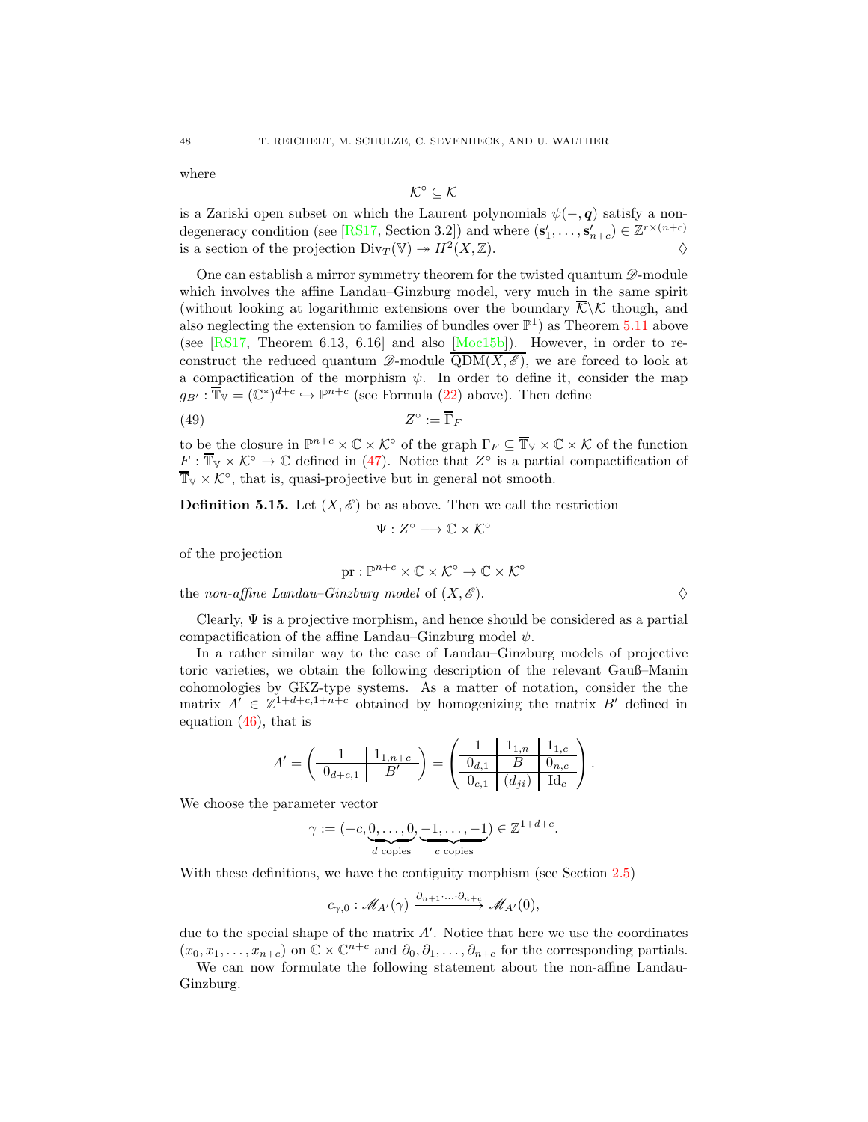where

$$
\mathcal{K}^\circ \subseteq \mathcal{K}
$$

is a Zariski open subset on which the Laurent polynomials  $\psi(-, q)$  satisfy a non-degeneracy condition (see [\[RS17,](#page-56-7) Section 3.2]) and where  $(s'_1, \ldots, s'_{n+c}) \in \mathbb{Z}^{r \times (n+c)}$ is a section of the projection  $Div_T(\mathbb{V}) \to H^2(X, \mathbb{Z})$ .

One can establish a mirror symmetry theorem for the twisted quantum  $\mathscr{D}$ -module which involves the affine Landau–Ginzburg model, very much in the same spirit (without looking at logarithmic extensions over the boundary  $\overline{\mathcal{K}}\setminus\mathcal{K}$  though, and also neglecting the extension to families of bundles over  $\mathbb{P}^1$ ) as Theorem [5.11](#page-44-2) above (see [\[RS17,](#page-56-7) Theorem 6.13, 6.16] and also [\[Moc15b\]](#page-56-13)). However, in order to reconstruct the reduced quantum  $\mathscr{D}\text{-module } \overline{\text{QDM}(X,\mathscr{E})}$ , we are forced to look at a compactification of the morphism  $\psi$ . In order to define it, consider the map  $g_{B'} : \overline{\mathbb{T}}_{V} = (\mathbb{C}^{*})^{d+c} \hookrightarrow \mathbb{P}^{n+c}$  (see Formula [\(22\)](#page-28-2) above). Then define

$$
(49) \t\t Z^{\circ} := \overline{\Gamma}_F
$$

to be the closure in  $\mathbb{P}^{n+c} \times \mathbb{C} \times \mathcal{K}^{\circ}$  of the graph  $\Gamma_F \subseteq \overline{\mathbb{T}}_{\mathbb{V}} \times \mathbb{C} \times \mathcal{K}$  of the function  $\underline{F} : \overline{\mathbb{T}}_{\mathbb{V}} \times \mathcal{K}^{\circ} \to \mathbb{C}$  defined in [\(47\)](#page-46-0). Notice that  $Z^{\circ}$  is a partial compactification of  $\overline{\mathbb{T}}_{\mathbb{V}} \times \mathcal{K}^{\circ}$ , that is, quasi-projective but in general not smooth.

<span id="page-47-0"></span>**Definition 5.15.** Let  $(X, \mathscr{E})$  be as above. Then we call the restriction

<span id="page-47-1"></span>
$$
\Psi: Z^{\circ} \longrightarrow \mathbb{C} \times \mathcal{K}^{\circ}
$$

of the projection

$$
\text{pr} : \mathbb{P}^{n+c} \times \mathbb{C} \times \mathcal{K}^{\circ} \to \mathbb{C} \times \mathcal{K}^{\circ}
$$

the non-affine Landau–Ginzburg model of  $(X, \mathscr{E})$ .

Clearly,  $\Psi$  is a projective morphism, and hence should be considered as a partial compactification of the affine Landau–Ginzburg model  $\psi$ .

In a rather similar way to the case of Landau–Ginzburg models of projective toric varieties, we obtain the following description of the relevant Gauß–Manin cohomologies by GKZ-type systems. As a matter of notation, consider the the matrix  $A' \in \mathbb{Z}^{1+d+c,1+n+c}$  obtained by homogenizing the matrix B' defined in equation [\(46\)](#page-46-1), that is

$$
A' = \left(\begin{array}{c|c} 1 & 1_{1,n+c} \\ \hline 0_{d+c,1} & B' \end{array}\right) = \left(\begin{array}{c|c} 1 & 1_{1,n} & 1_{1,c} \\ \hline 0_{d,1} & B & 0_{n,c} \\ \hline 0_{c,1} & (d_{ji}) & \mathrm{Id}_c \end{array}\right).
$$

We choose the parameter vector

$$
\gamma := (-c, \underbrace{0, \dots, 0}_{d \text{ copies}}, \underbrace{-1, \dots, -1}_{c \text{ copies}}) \in \mathbb{Z}^{1+d+c}.
$$

With these definitions, we have the contiguity morphism (see Section [2.5\)](#page-16-0)

$$
c_{\gamma,0}:\mathscr{M}_{A'}(\gamma)\stackrel{\partial_{n+1}.\dots.\partial_{n+c}}{\longrightarrow}\mathscr{M}_{A'}(0),
$$

due to the special shape of the matrix  $A'$ . Notice that here we use the coordinates  $(x_0, x_1, \ldots, x_{n+c})$  on  $\mathbb{C} \times \mathbb{C}^{n+c}$  and  $\partial_0, \partial_1, \ldots, \partial_{n+c}$  for the corresponding partials.

We can now formulate the following statement about the non-affine Landau-Ginzburg.

|   |   | I |
|---|---|---|
|   |   |   |
|   |   |   |
|   | I |   |
|   |   |   |
| ٠ |   |   |
|   | I |   |
|   |   |   |
|   |   |   |
|   |   |   |
|   |   |   |
|   |   |   |
|   |   |   |
|   |   |   |
|   |   |   |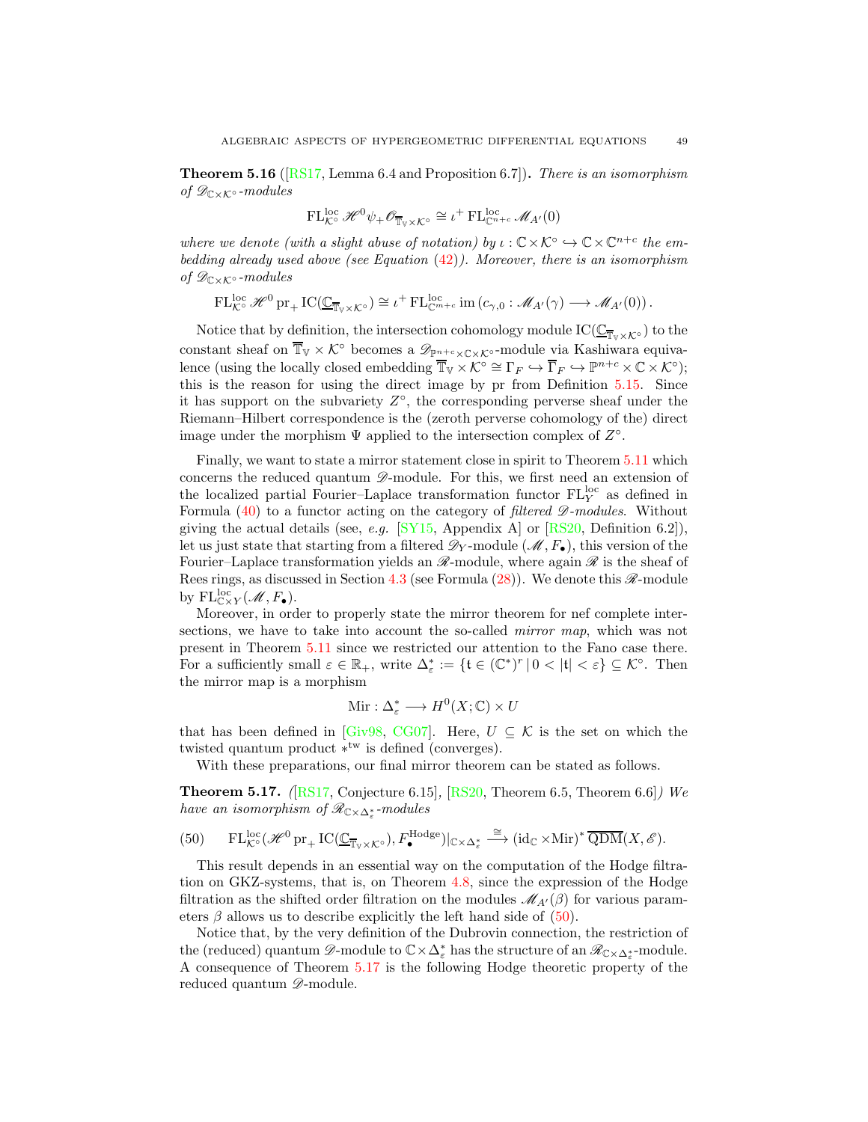<span id="page-48-2"></span>**Theorem 5.16** ([\[RS17,](#page-56-7) Lemma 6.4 and Proposition 6.7]). There is an isomorphism of  $\mathscr{D}_{\mathbb{C}\times\mathcal{K}^\circ}$ -modules

$$
\operatorname{FL}^{\operatorname{loc}}_{\mathcal{K}^{\circ}}\mathscr{H}^0\psi_+\mathscr{O}_{\overline{\mathbb{T}}_{\mathbb{V}}\times\mathcal{K}^{\circ}}\cong\iota^+\operatorname{FL}^{\operatorname{loc}}_{\mathbb{C}^{n+c}}\mathscr{M}_{A'}(0)
$$

where we denote (with a slight abuse of notation) by  $\iota : \mathbb{C} \times \mathcal{K}^{\circ} \hookrightarrow \mathbb{C} \times \mathbb{C}^{n+c}$  the embedding already used above (see Equation  $(42)$ ). Moreover, there is an isomorphism of  $\mathscr{D}_{\mathbb{C}\times\mathcal{K}^\circ}$ -modules

 $FL_{\mathcal{K}}^{\text{loc}} \mathscr{H}^0 \text{pr}_{+} IC(\underline{\mathbb{C}_{\overline{\mathbb{T}}_{V} \times \mathcal{K}^{\circ}}}) \cong \iota^+ FL_{\mathbb{C}^{m+c}}^{\text{loc}} \text{im} (c_{\gamma,0} : \mathscr{M}_{A'}(\gamma) \longrightarrow \mathscr{M}_{A'}(0)).$ 

Notice that by definition, the intersection cohomology module  $\mathrm{IC}(\underline{\mathbb{C}}_{\overline{T}_{\nu}\times K^{\circ}})$  to the constant sheaf on  $\overline{\mathbb{T}}_{\mathbb{V}} \times \mathcal{K}^{\circ}$  becomes a  $\mathscr{D}_{\mathbb{P}^{n+c} \times \mathbb{C} \times \mathcal{K}^{\circ}}$ -module via Kashiwara equivalence (using the locally closed embedding  $\overline{\mathbb{T}}_V \times \mathcal{K}^\circ \cong \Gamma_F \hookrightarrow \overline{\Gamma}_F \hookrightarrow \mathbb{P}^{n+c} \times \mathbb{C} \times \mathcal{K}^\circ);$ this is the reason for using the direct image by pr from Definition [5.15.](#page-47-0) Since it has support on the subvariety  $Z^{\circ}$ , the corresponding perverse sheaf under the Riemann–Hilbert correspondence is the (zeroth perverse cohomology of the) direct image under the morphism  $\Psi$  applied to the intersection complex of  $Z^{\circ}$ .

Finally, we want to state a mirror statement close in spirit to Theorem [5.11](#page-44-2) which concerns the reduced quantum  $\mathscr{D}$ -module. For this, we first need an extension of the localized partial Fourier–Laplace transformation functor  $FL_Y^{\text{loc}}$  as defined in Formula  $(40)$  to a functor acting on the category of *filtered*  $\mathscr{D}\text{-modules}$ *.* Without giving the actual details (see, e.g.  $[SY15,$  Appendix A] or  $[RS20,$  Definition 6.2]), let us just state that starting from a filtered  $\mathscr{D}_Y$ -module  $(\mathscr{M}, F_{\bullet})$ , this version of the Fourier–Laplace transformation yields an  $\mathcal{R}$ -module, where again  $\mathcal{R}$  is the sheaf of Rees rings, as discussed in Section [4.3](#page-29-0) (see Formula  $(28)$ ). We denote this  $\mathscr{R}\text{-module}$ by  $\mathrm{FL}^{\mathrm{loc}}_{\mathbb{C}\times Y}(\mathscr{M}, F_{\bullet}).$ 

Moreover, in order to properly state the mirror theorem for nef complete intersections, we have to take into account the so-called mirror map, which was not present in Theorem [5.11](#page-44-2) since we restricted our attention to the Fano case there. For a sufficiently small  $\varepsilon \in \mathbb{R}_+$ , write  $\Delta_{\varepsilon}^* := \{ \mathfrak{t} \in (\mathbb{C}^*)^r \, | \, 0 < |\mathfrak{t}| < \varepsilon \} \subseteq \mathcal{K}^{\circ}$ . Then the mirror map is a morphism

$$
Mir: \Delta^*_{\varepsilon} \longrightarrow H^0(X; \mathbb{C}) \times U
$$

that has been defined in [\[Giv98,](#page-54-17) [CG07\]](#page-53-22). Here,  $U \subseteq \mathcal{K}$  is the set on which the twisted quantum product  $*^{tw}$  is defined (converges).

With these preparations, our final mirror theorem can be stated as follows.

<span id="page-48-1"></span>**Theorem 5.17.** ( $[RS17, Conjecture 6.15]$  $[RS17, Conjecture 6.15]$ ,  $[RS20, Theorem 6.5, Theorem 6.6]$  $[RS20, Theorem 6.5, Theorem 6.6]$ ) We have an isomorphism of  $\mathscr{R}_{\mathbb{C}\times\Delta^*_{\varepsilon}}$ -modules

<span id="page-48-0"></span>
$$
(50) \qquad \mathrm{FL}^{\mathrm{loc}}_{\mathcal{K}^{\circ}}(\mathscr{H}^{0}\mathrm{pr}_{+}\mathrm{IC}(\underline{\mathbb{C}}_{\overline{\mathbb{T}}_{\mathbb{V}}\times\mathcal{K}^{\circ}}), F_{\bullet}^{\mathrm{Hodge}})|_{\mathbb{C}\times\Delta_{\varepsilon}^{*}}\stackrel{\cong}{\longrightarrow} (\mathrm{id}_{\mathbb{C}}\times\mathrm{Mir})^{*}\overline{\mathrm{QDM}}(X,\mathscr{E}).
$$

This result depends in an essential way on the computation of the Hodge filtration on GKZ-systems, that is, on Theorem [4.8,](#page-31-1) since the expression of the Hodge filtration as the shifted order filtration on the modules  $\mathcal{M}_{A'}(\beta)$  for various parameters  $\beta$  allows us to describe explicitly the left hand side of [\(50\)](#page-48-0).

Notice that, by the very definition of the Dubrovin connection, the restriction of the (reduced) quantum  $\mathscr{D}$ -module to  $\mathbb{C}\times\Delta_{\varepsilon}^*$  has the structure of an  $\mathscr{R}_{\mathbb{C}\times\Delta_{\varepsilon}^*}$ -module. A consequence of Theorem [5.17](#page-48-1) is the following Hodge theoretic property of the reduced quantum  $\mathscr{D}\text{-module.}$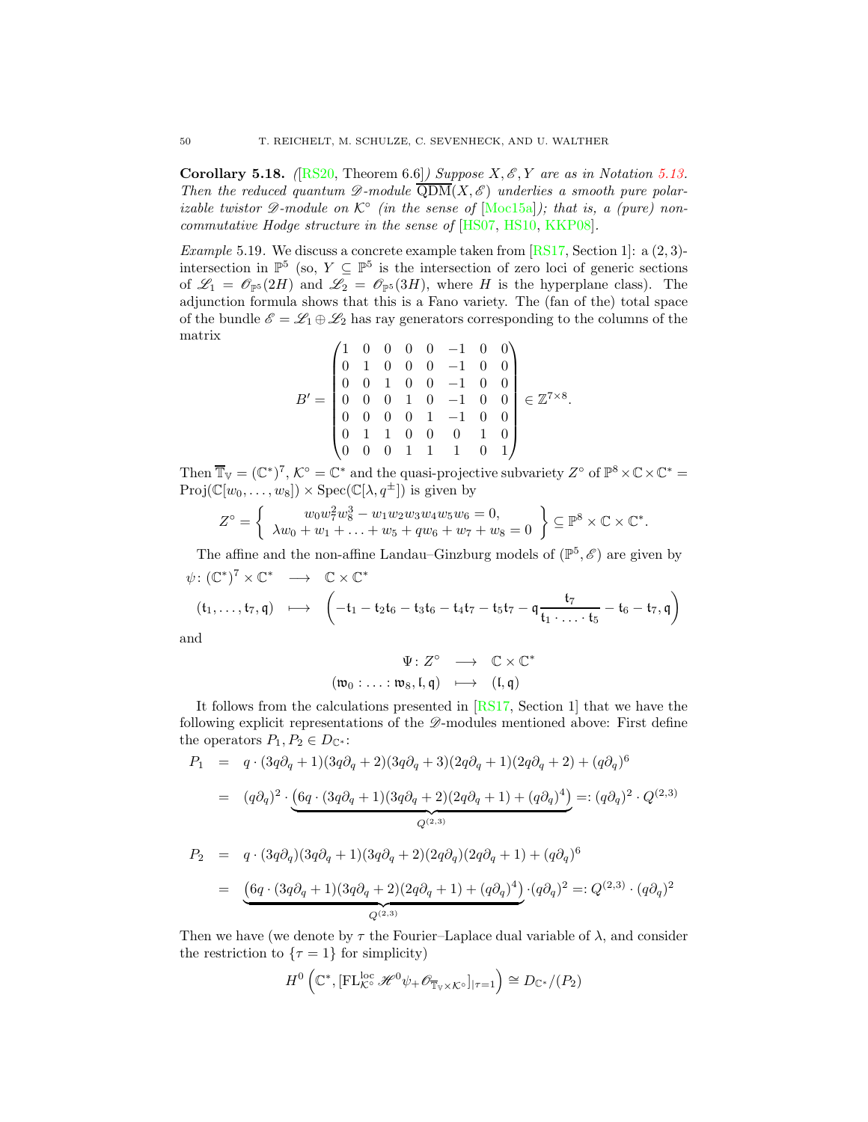<span id="page-49-0"></span>**Corollary 5.18.** ([\[RS20,](#page-56-8) Theorem 6.6]) Suppose  $X, \mathscr{E}, Y$  are as in Notation [5.13.](#page-45-1) Then the reduced quantum  $\mathscr{D}\text{-module } \overline{\text{QDM}}(X,\mathscr{E})$  underlies a smooth pure polarizable twistor  $\mathscr{D}\text{-module on }\mathcal{K}^{\circ}$  (in the sense of  $[\text{Moc15a}]$ ); that is, a (pure) noncommutative Hodge structure in the sense of [\[HS07,](#page-55-21) [HS10,](#page-55-22) [KKP08\]](#page-55-23).

<span id="page-49-1"></span>Example 5.19. We discuss a concrete example taken from [\[RS17,](#page-56-7) Section 1]: a  $(2, 3)$ intersection in  $\mathbb{P}^5$  (so,  $Y \subseteq \mathbb{P}^5$  is the intersection of zero loci of generic sections of  $\mathscr{L}_1 = \mathscr{O}_{\mathbb{P}^5}(2H)$  and  $\mathscr{L}_2 = \mathscr{O}_{\mathbb{P}^5}(3H)$ , where H is the hyperplane class). The adjunction formula shows that this is a Fano variety. The (fan of the) total space of the bundle  $\mathscr{E} = \mathscr{L}_1 \oplus \mathscr{L}_2$  has ray generators corresponding to the columns of the matrix

$$
B' = \begin{pmatrix} 1 & 0 & 0 & 0 & 0 & -1 & 0 & 0 \\ 0 & 1 & 0 & 0 & 0 & -1 & 0 & 0 \\ 0 & 0 & 1 & 0 & 0 & -1 & 0 & 0 \\ 0 & 0 & 0 & 1 & 0 & -1 & 0 & 0 \\ 0 & 0 & 0 & 0 & 1 & -1 & 0 & 0 \\ 0 & 1 & 1 & 0 & 0 & 0 & 1 & 0 \\ 0 & 0 & 0 & 1 & 1 & 1 & 0 & 1 \end{pmatrix} \in \mathbb{Z}^{7 \times 8}.
$$

Then  $\overline{\mathbb{T}}_{V} = (\mathbb{C}^{*})^{7}$ ,  $\mathcal{K}^{\circ} = \mathbb{C}^{*}$  and the quasi-projective subvariety  $Z^{\circ}$  of  $\mathbb{P}^{8} \times \mathbb{C} \times \mathbb{C}^{*} =$  $Proj(\mathbb{C}[w_0, \ldots, w_8]) \times Spec(\mathbb{C}[\lambda, q^{\pm}])$  is given by

$$
Z^{\circ} = \left\{ \begin{array}{c} w_0 w_7^2 w_8^3 - w_1 w_2 w_3 w_4 w_5 w_6 = 0, \\ \lambda w_0 + w_1 + \ldots + w_5 + q w_6 + w_7 + w_8 = 0 \end{array} \right\} \subseteq \mathbb{P}^8 \times \mathbb{C} \times \mathbb{C}^*.
$$

The affine and the non-affine Landau–Ginzburg models of  $(\mathbb{P}^5, \mathscr{E})$  are given by  $\psi \colon (\mathbb{C}^*)^7 \times \mathbb{C}^* \longrightarrow \mathbb{C} \times \mathbb{C}^*$  $(t_1, \ldots, t_7, \mathfrak{q}) \quad \mapsto \quad \begin{pmatrix} -t_1 - t_2t_6 - t_3t_6 - t_4t_7 - t_5t_7 - \mathfrak{q} \frac{t_7}{t_1} \end{pmatrix}$  $\frac{t_1}{t_1 + \ldots + t_5} - t_6 - t_7, q$  $\overline{ }$ 

and

$$
\begin{array}{ccc}\Psi\colon Z^{\circ}&\longrightarrow&\mathbb{C}\times\mathbb{C}^{*}\\(\mathfrak{w}_{0}:\ldots:\mathfrak{w}_{8},\mathfrak{l},\mathfrak{q})&\longmapsto&(\mathfrak{l},\mathfrak{q})\end{array}
$$

It follows from the calculations presented in [\[RS17,](#page-56-7) Section 1] that we have the following explicit representations of the  $\mathscr{D}\text{-modules}$  mentioned above: First define the operators  $P_1, P_2 \in D_{\mathbb{C}^*}$ :

$$
P_1 = q \cdot (3q\partial_q + 1)(3q\partial_q + 2)(3q\partial_q + 3)(2q\partial_q + 1)(2q\partial_q + 2) + (q\partial_q)^6
$$
  
= 
$$
(q\partial_q)^2 \cdot (6q \cdot (3q\partial_q + 1)(3q\partial_q + 2)(2q\partial_q + 1) + (q\partial_q)^4) =: (q\partial_q)^2 \cdot Q^{(2,3)}
$$

$$
P_2 = q \cdot (3q\partial_q)(3q\partial_q + 1)(3q\partial_q + 2)(2q\partial_q)(2q\partial_q + 1) + (q\partial_q)^6
$$
  
= 
$$
\underbrace{(6q \cdot (3q\partial_q + 1)(3q\partial_q + 2)(2q\partial_q + 1) + (q\partial_q)^4)}_{Q^{(2,3)}} \cdot (q\partial_q)^2 =: Q^{(2,3)} \cdot (q\partial_q)^2
$$

Then we have (we denote by  $\tau$  the Fourier–Laplace dual variable of  $\lambda$ , and consider the restriction to  $\{\tau = 1\}$  for simplicity)

$$
H^{0}\left(\mathbb{C}^{*},\left[\mathrm{FL}_{\mathcal{K}^{\circ}}^{\mathrm{loc}}\mathscr{H}^{0}\psi_{+}\mathscr{O}_{\overline{\mathbb{T}}_{\mathbb{V}}\times\mathcal{K}^{\circ}}\right]_{|\tau=1}\right)\cong D_{\mathbb{C}^{*}}/(P_{2})
$$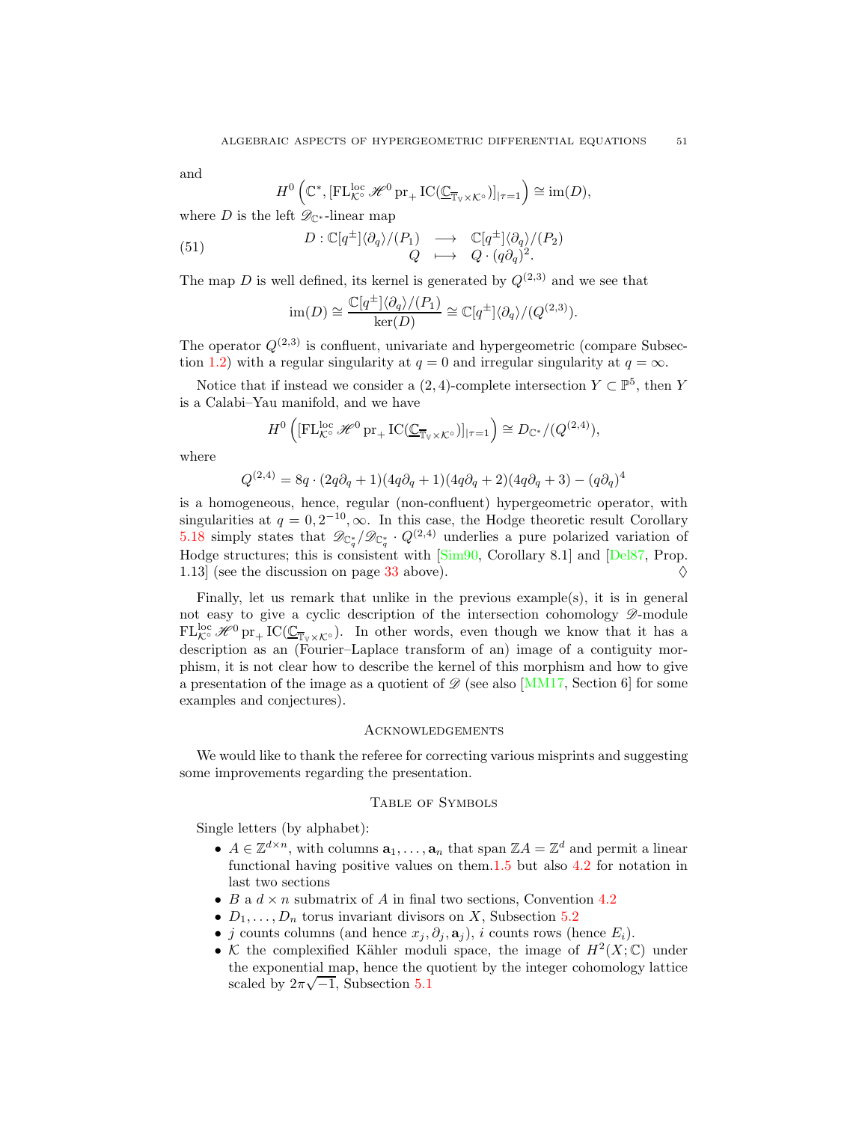and

$$
H^0\left(\mathbb{C}^*,\left[\mathrm{FL}_{\mathcal{K}^\circ}^{\mathrm{loc}}\mathscr{H}^0\mathrm{pr}_+\mathrm{IC}(\underline{\mathbb{C}}_{\overline{\mathbb{T}}_\mathbb{V}\times\mathcal{K}^\circ})\right]_{|\tau=1}\right)\cong \mathrm{im}(D),
$$

where D is the left  $\mathscr{D}_{\mathbb{C}^*}$ -linear map

(51) 
$$
D: \mathbb{C}[q^{\pm}]\langle \partial_q \rangle / (P_1) \longrightarrow \mathbb{C}[q^{\pm}]\langle \partial_q \rangle / (P_2)
$$

$$
Q \longmapsto Q \cdot (q \partial_q)^2.
$$

The map D is well defined, its kernel is generated by  $Q^{(2,3)}$  and we see that

<span id="page-50-2"></span>
$$
\operatorname{im}(D) \cong \frac{\mathbb{C}[q^{\pm}]\langle \partial_q \rangle / (P_1)}{\ker(D)} \cong \mathbb{C}[q^{\pm}]\langle \partial_q \rangle / (Q^{(2,3)}).
$$

The operator  $Q^{(2,3)}$  is confluent, univariate and hypergeometric (compare Subsec-tion [1.2\)](#page-4-0) with a regular singularity at  $q = 0$  and irregular singularity at  $q = \infty$ .

Notice that if instead we consider a  $(2, 4)$ -complete intersection  $Y \subset \mathbb{P}^5$ , then Y is a Calabi–Yau manifold, and we have

$$
H^{0}\left([\mathrm{FL}_{\mathcal{K}^{\circ}}^{\mathrm{loc}}\mathscr{H}^{0}\mathrm{pr}_{+}\mathrm{IC}(\underline{\mathbb{C}}_{\overline{\mathbb{T}}_{\mathbb{V}}\times\mathcal{K}^{\circ}})]_{|\tau=1}\right)\cong D_{\mathbb{C}^{*}}/(Q^{(2,4)}),
$$

where

$$
Q^{(2,4)} = 8q \cdot (2q \partial_q + 1)(4q \partial_q + 1)(4q \partial_q + 2)(4q \partial_q + 3) - (q \partial_q)^4
$$

is a homogeneous, hence, regular (non-confluent) hypergeometric operator, with singularities at  $q = 0, 2^{-10}, \infty$ . In this case, the Hodge theoretic result Corollary [5.18](#page-49-0) simply states that  $\mathscr{D}_{\mathbb{C}_q^*}/\mathscr{D}_{\mathbb{C}_q^*}$  ·  $Q^{(2,4)}$  underlies a pure polarized variation of Hodge structures; this is consistent with [\[Sim90,](#page-57-16) Corollary 8.1] and [\[Del87,](#page-53-16) Prop. 1.13 (see the discussion on page [33](#page-32-0) above).  $\Diamond$ 

Finally, let us remark that unlike in the previous example(s), it is in general not easy to give a cyclic description of the intersection cohomology  $\mathscr{D}\text{-module}$  $FL_{\mathcal{K}^{\circ}}^{\text{loc}}\mathscr{H}^0$  pr<sub>+</sub> IC( $\underline{\mathbb{C}}_{\overline{\mathbb{T}}_{V}\times\mathcal{K}^{\circ}}$ ). In other words, even though we know that it has a description as an (Fourier–Laplace transform of an) image of a contiguity morphism, it is not clear how to describe the kernel of this morphism and how to give a presentation of the image as a quotient of  $\mathscr{D}$  (see also [\[MM17,](#page-56-23) Section 6] for some examples and conjectures).

## <span id="page-50-0"></span>Acknowledgements

We would like to thank the referee for correcting various misprints and suggesting some improvements regarding the presentation.

## <span id="page-50-1"></span>Table of Symbols

Single letters (by alphabet):

- $A \in \mathbb{Z}^{d \times n}$ , with columns  $\mathbf{a}_1, \ldots, \mathbf{a}_n$  that span  $\mathbb{Z}A = \mathbb{Z}^d$  and permit a linear functional having positive values on them[.1.5](#page-4-1) but also [4.2](#page-26-0) for notation in last two sections
- B a  $d \times n$  submatrix of A in final two sections, Convention [4.2](#page-26-0)
- $D_1, \ldots, D_n$  torus invariant divisors on X, Subsection [5.2](#page-39-0)
- j counts columns (and hence  $x_j, \partial_j, \mathbf{a}_j$ ), i counts rows (hence  $E_i$ ).
- K the complexified Kähler moduli space, the image of  $H^2(X;\mathbb{C})$  under the exponential map, hence the quotient by the integer cohomology lattice scaled by  $2\pi\sqrt{-1}$ , Subsection [5.1](#page-36-0)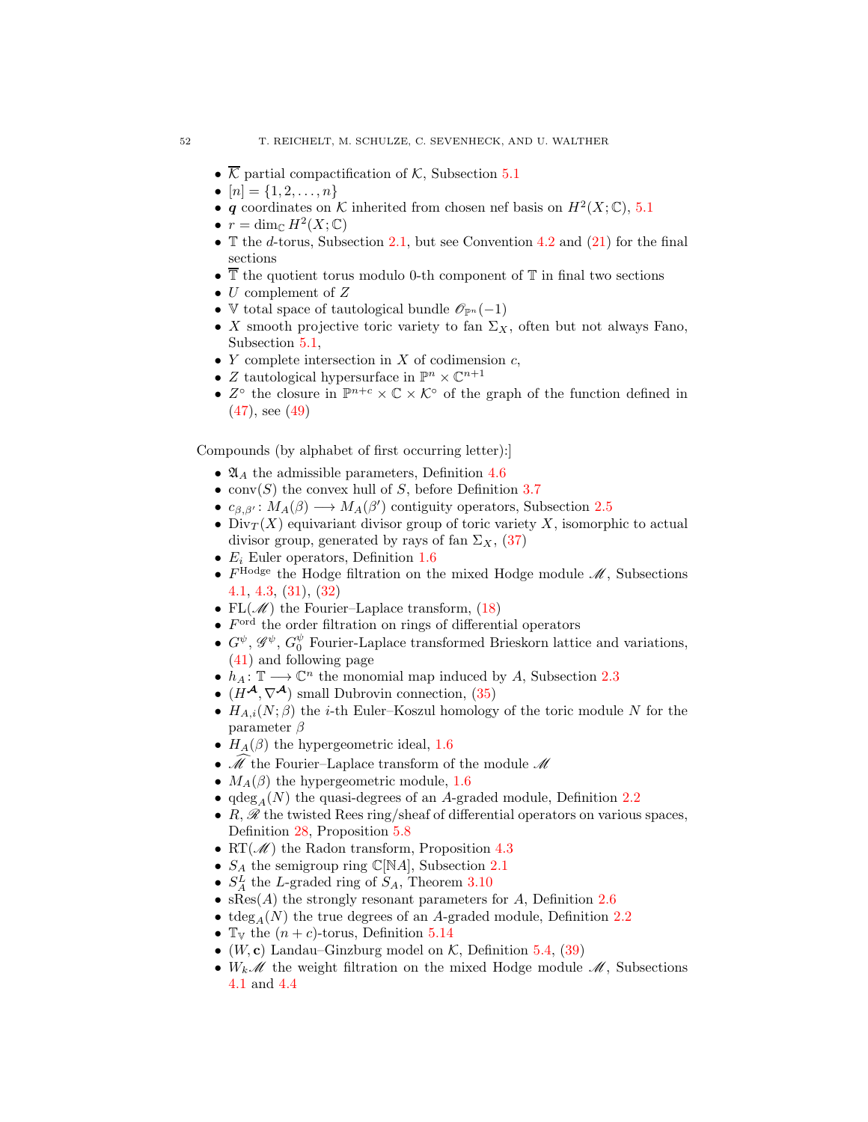- $\overline{\mathcal{K}}$  partial compactification of  $\mathcal{K}$ , Subsection [5.1](#page-36-0)
- $[n] = \{1, 2, \ldots, n\}$
- q coordinates on K inherited from chosen nef basis on  $H^2(X; \mathbb{C})$ , [5.1](#page-36-0)
- $r = \dim_{\mathbb{C}} H^2(X; \mathbb{C})$
- T the d-torus, Subsection [2.1,](#page-9-1) but see Convention [4.2](#page-26-0) and  $(21)$  for the final sections
- $\overline{\mathbb{T}}$  the quotient torus modulo 0-th component of  $\mathbb{T}$  in final two sections
- $U$  complement of  $Z$
- V total space of tautological bundle  $\mathscr{O}_{\mathbb{P}^n}(-1)$
- X smooth projective toric variety to fan  $\Sigma_X$ , often but not always Fano, Subsection [5.1,](#page-36-0)
- Y complete intersection in X of codimension  $c$ ,
- Z tautological hypersurface in  $\mathbb{P}^n \times \mathbb{C}^{n+1}$
- $Z^{\circ}$  the closure in  $\mathbb{P}^{n+c} \times \mathbb{C} \times \mathcal{K}^{\circ}$  of the graph of the function defined in [\(47\)](#page-46-0), see [\(49\)](#page-47-1)

Compounds (by alphabet of first occurring letter):]

- $\mathfrak{A}_A$  the admissible parameters, Definition [4.6](#page-31-0)
- conv $(S)$  the convex hull of S, before Definition [3.7](#page-22-2)
- $c_{\beta,\beta'}: M_A(\beta) \longrightarrow M_A(\beta')$  contiguity operators, Subsection [2.5](#page-16-0)
- Div $_T(X)$  equivariant divisor group of toric variety X, isomorphic to actual divisor group, generated by rays of fan  $\Sigma_X$ , [\(37\)](#page-39-1)
- $E_i$  Euler operators, Definition [1.6](#page-4-2)
- $F^{\text{Hodge}}$  the Hodge filtration on the mixed Hodge module  $\mathcal{M}$ , Subsections [4.1,](#page-25-1) [4.3,](#page-29-0) [\(31\)](#page-32-1), [\(32\)](#page-33-1)
- FL $(\mathcal{M})$  the Fourier–Laplace transform,  $(18)$
- $F^{\text{ord}}$  the order filtration on rings of differential operators
- $G^{\psi}, \mathscr{G}^{\psi}, G^{\psi}_0$  Fourier-Laplace transformed Brieskorn lattice and variations, [\(41\)](#page-41-1) and following page
- $h_A: \mathbb{T} \longrightarrow \mathbb{C}^n$  the monomial map induced by A, Subsection [2.3](#page-11-0)
- $(H^{\mathcal{A}}, \nabla^{\mathcal{A}})$  small Dubrovin connection, [\(35\)](#page-39-2)
- $H_{A,i}(N;\beta)$  the *i*-th Euler–Koszul homology of the toric module N for the parameter  $\beta$
- $H_A(\beta)$  the hypergeometric ideal, [1.6](#page-4-2)
- $\mathcal M$  the Fourier–Laplace transform of the module  $\mathcal M$
- $M_A(\beta)$  the hypergeometric module, [1.6](#page-4-2)
- $qdeg_A(N)$  the quasi-degrees of an A-graded module, Definition [2.2](#page-10-2)
- $R, \mathscr{R}$  the twisted Rees ring/sheaf of differential operators on various spaces, Definition [28,](#page-31-2) Proposition [5.8](#page-43-0)
- RT( $\mathcal{M}$ ) the Radon transform, Proposition [4.3](#page-28-0)
- $S_A$  the semigroup ring  $\mathbb{C}[\mathbb{N}A]$ , Subsection [2.1](#page-9-1)
- $S_A^L$  the L-graded ring of  $S_A$ , Theorem [3.10](#page-23-3)
- $sRes(A)$  the strongly resonant parameters for A, Definition [2.6](#page-11-2)
- tdeg<sub>A</sub>(N) the true degrees of an A-graded module, Definition [2.2](#page-10-2)
- $\mathbb{T}_{\mathbb{V}}$  the  $(n + c)$ -torus, Definition [5.14](#page-46-2)
- (W, c) Landau–Ginzburg model on  $K$ , Definition [5.4,](#page-40-2) [\(39\)](#page-40-1)
- $W_k\mathscr{M}$  the weight filtration on the mixed Hodge module  $\mathscr{M}$ , Subsections [4.1](#page-25-1) and [4.4](#page-33-0)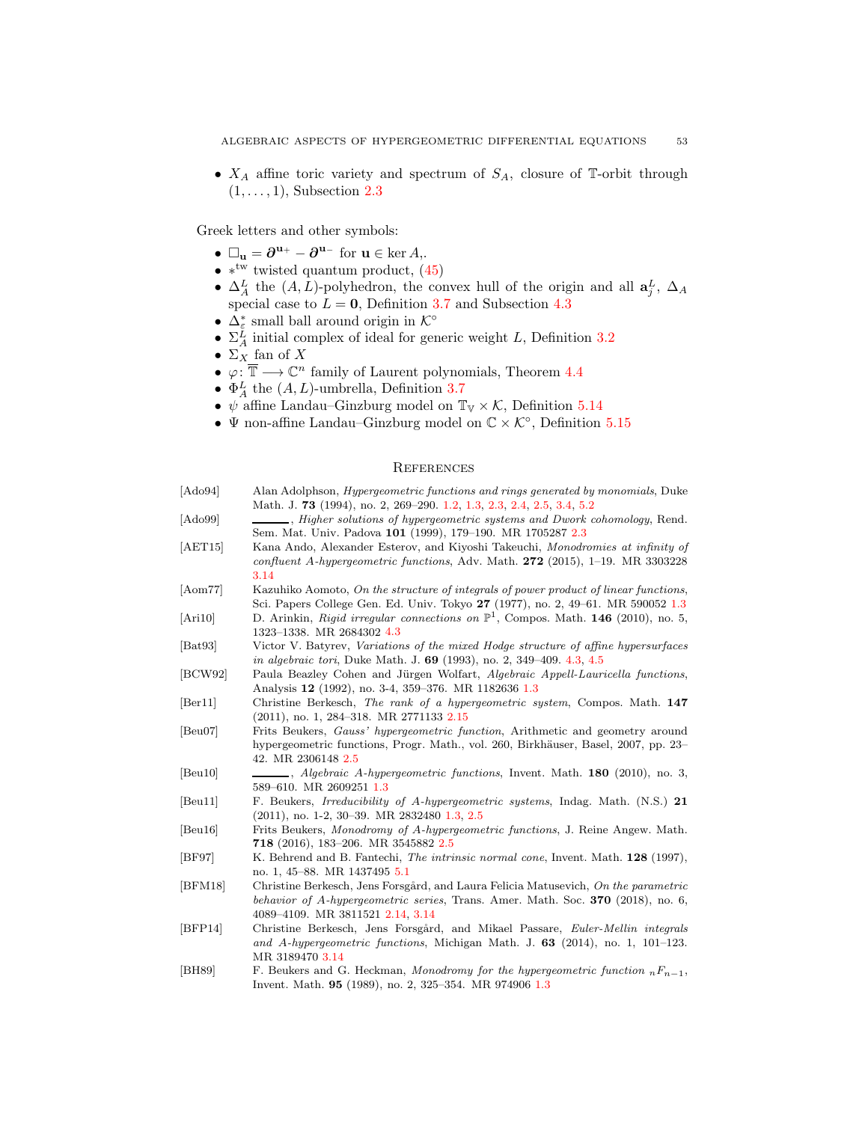•  $X_A$  affine toric variety and spectrum of  $S_A$ , closure of T-orbit through  $(1, \ldots, 1)$ , Subsection [2.3](#page-11-0)

Greek letters and other symbols:

- $\Box_{\mathbf{u}} = \partial^{\mathbf{u}_+} \partial^{\mathbf{u}_-}$  for  $\mathbf{u} \in \ker A$ ,
- $*^{\text{tw}}$  twisted quantum product,  $(45)$
- $\Delta_A^L$  the  $(A, L)$ -polyhedron, the convex hull of the origin and all  $a_j^L$ ,  $\Delta_A$ special case to  $L = 0$ , Definition [3.7](#page-22-2) and Subsection [4.3](#page-29-0)
- $\Delta_{\xi}^{*}$  small ball around origin in  $\mathcal{K}^{\circ}$
- $\Sigma^L$  initial complex of ideal for generic weight L, Definition [3.2](#page-18-2)
- $\Sigma_X$  fan of X
- $\varphi: \overline{\mathbb{T}} \longrightarrow \mathbb{C}^n$  family of Laurent polynomials, Theorem [4.4](#page-29-3)
- $\Phi_A^L$  the  $(A, L)$ -umbrella, Definition [3.7](#page-22-2)
- $\psi$  affine Landau–Ginzburg model on  $\mathbb{T}_{V} \times \mathcal{K}$ , Definition [5.14](#page-46-2)
- $\bullet$   $\Psi$  non-affine Landau–Ginzburg model on  $\mathbb{C}\times\mathcal{K}^{\circ},$  Definition [5.15](#page-47-0)

## <span id="page-52-0"></span>**REFERENCES**

<span id="page-52-15"></span><span id="page-52-14"></span><span id="page-52-13"></span><span id="page-52-9"></span><span id="page-52-7"></span><span id="page-52-4"></span><span id="page-52-2"></span><span id="page-52-1"></span>

| [Ado94]                     | Alan Adolphson, Hypergeometric functions and rings generated by monomials, Duke                                                                                              |
|-----------------------------|------------------------------------------------------------------------------------------------------------------------------------------------------------------------------|
|                             | Math. J. 73 (1994), no. 2, 269–290. 1.2, 1.3, 2.3, 2.4, 2.5, 3.4, 5.2                                                                                                        |
| [Ado99]                     | _, Higher solutions of hypergeometric systems and Dwork cohomology, Rend.                                                                                                    |
|                             | Sem. Mat. Univ. Padova 101 (1999), 179-190. MR 1705287 2.3                                                                                                                   |
| [AET15]                     | Kana Ando, Alexander Esterov, and Kiyoshi Takeuchi, Monodromies at infinity of                                                                                               |
|                             | confluent A-hypergeometric functions, Adv. Math. $272$ (2015), 1–19. MR 3303228                                                                                              |
|                             | 3.14                                                                                                                                                                         |
| [Aom77]                     | Kazuhiko Aomoto, On the structure of integrals of power product of linear functions,                                                                                         |
|                             | Sci. Papers College Gen. Ed. Univ. Tokyo 27 (1977), no. 2, 49–61. MR 590052 1.3                                                                                              |
| [Ari10]                     | D. Arinkin, Rigid irregular connections on $\mathbb{P}^1$ , Compos. Math. 146 (2010), no. 5,                                                                                 |
|                             | 1323–1338. MR 2684302 4.3                                                                                                                                                    |
| [ <b>B</b> at93]            | Victor V. Batyrev, Variations of the mixed Hodge structure of affine hypersurfaces                                                                                           |
|                             | <i>in algebraic tori</i> , Duke Math. J. 69 (1993), no. 2, 349–409. 4.3, 4.5                                                                                                 |
| [BCW92]                     | Paula Beazley Cohen and Jürgen Wolfart, Algebraic Appell-Lauricella functions,                                                                                               |
|                             | Analysis 12 (1992), no. 3-4, 359–376. MR 1182636 1.3                                                                                                                         |
| $\left[\text{Ber}11\right]$ | Christine Berkesch, The rank of a hypergeometric system, Compos. Math. 147                                                                                                   |
|                             | $(2011)$ , no. 1, 284–318. MR 2771133 2.15                                                                                                                                   |
| [Beu07]                     | Frits Beukers, Gauss' hypergeometric function, Arithmetic and geometry around                                                                                                |
|                             | hypergeometric functions, Progr. Math., vol. 260, Birkhäuser, Basel, 2007, pp. 23–                                                                                           |
|                             | 42. MR 2306148 2.5                                                                                                                                                           |
| [Beu10]                     | $\_\_\_\_\$ , Algebraic A-hypergeometric functions, Invent. Math. 180 (2010), no. 3,                                                                                         |
|                             | 589-610. MR 2609251 1.3                                                                                                                                                      |
| [Beu11]                     | F. Beukers, <i>Irreducibility of A-hypergeometric systems</i> , Indag. Math. (N.S.) 21                                                                                       |
|                             | $(2011)$ , no. 1-2, 30–39. MR 2832480 1.3, 2.5                                                                                                                               |
| [Beu16]                     | Frits Beukers, Monodromy of A-hypergeometric functions, J. Reine Angew. Math.                                                                                                |
|                             | <b>718</b> (2016), 183–206. MR 3545882 2.5                                                                                                                                   |
| [BF97]                      | K. Behrend and B. Fantechi, <i>The intrinsic normal cone</i> , Invent. Math. <b>128</b> (1997),                                                                              |
|                             | no. 1, 45–88. MR 1437495 5.1                                                                                                                                                 |
| [BFM18]                     | Christine Berkesch, Jens Forsgård, and Laura Felicia Matusevich, On the parametric<br>behavior of A-hypergeometric series, Trans. Amer. Math. Soc. <b>370</b> (2018), no. 6, |
|                             | 4089-4109. MR 3811521 2.14, 3.14                                                                                                                                             |
| [BFP14]                     | Christine Berkesch, Jens Forsgård, and Mikael Passare, Euler-Mellin integrals                                                                                                |
|                             | and A-hypergeometric functions, Michigan Math. J. $63$ (2014), no. 1, 101–123.                                                                                               |
|                             | MR 3189470 3.14                                                                                                                                                              |
|                             |                                                                                                                                                                              |

<span id="page-52-16"></span><span id="page-52-12"></span><span id="page-52-11"></span><span id="page-52-10"></span><span id="page-52-8"></span><span id="page-52-6"></span><span id="page-52-5"></span><span id="page-52-3"></span>[BH89] F. Beukers and G. Heckman, Monodromy for the hypergeometric function  $nF_{n-1}$ , Invent. Math. 95 (1989), no. 2, 325–354. MR 974906 [1.3](#page-7-0)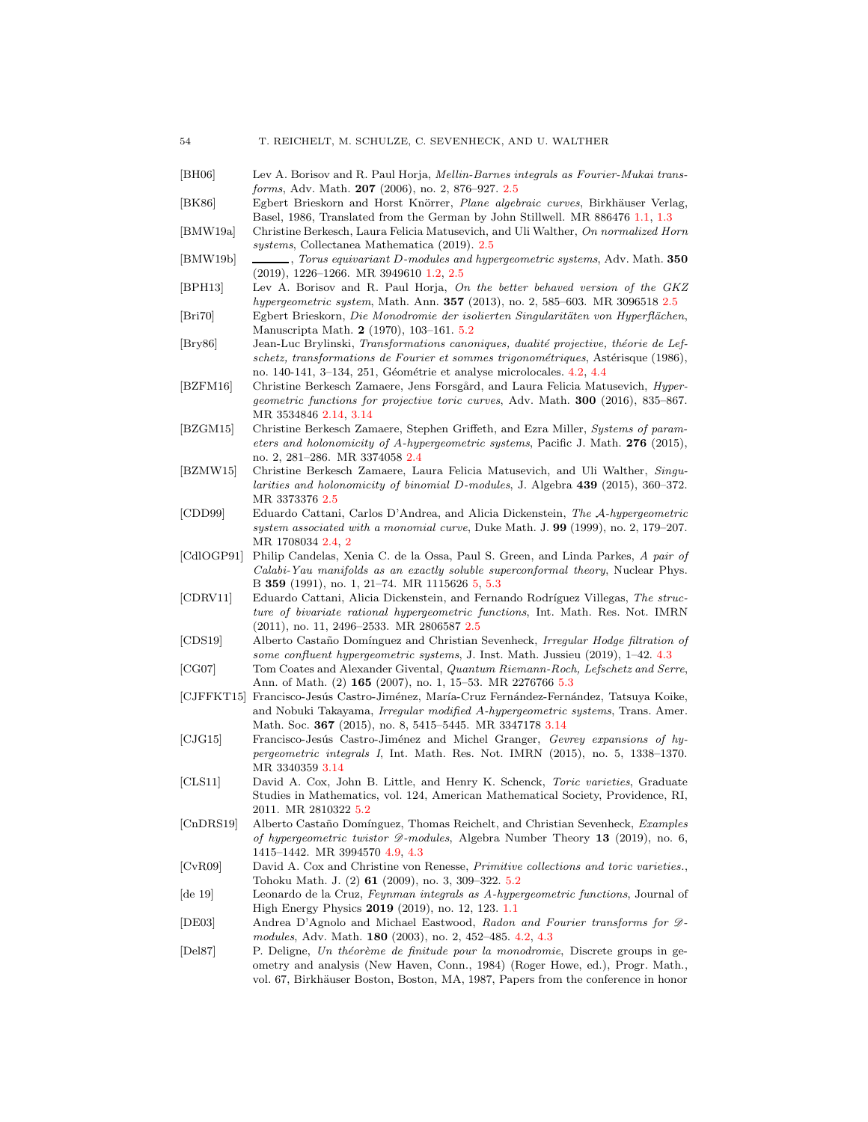- <span id="page-53-19"></span><span id="page-53-18"></span><span id="page-53-13"></span><span id="page-53-10"></span><span id="page-53-9"></span><span id="page-53-7"></span><span id="page-53-6"></span><span id="page-53-5"></span><span id="page-53-4"></span><span id="page-53-3"></span><span id="page-53-2"></span><span id="page-53-1"></span>[BH06] Lev A. Borisov and R. Paul Horja, Mellin-Barnes integrals as Fourier-Mukai transforms, Adv. Math. 207 (2006), no. 2, 876–927. [2.5](#page-16-0) [BK86] Egbert Brieskorn and Horst Knörrer, Plane algebraic curves, Birkhäuser Verlag, Basel, 1986, Translated from the German by John Stillwell. MR 886476 [1.1,](#page-2-3) [1.3](#page-2-2) [BMW19a] Christine Berkesch, Laura Felicia Matusevich, and Uli Walther, On normalized Horn systems, Collectanea Mathematica (2019). [2.5](#page-11-3) [BMW19b] , Torus equivariant D-modules and hypergeometric systems, Adv. Math. 350 (2019), 1226–1266. MR 3949610 [1.2,](#page-7-1) [2.5](#page-11-3) [BPH13] Lev A. Borisov and R. Paul Horja, On the better behaved version of the GKZ hypergeometric system, Math. Ann. 357 (2013), no. 2, 585–603. MR 3096518 [2.5](#page-16-0) [Bri70] Egbert Brieskorn, Die Monodromie der isolierten Singularitäten von Hyperflächen, Manuscripta Math. 2 (1970), 103–161. [5.2](#page-41-0) [Bry86] Jean-Luc Brylinski, Transformations canoniques, dualité projective, théorie de Lefschetz, transformations de Fourier et sommes trigonométriques, Astérisque (1986), no. 140-141, 3-134, 251, Géométrie et analyse microlocales. [4.2,](#page-27-1) [4.4](#page-33-0) [BZFM16] Christine Berkesch Zamaere, Jens Forsgård, and Laura Felicia Matusevich, *Hyper*geometric functions for projective toric curves, Adv. Math. 300 (2016), 835–867. MR 3534846 [2.14,](#page-15-2) [3.14](#page-24-0) [BZGM15] Christine Berkesch Zamaere, Stephen Griffeth, and Ezra Miller, Systems of parameters and holonomicity of A-hypergeometric systems, Pacific J. Math. 276 (2015), no. 2, 281–286. MR 3374058 [2.4](#page-13-0) [BZMW15] Christine Berkesch Zamaere, Laura Felicia Matusevich, and Uli Walther, Singularities and holonomicity of binomial D-modules, J. Algebra 439 (2015), 360–372. MR 3373376 [2.5](#page-11-3) [CDD99] Eduardo Cattani, Carlos D'Andrea, and Alicia Dickenstein, The A-hypergeometric system associated with a monomial curve, Duke Math. J. 99 (1999), no. 2, 179–207. MR 1708034 [2.4,](#page-13-2) [2](#page-15-0) [CdlOGP91] Philip Candelas, Xenia C. de la Ossa, Paul S. Green, and Linda Parkes, A pair of Calabi-Yau manifolds as an exactly soluble superconformal theory, Nuclear Phys. B 359 (1991), no. 1, 21–74. MR 1115626 [5,](#page-35-0) [5.3](#page-44-0) [CDRV11] Eduardo Cattani, Alicia Dickenstein, and Fernando Rodríguez Villegas, The structure of bivariate rational hypergeometric functions, Int. Math. Res. Not. IMRN (2011), no. 11, 2496–2533. MR 2806587 [2.5](#page-16-0) [CDS19] Alberto Castaño Domínguez and Christian Sevenheck, *Irregular Hodge filtration of* some confluent hypergeometric systems, J. Inst. Math. Jussieu (2019), 1–42. [4.3](#page-32-1) [CG07] Tom Coates and Alexander Givental, Quantum Riemann-Roch, Lefschetz and Serre, Ann. of Math. (2) 165 (2007), no. 1, 15–53. MR 2276766 [5.3](#page-48-2) [CJFFKT15] Francisco-Jesús Castro-Jiménez, María-Cruz Fernández-Fernández, Tatsuya Koike, and Nobuki Takayama, Irregular modified A-hypergeometric systems, Trans. Amer. Math. Soc. 367 (2015), no. 8, 5415-5445. MR 3347178 [3.14](#page-24-0) [CJG15] Francisco-Jesús Castro-Jiménez and Michel Granger, Gevrey expansions of hypergeometric integrals I, Int. Math. Res. Not. IMRN (2015), no. 5, 1338–1370. MR 3340359 [3.14](#page-24-0) [CLS11] David A. Cox, John B. Little, and Henry K. Schenck, Toric varieties, Graduate Studies in Mathematics, vol. 124, American Mathematical Society, Providence, RI, 2011. MR 2810322 [5.2](#page-43-0) [CnDRS19] Alberto Castaño Domínguez, Thomas Reichelt, and Christian Sevenheck, Examples of hypergeometric twistor  $\mathcal{D}\text{-modules}$ , Algebra Number Theory 13 (2019), no. 6, 1415–1442. MR 3994570 [4.9,](#page-32-2) [4.3](#page-32-1) [CvR09] David A. Cox and Christine von Renesse, Primitive collections and toric varieties., Tohoku Math. J. (2) 61 (2009), no. 3, 309–322. [5.2](#page-43-0) [de 19] Leonardo de la Cruz, Feynman integrals as A-hypergeometric functions, Journal of High Energy Physics 2019 (2019), no. 12, 123. [1.1](#page-1-1) [DE03] Andrea D'Agnolo and Michael Eastwood, Radon and Fourier transforms for Dmodules, Adv. Math. 180 (2003), no. 2, 452–485. [4.2,](#page-27-1) [4.3](#page-28-0)
- <span id="page-53-22"></span><span id="page-53-21"></span><span id="page-53-20"></span><span id="page-53-17"></span><span id="page-53-16"></span><span id="page-53-15"></span><span id="page-53-14"></span><span id="page-53-12"></span><span id="page-53-11"></span><span id="page-53-8"></span><span id="page-53-0"></span>[Del87] P. Deligne, Un théorème de finitude pour la monodromie, Discrete groups in geometry and analysis (New Haven, Conn., 1984) (Roger Howe, ed.), Progr. Math., vol. 67, Birkhäuser Boston, Boston, MA, 1987, Papers from the conference in honor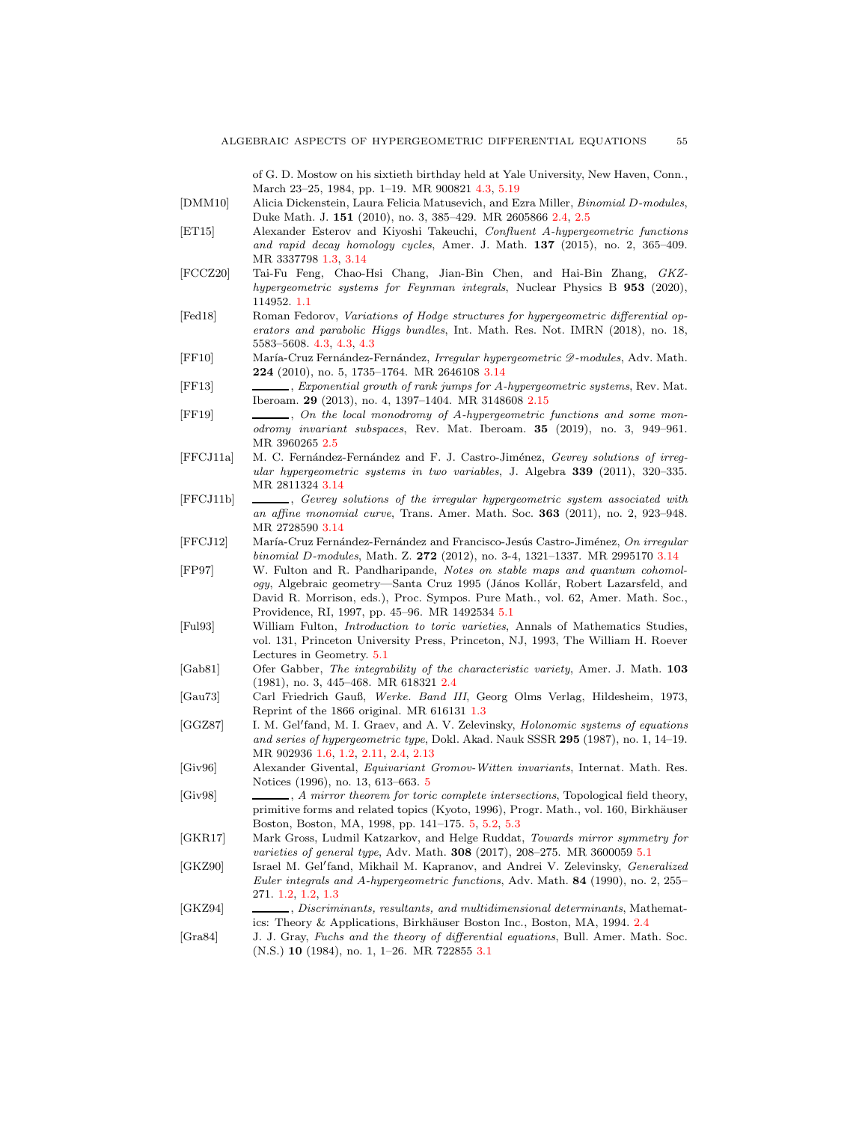of G. D. Mostow on his sixtieth birthday held at Yale University, New Haven, Conn., March 23–25, 1984, pp. 1–19. MR 900821 [4.3,](#page-32-0) [5.19](#page-50-2)

<span id="page-54-5"></span>[DMM10] Alicia Dickenstein, Laura Felicia Matusevich, and Ezra Miller, Binomial D-modules, Duke Math. J. 151 (2010), no. 3, 385–429. MR 2605866 [2.4,](#page-11-4) [2.5](#page-11-3)

- <span id="page-54-4"></span>[ET15] Alexander Esterov and Kiyoshi Takeuchi, Confluent A-hypergeometric functions and rapid decay homology cycles, Amer. J. Math. 137 (2015), no. 2, 365–409. MR 3337798 [1.3,](#page-7-0) [3.14](#page-24-0)
- <span id="page-54-0"></span>[FCCZ20] Tai-Fu Feng, Chao-Hsi Chang, Jian-Bin Chen, and Hai-Bin Zhang, GKZhypergeometric systems for Feynman integrals, Nuclear Physics B 953 (2020), 114952. [1.1](#page-1-1)
- <span id="page-54-15"></span>[Fed18] Roman Fedorov, Variations of Hodge structures for hypergeometric differential operators and parabolic Higgs bundles, Int. Math. Res. Not. IMRN (2018), no. 18, 5583–5608. [4.3,](#page-32-0) [4.3,](#page-32-1) [4.3](#page-33-1)
- <span id="page-54-11"></span>[FF10] María-Cruz Fernández-Fernández, Irregular hypergeometric  $\mathcal{D}\text{-modules}$ , Adv. Math. 224 (2010), no. 5, 1735–1764. MR 2646108 [3.14](#page-24-0)
- <span id="page-54-8"></span>[FF13] , Exponential growth of rank jumps for A-hypergeometric systems, Rev. Mat. Iberoam. 29 (2013), no. 4, 1397–1404. MR 3148608 [2.15](#page-15-1)
- <span id="page-54-6"></span>[FF19] , On the local monodromy of A-hypergeometric functions and some monodromy invariant subspaces, Rev. Mat. Iberoam. 35 (2019), no. 3, 949–961. MR 3960265 [2.5](#page-11-3)
- <span id="page-54-13"></span>[FFCJ11a] M. C. Fernández-Fernández and F. J. Castro-Jiménez, Gevrey solutions of irregular hypergeometric systems in two variables, J. Algebra 339 (2011), 320–335. MR 2811324 [3.14](#page-24-0)
- <span id="page-54-12"></span>[FFCJ11b] , Gevrey solutions of the irregular hypergeometric system associated with an affine monomial curve, Trans. Amer. Math. Soc. 363 (2011), no. 2, 923–948. MR 2728590 [3.14](#page-24-0)
- <span id="page-54-14"></span>[FFCJ12] María-Cruz Fernández-Fernández and Francisco-Jesús Castro-Jiménez, On irregular binomial D-modules, Math. Z. 272 (2012), no. 3-4, 1321–1337. MR 2995170 [3.14](#page-24-0)
- <span id="page-54-19"></span>[FP97] W. Fulton and R. Pandharipande, Notes on stable maps and quantum cohomology, Algebraic geometry—Santa Cruz 1995 (János Kollár, Robert Lazarsfeld, and David R. Morrison, eds.), Proc. Sympos. Pure Math., vol. 62, Amer. Math. Soc., Providence, RI, 1997, pp. 45–96. MR 1492534 [5.1](#page-36-0)
- <span id="page-54-20"></span>[Ful93] William Fulton, Introduction to toric varieties, Annals of Mathematics Studies, vol. 131, Princeton University Press, Princeton, NJ, 1993, The William H. Roever Lectures in Geometry. [5.1](#page-37-1)
- <span id="page-54-7"></span>[Gab81] Ofer Gabber, The integrability of the characteristic variety, Amer. J. Math. 103 (1981), no. 3, 445–468. MR 618321 [2.4](#page-13-0)
- <span id="page-54-3"></span>[Gau73] Carl Friedrich Gauß, Werke. Band III, Georg Olms Verlag, Hildesheim, 1973, Reprint of the 1866 original. MR 616131 [1.3](#page-7-0)
- <span id="page-54-1"></span>[GGZ87] I. M. Gel'fand, M. I. Graev, and A. V. Zelevinsky, *Holonomic systems of equations* and series of hypergeometric type, Dokl. Akad. Nauk SSSR 295 (1987), no. 1, 14–19. MR 902936 [1.6,](#page-4-2) [1.2,](#page-5-3) [2.11,](#page-12-3) [2.4,](#page-13-0) [2.13](#page-13-2)
- <span id="page-54-16"></span>[Giv96] Alexander Givental, Equivariant Gromov-Witten invariants, Internat. Math. Res. Notices (1996), no. 13, 613–663. [5](#page-35-0)
- <span id="page-54-17"></span>[Giv98] , A mirror theorem for toric complete intersections, Topological field theory, primitive forms and related topics (Kyoto, 1996), Progr. Math., vol. 160, Birkhäuser Boston, Boston, MA, 1998, pp. 141–175. [5,](#page-35-0) [5.2,](#page-40-3) [5.3](#page-48-2)
- <span id="page-54-18"></span>[GKR17] Mark Gross, Ludmil Katzarkov, and Helge Ruddat, Towards mirror symmetry for varieties of general type, Adv. Math. **308** (2017), 208-275. MR 3600059 [5.1](#page-36-0)
- <span id="page-54-2"></span>[GKZ90] Israel M. Gel'fand, Mikhail M. Kapranov, and Andrei V. Zelevinsky, Generalized Euler integrals and A-hypergeometric functions, Adv. Math. 84 (1990), no. 2, 255– 271. [1.2,](#page-5-3) [1.2,](#page-5-0) [1.3](#page-7-0)
- <span id="page-54-9"></span>[GKZ94] , Discriminants, resultants, and multidimensional determinants, Mathemat-ics: Theory & Applications, Birkhäuser Boston Inc., Boston, MA, 1994. [2.4](#page-15-1)
- <span id="page-54-10"></span>[Gra84] J. J. Gray, Fuchs and the theory of differential equations, Bull. Amer. Math. Soc. (N.S.) 10 (1984), no. 1, 1–26. MR 722855 [3.1](#page-17-1)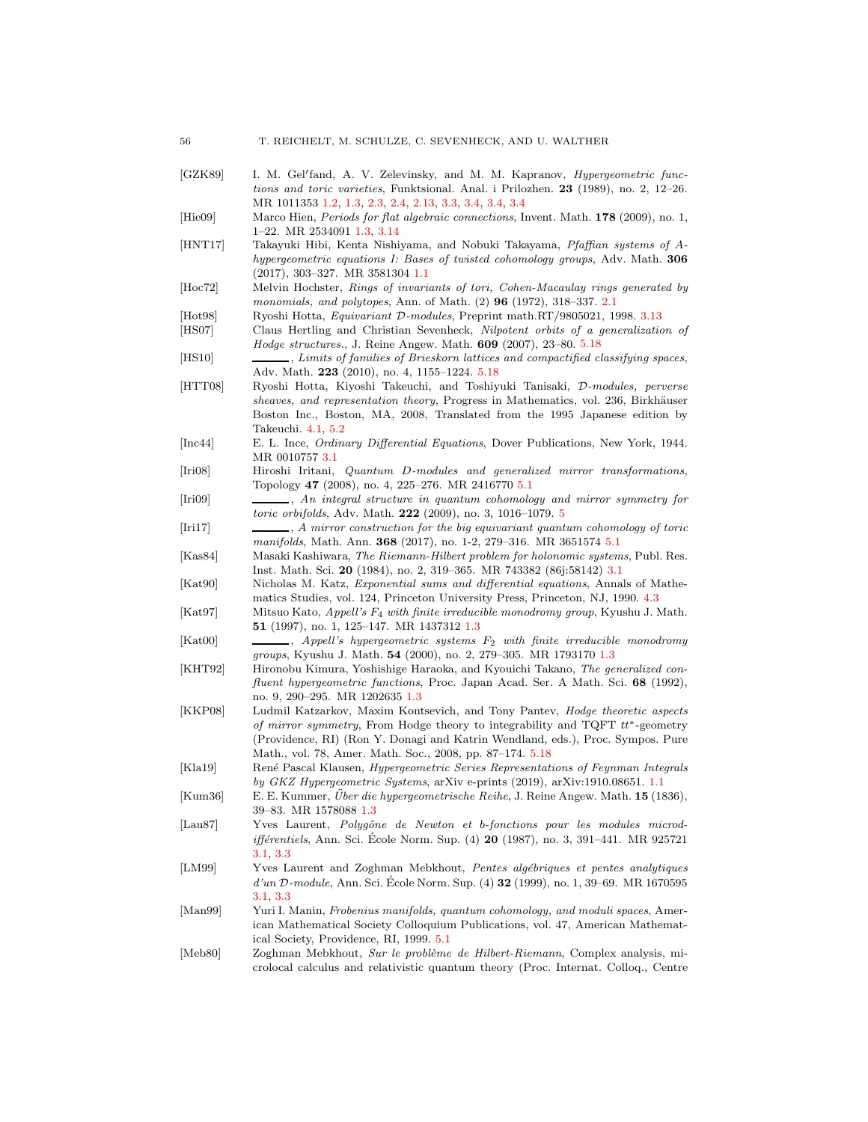<span id="page-55-23"></span><span id="page-55-22"></span><span id="page-55-21"></span><span id="page-55-20"></span><span id="page-55-19"></span><span id="page-55-18"></span><span id="page-55-17"></span><span id="page-55-16"></span><span id="page-55-15"></span><span id="page-55-14"></span><span id="page-55-13"></span><span id="page-55-12"></span><span id="page-55-11"></span><span id="page-55-10"></span><span id="page-55-9"></span><span id="page-55-8"></span><span id="page-55-7"></span><span id="page-55-6"></span><span id="page-55-5"></span><span id="page-55-4"></span><span id="page-55-3"></span><span id="page-55-2"></span><span id="page-55-1"></span><span id="page-55-0"></span>[GZK89] I. M. Gel'fand, A. V. Zelevinsky, and M. M. Kapranov, *Hypergeometric func*tions and toric varieties, Funktsional. Anal. i Prilozhen. 23 (1989), no. 2, 12–26. MR 1011353 [1.2,](#page-5-3) [1.3,](#page-7-0) [2.3,](#page-10-3) [2.4,](#page-13-0) [2.13,](#page-13-2) [3.3,](#page-22-2) [3.4,](#page-23-0) [3.4,](#page-23-1) [3.4](#page-23-2) [Hie09] Marco Hien, Periods for flat algebraic connections, Invent. Math. 178 (2009), no. 1, 1–22. MR 2534091 [1.3,](#page-7-0) [3.14](#page-24-0) [HNT17] Takayuki Hibi, Kenta Nishiyama, and Nobuki Takayama, Pfaffian systems of Ahypergeometric equations I: Bases of twisted cohomology groups, Adv. Math. 306 (2017), 303–327. MR 3581304 [1.1](#page-1-1) [Hoc72] Melvin Hochster, Rings of invariants of tori, Cohen-Macaulay rings generated by monomials, and polytopes, Ann. of Math. (2) 96 (1972), 318–337. [2.1](#page-9-3) [Hot98] Ryoshi Hotta, Equivariant D-modules, Preprint math.RT/9805021, 1998. [3.13](#page-24-1) [HS07] Claus Hertling and Christian Sevenheck, Nilpotent orbits of a generalization of Hodge structures., J. Reine Angew. Math. 609 (2007), 23–80. [5.18](#page-49-0) [HS10] , Limits of families of Brieskorn lattices and compactified classifying spaces, Adv. Math. 223 (2010), no. 4, 1155–1224. [5.18](#page-49-0) [HTT08] Ryoshi Hotta, Kiyoshi Takeuchi, and Toshiyuki Tanisaki, D-modules, perverse sheaves, and representation theory, Progress in Mathematics, vol. 236, Birkhäuser Boston Inc., Boston, MA, 2008, Translated from the 1995 Japanese edition by Takeuchi. [4.1,](#page-25-2) [5.2](#page-41-0) [Inc44] E. L. Ince, Ordinary Differential Equations, Dover Publications, New York, 1944. MR 0010757 [3.1](#page-17-1) [Iri08] Hiroshi Iritani, Quantum D-modules and generalized mirror transformations, Topology 47 (2008), no. 4, 225–276. MR 2416770 [5.1](#page-36-0) [Iri09] , An integral structure in quantum cohomology and mirror symmetry for toric orbifolds, Adv. Math. 222 (2009), no. 3, 1016–1079. [5](#page-35-0) [Iri17] , A mirror construction for the big equivariant quantum cohomology of toric manifolds, Math. Ann. 368 (2017), no. 1-2, 279–316. MR 3651574 [5.1](#page-36-0) [Kas84] Masaki Kashiwara, The Riemann-Hilbert problem for holonomic systems, Publ. Res. Inst. Math. Sci. 20 (1984), no. 2, 319–365. MR 743382 (86j:58142) [3.1](#page-17-1) [Kat90] Nicholas M. Katz, Exponential sums and differential equations, Annals of Mathematics Studies, vol. 124, Princeton University Press, Princeton, NJ, 1990. [4.3](#page-32-0) [Kat97] Mitsuo Kato, Appell's F<sup>4</sup> with finite irreducible monodromy group, Kyushu J. Math. 51 (1997), no. 1, 125–147. MR 1437312 [1.3](#page-7-0)  $[Kat00]$  , Appell's hypergeometric systems  $F_2$  with finite irreducible monodromy groups, Kyushu J. Math. 54 (2000), no. 2, 279–305. MR 1793170 [1.3](#page-7-0) [KHT92] Hironobu Kimura, Yoshishige Haraoka, and Kyouichi Takano, The generalized confluent hypergeometric functions, Proc. Japan Acad. Ser. A Math. Sci. 68 (1992), no. 9, 290–295. MR 1202635 [1.3](#page-7-0) [KKP08] Ludmil Katzarkov, Maxim Kontsevich, and Tony Pantev, Hodge theoretic aspects of mirror symmetry, From Hodge theory to integrability and TQFT  $tt^*$ -geometry (Providence, RI) (Ron Y. Donagi and Katrin Wendland, eds.), Proc. Sympos. Pure Math., vol. 78, Amer. Math. Soc., 2008, pp. 87–174. [5.18](#page-49-0) [Kla19] René Pascal Klausen, Hypergeometric Series Representations of Feynman Integrals by GKZ Hypergeometric Systems, arXiv e-prints (2019), arXiv:1910.08651. [1.1](#page-1-1) [Kum36] E. E. Kummer, Über die hypergeometrische Reihe, J. Reine Angew. Math. 15 (1836), 39–83. MR 1578088 [1.3](#page-7-0) [Lau87] Yves Laurent, Polygône de Newton et b-fonctions pour les modules microd*ifférentiels*, Ann. Sci. École Norm. Sup. (4) **20** (1987), no. 3, 391–441. MR 925721 [3.1,](#page-17-1) [3.3](#page-20-2) [LM99] Yves Laurent and Zoghman Mebkhout, Pentes algébriques et pentes analytiques  $d'un D-module, Ann. Sci. École Norm. Sup. (4) 32 (1999), no. 1, 39–69. MR 1670595$ [3.1,](#page-17-1) [3.3](#page-20-2) [Man99] Yuri I. Manin, Frobenius manifolds, quantum cohomology, and moduli spaces, American Mathematical Society Colloquium Publications, vol. 47, American Mathematical Society, Providence, RI, 1999. [5.1](#page-37-1) [Meb80] Zoghman Mebkhout, Sur le problème de Hilbert-Riemann, Complex analysis, microlocal calculus and relativistic quantum theory (Proc. Internat. Colloq., Centre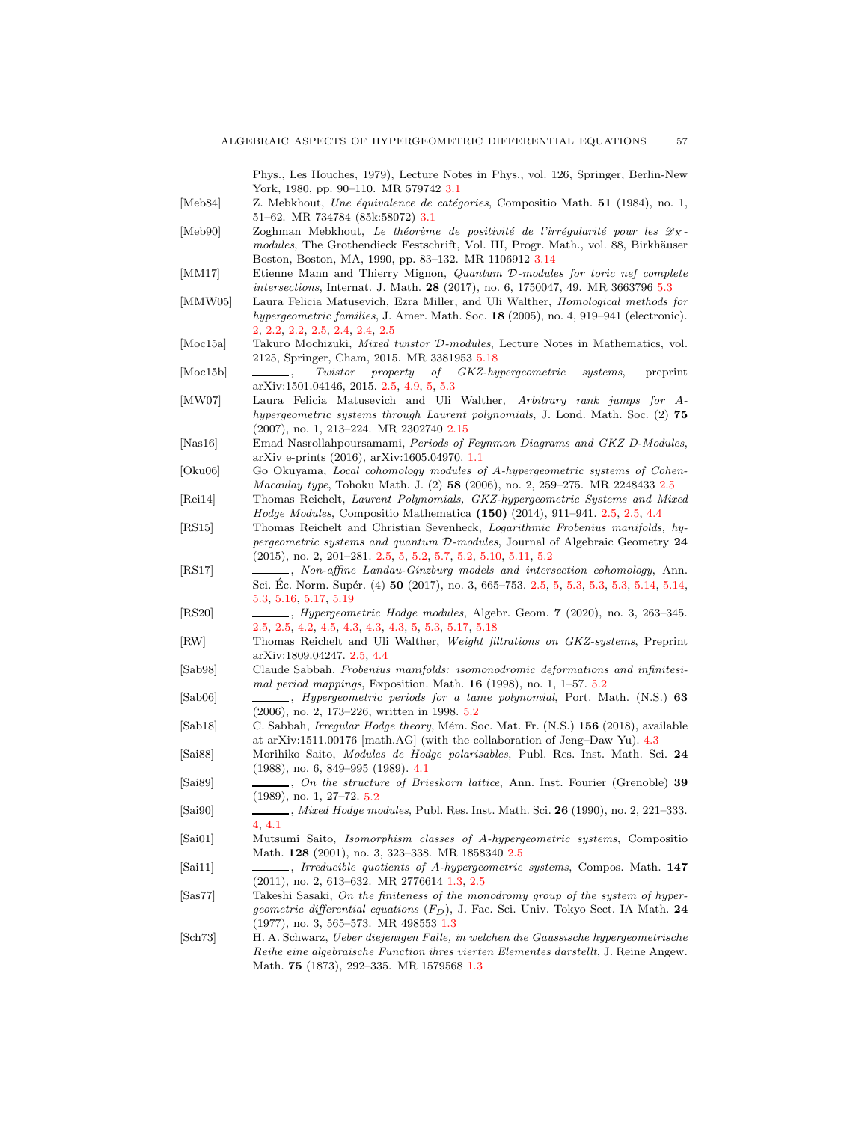Phys., Les Houches, 1979), Lecture Notes in Phys., vol. 126, Springer, Berlin-New York, 1980, pp. 90–110. MR 579742 [3.1](#page-17-1)

- <span id="page-56-14"></span>[Meb84] Z. Mebkhout, Une équivalence de catégories, Compositio Math. 51 (1984), no. 1, 51–62. MR 734784 (85k:58072) [3.1](#page-17-1)
- <span id="page-56-15"></span>[Meb90] Zoghman Mebkhout, Le théorème de positivité de l'irrégularité pour les  $\mathscr{D}_X$ modules, The Grothendieck Festschrift, Vol. III, Progr. Math., vol. 88, Birkhäuser Boston, Boston, MA, 1990, pp. 83–132. MR 1106912 [3.14](#page-24-0)
- <span id="page-56-23"></span>[MM17] Etienne Mann and Thierry Mignon, Quantum D-modules for toric nef complete intersections, Internat. J. Math. 28 (2017), no. 6, 1750047, 49. MR 3663796 [5.3](#page-50-2)
- <span id="page-56-4"></span>[MMW05] Laura Felicia Matusevich, Ezra Miller, and Uli Walther, Homological methods for hypergeometric families, J. Amer. Math. Soc. 18 (2005), no. 4, 919–941 (electronic). [2,](#page-9-0) [2.2,](#page-10-0) [2.2,](#page-11-4) [2.5,](#page-11-3) [2.4,](#page-13-0) [2.4,](#page-13-2) [2.5](#page-16-0)
- <span id="page-56-22"></span>[Moc15a] Takuro Mochizuki, Mixed twistor D-modules, Lecture Notes in Mathematics, vol. 2125, Springer, Cham, 2015. MR 3381953 [5.18](#page-49-0)
- <span id="page-56-13"></span>[Moc15b] , Twistor property of GKZ-hypergeometric systems, preprint arXiv:1501.04146, 2015. [2.5,](#page-16-0) [4.9,](#page-31-3) [5,](#page-35-0) [5.3](#page-46-0)
- <span id="page-56-10"></span>[MW07] Laura Felicia Matusevich and Uli Walther, Arbitrary rank jumps for Ahypergeometric systems through Laurent polynomials, J. Lond. Math. Soc. (2) 75 (2007), no. 1, 213–224. MR 2302740 [2.15](#page-15-1)
- <span id="page-56-0"></span>[Nas16] Emad Nasrollahpoursamami, Periods of Feynman Diagrams and GKZ D-Modules, arXiv e-prints (2016), arXiv:1605.04970. [1.1](#page-1-1)
- <span id="page-56-12"></span>[Oku06] Go Okuyama, Local cohomology modules of A-hypergeometric systems of Cohen-Macaulay type, Tohoku Math. J. (2) 58 (2006), no. 2, 259–275. MR 2248433 [2.5](#page-16-0)
- <span id="page-56-5"></span>[Rei14] Thomas Reichelt, Laurent Polynomials, GKZ-hypergeometric Systems and Mixed Hodge Modules, Compositio Mathematica (150) (2014), 911–941. [2.5,](#page-11-3) [2.5,](#page-16-0) [4.4](#page-29-3)
- <span id="page-56-6"></span>[RS15] Thomas Reichelt and Christian Sevenheck, Logarithmic Frobenius manifolds, hypergeometric systems and quantum D-modules, Journal of Algebraic Geometry 24 (2015), no. 2, 201–281. [2.5,](#page-11-3) [5,](#page-35-0) [5.2,](#page-40-2) [5.7,](#page-42-1) [5.2,](#page-43-0) [5.10,](#page-44-1) [5.11,](#page-44-2) [5.2](#page-44-2)
- <span id="page-56-7"></span>[RS17] , Non-affine Landau-Ginzburg models and intersection cohomology, Ann. Sci. Éc. Norm. Supér. (4) 50 (2017), no. 3, 665–753. [2.5,](#page-11-3) [5,](#page-35-0) [5.3,](#page-45-2) 5.3, 5.3, [5.14,](#page-46-0) 5.14, [5.3,](#page-46-0) [5.16,](#page-48-2) [5.17,](#page-48-1) [5.19](#page-49-1)
- <span id="page-56-8"></span>[RS20] , Hypergeometric Hodge modules, Algebr. Geom. 7 (2020), no. 3, 263–345. [2.5,](#page-11-3) [2.5,](#page-16-0) [4.2,](#page-28-0) [4.5,](#page-30-1) [4.3,](#page-30-2) [4.3,](#page-31-4) [4.3,](#page-31-1) [5,](#page-35-0) [5.3,](#page-48-2) [5.17,](#page-48-1) [5.18](#page-49-0)
- <span id="page-56-9"></span>[RW] Thomas Reichelt and Uli Walther, Weight filtrations on GKZ-systems, Preprint arXiv:1809.04247. [2.5,](#page-11-3) [4.4](#page-33-0)
- <span id="page-56-21"></span>[Sab98] Claude Sabbah, Frobenius manifolds: isomonodromic deformations and infinitesimal period mappings, Exposition. Math. 16 (1998), no. 1, 1–57. [5.2](#page-43-1)
- <span id="page-56-20"></span>[Sab06] , Hypergeometric periods for a tame polynomial, Port. Math. (N.S.) 63 (2006), no. 2, 173–226, written in 1998. [5.2](#page-41-0)
- <span id="page-56-18"></span>[Sab18] C. Sabbah, *Irregular Hodge theory*, Mém. Soc. Mat. Fr. (N.S.) 156 (2018), available at arXiv:1511.00176 [math.AG] (with the collaboration of Jeng–Daw Yu). [4.3](#page-32-1)
- <span id="page-56-17"></span>[Sai88] Morihiko Saito, Modules de Hodge polarisables, Publ. Res. Inst. Math. Sci. 24 (1988), no. 6, 849–995 (1989). [4.1](#page-25-2)
- <span id="page-56-19"></span>[Sai89] , On the structure of Brieskorn lattice, Ann. Inst. Fourier (Grenoble) 39 (1989), no. 1, 27–72. [5.2](#page-41-0)
- <span id="page-56-16"></span>[Sai90] , Mixed Hodge modules, Publ. Res. Inst. Math. Sci. 26 (1990), no. 2, 221–333. [4,](#page-25-0) [4.1](#page-25-2)
- <span id="page-56-11"></span>[Sai01] Mutsumi Saito, Isomorphism classes of A-hypergeometric systems, Compositio Math. 128 (2001), no. 3, 323–338. MR 1858340 [2.5](#page-16-0)
- <span id="page-56-3"></span>[Sai11] , Irreducible quotients of A-hypergeometric systems, Compos. Math. 147 (2011), no. 2, 613–632. MR 2776614 [1.3,](#page-7-0) [2.5](#page-16-0)
- <span id="page-56-2"></span>[Sas77] Takeshi Sasaki, On the finiteness of the monodromy group of the system of hypergeometric differential equations  $(F_D)$ , J. Fac. Sci. Univ. Tokyo Sect. IA Math. 24 (1977), no. 3, 565–573. MR 498553 [1.3](#page-7-0)
- <span id="page-56-1"></span>[Sch73] H. A. Schwarz, Ueber diejenigen F¨alle, in welchen die Gaussische hypergeometrische Reihe eine algebraische Function ihres vierten Elementes darstellt, J. Reine Angew. Math. 75 (1873), 292–335. MR 1579568 [1.3](#page-7-0)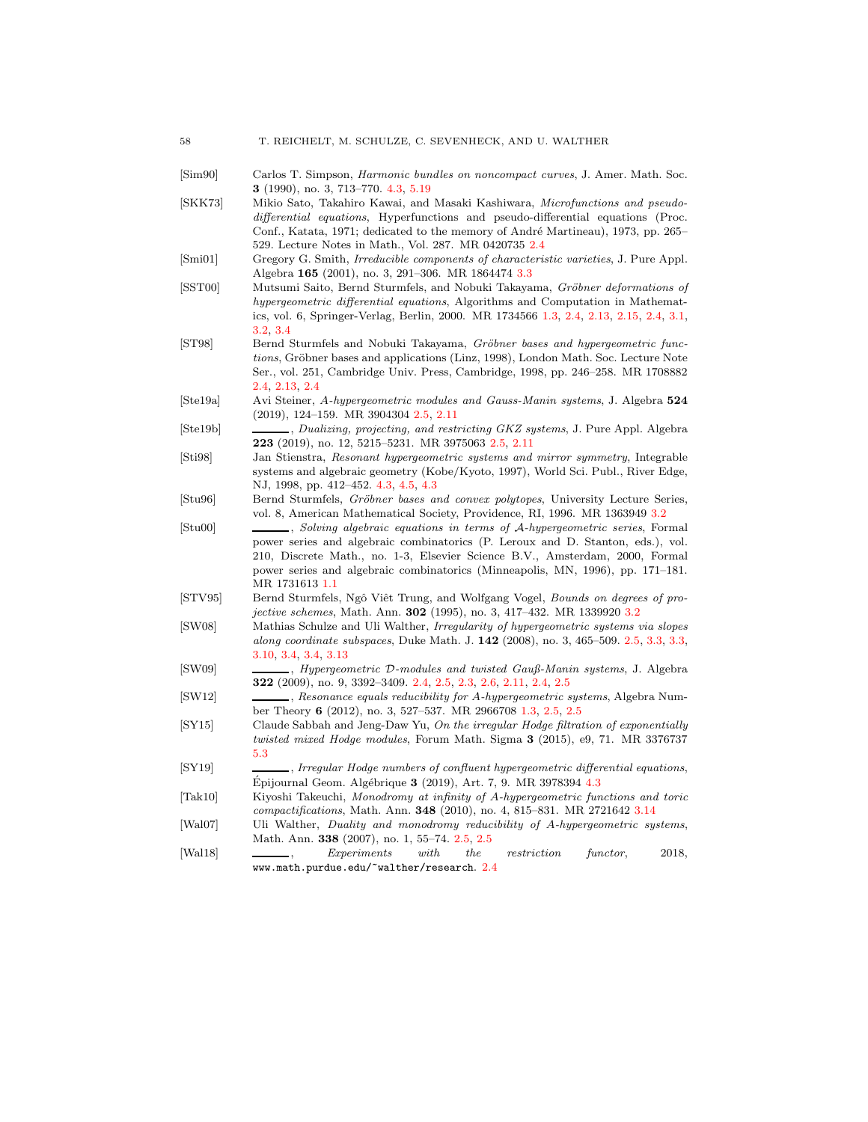- <span id="page-57-16"></span>[Sim90] Carlos T. Simpson, Harmonic bundles on noncompact curves, J. Amer. Math. Soc. 3 (1990), no. 3, 713–770. [4.3,](#page-32-0) [5.19](#page-50-2)
- <span id="page-57-8"></span>[SKK73] Mikio Sato, Takahiro Kawai, and Masaki Kashiwara, Microfunctions and pseudodifferential equations, Hyperfunctions and pseudo-differential equations (Proc. Conf., Katata, 1971; dedicated to the memory of André Martineau), 1973, pp. 265– 529. Lecture Notes in Math., Vol. 287. MR 0420735 [2.4](#page-13-0)
- <span id="page-57-13"></span>[Smi01] Gregory G. Smith, Irreducible components of characteristic varieties, J. Pure Appl. Algebra 165 (2001), no. 3, 291–306. MR 1864474 [3.3](#page-20-3)
- <span id="page-57-1"></span>[SST00] Mutsumi Saito, Bernd Sturmfels, and Nobuki Takayama, Gröbner deformations of hypergeometric differential equations, Algorithms and Computation in Mathematics, vol. 6, Springer-Verlag, Berlin, 2000. MR 1734566 [1.3,](#page-7-0) [2.4,](#page-13-0) [2.13,](#page-13-2) [2.15,](#page-15-1) [2.4,](#page-15-1) [3.1,](#page-17-1) [3.2,](#page-18-0) [3.4](#page-23-1)
- <span id="page-57-9"></span>[ST98] Bernd Sturmfels and Nobuki Takayama, Gröbner bases and hypergeometric functions, Gröbner bases and applications (Linz, 1998), London Math. Soc. Lecture Note Ser., vol. 251, Cambridge Univ. Press, Cambridge, 1998, pp. 246–258. MR 1708882 [2.4,](#page-13-0) [2.13,](#page-13-2) [2.4](#page-13-2)
- <span id="page-57-6"></span>[Ste19a] Avi Steiner, A-hypergeometric modules and Gauss-Manin systems, J. Algebra 524 (2019), 124–159. MR 3904304 [2.5,](#page-11-3) [2.11](#page-12-3)
- <span id="page-57-7"></span>[Ste19b] , Dualizing, projecting, and restricting GKZ systems, J. Pure Appl. Algebra 223 (2019), no. 12, 5215–5231. MR 3975063 [2.5,](#page-11-3) [2.11](#page-12-3)
- <span id="page-57-15"></span>[Sti98] Jan Stienstra, Resonant hypergeometric systems and mirror symmetry, Integrable systems and algebraic geometry (Kobe/Kyoto, 1997), World Sci. Publ., River Edge, NJ, 1998, pp. 412–452. [4.3,](#page-29-0) [4.5,](#page-30-1) [4.3](#page-30-2)
- <span id="page-57-11"></span>[Stu96] Bernd Sturmfels, Gröbner bases and convex polytopes, University Lecture Series, vol. 8, American Mathematical Society, Providence, RI, 1996. MR 1363949 [3.2](#page-18-0)
- <span id="page-57-0"></span>[Stu00] , Solving algebraic equations in terms of A-hypergeometric series, Formal power series and algebraic combinatorics (P. Leroux and D. Stanton, eds.), vol. 210, Discrete Math., no. 1-3, Elsevier Science B.V., Amsterdam, 2000, Formal power series and algebraic combinatorics (Minneapolis, MN, 1996), pp. 171–181. MR 1731613 [1.1](#page-1-1)
- <span id="page-57-12"></span>[STV95] Bernd Sturmfels, Ngô Viêt Trung, and Wolfgang Vogel, Bounds on degrees of projective schemes, Math. Ann. 302 (1995), no. 3, 417–432. MR 1339920 [3.2](#page-19-0)
- <span id="page-57-4"></span>[SW08] Mathias Schulze and Uli Walther, Irregularity of hypergeometric systems via slopes along coordinate subspaces, Duke Math. J. 142 (2008), no. 3, 465–509. [2.5,](#page-11-3) [3.3,](#page-21-0) [3.3,](#page-22-2) [3.10,](#page-23-3) [3.4,](#page-23-0) [3.4,](#page-23-2) [3.13](#page-24-1)
- <span id="page-57-3"></span>[SW09] , Hypergeometric D-modules and twisted Gauß-Manin systems, J. Algebra 322 (2009), no. 9, 3392–3409. [2.4,](#page-11-4) [2.5,](#page-11-3) [2.3,](#page-11-1) [2.6,](#page-11-2) [2.11,](#page-12-3) [2.4,](#page-13-0) [2.5](#page-16-0)
- <span id="page-57-2"></span>[SW12] , Resonance equals reducibility for A-hypergeometric systems, Algebra Number Theory 6 (2012), no. 3, 527–537. MR 2966708 [1.3,](#page-7-0) [2.5,](#page-11-3) [2.5](#page-16-0)
- <span id="page-57-18"></span>[SY15] Claude Sabbah and Jeng-Daw Yu, On the irregular Hodge filtration of exponentially twisted mixed Hodge modules, Forum Math. Sigma 3 (2015), e9, 71. MR 3376737 [5.3](#page-48-2)
- <span id="page-57-17"></span>[SY19] , Irregular Hodge numbers of confluent hypergeometric differential equations,  $Épiiqumal Geom.$  Algébrique  $3$  (2019), Art. 7, 9. MR 3978394 [4.3](#page-32-1)
- <span id="page-57-14"></span>[Tak10] Kiyoshi Takeuchi, Monodromy at infinity of A-hypergeometric functions and toric compactifications, Math. Ann. 348 (2010), no. 4, 815–831. MR 2721642 [3.14](#page-24-0)
- <span id="page-57-5"></span>[Wal07] Uli Walther, Duality and monodromy reducibility of A-hypergeometric systems, Math. Ann. 338 (2007), no. 1, 55–74. [2.5,](#page-11-3) [2.5](#page-16-0)
- <span id="page-57-10"></span>[Wal18] , Experiments with the restriction functor, 2018, www.math.purdue.edu/~walther/research. [2.4](#page-15-1)